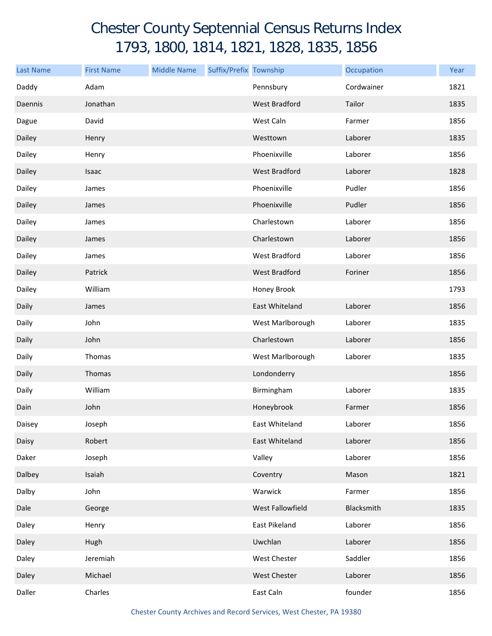## Chester County Septennial Census Returns Index 1793, 1800, 1814, 1821, 1828, 1835, 1856

| <b>Last Name</b> | <b>First Name</b> | <b>Middle Name</b> | Suffix/Prefix Township |                      | Occupation | Year |
|------------------|-------------------|--------------------|------------------------|----------------------|------------|------|
| Daddy            | Adam              |                    |                        | Pennsbury            | Cordwainer | 1821 |
| Daennis          | Jonathan          |                    |                        | <b>West Bradford</b> | Tailor     | 1835 |
| Dague            | David             |                    |                        | West Caln            | Farmer     | 1856 |
| Dailey           | Henry             |                    |                        | Westtown             | Laborer    | 1835 |
| Dailey           | Henry             |                    |                        | Phoenixville         | Laborer    | 1856 |
| Dailey           | <b>Isaac</b>      |                    |                        | <b>West Bradford</b> | Laborer    | 1828 |
| Dailey           | James             |                    |                        | Phoenixville         | Pudler     | 1856 |
| Dailey           | James             |                    |                        | Phoenixville         | Pudler     | 1856 |
| Dailey           | James             |                    |                        | Charlestown          | Laborer    | 1856 |
| Dailey           | James             |                    |                        | Charlestown          | Laborer    | 1856 |
| Dailey           | James             |                    |                        | West Bradford        | Laborer    | 1856 |
| Dailey           | Patrick           |                    |                        | <b>West Bradford</b> | Foriner    | 1856 |
| Dailey           | William           |                    |                        | Honey Brook          |            | 1793 |
| Daily            | James             |                    |                        | East Whiteland       | Laborer    | 1856 |
| Daily            | John              |                    |                        | West Marlborough     | Laborer    | 1835 |
| Daily            | John              |                    |                        | Charlestown          | Laborer    | 1856 |
| Daily            | Thomas            |                    |                        | West Marlborough     | Laborer    | 1835 |
| Daily            | Thomas            |                    |                        | Londonderry          |            | 1856 |
| Daily            | William           |                    |                        | Birmingham           | Laborer    | 1835 |
| Dain             | John              |                    |                        | Honeybrook           | Farmer     | 1856 |
| Daisey           | Joseph            |                    |                        | East Whiteland       | Laborer    | 1856 |
| Daisy            | Robert            |                    |                        | East Whiteland       | Laborer    | 1856 |
| Daker            | Joseph            |                    |                        | Valley               | Laborer    | 1856 |
| Dalbey           | Isaiah            |                    |                        | Coventry             | Mason      | 1821 |
| Dalby            | John              |                    |                        | Warwick              | Farmer     | 1856 |
| Dale             | George            |                    |                        | West Fallowfield     | Blacksmith | 1835 |
| Daley            | Henry             |                    |                        | East Pikeland        | Laborer    | 1856 |
| Daley            | Hugh              |                    |                        | Uwchlan              | Laborer    | 1856 |
| Daley            | Jeremiah          |                    |                        | West Chester         | Saddler    | 1856 |
| Daley            | Michael           |                    |                        | <b>West Chester</b>  | Laborer    | 1856 |
| Daller           | Charles           |                    |                        | East Caln            | founder    | 1856 |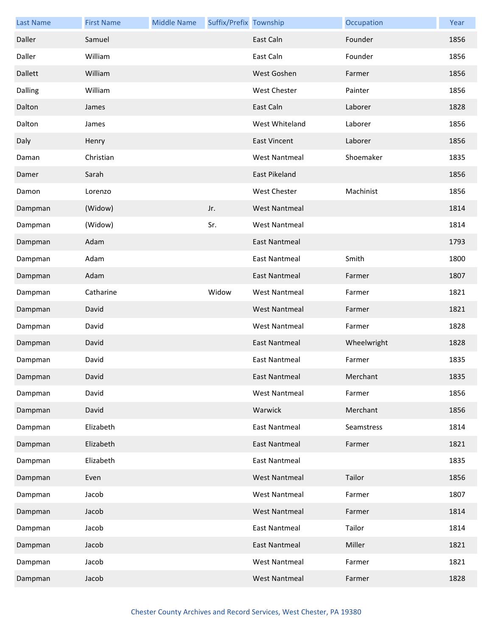| <b>Last Name</b> | <b>First Name</b> | <b>Middle Name</b> | Suffix/Prefix Township |                      | Occupation  | Year |
|------------------|-------------------|--------------------|------------------------|----------------------|-------------|------|
| Daller           | Samuel            |                    |                        | East Caln            | Founder     | 1856 |
| Daller           | William           |                    |                        | East Caln            | Founder     | 1856 |
| Dallett          | William           |                    |                        | West Goshen          | Farmer      | 1856 |
| Dalling          | William           |                    |                        | West Chester         | Painter     | 1856 |
| Dalton           | James             |                    |                        | East Caln            | Laborer     | 1828 |
| Dalton           | James             |                    |                        | West Whiteland       | Laborer     | 1856 |
| Daly             | Henry             |                    |                        | <b>East Vincent</b>  | Laborer     | 1856 |
| Daman            | Christian         |                    |                        | <b>West Nantmeal</b> | Shoemaker   | 1835 |
| Damer            | Sarah             |                    |                        | East Pikeland        |             | 1856 |
| Damon            | Lorenzo           |                    |                        | West Chester         | Machinist   | 1856 |
| Dampman          | (Widow)           |                    | Jr.                    | <b>West Nantmeal</b> |             | 1814 |
| Dampman          | (Widow)           |                    | Sr.                    | <b>West Nantmeal</b> |             | 1814 |
| Dampman          | Adam              |                    |                        | <b>East Nantmeal</b> |             | 1793 |
| Dampman          | Adam              |                    |                        | <b>East Nantmeal</b> | Smith       | 1800 |
| Dampman          | Adam              |                    |                        | <b>East Nantmeal</b> | Farmer      | 1807 |
| Dampman          | Catharine         |                    | Widow                  | <b>West Nantmeal</b> | Farmer      | 1821 |
| Dampman          | David             |                    |                        | <b>West Nantmeal</b> | Farmer      | 1821 |
| Dampman          | David             |                    |                        | <b>West Nantmeal</b> | Farmer      | 1828 |
| Dampman          | David             |                    |                        | <b>East Nantmeal</b> | Wheelwright | 1828 |
| Dampman          | David             |                    |                        | <b>East Nantmeal</b> | Farmer      | 1835 |
| Dampman          | David             |                    |                        | East Nantmeal        | Merchant    | 1835 |
| Dampman          | David             |                    |                        | <b>West Nantmeal</b> | Farmer      | 1856 |
| Dampman          | David             |                    |                        | Warwick              | Merchant    | 1856 |
| Dampman          | Elizabeth         |                    |                        | <b>East Nantmeal</b> | Seamstress  | 1814 |
| Dampman          | Elizabeth         |                    |                        | <b>East Nantmeal</b> | Farmer      | 1821 |
| Dampman          | Elizabeth         |                    |                        | East Nantmeal        |             | 1835 |
| Dampman          | Even              |                    |                        | <b>West Nantmeal</b> | Tailor      | 1856 |
| Dampman          | Jacob             |                    |                        | <b>West Nantmeal</b> | Farmer      | 1807 |
| Dampman          | Jacob             |                    |                        | <b>West Nantmeal</b> | Farmer      | 1814 |
| Dampman          | Jacob             |                    |                        | <b>East Nantmeal</b> | Tailor      | 1814 |
| Dampman          | Jacob             |                    |                        | <b>East Nantmeal</b> | Miller      | 1821 |
| Dampman          | Jacob             |                    |                        | <b>West Nantmeal</b> | Farmer      | 1821 |
| Dampman          | Jacob             |                    |                        | <b>West Nantmeal</b> | Farmer      | 1828 |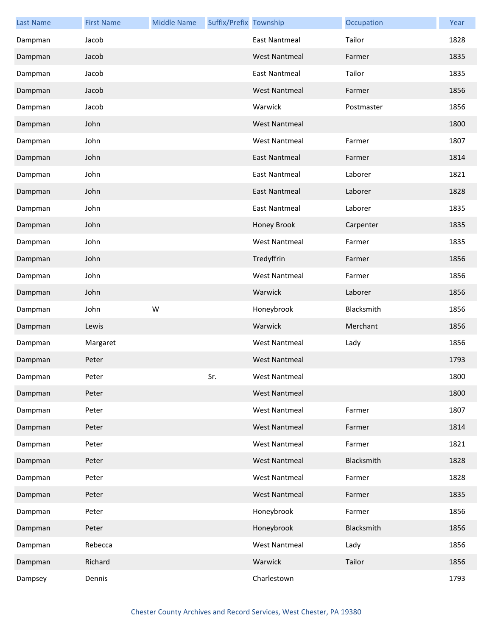| <b>Last Name</b> | <b>First Name</b> | <b>Middle Name</b> | Suffix/Prefix Township |                      | Occupation | Year |
|------------------|-------------------|--------------------|------------------------|----------------------|------------|------|
| Dampman          | Jacob             |                    |                        | East Nantmeal        | Tailor     | 1828 |
| Dampman          | Jacob             |                    |                        | <b>West Nantmeal</b> | Farmer     | 1835 |
| Dampman          | Jacob             |                    |                        | <b>East Nantmeal</b> | Tailor     | 1835 |
| Dampman          | Jacob             |                    |                        | <b>West Nantmeal</b> | Farmer     | 1856 |
| Dampman          | Jacob             |                    |                        | Warwick              | Postmaster | 1856 |
| Dampman          | John              |                    |                        | <b>West Nantmeal</b> |            | 1800 |
| Dampman          | John              |                    |                        | <b>West Nantmeal</b> | Farmer     | 1807 |
| Dampman          | John              |                    |                        | <b>East Nantmeal</b> | Farmer     | 1814 |
| Dampman          | John              |                    |                        | <b>East Nantmeal</b> | Laborer    | 1821 |
| Dampman          | John              |                    |                        | <b>East Nantmeal</b> | Laborer    | 1828 |
| Dampman          | John              |                    |                        | <b>East Nantmeal</b> | Laborer    | 1835 |
| Dampman          | John              |                    |                        | Honey Brook          | Carpenter  | 1835 |
| Dampman          | John              |                    |                        | <b>West Nantmeal</b> | Farmer     | 1835 |
| Dampman          | John              |                    |                        | Tredyffrin           | Farmer     | 1856 |
| Dampman          | John              |                    |                        | <b>West Nantmeal</b> | Farmer     | 1856 |
| Dampman          | John              |                    |                        | Warwick              | Laborer    | 1856 |
| Dampman          | John              | W                  |                        | Honeybrook           | Blacksmith | 1856 |
| Dampman          | Lewis             |                    |                        | Warwick              | Merchant   | 1856 |
| Dampman          | Margaret          |                    |                        | <b>West Nantmeal</b> | Lady       | 1856 |
| Dampman          |                   |                    |                        | <b>West Nantmeal</b> |            | 1793 |
|                  | Peter             |                    |                        |                      |            |      |
| Dampman          | Peter             |                    | Sr.                    | West Nantmeal        |            | 1800 |
| Dampman          | Peter             |                    |                        | <b>West Nantmeal</b> |            | 1800 |
| Dampman          | Peter             |                    |                        | <b>West Nantmeal</b> | Farmer     | 1807 |
| Dampman          | Peter             |                    |                        | <b>West Nantmeal</b> | Farmer     | 1814 |
| Dampman          | Peter             |                    |                        | <b>West Nantmeal</b> | Farmer     | 1821 |
| Dampman          | Peter             |                    |                        | <b>West Nantmeal</b> | Blacksmith | 1828 |
| Dampman          | Peter             |                    |                        | <b>West Nantmeal</b> | Farmer     | 1828 |
| Dampman          | Peter             |                    |                        | <b>West Nantmeal</b> | Farmer     | 1835 |
| Dampman          | Peter             |                    |                        | Honeybrook           | Farmer     | 1856 |
| Dampman          | Peter             |                    |                        | Honeybrook           | Blacksmith | 1856 |
| Dampman          | Rebecca           |                    |                        | <b>West Nantmeal</b> | Lady       | 1856 |
| Dampman          | Richard           |                    |                        | Warwick              | Tailor     | 1856 |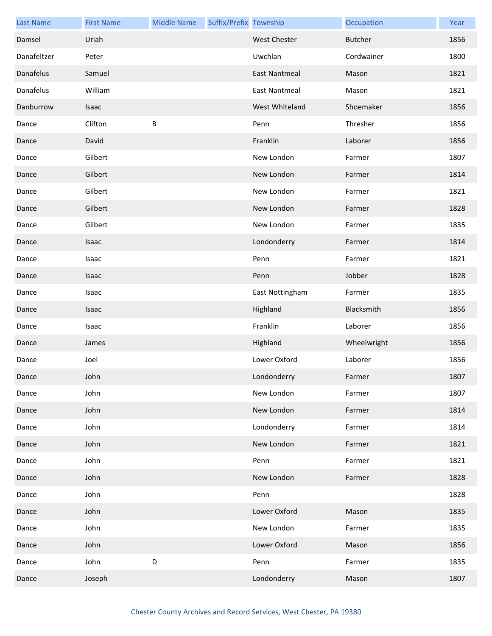| <b>Last Name</b> | <b>First Name</b> | <b>Middle Name</b> | Suffix/Prefix Township |                      | Occupation     | Year |
|------------------|-------------------|--------------------|------------------------|----------------------|----------------|------|
| Damsel           | Uriah             |                    |                        | West Chester         | <b>Butcher</b> | 1856 |
| Danafeltzer      | Peter             |                    |                        | Uwchlan              | Cordwainer     | 1800 |
| Danafelus        | Samuel            |                    |                        | <b>East Nantmeal</b> | Mason          | 1821 |
| Danafelus        | William           |                    |                        | East Nantmeal        | Mason          | 1821 |
| Danburrow        | Isaac             |                    |                        | West Whiteland       | Shoemaker      | 1856 |
| Dance            | Clifton           | $\sf B$            |                        | Penn                 | Thresher       | 1856 |
| Dance            | David             |                    |                        | Franklin             | Laborer        | 1856 |
| Dance            | Gilbert           |                    |                        | New London           | Farmer         | 1807 |
| Dance            | Gilbert           |                    |                        | New London           | Farmer         | 1814 |
| Dance            | Gilbert           |                    |                        | New London           | Farmer         | 1821 |
| Dance            | Gilbert           |                    |                        | New London           | Farmer         | 1828 |
| Dance            | Gilbert           |                    |                        | New London           | Farmer         | 1835 |
| Dance            | Isaac             |                    |                        | Londonderry          | Farmer         | 1814 |
| Dance            | Isaac             |                    |                        | Penn                 | Farmer         | 1821 |
| Dance            | Isaac             |                    |                        | Penn                 | Jobber         | 1828 |
| Dance            | Isaac             |                    |                        | East Nottingham      | Farmer         | 1835 |
| Dance            | Isaac             |                    |                        | Highland             | Blacksmith     | 1856 |
| Dance            | Isaac             |                    |                        | Franklin             | Laborer        | 1856 |
| Dance            | James             |                    |                        | Highland             | Wheelwright    | 1856 |
| Dance            | Joel              |                    |                        | Lower Oxford         | Laborer        | 1856 |
| Dance            | John              |                    |                        | Londonderry          | Farmer         | 1807 |
| Dance            | John              |                    |                        | New London           | Farmer         | 1807 |
| Dance            | John              |                    |                        | New London           | Farmer         | 1814 |
| Dance            | John              |                    |                        | Londonderry          | Farmer         | 1814 |
| Dance            | John              |                    |                        | New London           | Farmer         | 1821 |
| Dance            | John              |                    |                        | Penn                 | Farmer         | 1821 |
| Dance            | John              |                    |                        | New London           | Farmer         | 1828 |
| Dance            | John              |                    |                        | Penn                 |                | 1828 |
| Dance            | John              |                    |                        | Lower Oxford         | Mason          | 1835 |
| Dance            | John              |                    |                        | New London           | Farmer         | 1835 |
| Dance            | John              |                    |                        | Lower Oxford         | Mason          | 1856 |
| Dance            | John              | D                  |                        | Penn                 | Farmer         | 1835 |
| Dance            | Joseph            |                    |                        | Londonderry          | Mason          | 1807 |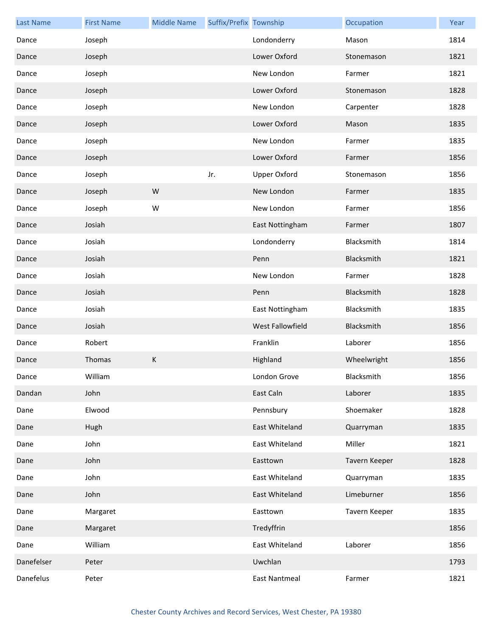| <b>Last Name</b> | <b>First Name</b> | <b>Middle Name</b> | Suffix/Prefix Township |                      | Occupation    | Year |
|------------------|-------------------|--------------------|------------------------|----------------------|---------------|------|
| Dance            | Joseph            |                    |                        | Londonderry          | Mason         | 1814 |
| Dance            | Joseph            |                    |                        | Lower Oxford         | Stonemason    | 1821 |
| Dance            | Joseph            |                    |                        | New London           | Farmer        | 1821 |
| Dance            | Joseph            |                    |                        | Lower Oxford         | Stonemason    | 1828 |
| Dance            | Joseph            |                    |                        | New London           | Carpenter     | 1828 |
| Dance            | Joseph            |                    |                        | Lower Oxford         | Mason         | 1835 |
| Dance            | Joseph            |                    |                        | New London           | Farmer        | 1835 |
| Dance            | Joseph            |                    |                        | Lower Oxford         | Farmer        | 1856 |
| Dance            | Joseph            |                    | Jr.                    | <b>Upper Oxford</b>  | Stonemason    | 1856 |
| Dance            | Joseph            | W                  |                        | New London           | Farmer        | 1835 |
| Dance            | Joseph            | W                  |                        | New London           | Farmer        | 1856 |
| Dance            | Josiah            |                    |                        | East Nottingham      | Farmer        | 1807 |
| Dance            | Josiah            |                    |                        | Londonderry          | Blacksmith    | 1814 |
| Dance            | Josiah            |                    |                        | Penn                 | Blacksmith    | 1821 |
| Dance            | Josiah            |                    |                        | New London           | Farmer        | 1828 |
| Dance            | Josiah            |                    |                        | Penn                 | Blacksmith    | 1828 |
| Dance            | Josiah            |                    |                        | East Nottingham      | Blacksmith    | 1835 |
| Dance            | Josiah            |                    |                        | West Fallowfield     | Blacksmith    | 1856 |
| Dance            | Robert            |                    |                        | Franklin             | Laborer       | 1856 |
| Dance            | Thomas            | $\sf K$            |                        | Highland             | Wheelwright   | 1856 |
| Dance            | William           |                    |                        | London Grove         | Blacksmith    | 1856 |
| Dandan           | John              |                    |                        | East Caln            | Laborer       | 1835 |
| Dane             | Elwood            |                    |                        | Pennsbury            | Shoemaker     | 1828 |
| Dane             | Hugh              |                    |                        | East Whiteland       | Quarryman     | 1835 |
| Dane             | John              |                    |                        | East Whiteland       | Miller        | 1821 |
| Dane             | John              |                    |                        | Easttown             | Tavern Keeper | 1828 |
| Dane             | John              |                    |                        | East Whiteland       | Quarryman     | 1835 |
| Dane             | John              |                    |                        | East Whiteland       | Limeburner    | 1856 |
| Dane             | Margaret          |                    |                        | Easttown             | Tavern Keeper | 1835 |
| Dane             | Margaret          |                    |                        | Tredyffrin           |               | 1856 |
| Dane             | William           |                    |                        | East Whiteland       | Laborer       | 1856 |
| Danefelser       | Peter             |                    |                        | Uwchlan              |               | 1793 |
| Danefelus        | Peter             |                    |                        | <b>East Nantmeal</b> | Farmer        | 1821 |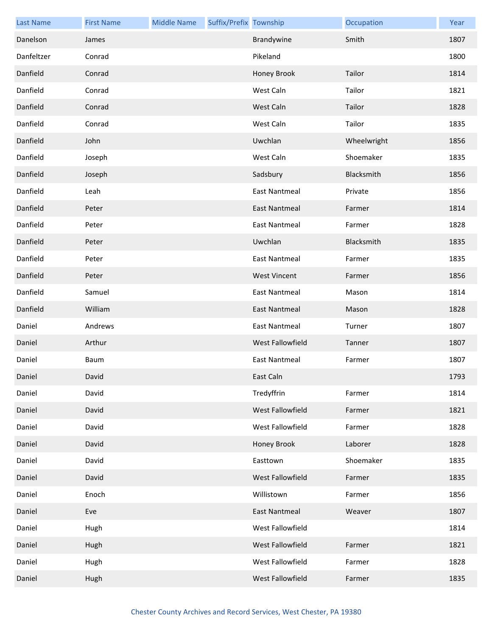| <b>Last Name</b> | <b>First Name</b> | <b>Middle Name</b> | Suffix/Prefix Township |                      | Occupation  | Year |
|------------------|-------------------|--------------------|------------------------|----------------------|-------------|------|
| Danelson         | James             |                    |                        | Brandywine           | Smith       | 1807 |
| Danfeltzer       | Conrad            |                    |                        | Pikeland             |             | 1800 |
| Danfield         | Conrad            |                    |                        | Honey Brook          | Tailor      | 1814 |
| Danfield         | Conrad            |                    |                        | West Caln            | Tailor      | 1821 |
| Danfield         | Conrad            |                    |                        | West Caln            | Tailor      | 1828 |
| Danfield         | Conrad            |                    |                        | West Caln            | Tailor      | 1835 |
| Danfield         | John              |                    |                        | Uwchlan              | Wheelwright | 1856 |
| Danfield         | Joseph            |                    |                        | West Caln            | Shoemaker   | 1835 |
| Danfield         | Joseph            |                    |                        | Sadsbury             | Blacksmith  | 1856 |
| Danfield         | Leah              |                    |                        | <b>East Nantmeal</b> | Private     | 1856 |
| Danfield         | Peter             |                    |                        | <b>East Nantmeal</b> | Farmer      | 1814 |
| Danfield         | Peter             |                    |                        | <b>East Nantmeal</b> | Farmer      | 1828 |
| Danfield         | Peter             |                    |                        | Uwchlan              | Blacksmith  | 1835 |
| Danfield         | Peter             |                    |                        | <b>East Nantmeal</b> | Farmer      | 1835 |
| Danfield         | Peter             |                    |                        | <b>West Vincent</b>  | Farmer      | 1856 |
| Danfield         | Samuel            |                    |                        | East Nantmeal        | Mason       | 1814 |
| Danfield         | William           |                    |                        | <b>East Nantmeal</b> | Mason       | 1828 |
| Daniel           | Andrews           |                    |                        | <b>East Nantmeal</b> | Turner      | 1807 |
| Daniel           | Arthur            |                    |                        | West Fallowfield     | Tanner      | 1807 |
| Daniel           | Baum              |                    |                        | <b>East Nantmeal</b> | Farmer      | 1807 |
| Daniel           | David             |                    |                        | East Caln            |             | 1793 |
| Daniel           | David             |                    |                        | Tredyffrin           | Farmer      | 1814 |
| Daniel           | David             |                    |                        | West Fallowfield     | Farmer      | 1821 |
| Daniel           | David             |                    |                        | West Fallowfield     | Farmer      | 1828 |
| Daniel           | David             |                    |                        | Honey Brook          | Laborer     | 1828 |
| Daniel           | David             |                    |                        | Easttown             | Shoemaker   | 1835 |
| Daniel           | David             |                    |                        | West Fallowfield     | Farmer      | 1835 |
| Daniel           | Enoch             |                    |                        | Willistown           | Farmer      | 1856 |
| Daniel           | Eve               |                    |                        | East Nantmeal        | Weaver      | 1807 |
| Daniel           | Hugh              |                    |                        | West Fallowfield     |             | 1814 |
| Daniel           | Hugh              |                    |                        | West Fallowfield     | Farmer      | 1821 |
| Daniel           | Hugh              |                    |                        | West Fallowfield     | Farmer      | 1828 |
| Daniel           | Hugh              |                    |                        | West Fallowfield     | Farmer      | 1835 |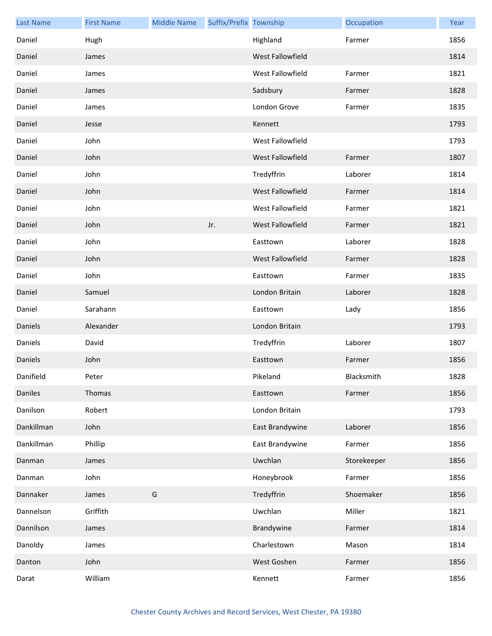| <b>Last Name</b> | <b>First Name</b> | <b>Middle Name</b> | Suffix/Prefix Township |                         | Occupation  | Year |
|------------------|-------------------|--------------------|------------------------|-------------------------|-------------|------|
| Daniel           | Hugh              |                    |                        | Highland                | Farmer      | 1856 |
| Daniel           | James             |                    |                        | West Fallowfield        |             | 1814 |
| Daniel           | James             |                    |                        | West Fallowfield        | Farmer      | 1821 |
| Daniel           | James             |                    |                        | Sadsbury                | Farmer      | 1828 |
| Daniel           | James             |                    |                        | London Grove            | Farmer      | 1835 |
| Daniel           | Jesse             |                    |                        | Kennett                 |             | 1793 |
| Daniel           | John              |                    |                        | West Fallowfield        |             | 1793 |
| Daniel           | John              |                    |                        | West Fallowfield        | Farmer      | 1807 |
| Daniel           | John              |                    |                        | Tredyffrin              | Laborer     | 1814 |
| Daniel           | John              |                    |                        | West Fallowfield        | Farmer      | 1814 |
| Daniel           | John              |                    |                        | West Fallowfield        | Farmer      | 1821 |
| Daniel           | John              |                    | Jr.                    | West Fallowfield        | Farmer      | 1821 |
| Daniel           | John              |                    |                        | Easttown                | Laborer     | 1828 |
| Daniel           | John              |                    |                        | <b>West Fallowfield</b> | Farmer      | 1828 |
| Daniel           | John              |                    |                        | Easttown                | Farmer      | 1835 |
| Daniel           | Samuel            |                    |                        | London Britain          | Laborer     | 1828 |
| Daniel           | Sarahann          |                    |                        | Easttown                | Lady        | 1856 |
| Daniels          | Alexander         |                    |                        | London Britain          |             | 1793 |
| Daniels          | David             |                    |                        | Tredyffrin              | Laborer     | 1807 |
| Daniels          | John              |                    |                        | Easttown                | Farmer      | 1856 |
| Danifield        | Peter             |                    |                        | Pikeland                | Blacksmith  | 1828 |
| Daniles          | Thomas            |                    |                        | Easttown                | Farmer      | 1856 |
| Danilson         | Robert            |                    |                        | London Britain          |             | 1793 |
| Dankillman       | John              |                    |                        | East Brandywine         | Laborer     | 1856 |
| Dankillman       | Phillip           |                    |                        | East Brandywine         | Farmer      | 1856 |
| Danman           | James             |                    |                        | Uwchlan                 | Storekeeper | 1856 |
| Danman           | John              |                    |                        | Honeybrook              | Farmer      | 1856 |
| Dannaker         | James             | G                  |                        | Tredyffrin              | Shoemaker   | 1856 |
| Dannelson        | Griffith          |                    |                        | Uwchlan                 | Miller      | 1821 |
| Dannilson        | James             |                    |                        | Brandywine              | Farmer      | 1814 |
| Danoldy          | James             |                    |                        | Charlestown             | Mason       | 1814 |
| Danton           | John              |                    |                        | West Goshen             | Farmer      | 1856 |
| Darat            | William           |                    |                        | Kennett                 | Farmer      | 1856 |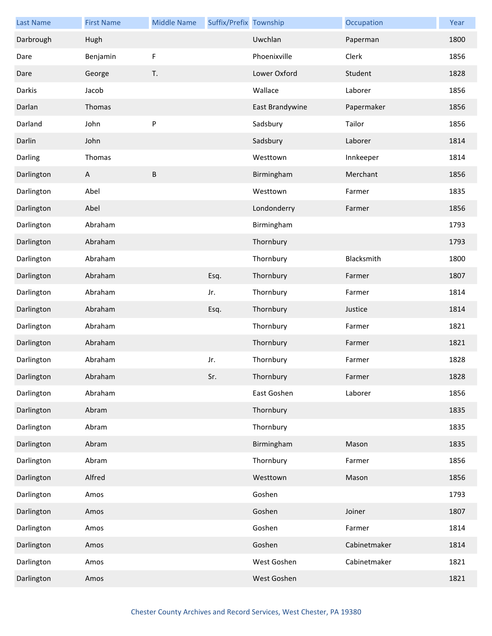| <b>Last Name</b> | <b>First Name</b> | <b>Middle Name</b> | Suffix/Prefix Township |                 | Occupation   | Year |
|------------------|-------------------|--------------------|------------------------|-----------------|--------------|------|
| Darbrough        | Hugh              |                    |                        | Uwchlan         | Paperman     | 1800 |
| Dare             | Benjamin          | F                  |                        | Phoenixville    | Clerk        | 1856 |
| Dare             | George            | T.                 |                        | Lower Oxford    | Student      | 1828 |
| Darkis           | Jacob             |                    |                        | Wallace         | Laborer      | 1856 |
| Darlan           | Thomas            |                    |                        | East Brandywine | Papermaker   | 1856 |
| Darland          | John              | P                  |                        | Sadsbury        | Tailor       | 1856 |
| Darlin           | John              |                    |                        | Sadsbury        | Laborer      | 1814 |
| Darling          | Thomas            |                    |                        | Westtown        | Innkeeper    | 1814 |
| Darlington       | A                 | $\sf B$            |                        | Birmingham      | Merchant     | 1856 |
| Darlington       | Abel              |                    |                        | Westtown        | Farmer       | 1835 |
| Darlington       | Abel              |                    |                        | Londonderry     | Farmer       | 1856 |
| Darlington       | Abraham           |                    |                        | Birmingham      |              | 1793 |
| Darlington       | Abraham           |                    |                        | Thornbury       |              | 1793 |
| Darlington       | Abraham           |                    |                        | Thornbury       | Blacksmith   | 1800 |
| Darlington       | Abraham           |                    | Esq.                   | Thornbury       | Farmer       | 1807 |
| Darlington       | Abraham           |                    | Jr.                    | Thornbury       | Farmer       | 1814 |
| Darlington       | Abraham           |                    | Esq.                   | Thornbury       | Justice      | 1814 |
| Darlington       | Abraham           |                    |                        | Thornbury       | Farmer       | 1821 |
| Darlington       | Abraham           |                    |                        | Thornbury       | Farmer       | 1821 |
| Darlington       | Abraham           |                    | Jr.                    | Thornbury       | Farmer       | 1828 |
| Darlington       | Abraham           |                    | Sr.                    | Thornbury       | Farmer       | 1828 |
| Darlington       | Abraham           |                    |                        | East Goshen     | Laborer      | 1856 |
| Darlington       | Abram             |                    |                        | Thornbury       |              | 1835 |
| Darlington       | Abram             |                    |                        | Thornbury       |              | 1835 |
| Darlington       | Abram             |                    |                        | Birmingham      | Mason        | 1835 |
| Darlington       | Abram             |                    |                        | Thornbury       | Farmer       | 1856 |
| Darlington       | Alfred            |                    |                        | Westtown        | Mason        | 1856 |
| Darlington       | Amos              |                    |                        | Goshen          |              | 1793 |
| Darlington       | Amos              |                    |                        | Goshen          | Joiner       | 1807 |
| Darlington       | Amos              |                    |                        | Goshen          | Farmer       | 1814 |
| Darlington       | Amos              |                    |                        | Goshen          | Cabinetmaker | 1814 |
| Darlington       | Amos              |                    |                        | West Goshen     | Cabinetmaker | 1821 |
| Darlington       | Amos              |                    |                        | West Goshen     |              | 1821 |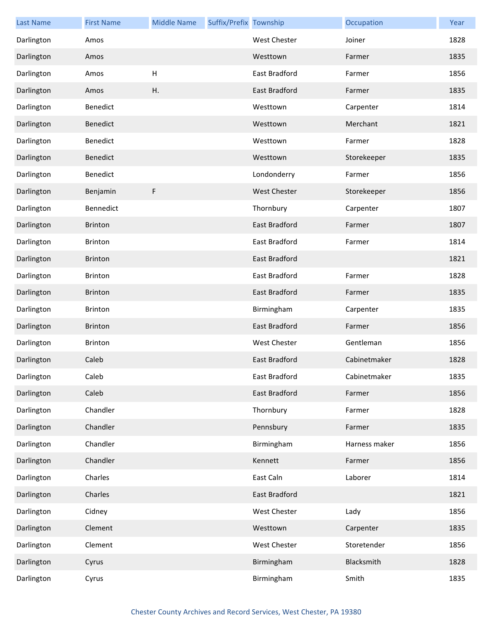| <b>Last Name</b> | <b>First Name</b> | <b>Middle Name</b> | Suffix/Prefix Township |                      | Occupation    | Year |
|------------------|-------------------|--------------------|------------------------|----------------------|---------------|------|
| Darlington       | Amos              |                    |                        | <b>West Chester</b>  | Joiner        | 1828 |
| Darlington       | Amos              |                    |                        | Westtown             | Farmer        | 1835 |
| Darlington       | Amos              | H                  |                        | East Bradford        | Farmer        | 1856 |
| Darlington       | Amos              | Η.                 |                        | <b>East Bradford</b> | Farmer        | 1835 |
| Darlington       | Benedict          |                    |                        | Westtown             | Carpenter     | 1814 |
| Darlington       | Benedict          |                    |                        | Westtown             | Merchant      | 1821 |
| Darlington       | Benedict          |                    |                        | Westtown             | Farmer        | 1828 |
| Darlington       | Benedict          |                    |                        | Westtown             | Storekeeper   | 1835 |
| Darlington       | Benedict          |                    |                        | Londonderry          | Farmer        | 1856 |
| Darlington       | Benjamin          | F                  |                        | <b>West Chester</b>  | Storekeeper   | 1856 |
| Darlington       | Bennedict         |                    |                        | Thornbury            | Carpenter     | 1807 |
| Darlington       | <b>Brinton</b>    |                    |                        | <b>East Bradford</b> | Farmer        | 1807 |
| Darlington       | <b>Brinton</b>    |                    |                        | East Bradford        | Farmer        | 1814 |
| Darlington       | <b>Brinton</b>    |                    |                        | <b>East Bradford</b> |               | 1821 |
| Darlington       | <b>Brinton</b>    |                    |                        | East Bradford        | Farmer        | 1828 |
| Darlington       | <b>Brinton</b>    |                    |                        | East Bradford        | Farmer        | 1835 |
| Darlington       | <b>Brinton</b>    |                    |                        | Birmingham           | Carpenter     | 1835 |
| Darlington       | <b>Brinton</b>    |                    |                        | <b>East Bradford</b> | Farmer        | 1856 |
| Darlington       | Brinton           |                    |                        | West Chester         | Gentleman     | 1856 |
| Darlington       | Caleb             |                    |                        | East Bradford        | Cabinetmaker  | 1828 |
| Darlington       | Caleb             |                    |                        | East Bradford        | Cabinetmaker  | 1835 |
| Darlington       | Caleb             |                    |                        | East Bradford        | Farmer        | 1856 |
| Darlington       | Chandler          |                    |                        | Thornbury            | Farmer        | 1828 |
| Darlington       | Chandler          |                    |                        | Pennsbury            | Farmer        | 1835 |
| Darlington       | Chandler          |                    |                        | Birmingham           | Harness maker | 1856 |
| Darlington       | Chandler          |                    |                        | Kennett              | Farmer        | 1856 |
| Darlington       | Charles           |                    |                        | East Caln            | Laborer       | 1814 |
| Darlington       | Charles           |                    |                        | East Bradford        |               | 1821 |
| Darlington       | Cidney            |                    |                        | West Chester         | Lady          | 1856 |
| Darlington       | Clement           |                    |                        | Westtown             | Carpenter     | 1835 |
| Darlington       | Clement           |                    |                        | <b>West Chester</b>  | Storetender   | 1856 |
| Darlington       | Cyrus             |                    |                        | Birmingham           | Blacksmith    | 1828 |
| Darlington       | Cyrus             |                    |                        | Birmingham           | Smith         | 1835 |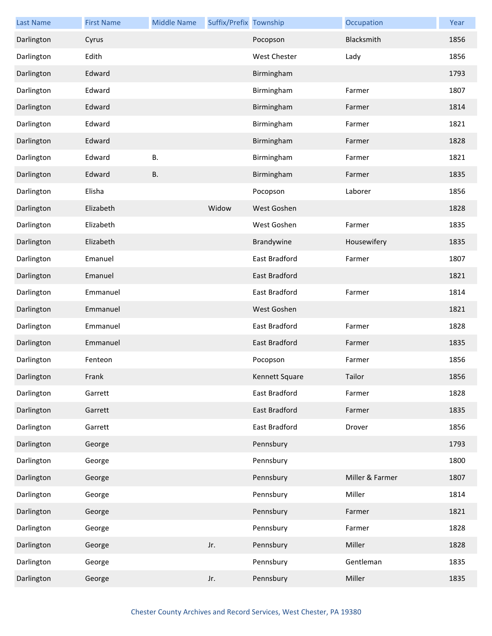| <b>Last Name</b> | <b>First Name</b> | <b>Middle Name</b> | Suffix/Prefix Township |                | Occupation      | Year |
|------------------|-------------------|--------------------|------------------------|----------------|-----------------|------|
| Darlington       | Cyrus             |                    |                        | Pocopson       | Blacksmith      | 1856 |
| Darlington       | Edith             |                    |                        | West Chester   | Lady            | 1856 |
| Darlington       | Edward            |                    |                        | Birmingham     |                 | 1793 |
| Darlington       | Edward            |                    |                        | Birmingham     | Farmer          | 1807 |
| Darlington       | Edward            |                    |                        | Birmingham     | Farmer          | 1814 |
| Darlington       | Edward            |                    |                        | Birmingham     | Farmer          | 1821 |
| Darlington       | Edward            |                    |                        | Birmingham     | Farmer          | 1828 |
| Darlington       | Edward            | <b>B.</b>          |                        | Birmingham     | Farmer          | 1821 |
| Darlington       | Edward            | <b>B.</b>          |                        | Birmingham     | Farmer          | 1835 |
| Darlington       | Elisha            |                    |                        | Pocopson       | Laborer         | 1856 |
| Darlington       | Elizabeth         |                    | Widow                  | West Goshen    |                 | 1828 |
| Darlington       | Elizabeth         |                    |                        | West Goshen    | Farmer          | 1835 |
| Darlington       | Elizabeth         |                    |                        | Brandywine     | Housewifery     | 1835 |
| Darlington       | Emanuel           |                    |                        | East Bradford  | Farmer          | 1807 |
| Darlington       | Emanuel           |                    |                        | East Bradford  |                 | 1821 |
| Darlington       | Emmanuel          |                    |                        | East Bradford  | Farmer          | 1814 |
| Darlington       | Emmanuel          |                    |                        | West Goshen    |                 | 1821 |
| Darlington       | Emmanuel          |                    |                        | East Bradford  | Farmer          | 1828 |
| Darlington       | Emmanuel          |                    |                        | East Bradford  | Farmer          | 1835 |
| Darlington       | Fenteon           |                    |                        | Pocopson       | Farmer          | 1856 |
| Darlington       | Frank             |                    |                        | Kennett Square | Tailor          | 1856 |
| Darlington       | Garrett           |                    |                        | East Bradford  | Farmer          | 1828 |
| Darlington       | Garrett           |                    |                        | East Bradford  | Farmer          | 1835 |
| Darlington       | Garrett           |                    |                        | East Bradford  | Drover          | 1856 |
| Darlington       | George            |                    |                        | Pennsbury      |                 | 1793 |
| Darlington       | George            |                    |                        | Pennsbury      |                 | 1800 |
| Darlington       | George            |                    |                        | Pennsbury      | Miller & Farmer | 1807 |
| Darlington       | George            |                    |                        | Pennsbury      | Miller          | 1814 |
| Darlington       | George            |                    |                        | Pennsbury      | Farmer          | 1821 |
| Darlington       | George            |                    |                        | Pennsbury      | Farmer          | 1828 |
| Darlington       | George            |                    | Jr.                    | Pennsbury      | Miller          | 1828 |
| Darlington       | George            |                    |                        | Pennsbury      | Gentleman       | 1835 |
| Darlington       | George            |                    | Jr.                    | Pennsbury      | Miller          | 1835 |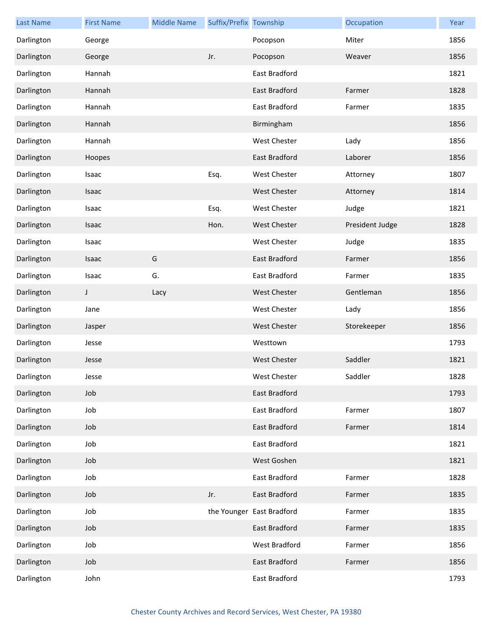| <b>Last Name</b> | <b>First Name</b> | <b>Middle Name</b> | Suffix/Prefix Township |                           | Occupation      | Year |
|------------------|-------------------|--------------------|------------------------|---------------------------|-----------------|------|
| Darlington       | George            |                    |                        | Pocopson                  | Miter           | 1856 |
| Darlington       | George            |                    | Jr.                    | Pocopson                  | Weaver          | 1856 |
| Darlington       | Hannah            |                    |                        | East Bradford             |                 | 1821 |
| Darlington       | Hannah            |                    |                        | East Bradford             | Farmer          | 1828 |
| Darlington       | Hannah            |                    |                        | East Bradford             | Farmer          | 1835 |
| Darlington       | Hannah            |                    |                        | Birmingham                |                 | 1856 |
| Darlington       | Hannah            |                    |                        | West Chester              | Lady            | 1856 |
| Darlington       | Hoopes            |                    |                        | East Bradford             | Laborer         | 1856 |
| Darlington       | Isaac             |                    | Esq.                   | West Chester              | Attorney        | 1807 |
| Darlington       | Isaac             |                    |                        | <b>West Chester</b>       | Attorney        | 1814 |
| Darlington       | Isaac             |                    | Esq.                   | West Chester              | Judge           | 1821 |
| Darlington       | Isaac             |                    | Hon.                   | <b>West Chester</b>       | President Judge | 1828 |
| Darlington       | Isaac             |                    |                        | <b>West Chester</b>       | Judge           | 1835 |
| Darlington       | Isaac             | G                  |                        | East Bradford             | Farmer          | 1856 |
| Darlington       | Isaac             | G.                 |                        | East Bradford             | Farmer          | 1835 |
| Darlington       | J                 | Lacy               |                        | <b>West Chester</b>       | Gentleman       | 1856 |
| Darlington       | Jane              |                    |                        | <b>West Chester</b>       | Lady            | 1856 |
| Darlington       | Jasper            |                    |                        | <b>West Chester</b>       | Storekeeper     | 1856 |
| Darlington       | Jesse             |                    |                        | Westtown                  |                 | 1793 |
| Darlington       | Jesse             |                    |                        | <b>West Chester</b>       | Saddler         | 1821 |
| Darlington       | Jesse             |                    |                        | <b>West Chester</b>       | Saddler         | 1828 |
| Darlington       | Job               |                    |                        | East Bradford             |                 | 1793 |
| Darlington       | Job               |                    |                        | East Bradford             | Farmer          | 1807 |
| Darlington       | Job               |                    |                        | East Bradford             | Farmer          | 1814 |
| Darlington       | Job               |                    |                        | East Bradford             |                 | 1821 |
| Darlington       | Job               |                    |                        | West Goshen               |                 | 1821 |
| Darlington       | Job               |                    |                        | East Bradford             | Farmer          | 1828 |
| Darlington       | Job               |                    | Jr.                    | East Bradford             | Farmer          | 1835 |
| Darlington       | Job               |                    |                        | the Younger East Bradford | Farmer          | 1835 |
| Darlington       | Job               |                    |                        | East Bradford             | Farmer          | 1835 |
| Darlington       | Job               |                    |                        | West Bradford             | Farmer          | 1856 |
| Darlington       | Job               |                    |                        | East Bradford             | Farmer          | 1856 |
| Darlington       | John              |                    |                        | East Bradford             |                 | 1793 |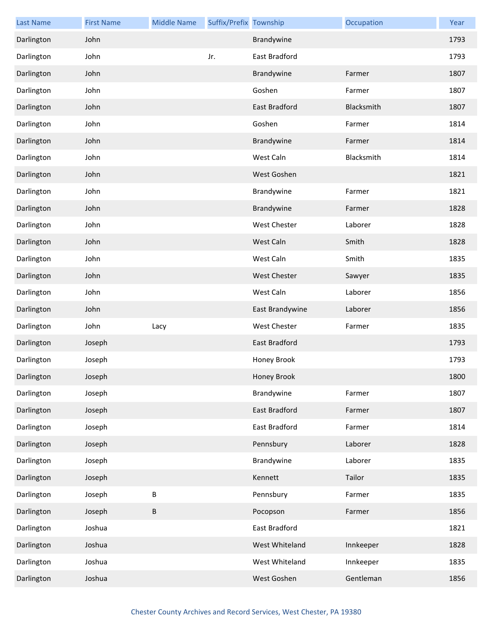| <b>Last Name</b> | <b>First Name</b> | <b>Middle Name</b> | Suffix/Prefix Township |                     | Occupation | Year |
|------------------|-------------------|--------------------|------------------------|---------------------|------------|------|
| Darlington       | John              |                    |                        | Brandywine          |            | 1793 |
| Darlington       | John              |                    | Jr.                    | East Bradford       |            | 1793 |
| Darlington       | John              |                    |                        | Brandywine          | Farmer     | 1807 |
| Darlington       | John              |                    |                        | Goshen              | Farmer     | 1807 |
| Darlington       | John              |                    |                        | East Bradford       | Blacksmith | 1807 |
| Darlington       | John              |                    |                        | Goshen              | Farmer     | 1814 |
| Darlington       | John              |                    |                        | Brandywine          | Farmer     | 1814 |
| Darlington       | John              |                    |                        | West Caln           | Blacksmith | 1814 |
| Darlington       | John              |                    |                        | West Goshen         |            | 1821 |
| Darlington       | John              |                    |                        | Brandywine          | Farmer     | 1821 |
| Darlington       | John              |                    |                        | Brandywine          | Farmer     | 1828 |
| Darlington       | John              |                    |                        | <b>West Chester</b> | Laborer    | 1828 |
| Darlington       | John              |                    |                        | West Caln           | Smith      | 1828 |
| Darlington       | John              |                    |                        | West Caln           | Smith      | 1835 |
| Darlington       | John              |                    |                        | <b>West Chester</b> | Sawyer     | 1835 |
| Darlington       | John              |                    |                        | West Caln           | Laborer    | 1856 |
| Darlington       | John              |                    |                        | East Brandywine     | Laborer    | 1856 |
| Darlington       | John              | Lacy               |                        | <b>West Chester</b> | Farmer     | 1835 |
| Darlington       | Joseph            |                    |                        | East Bradford       |            | 1793 |
| Darlington       | Joseph            |                    |                        | Honey Brook         |            | 1793 |
| Darlington       | Joseph            |                    |                        | Honey Brook         |            | 1800 |
| Darlington       | Joseph            |                    |                        | Brandywine          | Farmer     | 1807 |
| Darlington       | Joseph            |                    |                        | East Bradford       | Farmer     | 1807 |
| Darlington       | Joseph            |                    |                        | East Bradford       | Farmer     | 1814 |
| Darlington       | Joseph            |                    |                        | Pennsbury           | Laborer    | 1828 |
| Darlington       | Joseph            |                    |                        | Brandywine          | Laborer    | 1835 |
| Darlington       | Joseph            |                    |                        | Kennett             | Tailor     | 1835 |
| Darlington       | Joseph            | B                  |                        | Pennsbury           | Farmer     | 1835 |
| Darlington       | Joseph            | В                  |                        | Pocopson            | Farmer     | 1856 |
| Darlington       | Joshua            |                    |                        | East Bradford       |            | 1821 |
| Darlington       | Joshua            |                    |                        | West Whiteland      | Innkeeper  | 1828 |
| Darlington       | Joshua            |                    |                        | West Whiteland      | Innkeeper  | 1835 |
| Darlington       | Joshua            |                    |                        | West Goshen         | Gentleman  | 1856 |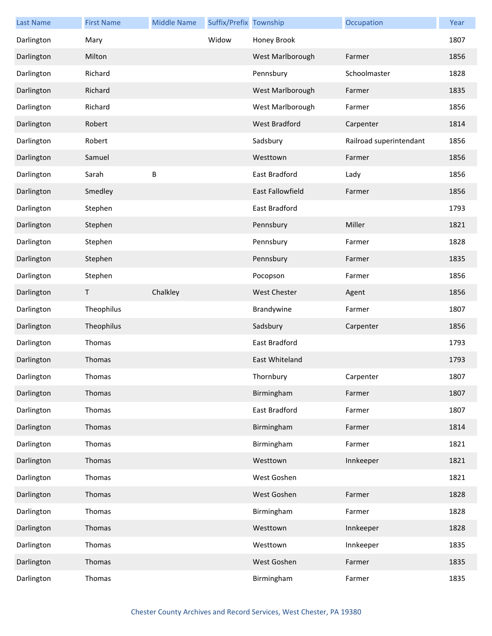| <b>Last Name</b> | <b>First Name</b> | <b>Middle Name</b> | Suffix/Prefix Township |                      | Occupation              | Year |
|------------------|-------------------|--------------------|------------------------|----------------------|-------------------------|------|
| Darlington       | Mary              |                    | Widow                  | Honey Brook          |                         | 1807 |
| Darlington       | Milton            |                    |                        | West Marlborough     | Farmer                  | 1856 |
| Darlington       | Richard           |                    |                        | Pennsbury            | Schoolmaster            | 1828 |
| Darlington       | Richard           |                    |                        | West Marlborough     | Farmer                  | 1835 |
| Darlington       | Richard           |                    |                        | West Marlborough     | Farmer                  | 1856 |
| Darlington       | Robert            |                    |                        | <b>West Bradford</b> | Carpenter               | 1814 |
| Darlington       | Robert            |                    |                        | Sadsbury             | Railroad superintendant | 1856 |
| Darlington       | Samuel            |                    |                        | Westtown             | Farmer                  | 1856 |
| Darlington       | Sarah             | B                  |                        | East Bradford        | Lady                    | 1856 |
| Darlington       | Smedley           |                    |                        | East Fallowfield     | Farmer                  | 1856 |
| Darlington       | Stephen           |                    |                        | East Bradford        |                         | 1793 |
| Darlington       | Stephen           |                    |                        | Pennsbury            | Miller                  | 1821 |
| Darlington       | Stephen           |                    |                        | Pennsbury            | Farmer                  | 1828 |
| Darlington       | Stephen           |                    |                        | Pennsbury            | Farmer                  | 1835 |
| Darlington       | Stephen           |                    |                        | Pocopson             | Farmer                  | 1856 |
| Darlington       | Τ                 | Chalkley           |                        | <b>West Chester</b>  | Agent                   | 1856 |
| Darlington       | Theophilus        |                    |                        | Brandywine           | Farmer                  | 1807 |
| Darlington       | Theophilus        |                    |                        | Sadsbury             | Carpenter               | 1856 |
| Darlington       | Thomas            |                    |                        | East Bradford        |                         | 1793 |
| Darlington       | Thomas            |                    |                        | East Whiteland       |                         | 1793 |
| Darlington       | Thomas            |                    |                        | Thornbury            | Carpenter               | 1807 |
| Darlington       | Thomas            |                    |                        | Birmingham           | Farmer                  | 1807 |
| Darlington       | Thomas            |                    |                        | East Bradford        | Farmer                  | 1807 |
| Darlington       | Thomas            |                    |                        | Birmingham           | Farmer                  | 1814 |
| Darlington       | Thomas            |                    |                        | Birmingham           | Farmer                  | 1821 |
| Darlington       | Thomas            |                    |                        | Westtown             | Innkeeper               | 1821 |
| Darlington       | Thomas            |                    |                        | West Goshen          |                         | 1821 |
| Darlington       | Thomas            |                    |                        | West Goshen          | Farmer                  | 1828 |
| Darlington       | Thomas            |                    |                        | Birmingham           | Farmer                  | 1828 |
| Darlington       | Thomas            |                    |                        | Westtown             | Innkeeper               | 1828 |
| Darlington       | Thomas            |                    |                        | Westtown             | Innkeeper               | 1835 |
| Darlington       | Thomas            |                    |                        | West Goshen          | Farmer                  | 1835 |
| Darlington       | Thomas            |                    |                        | Birmingham           | Farmer                  | 1835 |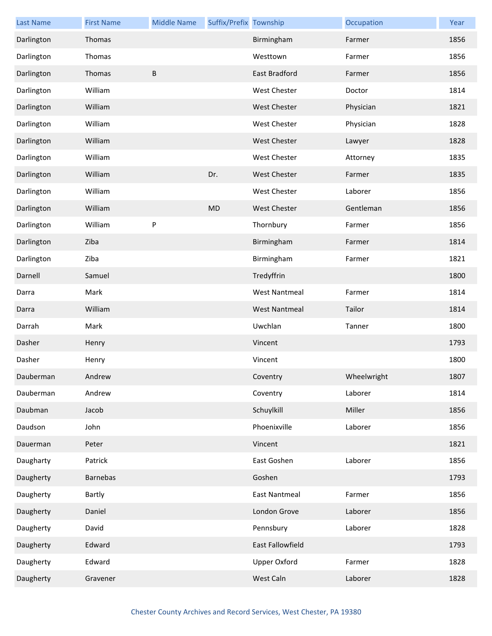| <b>Last Name</b> | <b>First Name</b> | <b>Middle Name</b> | Suffix/Prefix Township |                      | Occupation  | Year |
|------------------|-------------------|--------------------|------------------------|----------------------|-------------|------|
| Darlington       | Thomas            |                    |                        | Birmingham           | Farmer      | 1856 |
| Darlington       | Thomas            |                    |                        | Westtown             | Farmer      | 1856 |
| Darlington       | Thomas            | B                  |                        | East Bradford        | Farmer      | 1856 |
| Darlington       | William           |                    |                        | West Chester         | Doctor      | 1814 |
| Darlington       | William           |                    |                        | <b>West Chester</b>  | Physician   | 1821 |
| Darlington       | William           |                    |                        | West Chester         | Physician   | 1828 |
| Darlington       | William           |                    |                        | <b>West Chester</b>  | Lawyer      | 1828 |
| Darlington       | William           |                    |                        | West Chester         | Attorney    | 1835 |
| Darlington       | William           |                    | Dr.                    | <b>West Chester</b>  | Farmer      | 1835 |
| Darlington       | William           |                    |                        | West Chester         | Laborer     | 1856 |
| Darlington       | William           |                    | <b>MD</b>              | <b>West Chester</b>  | Gentleman   | 1856 |
| Darlington       | William           | P                  |                        | Thornbury            | Farmer      | 1856 |
| Darlington       | Ziba              |                    |                        | Birmingham           | Farmer      | 1814 |
| Darlington       | Ziba              |                    |                        | Birmingham           | Farmer      | 1821 |
| Darnell          | Samuel            |                    |                        | Tredyffrin           |             | 1800 |
| Darra            | Mark              |                    |                        | <b>West Nantmeal</b> | Farmer      | 1814 |
| Darra            | William           |                    |                        | <b>West Nantmeal</b> | Tailor      | 1814 |
| Darrah           | Mark              |                    |                        | Uwchlan              | Tanner      | 1800 |
| Dasher           | Henry             |                    |                        | Vincent              |             | 1793 |
| Dasher           | Henry             |                    |                        | Vincent              |             | 1800 |
| Dauberman        | Andrew            |                    |                        | Coventry             | Wheelwright | 1807 |
| Dauberman        | Andrew            |                    |                        | Coventry             | Laborer     | 1814 |
| Daubman          | Jacob             |                    |                        | Schuylkill           | Miller      | 1856 |
| Daudson          | John              |                    |                        | Phoenixville         | Laborer     | 1856 |
| Dauerman         | Peter             |                    |                        | Vincent              |             | 1821 |
| Daugharty        | Patrick           |                    |                        | East Goshen          | Laborer     | 1856 |
| Daugherty        | Barnebas          |                    |                        | Goshen               |             | 1793 |
| Daugherty        | Bartly            |                    |                        | <b>East Nantmeal</b> | Farmer      | 1856 |
| Daugherty        | Daniel            |                    |                        | London Grove         | Laborer     | 1856 |
| Daugherty        | David             |                    |                        | Pennsbury            | Laborer     | 1828 |
| Daugherty        | Edward            |                    |                        | East Fallowfield     |             | 1793 |
| Daugherty        | Edward            |                    |                        | <b>Upper Oxford</b>  | Farmer      | 1828 |
| Daugherty        | Gravener          |                    |                        | West Caln            | Laborer     | 1828 |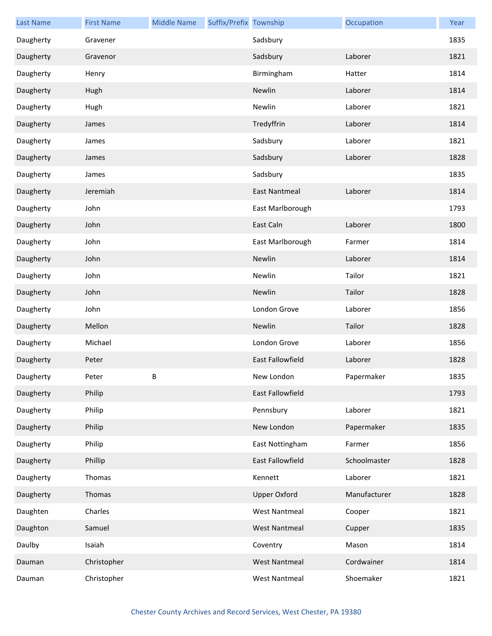| <b>Last Name</b> | <b>First Name</b> | <b>Middle Name</b> | Suffix/Prefix Township |                         | Occupation   | Year |
|------------------|-------------------|--------------------|------------------------|-------------------------|--------------|------|
| Daugherty        | Gravener          |                    |                        | Sadsbury                |              | 1835 |
| Daugherty        | Gravenor          |                    |                        | Sadsbury                | Laborer      | 1821 |
| Daugherty        | Henry             |                    |                        | Birmingham              | Hatter       | 1814 |
| Daugherty        | Hugh              |                    |                        | Newlin                  | Laborer      | 1814 |
| Daugherty        | Hugh              |                    |                        | Newlin                  | Laborer      | 1821 |
| Daugherty        | James             |                    |                        | Tredyffrin              | Laborer      | 1814 |
| Daugherty        | James             |                    |                        | Sadsbury                | Laborer      | 1821 |
| Daugherty        | James             |                    |                        | Sadsbury                | Laborer      | 1828 |
| Daugherty        | James             |                    |                        | Sadsbury                |              | 1835 |
| Daugherty        | Jeremiah          |                    |                        | <b>East Nantmeal</b>    | Laborer      | 1814 |
| Daugherty        | John              |                    |                        | East Marlborough        |              | 1793 |
| Daugherty        | John              |                    |                        | East Caln               | Laborer      | 1800 |
| Daugherty        | John              |                    |                        | East Marlborough        | Farmer       | 1814 |
| Daugherty        | John              |                    |                        | Newlin                  | Laborer      | 1814 |
| Daugherty        | John              |                    |                        | Newlin                  | Tailor       | 1821 |
| Daugherty        | John              |                    |                        | Newlin                  | Tailor       | 1828 |
| Daugherty        | John              |                    |                        | London Grove            | Laborer      | 1856 |
| Daugherty        | Mellon            |                    |                        | Newlin                  | Tailor       | 1828 |
| Daugherty        | Michael           |                    |                        | London Grove            | Laborer      | 1856 |
| Daugherty        | Peter             |                    |                        | <b>East Fallowfield</b> | Laborer      | 1828 |
| Daugherty        | Peter             | B                  |                        | New London              | Papermaker   | 1835 |
| Daugherty        | Philip            |                    |                        | East Fallowfield        |              | 1793 |
| Daugherty        | Philip            |                    |                        | Pennsbury               | Laborer      | 1821 |
| Daugherty        | Philip            |                    |                        | New London              | Papermaker   | 1835 |
| Daugherty        | Philip            |                    |                        | East Nottingham         | Farmer       | 1856 |
| Daugherty        | Phillip           |                    |                        | East Fallowfield        | Schoolmaster | 1828 |
| Daugherty        | Thomas            |                    |                        | Kennett                 | Laborer      | 1821 |
| Daugherty        | Thomas            |                    |                        | <b>Upper Oxford</b>     | Manufacturer | 1828 |
| Daughten         | Charles           |                    |                        | <b>West Nantmeal</b>    | Cooper       | 1821 |
| Daughton         | Samuel            |                    |                        | <b>West Nantmeal</b>    | Cupper       | 1835 |
| Daulby           | Isaiah            |                    |                        | Coventry                | Mason        | 1814 |
| Dauman           | Christopher       |                    |                        | <b>West Nantmeal</b>    | Cordwainer   | 1814 |
| Dauman           | Christopher       |                    |                        | <b>West Nantmeal</b>    | Shoemaker    | 1821 |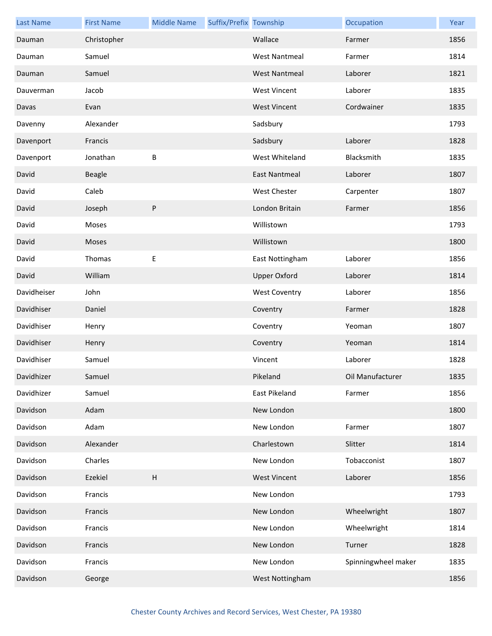| <b>Last Name</b> | <b>First Name</b> | <b>Middle Name</b>        | Suffix/Prefix Township |                      | Occupation          | Year |
|------------------|-------------------|---------------------------|------------------------|----------------------|---------------------|------|
| Dauman           | Christopher       |                           |                        | Wallace              | Farmer              | 1856 |
| Dauman           | Samuel            |                           |                        | <b>West Nantmeal</b> | Farmer              | 1814 |
| Dauman           | Samuel            |                           |                        | <b>West Nantmeal</b> | Laborer             | 1821 |
| Dauverman        | Jacob             |                           |                        | <b>West Vincent</b>  | Laborer             | 1835 |
| Davas            | Evan              |                           |                        | <b>West Vincent</b>  | Cordwainer          | 1835 |
| Davenny          | Alexander         |                           |                        | Sadsbury             |                     | 1793 |
| Davenport        | Francis           |                           |                        | Sadsbury             | Laborer             | 1828 |
| Davenport        | Jonathan          | B                         |                        | West Whiteland       | Blacksmith          | 1835 |
| David            | <b>Beagle</b>     |                           |                        | <b>East Nantmeal</b> | Laborer             | 1807 |
| David            | Caleb             |                           |                        | West Chester         | Carpenter           | 1807 |
| David            | Joseph            | P                         |                        | London Britain       | Farmer              | 1856 |
| David            | Moses             |                           |                        | Willistown           |                     | 1793 |
| David            | Moses             |                           |                        | Willistown           |                     | 1800 |
| David            | Thomas            | Ε                         |                        | East Nottingham      | Laborer             | 1856 |
| David            | William           |                           |                        | <b>Upper Oxford</b>  | Laborer             | 1814 |
| Davidheiser      | John              |                           |                        | <b>West Coventry</b> | Laborer             | 1856 |
| Davidhiser       | Daniel            |                           |                        | Coventry             | Farmer              | 1828 |
| Davidhiser       | Henry             |                           |                        | Coventry             | Yeoman              | 1807 |
| Davidhiser       | Henry             |                           |                        | Coventry             | Yeoman              | 1814 |
| Davidhiser       | Samuel            |                           |                        | Vincent              | Laborer             | 1828 |
| Davidhizer       | Samuel            |                           |                        | Pikeland             | Oil Manufacturer    | 1835 |
| Davidhizer       | Samuel            |                           |                        | East Pikeland        | Farmer              | 1856 |
| Davidson         | Adam              |                           |                        | New London           |                     | 1800 |
| Davidson         | Adam              |                           |                        | New London           | Farmer              | 1807 |
| Davidson         | Alexander         |                           |                        | Charlestown          | Slitter             | 1814 |
| Davidson         | Charles           |                           |                        | New London           | Tobacconist         | 1807 |
| Davidson         | Ezekiel           | $\boldsymbol{\mathsf{H}}$ |                        | <b>West Vincent</b>  | Laborer             | 1856 |
| Davidson         | Francis           |                           |                        | New London           |                     | 1793 |
| Davidson         | Francis           |                           |                        | New London           | Wheelwright         | 1807 |
| Davidson         | Francis           |                           |                        | New London           | Wheelwright         | 1814 |
| Davidson         | Francis           |                           |                        | New London           | Turner              | 1828 |
| Davidson         | Francis           |                           |                        | New London           | Spinningwheel maker | 1835 |
| Davidson         | George            |                           |                        | West Nottingham      |                     | 1856 |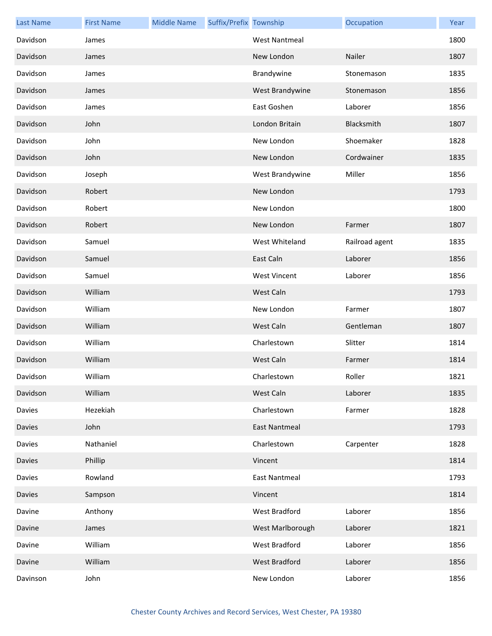| <b>Last Name</b> | <b>First Name</b> | <b>Middle Name</b> | Suffix/Prefix Township |                      | Occupation     | Year |
|------------------|-------------------|--------------------|------------------------|----------------------|----------------|------|
| Davidson         | James             |                    |                        | <b>West Nantmeal</b> |                | 1800 |
| Davidson         | James             |                    |                        | New London           | Nailer         | 1807 |
| Davidson         | James             |                    |                        | Brandywine           | Stonemason     | 1835 |
| Davidson         | James             |                    |                        | West Brandywine      | Stonemason     | 1856 |
| Davidson         | James             |                    |                        | East Goshen          | Laborer        | 1856 |
| Davidson         | John              |                    |                        | London Britain       | Blacksmith     | 1807 |
| Davidson         | John              |                    |                        | New London           | Shoemaker      | 1828 |
| Davidson         | John              |                    |                        | New London           | Cordwainer     | 1835 |
| Davidson         | Joseph            |                    |                        | West Brandywine      | Miller         | 1856 |
| Davidson         | Robert            |                    |                        | New London           |                | 1793 |
| Davidson         | Robert            |                    |                        | New London           |                | 1800 |
| Davidson         | Robert            |                    |                        | New London           | Farmer         | 1807 |
| Davidson         | Samuel            |                    |                        | West Whiteland       | Railroad agent | 1835 |
| Davidson         | Samuel            |                    |                        | East Caln            | Laborer        | 1856 |
| Davidson         | Samuel            |                    |                        | <b>West Vincent</b>  | Laborer        | 1856 |
| Davidson         | William           |                    |                        | West Caln            |                | 1793 |
| Davidson         | William           |                    |                        | New London           | Farmer         | 1807 |
| Davidson         | William           |                    |                        | West Caln            | Gentleman      | 1807 |
| Davidson         | William           |                    |                        | Charlestown          | Slitter        | 1814 |
| Davidson         | William           |                    |                        | West Caln            | Farmer         | 1814 |
| Davidson         | William           |                    |                        | Charlestown          | Roller         | 1821 |
| Davidson         | William           |                    |                        | West Caln            | Laborer        | 1835 |
| Davies           | Hezekiah          |                    |                        | Charlestown          | Farmer         | 1828 |
| Davies           | John              |                    |                        | <b>East Nantmeal</b> |                | 1793 |
| Davies           | Nathaniel         |                    |                        | Charlestown          | Carpenter      | 1828 |
| Davies           | Phillip           |                    |                        | Vincent              |                | 1814 |
| Davies           | Rowland           |                    |                        | <b>East Nantmeal</b> |                | 1793 |
| Davies           | Sampson           |                    |                        | Vincent              |                | 1814 |
| Davine           | Anthony           |                    |                        | West Bradford        | Laborer        | 1856 |
| Davine           | James             |                    |                        | West Marlborough     | Laborer        | 1821 |
| Davine           | William           |                    |                        | West Bradford        | Laborer        | 1856 |
| Davine           | William           |                    |                        | West Bradford        | Laborer        | 1856 |
| Davinson         | John              |                    |                        | New London           | Laborer        | 1856 |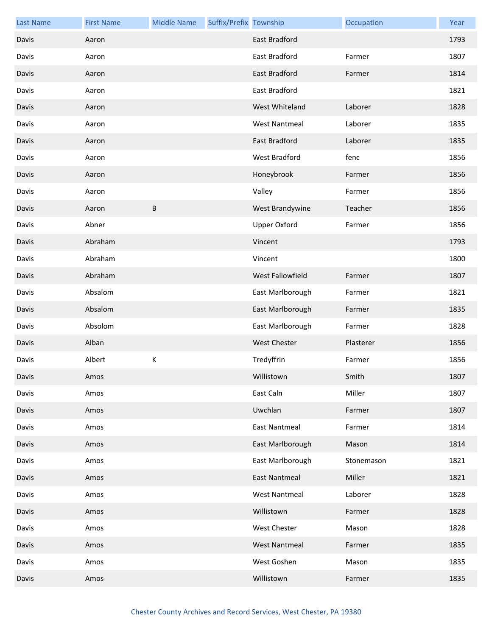| <b>Last Name</b> | <b>First Name</b> | <b>Middle Name</b> | Suffix/Prefix Township |                      | Occupation | Year |
|------------------|-------------------|--------------------|------------------------|----------------------|------------|------|
| Davis            | Aaron             |                    |                        | East Bradford        |            | 1793 |
| Davis            | Aaron             |                    |                        | East Bradford        | Farmer     | 1807 |
| Davis            | Aaron             |                    |                        | <b>East Bradford</b> | Farmer     | 1814 |
| Davis            | Aaron             |                    |                        | East Bradford        |            | 1821 |
| Davis            | Aaron             |                    |                        | West Whiteland       | Laborer    | 1828 |
| Davis            | Aaron             |                    |                        | <b>West Nantmeal</b> | Laborer    | 1835 |
| Davis            | Aaron             |                    |                        | East Bradford        | Laborer    | 1835 |
| Davis            | Aaron             |                    |                        | West Bradford        | fenc       | 1856 |
| Davis            | Aaron             |                    |                        | Honeybrook           | Farmer     | 1856 |
| Davis            | Aaron             |                    |                        | Valley               | Farmer     | 1856 |
| Davis            | Aaron             | B                  |                        | West Brandywine      | Teacher    | 1856 |
| Davis            | Abner             |                    |                        | <b>Upper Oxford</b>  | Farmer     | 1856 |
| Davis            | Abraham           |                    |                        | Vincent              |            | 1793 |
| Davis            | Abraham           |                    |                        | Vincent              |            | 1800 |
| Davis            | Abraham           |                    |                        | West Fallowfield     | Farmer     | 1807 |
| Davis            | Absalom           |                    |                        | East Marlborough     | Farmer     | 1821 |
| Davis            | Absalom           |                    |                        | East Marlborough     | Farmer     | 1835 |
| Davis            | Absolom           |                    |                        | East Marlborough     | Farmer     | 1828 |
| Davis            | Alban             |                    |                        | West Chester         | Plasterer  | 1856 |
| Davis            | Albert            | К                  |                        | Tredyffrin           | Farmer     | 1856 |
| Davis            | Amos              |                    |                        | Willistown           | Smith      | 1807 |
| Davis            | Amos              |                    |                        | East Caln            | Miller     | 1807 |
| Davis            | Amos              |                    |                        | Uwchlan              | Farmer     | 1807 |
| Davis            | Amos              |                    |                        | <b>East Nantmeal</b> | Farmer     | 1814 |
| Davis            | Amos              |                    |                        | East Marlborough     | Mason      | 1814 |
| Davis            | Amos              |                    |                        | East Marlborough     | Stonemason | 1821 |
| Davis            | Amos              |                    |                        | East Nantmeal        | Miller     | 1821 |
| Davis            | Amos              |                    |                        | <b>West Nantmeal</b> | Laborer    | 1828 |
| Davis            | Amos              |                    |                        | Willistown           | Farmer     | 1828 |
| Davis            | Amos              |                    |                        | <b>West Chester</b>  | Mason      | 1828 |
| Davis            | Amos              |                    |                        | <b>West Nantmeal</b> | Farmer     | 1835 |
| Davis            | Amos              |                    |                        | West Goshen          | Mason      | 1835 |
| Davis            | Amos              |                    |                        | Willistown           | Farmer     | 1835 |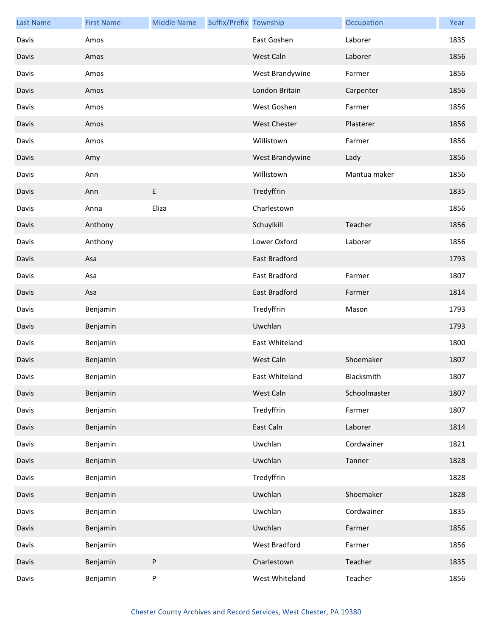| <b>Last Name</b> | <b>First Name</b> | <b>Middle Name</b> | Suffix/Prefix Township |                      | Occupation   | Year |
|------------------|-------------------|--------------------|------------------------|----------------------|--------------|------|
| Davis            | Amos              |                    |                        | East Goshen          | Laborer      | 1835 |
| Davis            | Amos              |                    |                        | West Caln            | Laborer      | 1856 |
| Davis            | Amos              |                    |                        | West Brandywine      | Farmer       | 1856 |
| Davis            | Amos              |                    |                        | London Britain       | Carpenter    | 1856 |
| Davis            | Amos              |                    |                        | West Goshen          | Farmer       | 1856 |
| Davis            | Amos              |                    |                        | <b>West Chester</b>  | Plasterer    | 1856 |
| Davis            | Amos              |                    |                        | Willistown           | Farmer       | 1856 |
| Davis            | Amy               |                    |                        | West Brandywine      | Lady         | 1856 |
| Davis            | Ann               |                    |                        | Willistown           | Mantua maker | 1856 |
| Davis            | Ann               | E                  |                        | Tredyffrin           |              | 1835 |
| Davis            | Anna              | Eliza              |                        | Charlestown          |              | 1856 |
| Davis            | Anthony           |                    |                        | Schuylkill           | Teacher      | 1856 |
| Davis            | Anthony           |                    |                        | Lower Oxford         | Laborer      | 1856 |
| Davis            | Asa               |                    |                        | East Bradford        |              | 1793 |
| Davis            | Asa               |                    |                        | East Bradford        | Farmer       | 1807 |
| Davis            | Asa               |                    |                        | <b>East Bradford</b> | Farmer       | 1814 |
| Davis            | Benjamin          |                    |                        | Tredyffrin           | Mason        | 1793 |
| Davis            | Benjamin          |                    |                        | Uwchlan              |              | 1793 |
| Davis            | Benjamin          |                    |                        | East Whiteland       |              | 1800 |
| Davis            | Benjamin          |                    |                        | West Caln            | Shoemaker    | 1807 |
| Davis            | Benjamin          |                    |                        | East Whiteland       | Blacksmith   | 1807 |
| Davis            | Benjamin          |                    |                        | West Caln            | Schoolmaster | 1807 |
| Davis            | Benjamin          |                    |                        | Tredyffrin           | Farmer       | 1807 |
| Davis            | Benjamin          |                    |                        | East Caln            | Laborer      | 1814 |
| Davis            | Benjamin          |                    |                        | Uwchlan              | Cordwainer   | 1821 |
| Davis            | Benjamin          |                    |                        | Uwchlan              | Tanner       | 1828 |
| Davis            | Benjamin          |                    |                        | Tredyffrin           |              | 1828 |
| Davis            | Benjamin          |                    |                        | Uwchlan              | Shoemaker    | 1828 |
| Davis            | Benjamin          |                    |                        | Uwchlan              | Cordwainer   | 1835 |
| Davis            | Benjamin          |                    |                        | Uwchlan              | Farmer       | 1856 |
| Davis            | Benjamin          |                    |                        | West Bradford        | Farmer       | 1856 |
| Davis            | Benjamin          | ${\sf P}$          |                        | Charlestown          | Teacher      | 1835 |
| Davis            | Benjamin          | P                  |                        | West Whiteland       | Teacher      | 1856 |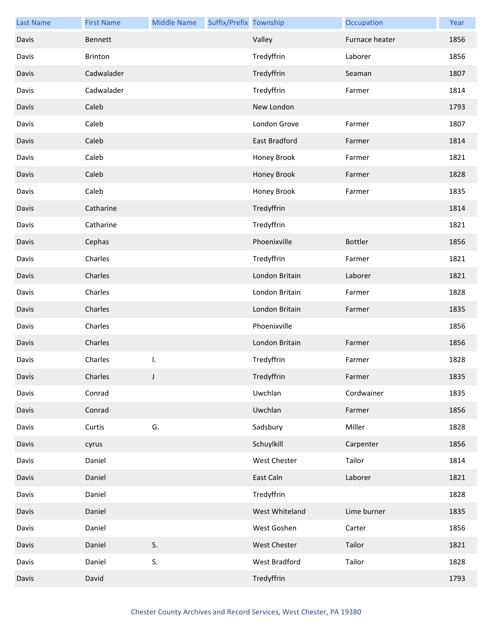| <b>Last Name</b> | <b>First Name</b> | <b>Middle Name</b> | Suffix/Prefix Township |                | Occupation     | Year |
|------------------|-------------------|--------------------|------------------------|----------------|----------------|------|
| Davis            | <b>Bennett</b>    |                    |                        | Valley         | Furnace heater | 1856 |
| Davis            | <b>Brinton</b>    |                    |                        | Tredyffrin     | Laborer        | 1856 |
| Davis            | Cadwalader        |                    |                        | Tredyffrin     | Seaman         | 1807 |
| Davis            | Cadwalader        |                    |                        | Tredyffrin     | Farmer         | 1814 |
| Davis            | Caleb             |                    |                        | New London     |                | 1793 |
| Davis            | Caleb             |                    |                        | London Grove   | Farmer         | 1807 |
| Davis            | Caleb             |                    |                        | East Bradford  | Farmer         | 1814 |
| Davis            | Caleb             |                    |                        | Honey Brook    | Farmer         | 1821 |
| Davis            | Caleb             |                    |                        | Honey Brook    | Farmer         | 1828 |
| Davis            | Caleb             |                    |                        | Honey Brook    | Farmer         | 1835 |
| Davis            | Catharine         |                    |                        | Tredyffrin     |                | 1814 |
| Davis            | Catharine         |                    |                        | Tredyffrin     |                | 1821 |
| Davis            | Cephas            |                    |                        | Phoenixville   | <b>Bottler</b> | 1856 |
| Davis            | Charles           |                    |                        | Tredyffrin     | Farmer         | 1821 |
| Davis            | Charles           |                    |                        | London Britain | Laborer        | 1821 |
| Davis            | Charles           |                    |                        | London Britain | Farmer         | 1828 |
| Davis            | Charles           |                    |                        | London Britain | Farmer         | 1835 |
| Davis            | Charles           |                    |                        | Phoenixville   |                | 1856 |
| Davis            | Charles           |                    |                        | London Britain | Farmer         | 1856 |
| Davis            | Charles           | I.                 |                        | Tredyffrin     | Farmer         | 1828 |
| Davis            | Charles           |                    |                        | Tredyffrin     | Farmer         | 1835 |
| Davis            | Conrad            |                    |                        | Uwchlan        | Cordwainer     | 1835 |
| Davis            | Conrad            |                    |                        | Uwchlan        | Farmer         | 1856 |
| Davis            | Curtis            | G.                 |                        | Sadsbury       | Miller         | 1828 |
| Davis            | cyrus             |                    |                        | Schuylkill     | Carpenter      | 1856 |
| Davis            | Daniel            |                    |                        | West Chester   | Tailor         | 1814 |
| Davis            | Daniel            |                    |                        | East Caln      | Laborer        | 1821 |
| Davis            | Daniel            |                    |                        | Tredyffrin     |                | 1828 |
| Davis            | Daniel            |                    |                        | West Whiteland | Lime burner    | 1835 |
| Davis            | Daniel            |                    |                        | West Goshen    | Carter         | 1856 |
| Davis            | Daniel            | S.                 |                        | West Chester   | Tailor         | 1821 |
| Davis            | Daniel            | S.                 |                        | West Bradford  | Tailor         | 1828 |
| Davis            | David             |                    |                        | Tredyffrin     |                | 1793 |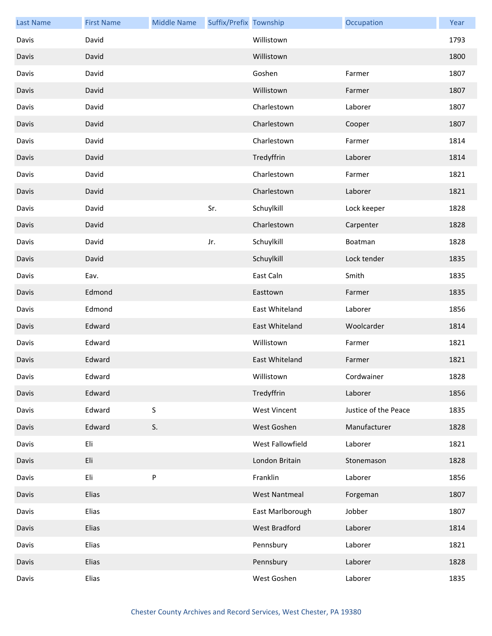| <b>Last Name</b> | <b>First Name</b> | <b>Middle Name</b> | Suffix/Prefix Township |                      | Occupation           | Year |
|------------------|-------------------|--------------------|------------------------|----------------------|----------------------|------|
| Davis            | David             |                    |                        | Willistown           |                      | 1793 |
| Davis            | David             |                    |                        | Willistown           |                      | 1800 |
| Davis            | David             |                    |                        | Goshen               | Farmer               | 1807 |
| Davis            | David             |                    |                        | Willistown           | Farmer               | 1807 |
| Davis            | David             |                    |                        | Charlestown          | Laborer              | 1807 |
| Davis            | David             |                    |                        | Charlestown          | Cooper               | 1807 |
| Davis            | David             |                    |                        | Charlestown          | Farmer               | 1814 |
| Davis            | David             |                    |                        | Tredyffrin           | Laborer              | 1814 |
| Davis            | David             |                    |                        | Charlestown          | Farmer               | 1821 |
| Davis            | David             |                    |                        | Charlestown          | Laborer              | 1821 |
| Davis            | David             |                    | Sr.                    | Schuylkill           | Lock keeper          | 1828 |
| Davis            | David             |                    |                        | Charlestown          | Carpenter            | 1828 |
| Davis            | David             |                    | Jr.                    | Schuylkill           | Boatman              | 1828 |
| Davis            | David             |                    |                        | Schuylkill           | Lock tender          | 1835 |
| Davis            | Eav.              |                    |                        | East Caln            | Smith                | 1835 |
| Davis            | Edmond            |                    |                        | Easttown             | Farmer               | 1835 |
| Davis            | Edmond            |                    |                        | East Whiteland       | Laborer              | 1856 |
| Davis            | Edward            |                    |                        | East Whiteland       | Woolcarder           | 1814 |
| Davis            | Edward            |                    |                        | Willistown           | Farmer               | 1821 |
| Davis            | Edward            |                    |                        | East Whiteland       | Farmer               | 1821 |
| Davis            | Edward            |                    |                        | Willistown           | Cordwainer           | 1828 |
| Davis            | Edward            |                    |                        | Tredyffrin           | Laborer              | 1856 |
| Davis            | Edward            | S                  |                        | <b>West Vincent</b>  | Justice of the Peace | 1835 |
| Davis            | Edward            | S.                 |                        | West Goshen          | Manufacturer         | 1828 |
| Davis            | Eli               |                    |                        | West Fallowfield     | Laborer              | 1821 |
| Davis            | Eli               |                    |                        | London Britain       | Stonemason           | 1828 |
| Davis            | Eli               | ${\sf P}$          |                        | Franklin             | Laborer              | 1856 |
| Davis            | Elias             |                    |                        | <b>West Nantmeal</b> | Forgeman             | 1807 |
| Davis            | Elias             |                    |                        | East Marlborough     | Jobber               | 1807 |
| Davis            | Elias             |                    |                        | West Bradford        | Laborer              | 1814 |
| Davis            | Elias             |                    |                        | Pennsbury            | Laborer              | 1821 |
| Davis            | Elias             |                    |                        | Pennsbury            | Laborer              | 1828 |
| Davis            | Elias             |                    |                        | West Goshen          | Laborer              | 1835 |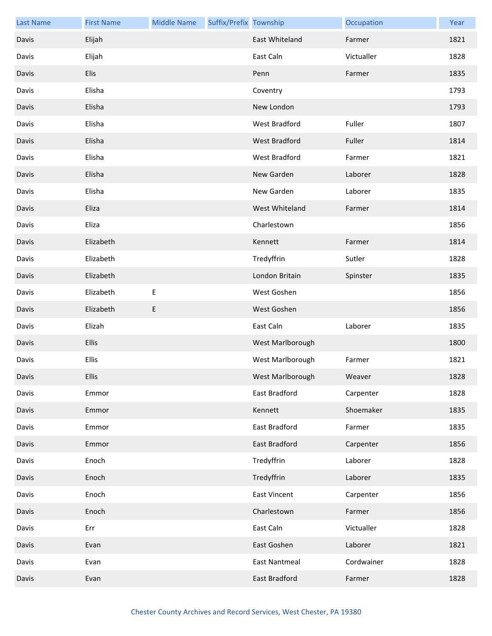| <b>Last Name</b> | <b>First Name</b> | <b>Middle Name</b> | Suffix/Prefix Township |                      | Occupation | Year |
|------------------|-------------------|--------------------|------------------------|----------------------|------------|------|
| Davis            | Elijah            |                    |                        | East Whiteland       | Farmer     | 1821 |
| Davis            | Elijah            |                    |                        | East Caln            | Victualler | 1828 |
| Davis            | Elis              |                    |                        | Penn                 | Farmer     | 1835 |
| Davis            | Elisha            |                    |                        | Coventry             |            | 1793 |
| Davis            | Elisha            |                    |                        | New London           |            | 1793 |
| Davis            | Elisha            |                    |                        | West Bradford        | Fuller     | 1807 |
| Davis            | Elisha            |                    |                        | West Bradford        | Fuller     | 1814 |
| Davis            | Elisha            |                    |                        | West Bradford        | Farmer     | 1821 |
| Davis            | Elisha            |                    |                        | New Garden           | Laborer    | 1828 |
| Davis            | Elisha            |                    |                        | New Garden           | Laborer    | 1835 |
| Davis            | Eliza             |                    |                        | West Whiteland       | Farmer     | 1814 |
| Davis            | Eliza             |                    |                        | Charlestown          |            | 1856 |
| Davis            | Elizabeth         |                    |                        | Kennett              | Farmer     | 1814 |
| Davis            | Elizabeth         |                    |                        | Tredyffrin           | Sutler     | 1828 |
| Davis            | Elizabeth         |                    |                        | London Britain       | Spinster   | 1835 |
| Davis            | Elizabeth         | E                  |                        | West Goshen          |            | 1856 |
| Davis            | Elizabeth         | E                  |                        | West Goshen          |            | 1856 |
| Davis            | Elizah            |                    |                        | East Caln            | Laborer    | 1835 |
| Davis            | <b>Ellis</b>      |                    |                        | West Marlborough     |            | 1800 |
| Davis            | Ellis             |                    |                        | West Marlborough     | Farmer     | 1821 |
| Davis            | <b>Ellis</b>      |                    |                        | West Marlborough     | Weaver     | 1828 |
| Davis            | Emmor             |                    |                        | East Bradford        | Carpenter  | 1828 |
| Davis            | Emmor             |                    |                        | Kennett              | Shoemaker  | 1835 |
| Davis            | Emmor             |                    |                        | East Bradford        | Farmer     | 1835 |
| Davis            | Emmor             |                    |                        | East Bradford        | Carpenter  | 1856 |
| Davis            | Enoch             |                    |                        | Tredyffrin           | Laborer    | 1828 |
| Davis            | Enoch             |                    |                        | Tredyffrin           | Laborer    | 1835 |
| Davis            | Enoch             |                    |                        | <b>East Vincent</b>  | Carpenter  | 1856 |
| Davis            | Enoch             |                    |                        | Charlestown          | Farmer     | 1856 |
| Davis            | Err               |                    |                        | East Caln            | Victualler | 1828 |
| Davis            | Evan              |                    |                        | East Goshen          | Laborer    | 1821 |
| Davis            | Evan              |                    |                        | <b>East Nantmeal</b> | Cordwainer | 1828 |
| Davis            | Evan              |                    |                        | East Bradford        | Farmer     | 1828 |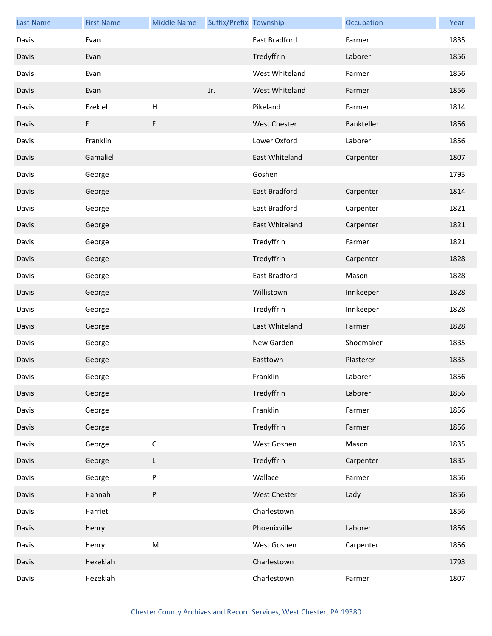| <b>Last Name</b> | <b>First Name</b> | <b>Middle Name</b> | Suffix/Prefix Township |                     | Occupation | Year |
|------------------|-------------------|--------------------|------------------------|---------------------|------------|------|
| Davis            | Evan              |                    |                        | East Bradford       | Farmer     | 1835 |
| Davis            | Evan              |                    |                        | Tredyffrin          | Laborer    | 1856 |
| Davis            | Evan              |                    |                        | West Whiteland      | Farmer     | 1856 |
| Davis            | Evan              |                    | Jr.                    | West Whiteland      | Farmer     | 1856 |
| Davis            | Ezekiel           | Η.                 |                        | Pikeland            | Farmer     | 1814 |
| Davis            | F                 | F                  |                        | <b>West Chester</b> | Bankteller | 1856 |
| Davis            | Franklin          |                    |                        | Lower Oxford        | Laborer    | 1856 |
| Davis            | Gamaliel          |                    |                        | East Whiteland      | Carpenter  | 1807 |
| Davis            | George            |                    |                        | Goshen              |            | 1793 |
| Davis            | George            |                    |                        | East Bradford       | Carpenter  | 1814 |
| Davis            | George            |                    |                        | East Bradford       | Carpenter  | 1821 |
| Davis            | George            |                    |                        | East Whiteland      | Carpenter  | 1821 |
| Davis            | George            |                    |                        | Tredyffrin          | Farmer     | 1821 |
| Davis            | George            |                    |                        | Tredyffrin          | Carpenter  | 1828 |
| Davis            | George            |                    |                        | East Bradford       | Mason      | 1828 |
| Davis            | George            |                    |                        | Willistown          | Innkeeper  | 1828 |
| Davis            | George            |                    |                        | Tredyffrin          | Innkeeper  | 1828 |
| Davis            | George            |                    |                        | East Whiteland      | Farmer     | 1828 |
| Davis            | George            |                    |                        | New Garden          | Shoemaker  | 1835 |
| Davis            | George            |                    |                        | Easttown            | Plasterer  | 1835 |
| Davis            | George            |                    |                        | Franklin            | Laborer    | 1856 |
| Davis            | George            |                    |                        | Tredyffrin          | Laborer    | 1856 |
| Davis            | George            |                    |                        | Franklin            | Farmer     | 1856 |
| Davis            | George            |                    |                        | Tredyffrin          | Farmer     | 1856 |
| Davis            | George            | $\mathsf C$        |                        | West Goshen         | Mason      | 1835 |
| Davis            | George            | L                  |                        | Tredyffrin          | Carpenter  | 1835 |
| Davis            | George            | P                  |                        | Wallace             | Farmer     | 1856 |
| Davis            | Hannah            | P                  |                        | <b>West Chester</b> | Lady       | 1856 |
| Davis            | Harriet           |                    |                        | Charlestown         |            | 1856 |
| Davis            | Henry             |                    |                        | Phoenixville        | Laborer    | 1856 |
| Davis            | Henry             | M                  |                        | West Goshen         | Carpenter  | 1856 |
| Davis            | Hezekiah          |                    |                        | Charlestown         |            | 1793 |
| Davis            | Hezekiah          |                    |                        | Charlestown         | Farmer     | 1807 |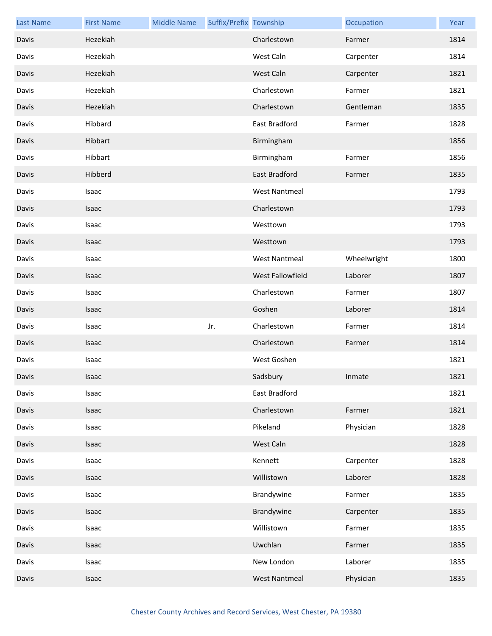| <b>Last Name</b> | <b>First Name</b> | <b>Middle Name</b> | Suffix/Prefix Township |                      | Occupation  | Year |
|------------------|-------------------|--------------------|------------------------|----------------------|-------------|------|
| Davis            | Hezekiah          |                    |                        | Charlestown          | Farmer      | 1814 |
| Davis            | Hezekiah          |                    |                        | West Caln            | Carpenter   | 1814 |
| Davis            | Hezekiah          |                    |                        | West Caln            | Carpenter   | 1821 |
| Davis            | Hezekiah          |                    |                        | Charlestown          | Farmer      | 1821 |
| Davis            | Hezekiah          |                    |                        | Charlestown          | Gentleman   | 1835 |
| Davis            | Hibbard           |                    |                        | East Bradford        | Farmer      | 1828 |
| Davis            | Hibbart           |                    |                        | Birmingham           |             | 1856 |
| Davis            | Hibbart           |                    |                        | Birmingham           | Farmer      | 1856 |
| Davis            | Hibberd           |                    |                        | East Bradford        | Farmer      | 1835 |
| Davis            | Isaac             |                    |                        | <b>West Nantmeal</b> |             | 1793 |
| Davis            | Isaac             |                    |                        | Charlestown          |             | 1793 |
| Davis            | Isaac             |                    |                        | Westtown             |             | 1793 |
| Davis            | Isaac             |                    |                        | Westtown             |             | 1793 |
| Davis            | Isaac             |                    |                        | <b>West Nantmeal</b> | Wheelwright | 1800 |
| Davis            | Isaac             |                    |                        | West Fallowfield     | Laborer     | 1807 |
| Davis            | Isaac             |                    |                        | Charlestown          | Farmer      | 1807 |
| Davis            | <b>Isaac</b>      |                    |                        | Goshen               | Laborer     | 1814 |
| Davis            | Isaac             |                    | Jr.                    | Charlestown          | Farmer      | 1814 |
| Davis            | Isaac             |                    |                        | Charlestown          | Farmer      | 1814 |
| Davis            | Isaac             |                    |                        | West Goshen          |             | 1821 |
| Davis            | Isaac             |                    |                        | Sadsbury             | Inmate      | 1821 |
| Davis            | Isaac             |                    |                        | East Bradford        |             | 1821 |
| Davis            | Isaac             |                    |                        | Charlestown          | Farmer      | 1821 |
| Davis            | Isaac             |                    |                        | Pikeland             | Physician   | 1828 |
| Davis            | Isaac             |                    |                        | West Caln            |             | 1828 |
| Davis            | Isaac             |                    |                        | Kennett              | Carpenter   | 1828 |
| Davis            | Isaac             |                    |                        | Willistown           | Laborer     | 1828 |
| Davis            | Isaac             |                    |                        | Brandywine           | Farmer      | 1835 |
| Davis            | Isaac             |                    |                        | Brandywine           | Carpenter   | 1835 |
| Davis            | Isaac             |                    |                        | Willistown           | Farmer      | 1835 |
| Davis            | Isaac             |                    |                        | Uwchlan              | Farmer      | 1835 |
| Davis            | Isaac             |                    |                        | New London           | Laborer     | 1835 |
| Davis            | Isaac             |                    |                        | <b>West Nantmeal</b> | Physician   | 1835 |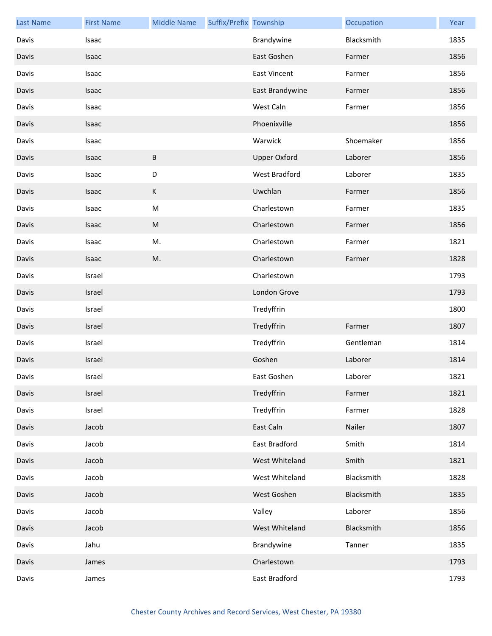| <b>Last Name</b> | <b>First Name</b> | <b>Middle Name</b> | Suffix/Prefix Township |                     | Occupation | Year |
|------------------|-------------------|--------------------|------------------------|---------------------|------------|------|
| Davis            | Isaac             |                    |                        | Brandywine          | Blacksmith | 1835 |
| Davis            | Isaac             |                    |                        | East Goshen         | Farmer     | 1856 |
| Davis            | Isaac             |                    |                        | <b>East Vincent</b> | Farmer     | 1856 |
| Davis            | Isaac             |                    |                        | East Brandywine     | Farmer     | 1856 |
| Davis            | Isaac             |                    |                        | West Caln           | Farmer     | 1856 |
| Davis            | Isaac             |                    |                        | Phoenixville        |            | 1856 |
| Davis            | Isaac             |                    |                        | Warwick             | Shoemaker  | 1856 |
| Davis            | Isaac             | $\sf B$            |                        | <b>Upper Oxford</b> | Laborer    | 1856 |
| Davis            | Isaac             | D                  |                        | West Bradford       | Laborer    | 1835 |
| Davis            | Isaac             | $\mathsf K$        |                        | Uwchlan             | Farmer     | 1856 |
| Davis            | Isaac             | ${\sf M}$          |                        | Charlestown         | Farmer     | 1835 |
| Davis            | Isaac             | ${\sf M}$          |                        | Charlestown         | Farmer     | 1856 |
| Davis            | Isaac             | M.                 |                        | Charlestown         | Farmer     | 1821 |
| Davis            | Isaac             | M.                 |                        | Charlestown         | Farmer     | 1828 |
| Davis            | Israel            |                    |                        | Charlestown         |            | 1793 |
| Davis            | Israel            |                    |                        | London Grove        |            | 1793 |
| Davis            | Israel            |                    |                        | Tredyffrin          |            | 1800 |
| Davis            | Israel            |                    |                        | Tredyffrin          | Farmer     | 1807 |
| Davis            | Israel            |                    |                        | Tredyffrin          | Gentleman  | 1814 |
| Davis            | Israel            |                    |                        | Goshen              | Laborer    | 1814 |
| Davis            | Israel            |                    |                        | East Goshen         | Laborer    | 1821 |
| Davis            | Israel            |                    |                        | Tredyffrin          | Farmer     | 1821 |
| Davis            | Israel            |                    |                        | Tredyffrin          | Farmer     | 1828 |
| Davis            | Jacob             |                    |                        | East Caln           | Nailer     | 1807 |
| Davis            | Jacob             |                    |                        | East Bradford       | Smith      | 1814 |
| Davis            | Jacob             |                    |                        | West Whiteland      | Smith      | 1821 |
| Davis            | Jacob             |                    |                        | West Whiteland      | Blacksmith | 1828 |
| Davis            | Jacob             |                    |                        | West Goshen         | Blacksmith | 1835 |
| Davis            | Jacob             |                    |                        | Valley              | Laborer    | 1856 |
| Davis            | Jacob             |                    |                        | West Whiteland      | Blacksmith | 1856 |
| Davis            | Jahu              |                    |                        | Brandywine          | Tanner     | 1835 |
| Davis            | James             |                    |                        | Charlestown         |            | 1793 |
| Davis            | James             |                    |                        | East Bradford       |            | 1793 |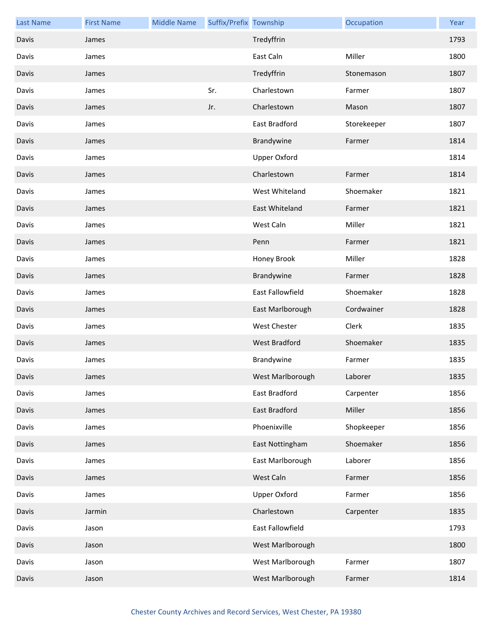| <b>Last Name</b> | <b>First Name</b> | <b>Middle Name</b> | Suffix/Prefix Township |                      | Occupation  | Year |
|------------------|-------------------|--------------------|------------------------|----------------------|-------------|------|
| Davis            | James             |                    |                        | Tredyffrin           |             | 1793 |
| Davis            | James             |                    |                        | East Caln            | Miller      | 1800 |
| Davis            | James             |                    |                        | Tredyffrin           | Stonemason  | 1807 |
| Davis            | James             |                    | Sr.                    | Charlestown          | Farmer      | 1807 |
| Davis            | James             |                    | Jr.                    | Charlestown          | Mason       | 1807 |
| Davis            | James             |                    |                        | East Bradford        | Storekeeper | 1807 |
| Davis            | James             |                    |                        | Brandywine           | Farmer      | 1814 |
| Davis            | James             |                    |                        | <b>Upper Oxford</b>  |             | 1814 |
| Davis            | James             |                    |                        | Charlestown          | Farmer      | 1814 |
| Davis            | James             |                    |                        | West Whiteland       | Shoemaker   | 1821 |
| Davis            | James             |                    |                        | East Whiteland       | Farmer      | 1821 |
| Davis            | James             |                    |                        | West Caln            | Miller      | 1821 |
| Davis            | James             |                    |                        | Penn                 | Farmer      | 1821 |
| Davis            | James             |                    |                        | Honey Brook          | Miller      | 1828 |
| Davis            | James             |                    |                        | Brandywine           | Farmer      | 1828 |
| Davis            | James             |                    |                        | East Fallowfield     | Shoemaker   | 1828 |
| Davis            | James             |                    |                        | East Marlborough     | Cordwainer  | 1828 |
| Davis            | James             |                    |                        | West Chester         | Clerk       | 1835 |
| Davis            | James             |                    |                        | <b>West Bradford</b> | Shoemaker   | 1835 |
| Davis            | James             |                    |                        | Brandywine           | Farmer      | 1835 |
| Davis            | James             |                    |                        | West Marlborough     | Laborer     | 1835 |
| Davis            | James             |                    |                        | East Bradford        | Carpenter   | 1856 |
| Davis            | James             |                    |                        | East Bradford        | Miller      | 1856 |
| Davis            | James             |                    |                        | Phoenixville         | Shopkeeper  | 1856 |
| Davis            | James             |                    |                        | East Nottingham      | Shoemaker   | 1856 |
| Davis            | James             |                    |                        | East Marlborough     | Laborer     | 1856 |
| Davis            | James             |                    |                        | West Caln            | Farmer      | 1856 |
| Davis            | James             |                    |                        | <b>Upper Oxford</b>  | Farmer      | 1856 |
| Davis            | Jarmin            |                    |                        | Charlestown          | Carpenter   | 1835 |
| Davis            | Jason             |                    |                        | East Fallowfield     |             | 1793 |
| Davis            | Jason             |                    |                        | West Marlborough     |             | 1800 |
| Davis            | Jason             |                    |                        | West Marlborough     | Farmer      | 1807 |
| Davis            | Jason             |                    |                        | West Marlborough     | Farmer      | 1814 |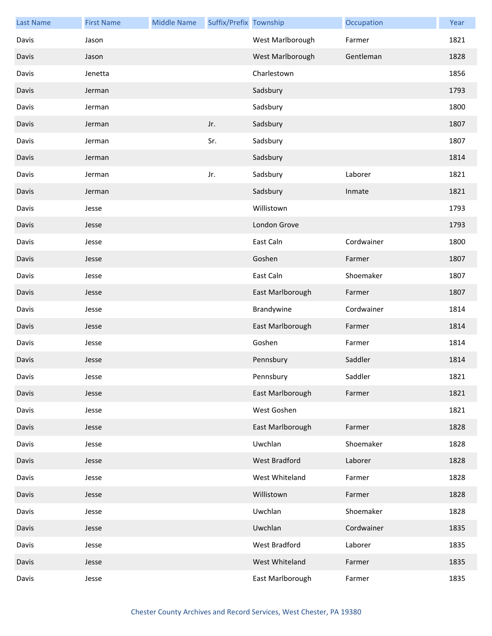| <b>Last Name</b> | <b>First Name</b> | <b>Middle Name</b> | Suffix/Prefix Township |                      | Occupation | Year |
|------------------|-------------------|--------------------|------------------------|----------------------|------------|------|
| Davis            | Jason             |                    |                        | West Marlborough     | Farmer     | 1821 |
| Davis            | Jason             |                    |                        | West Marlborough     | Gentleman  | 1828 |
| Davis            | Jenetta           |                    |                        | Charlestown          |            | 1856 |
| Davis            | Jerman            |                    |                        | Sadsbury             |            | 1793 |
| Davis            | Jerman            |                    |                        | Sadsbury             |            | 1800 |
| Davis            | Jerman            |                    | Jr.                    | Sadsbury             |            | 1807 |
| Davis            | Jerman            |                    | Sr.                    | Sadsbury             |            | 1807 |
| Davis            | Jerman            |                    |                        | Sadsbury             |            | 1814 |
| Davis            | Jerman            |                    | Jr.                    | Sadsbury             | Laborer    | 1821 |
| Davis            | Jerman            |                    |                        | Sadsbury             | Inmate     | 1821 |
| Davis            | Jesse             |                    |                        | Willistown           |            | 1793 |
| Davis            | Jesse             |                    |                        | London Grove         |            | 1793 |
| Davis            | Jesse             |                    |                        | East Caln            | Cordwainer | 1800 |
| Davis            | Jesse             |                    |                        | Goshen               | Farmer     | 1807 |
| Davis            | Jesse             |                    |                        | East Caln            | Shoemaker  | 1807 |
| Davis            | Jesse             |                    |                        | East Marlborough     | Farmer     | 1807 |
| Davis            | Jesse             |                    |                        | Brandywine           | Cordwainer | 1814 |
| Davis            | Jesse             |                    |                        | East Marlborough     | Farmer     | 1814 |
| Davis            | Jesse             |                    |                        | Goshen               | Farmer     | 1814 |
| Davis            | Jesse             |                    |                        | Pennsbury            | Saddler    | 1814 |
| Davis            | Jesse             |                    |                        | Pennsbury            | Saddler    | 1821 |
| Davis            | Jesse             |                    |                        | East Marlborough     | Farmer     | 1821 |
| Davis            | Jesse             |                    |                        | West Goshen          |            | 1821 |
| Davis            | Jesse             |                    |                        | East Marlborough     | Farmer     | 1828 |
| Davis            | Jesse             |                    |                        | Uwchlan              | Shoemaker  | 1828 |
| Davis            | Jesse             |                    |                        | <b>West Bradford</b> | Laborer    | 1828 |
| Davis            | Jesse             |                    |                        | West Whiteland       | Farmer     | 1828 |
| Davis            | Jesse             |                    |                        | Willistown           | Farmer     | 1828 |
| Davis            | Jesse             |                    |                        | Uwchlan              | Shoemaker  | 1828 |
| Davis            | Jesse             |                    |                        | Uwchlan              | Cordwainer | 1835 |
| Davis            | Jesse             |                    |                        | West Bradford        | Laborer    | 1835 |
| Davis            | Jesse             |                    |                        | West Whiteland       | Farmer     | 1835 |
| Davis            | Jesse             |                    |                        | East Marlborough     | Farmer     | 1835 |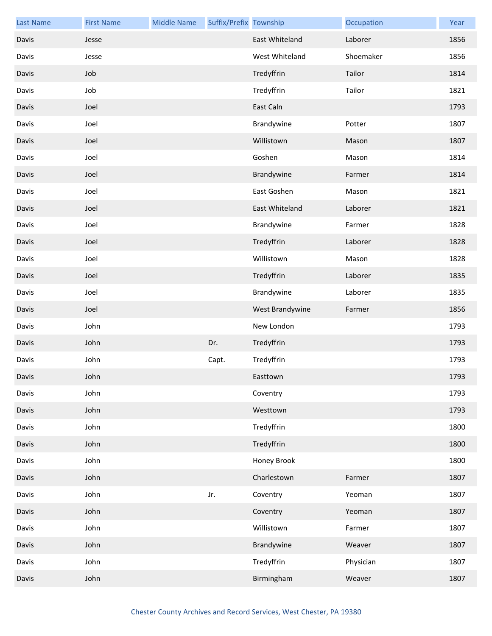| <b>Last Name</b> | <b>First Name</b> | <b>Middle Name</b> | Suffix/Prefix Township |                 | Occupation | Year |
|------------------|-------------------|--------------------|------------------------|-----------------|------------|------|
| Davis            | Jesse             |                    |                        | East Whiteland  | Laborer    | 1856 |
| Davis            | Jesse             |                    |                        | West Whiteland  | Shoemaker  | 1856 |
| Davis            | Job               |                    |                        | Tredyffrin      | Tailor     | 1814 |
| Davis            | Job               |                    |                        | Tredyffrin      | Tailor     | 1821 |
| Davis            | Joel              |                    |                        | East Caln       |            | 1793 |
| Davis            | Joel              |                    |                        | Brandywine      | Potter     | 1807 |
| Davis            | Joel              |                    |                        | Willistown      | Mason      | 1807 |
| Davis            | Joel              |                    |                        | Goshen          | Mason      | 1814 |
| Davis            | Joel              |                    |                        | Brandywine      | Farmer     | 1814 |
| Davis            | Joel              |                    |                        | East Goshen     | Mason      | 1821 |
| Davis            | Joel              |                    |                        | East Whiteland  | Laborer    | 1821 |
| Davis            | Joel              |                    |                        | Brandywine      | Farmer     | 1828 |
| Davis            | Joel              |                    |                        | Tredyffrin      | Laborer    | 1828 |
| Davis            | Joel              |                    |                        | Willistown      | Mason      | 1828 |
| Davis            | Joel              |                    |                        | Tredyffrin      | Laborer    | 1835 |
| Davis            | Joel              |                    |                        | Brandywine      | Laborer    | 1835 |
| Davis            | Joel              |                    |                        | West Brandywine | Farmer     | 1856 |
| Davis            | John              |                    |                        | New London      |            | 1793 |
| Davis            | John              |                    | Dr.                    | Tredyffrin      |            | 1793 |
| Davis            | John              |                    | Capt.                  | Tredyffrin      |            | 1793 |
| Davis            | John              |                    |                        | Easttown        |            | 1793 |
| Davis            | John              |                    |                        | Coventry        |            | 1793 |
| Davis            | John              |                    |                        | Westtown        |            | 1793 |
| Davis            | John              |                    |                        | Tredyffrin      |            | 1800 |
| Davis            | John              |                    |                        | Tredyffrin      |            | 1800 |
| Davis            | John              |                    |                        | Honey Brook     |            | 1800 |
| Davis            | John              |                    |                        | Charlestown     | Farmer     | 1807 |
| Davis            | John              |                    | Jr.                    | Coventry        | Yeoman     | 1807 |
| Davis            | John              |                    |                        | Coventry        | Yeoman     | 1807 |
| Davis            | John              |                    |                        | Willistown      | Farmer     | 1807 |
| Davis            | John              |                    |                        | Brandywine      | Weaver     | 1807 |
| Davis            | John              |                    |                        | Tredyffrin      | Physician  | 1807 |
| Davis            | John              |                    |                        | Birmingham      | Weaver     | 1807 |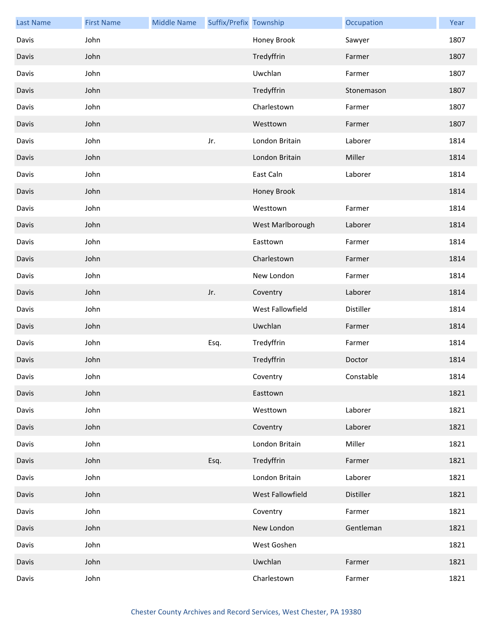| <b>Last Name</b> | <b>First Name</b> | <b>Middle Name</b> | Suffix/Prefix Township |                  | Occupation | Year |
|------------------|-------------------|--------------------|------------------------|------------------|------------|------|
| Davis            | John              |                    |                        | Honey Brook      | Sawyer     | 1807 |
| Davis            | John              |                    |                        | Tredyffrin       | Farmer     | 1807 |
| Davis            | John              |                    |                        | Uwchlan          | Farmer     | 1807 |
| Davis            | John              |                    |                        | Tredyffrin       | Stonemason | 1807 |
| Davis            | John              |                    |                        | Charlestown      | Farmer     | 1807 |
| Davis            | John              |                    |                        | Westtown         | Farmer     | 1807 |
| Davis            | John              |                    | Jr.                    | London Britain   | Laborer    | 1814 |
| Davis            | John              |                    |                        | London Britain   | Miller     | 1814 |
| Davis            | John              |                    |                        | East Caln        | Laborer    | 1814 |
| Davis            | John              |                    |                        | Honey Brook      |            | 1814 |
| Davis            | John              |                    |                        | Westtown         | Farmer     | 1814 |
| Davis            | John              |                    |                        | West Marlborough | Laborer    | 1814 |
| Davis            | John              |                    |                        | Easttown         | Farmer     | 1814 |
| Davis            | John              |                    |                        | Charlestown      | Farmer     | 1814 |
| Davis            | John              |                    |                        | New London       | Farmer     | 1814 |
| Davis            | John              |                    | Jr.                    | Coventry         | Laborer    | 1814 |
| Davis            | John              |                    |                        | West Fallowfield | Distiller  | 1814 |
| Davis            | John              |                    |                        | Uwchlan          | Farmer     | 1814 |
| Davis            | John              |                    | Esq.                   | Tredyffrin       | Farmer     | 1814 |
| Davis            | John              |                    |                        | Tredyffrin       | Doctor     | 1814 |
| Davis            | John              |                    |                        | Coventry         | Constable  | 1814 |
| Davis            | John              |                    |                        | Easttown         |            | 1821 |
| Davis            | John              |                    |                        | Westtown         | Laborer    | 1821 |
| Davis            | John              |                    |                        | Coventry         | Laborer    | 1821 |
| Davis            | John              |                    |                        | London Britain   | Miller     | 1821 |
| Davis            | John              |                    | Esq.                   | Tredyffrin       | Farmer     | 1821 |
| Davis            | John              |                    |                        | London Britain   | Laborer    | 1821 |
| Davis            | John              |                    |                        | West Fallowfield | Distiller  | 1821 |
| Davis            | John              |                    |                        | Coventry         | Farmer     | 1821 |
| Davis            | John              |                    |                        | New London       | Gentleman  | 1821 |
| Davis            | John              |                    |                        | West Goshen      |            | 1821 |
| Davis            | John              |                    |                        | Uwchlan          | Farmer     | 1821 |
| Davis            | John              |                    |                        | Charlestown      | Farmer     | 1821 |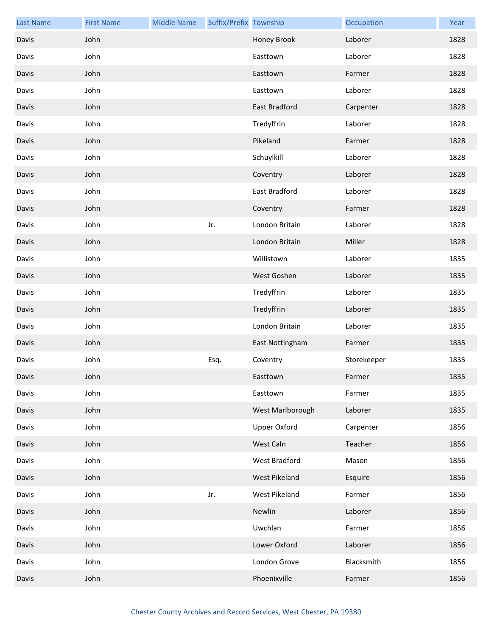| <b>Last Name</b> | <b>First Name</b> | <b>Middle Name</b> | Suffix/Prefix Township |                      | Occupation  | Year |
|------------------|-------------------|--------------------|------------------------|----------------------|-------------|------|
| Davis            | John              |                    |                        | Honey Brook          | Laborer     | 1828 |
| Davis            | John              |                    |                        | Easttown             | Laborer     | 1828 |
| Davis            | John              |                    |                        | Easttown             | Farmer      | 1828 |
| Davis            | John              |                    |                        | Easttown             | Laborer     | 1828 |
| Davis            | John              |                    |                        | East Bradford        | Carpenter   | 1828 |
| Davis            | John              |                    |                        | Tredyffrin           | Laborer     | 1828 |
| Davis            | John              |                    |                        | Pikeland             | Farmer      | 1828 |
| Davis            | John              |                    |                        | Schuylkill           | Laborer     | 1828 |
| Davis            | John              |                    |                        | Coventry             | Laborer     | 1828 |
| Davis            | John              |                    |                        | East Bradford        | Laborer     | 1828 |
| Davis            | John              |                    |                        | Coventry             | Farmer      | 1828 |
| Davis            | John              |                    | Jr.                    | London Britain       | Laborer     | 1828 |
| Davis            | John              |                    |                        | London Britain       | Miller      | 1828 |
| Davis            | John              |                    |                        | Willistown           | Laborer     | 1835 |
| Davis            | John              |                    |                        | West Goshen          | Laborer     | 1835 |
| Davis            | John              |                    |                        | Tredyffrin           | Laborer     | 1835 |
| Davis            | John              |                    |                        | Tredyffrin           | Laborer     | 1835 |
| Davis            | John              |                    |                        | London Britain       | Laborer     | 1835 |
| Davis            | John              |                    |                        | East Nottingham      | Farmer      | 1835 |
| Davis            | John              |                    | Esq.                   | Coventry             | Storekeeper | 1835 |
| Davis            | John              |                    |                        | Easttown             | Farmer      | 1835 |
| Davis            | John              |                    |                        | Easttown             | Farmer      | 1835 |
| Davis            | John              |                    |                        | West Marlborough     | Laborer     | 1835 |
| Davis            | John              |                    |                        | <b>Upper Oxford</b>  | Carpenter   | 1856 |
| Davis            | John              |                    |                        | West Caln            | Teacher     | 1856 |
| Davis            | John              |                    |                        | <b>West Bradford</b> | Mason       | 1856 |
| Davis            | John              |                    |                        | West Pikeland        | Esquire     | 1856 |
| Davis            | John              |                    | Jr.                    | West Pikeland        | Farmer      | 1856 |
| Davis            | John              |                    |                        | Newlin               | Laborer     | 1856 |
| Davis            | John              |                    |                        | Uwchlan              | Farmer      | 1856 |
| Davis            | John              |                    |                        | Lower Oxford         | Laborer     | 1856 |
| Davis            | John              |                    |                        | London Grove         | Blacksmith  | 1856 |
| Davis            | John              |                    |                        | Phoenixville         | Farmer      | 1856 |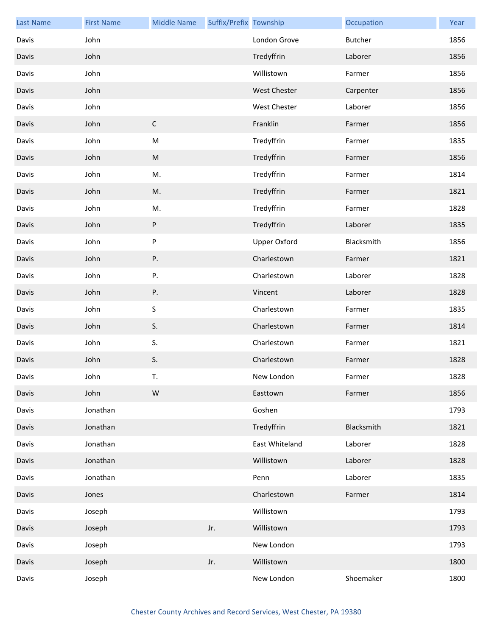| <b>Last Name</b> | <b>First Name</b> | <b>Middle Name</b> | Suffix/Prefix Township |                | Occupation | Year |
|------------------|-------------------|--------------------|------------------------|----------------|------------|------|
| Davis            | John              |                    |                        | London Grove   | Butcher    | 1856 |
| Davis            | John              |                    |                        | Tredyffrin     | Laborer    | 1856 |
| Davis            | John              |                    |                        | Willistown     | Farmer     | 1856 |
| Davis            | John              |                    |                        | West Chester   | Carpenter  | 1856 |
| Davis            | John              |                    |                        | West Chester   | Laborer    | 1856 |
| Davis            | John              | $\mathsf C$        |                        | Franklin       | Farmer     | 1856 |
| Davis            | John              | ${\sf M}$          |                        | Tredyffrin     | Farmer     | 1835 |
| Davis            | John              | ${\sf M}$          |                        | Tredyffrin     | Farmer     | 1856 |
| Davis            | John              | M.                 |                        | Tredyffrin     | Farmer     | 1814 |
| Davis            | John              | M.                 |                        | Tredyffrin     | Farmer     | 1821 |
| Davis            | John              | M.                 |                        | Tredyffrin     | Farmer     | 1828 |
| Davis            | John              | $\sf P$            |                        | Tredyffrin     | Laborer    | 1835 |
| Davis            | John              | ${\sf P}$          |                        | Upper Oxford   | Blacksmith | 1856 |
| Davis            | John              | ${\sf P}.$         |                        | Charlestown    | Farmer     | 1821 |
| Davis            | John              | Ρ.                 |                        | Charlestown    | Laborer    | 1828 |
| Davis            | John              | ${\sf P}.$         |                        | Vincent        | Laborer    | 1828 |
| Davis            | John              | $\sf S$            |                        | Charlestown    | Farmer     | 1835 |
| Davis            | John              | S.                 |                        | Charlestown    | Farmer     | 1814 |
| Davis            | John              | S.                 |                        | Charlestown    | Farmer     | 1821 |
| Davis            | John              | S.                 |                        | Charlestown    | Farmer     | 1828 |
| Davis            | John              | T.                 |                        | New London     | Farmer     | 1828 |
| Davis            | John              | W                  |                        | Easttown       | Farmer     | 1856 |
| Davis            | Jonathan          |                    |                        | Goshen         |            | 1793 |
| Davis            | Jonathan          |                    |                        | Tredyffrin     | Blacksmith | 1821 |
| Davis            | Jonathan          |                    |                        | East Whiteland | Laborer    | 1828 |
| Davis            | Jonathan          |                    |                        | Willistown     | Laborer    | 1828 |
| Davis            | Jonathan          |                    |                        | Penn           | Laborer    | 1835 |
| Davis            | Jones             |                    |                        | Charlestown    | Farmer     | 1814 |
| Davis            | Joseph            |                    |                        | Willistown     |            | 1793 |
| Davis            | Joseph            |                    | Jr.                    | Willistown     |            | 1793 |
| Davis            | Joseph            |                    |                        | New London     |            | 1793 |
| Davis            | Joseph            |                    | Jr.                    | Willistown     |            | 1800 |
| Davis            | Joseph            |                    |                        | New London     | Shoemaker  | 1800 |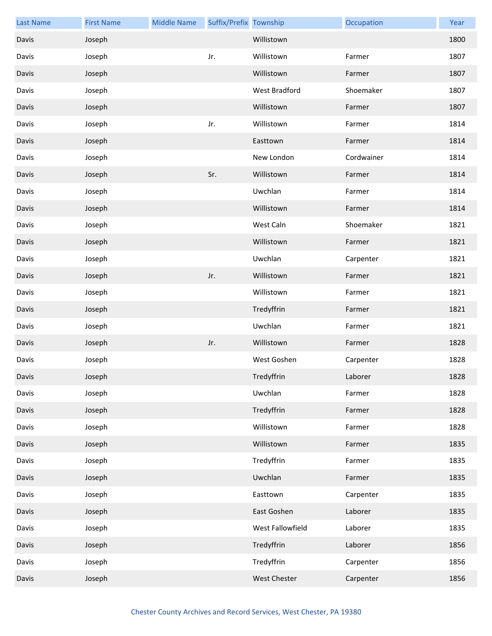| <b>Last Name</b> | <b>First Name</b> | <b>Middle Name</b> | Suffix/Prefix Township |                  | Occupation | Year |
|------------------|-------------------|--------------------|------------------------|------------------|------------|------|
| Davis            | Joseph            |                    |                        | Willistown       |            | 1800 |
| Davis            | Joseph            |                    | Jr.                    | Willistown       | Farmer     | 1807 |
| Davis            | Joseph            |                    |                        | Willistown       | Farmer     | 1807 |
| Davis            | Joseph            |                    |                        | West Bradford    | Shoemaker  | 1807 |
| Davis            | Joseph            |                    |                        | Willistown       | Farmer     | 1807 |
| Davis            | Joseph            |                    | Jr.                    | Willistown       | Farmer     | 1814 |
| Davis            | Joseph            |                    |                        | Easttown         | Farmer     | 1814 |
| Davis            | Joseph            |                    |                        | New London       | Cordwainer | 1814 |
| Davis            | Joseph            |                    | Sr.                    | Willistown       | Farmer     | 1814 |
| Davis            | Joseph            |                    |                        | Uwchlan          | Farmer     | 1814 |
| Davis            | Joseph            |                    |                        | Willistown       | Farmer     | 1814 |
| Davis            | Joseph            |                    |                        | West Caln        | Shoemaker  | 1821 |
| Davis            | Joseph            |                    |                        | Willistown       | Farmer     | 1821 |
| Davis            | Joseph            |                    |                        | Uwchlan          | Carpenter  | 1821 |
| Davis            | Joseph            |                    | Jr.                    | Willistown       | Farmer     | 1821 |
| Davis            | Joseph            |                    |                        | Willistown       | Farmer     | 1821 |
| Davis            | Joseph            |                    |                        | Tredyffrin       | Farmer     | 1821 |
| Davis            | Joseph            |                    |                        | Uwchlan          | Farmer     | 1821 |
| Davis            | Joseph            |                    | Jr.                    | Willistown       | Farmer     | 1828 |
| Davis            | Joseph            |                    |                        | West Goshen      | Carpenter  | 1828 |
| Davis            | Joseph            |                    |                        | Tredyffrin       | Laborer    | 1828 |
| Davis            | Joseph            |                    |                        | Uwchlan          | Farmer     | 1828 |
| Davis            | Joseph            |                    |                        | Tredyffrin       | Farmer     | 1828 |
| Davis            | Joseph            |                    |                        | Willistown       | Farmer     | 1828 |
| Davis            | Joseph            |                    |                        | Willistown       | Farmer     | 1835 |
| Davis            | Joseph            |                    |                        | Tredyffrin       | Farmer     | 1835 |
| Davis            | Joseph            |                    |                        | Uwchlan          | Farmer     | 1835 |
| Davis            | Joseph            |                    |                        | Easttown         | Carpenter  | 1835 |
| Davis            | Joseph            |                    |                        | East Goshen      | Laborer    | 1835 |
| Davis            | Joseph            |                    |                        | West Fallowfield | Laborer    | 1835 |
| Davis            | Joseph            |                    |                        | Tredyffrin       | Laborer    | 1856 |
| Davis            | Joseph            |                    |                        | Tredyffrin       | Carpenter  | 1856 |
| Davis            | Joseph            |                    |                        | West Chester     | Carpenter  | 1856 |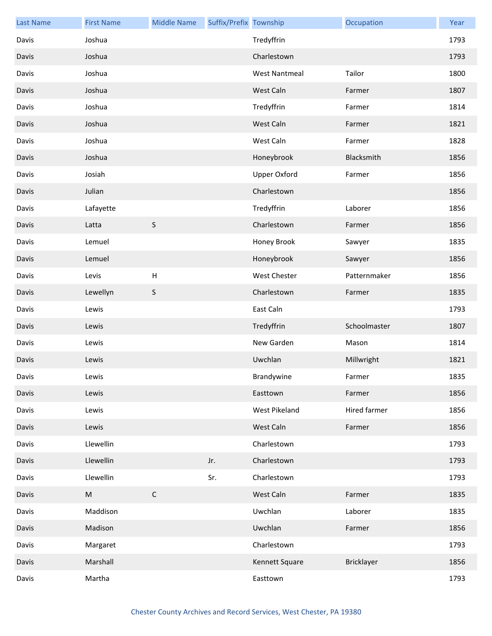| <b>Last Name</b> | <b>First Name</b> | <b>Middle Name</b> | Suffix/Prefix Township |                      | Occupation   | Year |
|------------------|-------------------|--------------------|------------------------|----------------------|--------------|------|
| Davis            | Joshua            |                    |                        | Tredyffrin           |              | 1793 |
| Davis            | Joshua            |                    |                        | Charlestown          |              | 1793 |
| Davis            | Joshua            |                    |                        | <b>West Nantmeal</b> | Tailor       | 1800 |
| Davis            | Joshua            |                    |                        | West Caln            | Farmer       | 1807 |
| Davis            | Joshua            |                    |                        | Tredyffrin           | Farmer       | 1814 |
| Davis            | Joshua            |                    |                        | West Caln            | Farmer       | 1821 |
| Davis            | Joshua            |                    |                        | West Caln            | Farmer       | 1828 |
| Davis            | Joshua            |                    |                        | Honeybrook           | Blacksmith   | 1856 |
| Davis            | Josiah            |                    |                        | <b>Upper Oxford</b>  | Farmer       | 1856 |
| Davis            | Julian            |                    |                        | Charlestown          |              | 1856 |
| Davis            | Lafayette         |                    |                        | Tredyffrin           | Laborer      | 1856 |
| Davis            | Latta             | $\sf S$            |                        | Charlestown          | Farmer       | 1856 |
| Davis            | Lemuel            |                    |                        | Honey Brook          | Sawyer       | 1835 |
| Davis            | Lemuel            |                    |                        | Honeybrook           | Sawyer       | 1856 |
| Davis            | Levis             | $\sf H$            |                        | West Chester         | Patternmaker | 1856 |
| Davis            | Lewellyn          | S                  |                        | Charlestown          | Farmer       | 1835 |
| Davis            | Lewis             |                    |                        | East Caln            |              | 1793 |
| Davis            | Lewis             |                    |                        | Tredyffrin           | Schoolmaster | 1807 |
| Davis            | Lewis             |                    |                        | New Garden           | Mason        | 1814 |
| Davis            | Lewis             |                    |                        | Uwchlan              | Millwright   | 1821 |
| Davis            | Lewis             |                    |                        | Brandywine           | Farmer       | 1835 |
| Davis            | Lewis             |                    |                        | Easttown             | Farmer       | 1856 |
| Davis            | Lewis             |                    |                        | West Pikeland        | Hired farmer | 1856 |
| Davis            | Lewis             |                    |                        | West Caln            | Farmer       | 1856 |
| Davis            | Llewellin         |                    |                        | Charlestown          |              | 1793 |
| Davis            | Llewellin         |                    | Jr.                    | Charlestown          |              | 1793 |
| Davis            | Llewellin         |                    | Sr.                    | Charlestown          |              | 1793 |
| Davis            | ${\sf M}$         | $\mathsf C$        |                        | West Caln            | Farmer       | 1835 |
| Davis            | Maddison          |                    |                        | Uwchlan              | Laborer      | 1835 |
| Davis            | Madison           |                    |                        | Uwchlan              | Farmer       | 1856 |
| Davis            | Margaret          |                    |                        | Charlestown          |              | 1793 |
| Davis            | Marshall          |                    |                        | Kennett Square       | Bricklayer   | 1856 |
| Davis            | Martha            |                    |                        | Easttown             |              | 1793 |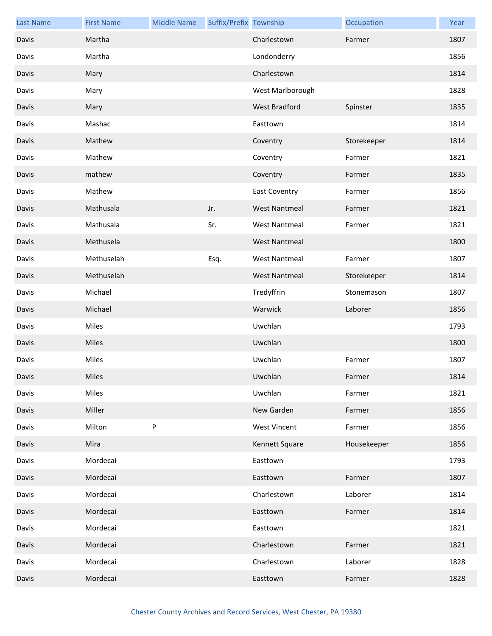| <b>Last Name</b> | <b>First Name</b> | <b>Middle Name</b> | Suffix/Prefix Township |                      | Occupation  | Year |
|------------------|-------------------|--------------------|------------------------|----------------------|-------------|------|
| Davis            | Martha            |                    |                        | Charlestown          | Farmer      | 1807 |
| Davis            | Martha            |                    |                        | Londonderry          |             | 1856 |
| Davis            | Mary              |                    |                        | Charlestown          |             | 1814 |
| Davis            | Mary              |                    |                        | West Marlborough     |             | 1828 |
| Davis            | Mary              |                    |                        | West Bradford        | Spinster    | 1835 |
| Davis            | Mashac            |                    |                        | Easttown             |             | 1814 |
| Davis            | Mathew            |                    |                        | Coventry             | Storekeeper | 1814 |
| Davis            | Mathew            |                    |                        | Coventry             | Farmer      | 1821 |
| Davis            | mathew            |                    |                        | Coventry             | Farmer      | 1835 |
| Davis            | Mathew            |                    |                        | <b>East Coventry</b> | Farmer      | 1856 |
| Davis            | Mathusala         |                    | Jr.                    | <b>West Nantmeal</b> | Farmer      | 1821 |
| Davis            | Mathusala         |                    | Sr.                    | <b>West Nantmeal</b> | Farmer      | 1821 |
| Davis            | Methusela         |                    |                        | <b>West Nantmeal</b> |             | 1800 |
| Davis            | Methuselah        |                    | Esq.                   | <b>West Nantmeal</b> | Farmer      | 1807 |
| Davis            | Methuselah        |                    |                        | <b>West Nantmeal</b> | Storekeeper | 1814 |
| Davis            | Michael           |                    |                        | Tredyffrin           | Stonemason  | 1807 |
| Davis            | Michael           |                    |                        | Warwick              | Laborer     | 1856 |
| Davis            | Miles             |                    |                        | Uwchlan              |             | 1793 |
| Davis            | Miles             |                    |                        | Uwchlan              |             | 1800 |
| Davis            | Miles             |                    |                        | Uwchlan              | Farmer      | 1807 |
| Davis            | Miles             |                    |                        | Uwchlan              | Farmer      | 1814 |
| Davis            | Miles             |                    |                        | Uwchlan              | Farmer      | 1821 |
| Davis            | Miller            |                    |                        | New Garden           | Farmer      | 1856 |
| Davis            | Milton            | ${\sf P}$          |                        | <b>West Vincent</b>  | Farmer      | 1856 |
| Davis            | Mira              |                    |                        | Kennett Square       | Housekeeper | 1856 |
| Davis            | Mordecai          |                    |                        | Easttown             |             | 1793 |
| Davis            | Mordecai          |                    |                        | Easttown             | Farmer      | 1807 |
| Davis            | Mordecai          |                    |                        | Charlestown          | Laborer     | 1814 |
| Davis            | Mordecai          |                    |                        | Easttown             | Farmer      | 1814 |
| Davis            | Mordecai          |                    |                        | Easttown             |             | 1821 |
| Davis            | Mordecai          |                    |                        | Charlestown          | Farmer      | 1821 |
| Davis            | Mordecai          |                    |                        | Charlestown          | Laborer     | 1828 |
| Davis            | Mordecai          |                    |                        | Easttown             | Farmer      | 1828 |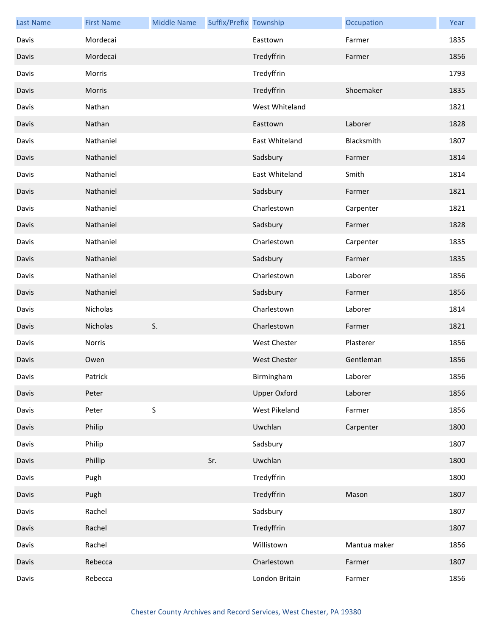| <b>Last Name</b> | <b>First Name</b> | <b>Middle Name</b> | Suffix/Prefix Township |                     | Occupation   | Year |
|------------------|-------------------|--------------------|------------------------|---------------------|--------------|------|
| Davis            | Mordecai          |                    |                        | Easttown            | Farmer       | 1835 |
| Davis            | Mordecai          |                    |                        | Tredyffrin          | Farmer       | 1856 |
| Davis            | Morris            |                    |                        | Tredyffrin          |              | 1793 |
| Davis            | Morris            |                    |                        | Tredyffrin          | Shoemaker    | 1835 |
| Davis            | Nathan            |                    |                        | West Whiteland      |              | 1821 |
| Davis            | Nathan            |                    |                        | Easttown            | Laborer      | 1828 |
| Davis            | Nathaniel         |                    |                        | East Whiteland      | Blacksmith   | 1807 |
| Davis            | Nathaniel         |                    |                        | Sadsbury            | Farmer       | 1814 |
| Davis            | Nathaniel         |                    |                        | East Whiteland      | Smith        | 1814 |
| Davis            | Nathaniel         |                    |                        | Sadsbury            | Farmer       | 1821 |
| Davis            | Nathaniel         |                    |                        | Charlestown         | Carpenter    | 1821 |
| Davis            | Nathaniel         |                    |                        | Sadsbury            | Farmer       | 1828 |
| Davis            | Nathaniel         |                    |                        | Charlestown         | Carpenter    | 1835 |
| Davis            | Nathaniel         |                    |                        | Sadsbury            | Farmer       | 1835 |
| Davis            | Nathaniel         |                    |                        | Charlestown         | Laborer      | 1856 |
| Davis            | Nathaniel         |                    |                        | Sadsbury            | Farmer       | 1856 |
| Davis            | Nicholas          |                    |                        | Charlestown         | Laborer      | 1814 |
| Davis            | Nicholas          | S.                 |                        | Charlestown         | Farmer       | 1821 |
| Davis            | Norris            |                    |                        | <b>West Chester</b> | Plasterer    | 1856 |
| Davis            | Owen              |                    |                        | <b>West Chester</b> | Gentleman    | 1856 |
| Davis            | Patrick           |                    |                        | Birmingham          | Laborer      | 1856 |
| Davis            | Peter             |                    |                        | <b>Upper Oxford</b> | Laborer      | 1856 |
| Davis            | Peter             | $\sf S$            |                        | West Pikeland       | Farmer       | 1856 |
| Davis            | Philip            |                    |                        | Uwchlan             | Carpenter    | 1800 |
| Davis            | Philip            |                    |                        | Sadsbury            |              | 1807 |
| Davis            | Phillip           |                    | Sr.                    | Uwchlan             |              | 1800 |
| Davis            | Pugh              |                    |                        | Tredyffrin          |              | 1800 |
| Davis            | Pugh              |                    |                        | Tredyffrin          | Mason        | 1807 |
| Davis            | Rachel            |                    |                        | Sadsbury            |              | 1807 |
| Davis            | Rachel            |                    |                        | Tredyffrin          |              | 1807 |
| Davis            | Rachel            |                    |                        | Willistown          | Mantua maker | 1856 |
| Davis            | Rebecca           |                    |                        | Charlestown         | Farmer       | 1807 |
| Davis            | Rebecca           |                    |                        | London Britain      | Farmer       | 1856 |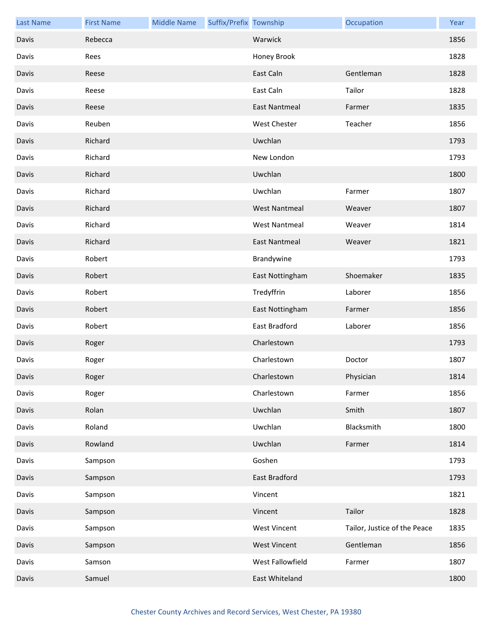| <b>Last Name</b> | <b>First Name</b> | <b>Middle Name</b> | Suffix/Prefix Township |                      | Occupation                   | Year |
|------------------|-------------------|--------------------|------------------------|----------------------|------------------------------|------|
| Davis            | Rebecca           |                    |                        | Warwick              |                              | 1856 |
| Davis            | Rees              |                    |                        | Honey Brook          |                              | 1828 |
| Davis            | Reese             |                    |                        | East Caln            | Gentleman                    | 1828 |
| Davis            | Reese             |                    |                        | East Caln            | Tailor                       | 1828 |
| Davis            | Reese             |                    |                        | <b>East Nantmeal</b> | Farmer                       | 1835 |
| Davis            | Reuben            |                    |                        | <b>West Chester</b>  | Teacher                      | 1856 |
| Davis            | Richard           |                    |                        | Uwchlan              |                              | 1793 |
| Davis            | Richard           |                    |                        | New London           |                              | 1793 |
| Davis            | Richard           |                    |                        | Uwchlan              |                              | 1800 |
| Davis            | Richard           |                    |                        | Uwchlan              | Farmer                       | 1807 |
| Davis            | Richard           |                    |                        | <b>West Nantmeal</b> | Weaver                       | 1807 |
| Davis            | Richard           |                    |                        | <b>West Nantmeal</b> | Weaver                       | 1814 |
| Davis            | Richard           |                    |                        | <b>East Nantmeal</b> | Weaver                       | 1821 |
| Davis            | Robert            |                    |                        | Brandywine           |                              | 1793 |
| Davis            | Robert            |                    |                        | East Nottingham      | Shoemaker                    | 1835 |
| Davis            | Robert            |                    |                        | Tredyffrin           | Laborer                      | 1856 |
| Davis            | Robert            |                    |                        | East Nottingham      | Farmer                       | 1856 |
| Davis            | Robert            |                    |                        | East Bradford        | Laborer                      | 1856 |
| Davis            | Roger             |                    |                        | Charlestown          |                              | 1793 |
| Davis            | Roger             |                    |                        | Charlestown          | Doctor                       | 1807 |
| Davis            | Roger             |                    |                        | Charlestown          | Physician                    | 1814 |
| Davis            | Roger             |                    |                        | Charlestown          | Farmer                       | 1856 |
| Davis            | Rolan             |                    |                        | Uwchlan              | Smith                        | 1807 |
| Davis            | Roland            |                    |                        | Uwchlan              | Blacksmith                   | 1800 |
| Davis            | Rowland           |                    |                        | Uwchlan              | Farmer                       | 1814 |
| Davis            | Sampson           |                    |                        | Goshen               |                              | 1793 |
| Davis            | Sampson           |                    |                        | East Bradford        |                              | 1793 |
| Davis            | Sampson           |                    |                        | Vincent              |                              | 1821 |
| Davis            | Sampson           |                    |                        | Vincent              | Tailor                       | 1828 |
| Davis            | Sampson           |                    |                        | <b>West Vincent</b>  | Tailor, Justice of the Peace | 1835 |
| Davis            | Sampson           |                    |                        | <b>West Vincent</b>  | Gentleman                    | 1856 |
| Davis            | Samson            |                    |                        | West Fallowfield     | Farmer                       | 1807 |
| Davis            | Samuel            |                    |                        | East Whiteland       |                              | 1800 |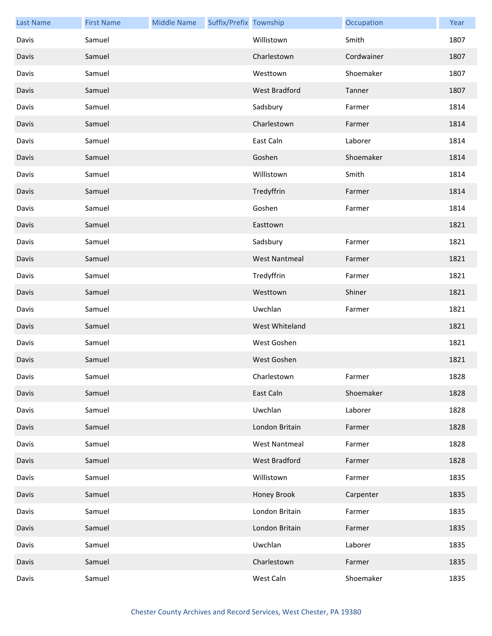| <b>Last Name</b> | <b>First Name</b> | <b>Middle Name</b> | Suffix/Prefix Township |                      | Occupation | Year |
|------------------|-------------------|--------------------|------------------------|----------------------|------------|------|
| Davis            | Samuel            |                    |                        | Willistown           | Smith      | 1807 |
| Davis            | Samuel            |                    |                        | Charlestown          | Cordwainer | 1807 |
| Davis            | Samuel            |                    |                        | Westtown             | Shoemaker  | 1807 |
| Davis            | Samuel            |                    |                        | <b>West Bradford</b> | Tanner     | 1807 |
| Davis            | Samuel            |                    |                        | Sadsbury             | Farmer     | 1814 |
| Davis            | Samuel            |                    |                        | Charlestown          | Farmer     | 1814 |
| Davis            | Samuel            |                    |                        | East Caln            | Laborer    | 1814 |
| Davis            | Samuel            |                    |                        | Goshen               | Shoemaker  | 1814 |
| Davis            | Samuel            |                    |                        | Willistown           | Smith      | 1814 |
| Davis            | Samuel            |                    |                        | Tredyffrin           | Farmer     | 1814 |
| Davis            | Samuel            |                    |                        | Goshen               | Farmer     | 1814 |
| Davis            | Samuel            |                    |                        | Easttown             |            | 1821 |
| Davis            | Samuel            |                    |                        | Sadsbury             | Farmer     | 1821 |
| Davis            | Samuel            |                    |                        | <b>West Nantmeal</b> | Farmer     | 1821 |
| Davis            | Samuel            |                    |                        | Tredyffrin           | Farmer     | 1821 |
| Davis            | Samuel            |                    |                        | Westtown             | Shiner     | 1821 |
| Davis            | Samuel            |                    |                        | Uwchlan              | Farmer     | 1821 |
| Davis            | Samuel            |                    |                        | West Whiteland       |            | 1821 |
| Davis            | Samuel            |                    |                        | West Goshen          |            | 1821 |
| Davis            | Samuel            |                    |                        | West Goshen          |            | 1821 |
| Davis            | Samuel            |                    |                        | Charlestown          | Farmer     | 1828 |
| Davis            | Samuel            |                    |                        | East Caln            | Shoemaker  | 1828 |
| Davis            | Samuel            |                    |                        | Uwchlan              | Laborer    | 1828 |
| Davis            | Samuel            |                    |                        | London Britain       | Farmer     | 1828 |
| Davis            | Samuel            |                    |                        | <b>West Nantmeal</b> | Farmer     | 1828 |
| Davis            | Samuel            |                    |                        | West Bradford        | Farmer     | 1828 |
| Davis            | Samuel            |                    |                        | Willistown           | Farmer     | 1835 |
| Davis            | Samuel            |                    |                        | Honey Brook          | Carpenter  | 1835 |
| Davis            | Samuel            |                    |                        | London Britain       | Farmer     | 1835 |
| Davis            | Samuel            |                    |                        | London Britain       | Farmer     | 1835 |
| Davis            | Samuel            |                    |                        | Uwchlan              | Laborer    | 1835 |
| Davis            | Samuel            |                    |                        | Charlestown          | Farmer     | 1835 |
| Davis            | Samuel            |                    |                        | West Caln            | Shoemaker  | 1835 |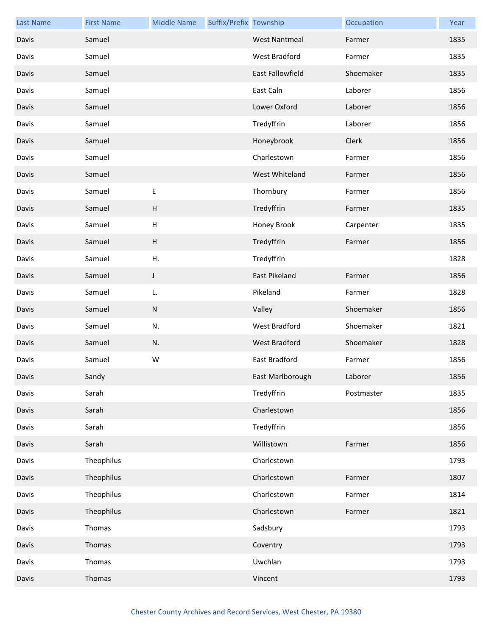| <b>Last Name</b> | <b>First Name</b> | <b>Middle Name</b>        | Suffix/Prefix Township |                      | Occupation | Year |
|------------------|-------------------|---------------------------|------------------------|----------------------|------------|------|
| Davis            | Samuel            |                           |                        | <b>West Nantmeal</b> | Farmer     | 1835 |
| Davis            | Samuel            |                           |                        | West Bradford        | Farmer     | 1835 |
| Davis            | Samuel            |                           |                        | East Fallowfield     | Shoemaker  | 1835 |
| Davis            | Samuel            |                           |                        | East Caln            | Laborer    | 1856 |
| Davis            | Samuel            |                           |                        | Lower Oxford         | Laborer    | 1856 |
| Davis            | Samuel            |                           |                        | Tredyffrin           | Laborer    | 1856 |
| Davis            | Samuel            |                           |                        | Honeybrook           | Clerk      | 1856 |
| Davis            | Samuel            |                           |                        | Charlestown          | Farmer     | 1856 |
| Davis            | Samuel            |                           |                        | West Whiteland       | Farmer     | 1856 |
| Davis            | Samuel            | E                         |                        | Thornbury            | Farmer     | 1856 |
| Davis            | Samuel            | H                         |                        | Tredyffrin           | Farmer     | 1835 |
| Davis            | Samuel            | $\boldsymbol{\mathsf{H}}$ |                        | Honey Brook          | Carpenter  | 1835 |
| Davis            | Samuel            | $\boldsymbol{\mathsf{H}}$ |                        | Tredyffrin           | Farmer     | 1856 |
| Davis            | Samuel            | Η.                        |                        | Tredyffrin           |            | 1828 |
| Davis            | Samuel            | J                         |                        | East Pikeland        | Farmer     | 1856 |
| Davis            | Samuel            | L.                        |                        | Pikeland             | Farmer     | 1828 |
| Davis            | Samuel            | ${\sf N}$                 |                        | Valley               | Shoemaker  | 1856 |
| Davis            | Samuel            | N.                        |                        | West Bradford        | Shoemaker  | 1821 |
| Davis            | Samuel            | N.                        |                        | <b>West Bradford</b> | Shoemaker  | 1828 |
| Davis            | Samuel            | W                         |                        | East Bradford        | Farmer     | 1856 |
| Davis            | Sandy             |                           |                        | East Marlborough     | Laborer    | 1856 |
| Davis            | Sarah             |                           |                        | Tredyffrin           | Postmaster | 1835 |
| Davis            | Sarah             |                           |                        | Charlestown          |            | 1856 |
| Davis            | Sarah             |                           |                        | Tredyffrin           |            | 1856 |
| Davis            | Sarah             |                           |                        | Willistown           | Farmer     | 1856 |
| Davis            | Theophilus        |                           |                        | Charlestown          |            | 1793 |
| Davis            | Theophilus        |                           |                        | Charlestown          | Farmer     | 1807 |
| Davis            | Theophilus        |                           |                        | Charlestown          | Farmer     | 1814 |
| Davis            | Theophilus        |                           |                        | Charlestown          | Farmer     | 1821 |
| Davis            | Thomas            |                           |                        | Sadsbury             |            | 1793 |
| Davis            | Thomas            |                           |                        | Coventry             |            | 1793 |
| Davis            | Thomas            |                           |                        | Uwchlan              |            | 1793 |
| Davis            | Thomas            |                           |                        | Vincent              |            | 1793 |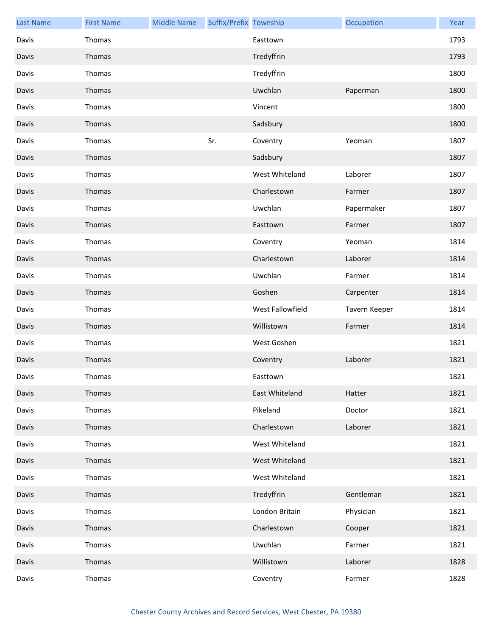| <b>Last Name</b> | <b>First Name</b> | <b>Middle Name</b> | Suffix/Prefix Township |                  | Occupation    | Year |
|------------------|-------------------|--------------------|------------------------|------------------|---------------|------|
| Davis            | Thomas            |                    |                        | Easttown         |               | 1793 |
| Davis            | Thomas            |                    |                        | Tredyffrin       |               | 1793 |
| Davis            | Thomas            |                    |                        | Tredyffrin       |               | 1800 |
| Davis            | Thomas            |                    |                        | Uwchlan          | Paperman      | 1800 |
| Davis            | Thomas            |                    |                        | Vincent          |               | 1800 |
| Davis            | Thomas            |                    |                        | Sadsbury         |               | 1800 |
| Davis            | Thomas            |                    | Sr.                    | Coventry         | Yeoman        | 1807 |
| Davis            | Thomas            |                    |                        | Sadsbury         |               | 1807 |
| Davis            | Thomas            |                    |                        | West Whiteland   | Laborer       | 1807 |
| Davis            | Thomas            |                    |                        | Charlestown      | Farmer        | 1807 |
| Davis            | Thomas            |                    |                        | Uwchlan          | Papermaker    | 1807 |
| Davis            | Thomas            |                    |                        | Easttown         | Farmer        | 1807 |
| Davis            | Thomas            |                    |                        | Coventry         | Yeoman        | 1814 |
| Davis            | Thomas            |                    |                        | Charlestown      | Laborer       | 1814 |
| Davis            | Thomas            |                    |                        | Uwchlan          | Farmer        | 1814 |
| Davis            | Thomas            |                    |                        | Goshen           | Carpenter     | 1814 |
| Davis            | Thomas            |                    |                        | West Fallowfield | Tavern Keeper | 1814 |
| Davis            | Thomas            |                    |                        | Willistown       | Farmer        | 1814 |
| Davis            | Thomas            |                    |                        | West Goshen      |               | 1821 |
| Davis            | Thomas            |                    |                        | Coventry         | Laborer       | 1821 |
| Davis            | Thomas            |                    |                        | Easttown         |               | 1821 |
| Davis            | Thomas            |                    |                        | East Whiteland   | Hatter        | 1821 |
| Davis            | Thomas            |                    |                        | Pikeland         | Doctor        | 1821 |
| Davis            | Thomas            |                    |                        | Charlestown      | Laborer       | 1821 |
| Davis            | Thomas            |                    |                        | West Whiteland   |               | 1821 |
| Davis            | Thomas            |                    |                        | West Whiteland   |               | 1821 |
| Davis            | Thomas            |                    |                        | West Whiteland   |               | 1821 |
| Davis            | Thomas            |                    |                        | Tredyffrin       | Gentleman     | 1821 |
| Davis            | Thomas            |                    |                        | London Britain   | Physician     | 1821 |
| Davis            | Thomas            |                    |                        | Charlestown      | Cooper        | 1821 |
| Davis            | Thomas            |                    |                        | Uwchlan          | Farmer        | 1821 |
| Davis            | Thomas            |                    |                        | Willistown       | Laborer       | 1828 |
| Davis            | Thomas            |                    |                        | Coventry         | Farmer        | 1828 |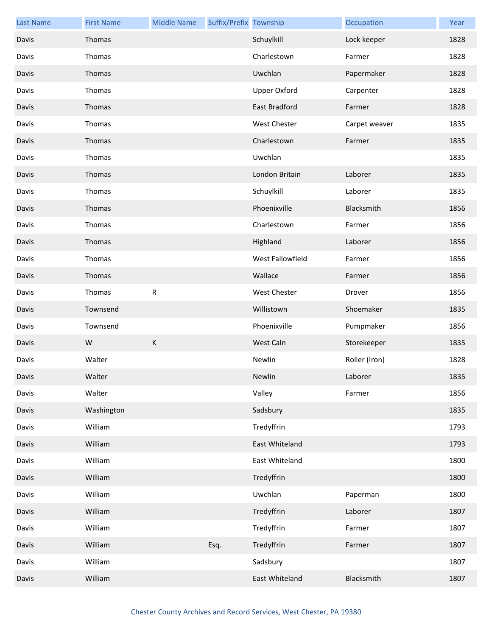| <b>Last Name</b> | <b>First Name</b> | <b>Middle Name</b> | Suffix/Prefix Township |                     | Occupation    | Year |
|------------------|-------------------|--------------------|------------------------|---------------------|---------------|------|
| Davis            | Thomas            |                    |                        | Schuylkill          | Lock keeper   | 1828 |
| Davis            | Thomas            |                    |                        | Charlestown         | Farmer        | 1828 |
| Davis            | Thomas            |                    |                        | Uwchlan             | Papermaker    | 1828 |
| Davis            | Thomas            |                    |                        | <b>Upper Oxford</b> | Carpenter     | 1828 |
| Davis            | Thomas            |                    |                        | East Bradford       | Farmer        | 1828 |
| Davis            | Thomas            |                    |                        | West Chester        | Carpet weaver | 1835 |
| Davis            | Thomas            |                    |                        | Charlestown         | Farmer        | 1835 |
| Davis            | Thomas            |                    |                        | Uwchlan             |               | 1835 |
| Davis            | Thomas            |                    |                        | London Britain      | Laborer       | 1835 |
| Davis            | Thomas            |                    |                        | Schuylkill          | Laborer       | 1835 |
| Davis            | Thomas            |                    |                        | Phoenixville        | Blacksmith    | 1856 |
| Davis            | Thomas            |                    |                        | Charlestown         | Farmer        | 1856 |
| Davis            | Thomas            |                    |                        | Highland            | Laborer       | 1856 |
| Davis            | Thomas            |                    |                        | West Fallowfield    | Farmer        | 1856 |
| Davis            | Thomas            |                    |                        | Wallace             | Farmer        | 1856 |
| Davis            | Thomas            | ${\sf R}$          |                        | West Chester        | Drover        | 1856 |
| Davis            | Townsend          |                    |                        | Willistown          | Shoemaker     | 1835 |
| Davis            | Townsend          |                    |                        | Phoenixville        | Pumpmaker     | 1856 |
| Davis            | W                 | $\mathsf K$        |                        | West Caln           | Storekeeper   | 1835 |
| Davis            | Walter            |                    |                        | Newlin              | Roller (Iron) | 1828 |
| Davis            | Walter            |                    |                        | Newlin              | Laborer       | 1835 |
| Davis            | Walter            |                    |                        | Valley              | Farmer        | 1856 |
| Davis            | Washington        |                    |                        | Sadsbury            |               | 1835 |
| Davis            | William           |                    |                        | Tredyffrin          |               | 1793 |
| Davis            | William           |                    |                        | East Whiteland      |               | 1793 |
| Davis            | William           |                    |                        | East Whiteland      |               | 1800 |
| Davis            | William           |                    |                        | Tredyffrin          |               | 1800 |
| Davis            | William           |                    |                        | Uwchlan             | Paperman      | 1800 |
| Davis            | William           |                    |                        | Tredyffrin          | Laborer       | 1807 |
| Davis            | William           |                    |                        | Tredyffrin          | Farmer        | 1807 |
| Davis            | William           |                    | Esq.                   | Tredyffrin          | Farmer        | 1807 |
| Davis            | William           |                    |                        | Sadsbury            |               | 1807 |
| Davis            | William           |                    |                        | East Whiteland      | Blacksmith    | 1807 |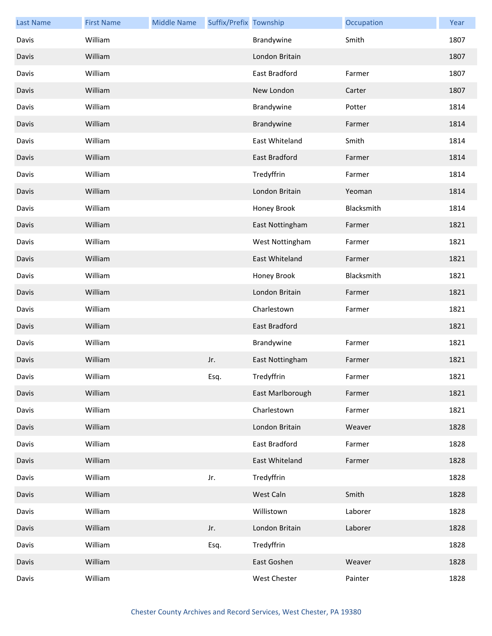| <b>Last Name</b> | <b>First Name</b> | <b>Middle Name</b> | Suffix/Prefix Township |                  | Occupation | Year |
|------------------|-------------------|--------------------|------------------------|------------------|------------|------|
| Davis            | William           |                    |                        | Brandywine       | Smith      | 1807 |
| Davis            | William           |                    |                        | London Britain   |            | 1807 |
| Davis            | William           |                    |                        | East Bradford    | Farmer     | 1807 |
| Davis            | William           |                    |                        | New London       | Carter     | 1807 |
| Davis            | William           |                    |                        | Brandywine       | Potter     | 1814 |
| Davis            | William           |                    |                        | Brandywine       | Farmer     | 1814 |
| Davis            | William           |                    |                        | East Whiteland   | Smith      | 1814 |
| Davis            | William           |                    |                        | East Bradford    | Farmer     | 1814 |
| Davis            | William           |                    |                        | Tredyffrin       | Farmer     | 1814 |
| Davis            | William           |                    |                        | London Britain   | Yeoman     | 1814 |
| Davis            | William           |                    |                        | Honey Brook      | Blacksmith | 1814 |
| Davis            | William           |                    |                        | East Nottingham  | Farmer     | 1821 |
| Davis            | William           |                    |                        | West Nottingham  | Farmer     | 1821 |
| Davis            | William           |                    |                        | East Whiteland   | Farmer     | 1821 |
| Davis            | William           |                    |                        | Honey Brook      | Blacksmith | 1821 |
| Davis            | William           |                    |                        | London Britain   | Farmer     | 1821 |
| Davis            | William           |                    |                        | Charlestown      | Farmer     | 1821 |
| Davis            | William           |                    |                        | East Bradford    |            | 1821 |
| Davis            | William           |                    |                        | Brandywine       | Farmer     | 1821 |
| Davis            | William           |                    | Jr.                    | East Nottingham  | Farmer     | 1821 |
| Davis            | William           |                    | Esq.                   | Tredyffrin       | Farmer     | 1821 |
| Davis            | William           |                    |                        | East Marlborough | Farmer     | 1821 |
| Davis            | William           |                    |                        | Charlestown      | Farmer     | 1821 |
| Davis            | William           |                    |                        | London Britain   | Weaver     | 1828 |
| Davis            | William           |                    |                        | East Bradford    | Farmer     | 1828 |
| Davis            | William           |                    |                        | East Whiteland   | Farmer     | 1828 |
| Davis            | William           |                    | Jr.                    | Tredyffrin       |            | 1828 |
| Davis            | William           |                    |                        | West Caln        | Smith      | 1828 |
| Davis            | William           |                    |                        | Willistown       | Laborer    | 1828 |
| Davis            | William           |                    | Jr.                    | London Britain   | Laborer    | 1828 |
| Davis            | William           |                    | Esq.                   | Tredyffrin       |            | 1828 |
| Davis            | William           |                    |                        | East Goshen      | Weaver     | 1828 |
| Davis            | William           |                    |                        | West Chester     | Painter    | 1828 |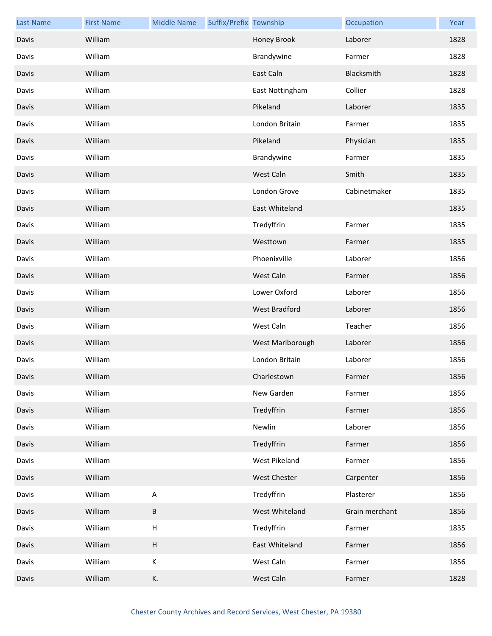| <b>Last Name</b> | <b>First Name</b> | <b>Middle Name</b>        | Suffix/Prefix Township |                  | Occupation     | Year |
|------------------|-------------------|---------------------------|------------------------|------------------|----------------|------|
| Davis            | William           |                           |                        | Honey Brook      | Laborer        | 1828 |
| Davis            | William           |                           |                        | Brandywine       | Farmer         | 1828 |
| Davis            | William           |                           |                        | East Caln        | Blacksmith     | 1828 |
| Davis            | William           |                           |                        | East Nottingham  | Collier        | 1828 |
| Davis            | William           |                           |                        | Pikeland         | Laborer        | 1835 |
| Davis            | William           |                           |                        | London Britain   | Farmer         | 1835 |
| Davis            | William           |                           |                        | Pikeland         | Physician      | 1835 |
| Davis            | William           |                           |                        | Brandywine       | Farmer         | 1835 |
| Davis            | William           |                           |                        | West Caln        | Smith          | 1835 |
| Davis            | William           |                           |                        | London Grove     | Cabinetmaker   | 1835 |
| Davis            | William           |                           |                        | East Whiteland   |                | 1835 |
| Davis            | William           |                           |                        | Tredyffrin       | Farmer         | 1835 |
| Davis            | William           |                           |                        | Westtown         | Farmer         | 1835 |
| Davis            | William           |                           |                        | Phoenixville     | Laborer        | 1856 |
| Davis            | William           |                           |                        | West Caln        | Farmer         | 1856 |
| Davis            | William           |                           |                        | Lower Oxford     | Laborer        | 1856 |
| Davis            | William           |                           |                        | West Bradford    | Laborer        | 1856 |
| Davis            | William           |                           |                        | West Caln        | Teacher        | 1856 |
| Davis            | William           |                           |                        | West Marlborough | Laborer        | 1856 |
| Davis            | William           |                           |                        | London Britain   | Laborer        | 1856 |
| Davis            | William           |                           |                        | Charlestown      | Farmer         | 1856 |
| Davis            | William           |                           |                        | New Garden       | Farmer         | 1856 |
| Davis            | William           |                           |                        | Tredyffrin       | Farmer         | 1856 |
| Davis            | William           |                           |                        | Newlin           | Laborer        | 1856 |
| Davis            | William           |                           |                        | Tredyffrin       | Farmer         | 1856 |
| Davis            | William           |                           |                        | West Pikeland    | Farmer         | 1856 |
| Davis            | William           |                           |                        | West Chester     | Carpenter      | 1856 |
| Davis            | William           | $\sf A$                   |                        | Tredyffrin       | Plasterer      | 1856 |
| Davis            | William           | B                         |                        | West Whiteland   | Grain merchant | 1856 |
| Davis            | William           | $\sf H$                   |                        | Tredyffrin       | Farmer         | 1835 |
| Davis            | William           | $\boldsymbol{\mathsf{H}}$ |                        | East Whiteland   | Farmer         | 1856 |
| Davis            | William           | К                         |                        | West Caln        | Farmer         | 1856 |
| Davis            | William           | К.                        |                        | West Caln        | Farmer         | 1828 |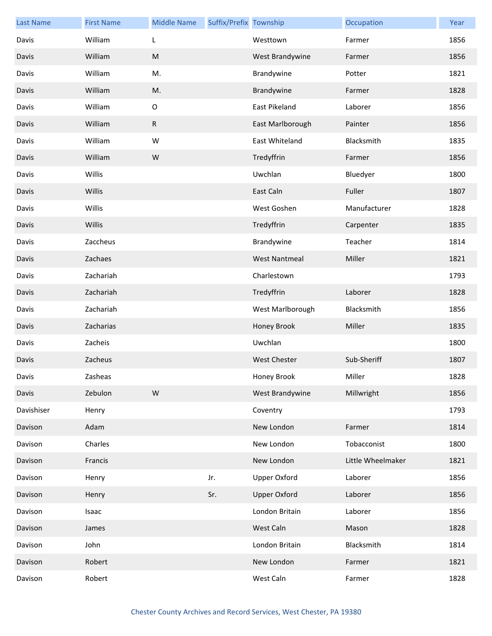| <b>Last Name</b> | <b>First Name</b> | <b>Middle Name</b> | Suffix/Prefix Township |                      | Occupation        | Year |
|------------------|-------------------|--------------------|------------------------|----------------------|-------------------|------|
| Davis            | William           | L                  |                        | Westtown             | Farmer            | 1856 |
| Davis            | William           | ${\sf M}$          |                        | West Brandywine      | Farmer            | 1856 |
| Davis            | William           | M.                 |                        | Brandywine           | Potter            | 1821 |
| Davis            | William           | M.                 |                        | Brandywine           | Farmer            | 1828 |
| Davis            | William           | $\mathsf O$        |                        | East Pikeland        | Laborer           | 1856 |
| Davis            | William           | $\mathsf{R}$       |                        | East Marlborough     | Painter           | 1856 |
| Davis            | William           | W                  |                        | East Whiteland       | Blacksmith        | 1835 |
| Davis            | William           | W                  |                        | Tredyffrin           | Farmer            | 1856 |
| Davis            | Willis            |                    |                        | Uwchlan              | Bluedyer          | 1800 |
| Davis            | Willis            |                    |                        | East Caln            | Fuller            | 1807 |
| Davis            | Willis            |                    |                        | West Goshen          | Manufacturer      | 1828 |
| Davis            | Willis            |                    |                        | Tredyffrin           | Carpenter         | 1835 |
| Davis            | Zaccheus          |                    |                        | Brandywine           | Teacher           | 1814 |
| Davis            | Zachaes           |                    |                        | <b>West Nantmeal</b> | Miller            | 1821 |
| Davis            | Zachariah         |                    |                        | Charlestown          |                   | 1793 |
| Davis            | Zachariah         |                    |                        | Tredyffrin           | Laborer           | 1828 |
| Davis            | Zachariah         |                    |                        | West Marlborough     | Blacksmith        | 1856 |
| Davis            | Zacharias         |                    |                        | Honey Brook          | Miller            | 1835 |
| Davis            | Zacheis           |                    |                        | Uwchlan              |                   | 1800 |
| Davis            | Zacheus           |                    |                        | <b>West Chester</b>  | Sub-Sheriff       | 1807 |
| Davis            | Zasheas           |                    |                        | Honey Brook          | Miller            | 1828 |
| Davis            | Zebulon           | W                  |                        | West Brandywine      | Millwright        | 1856 |
| Davishiser       | Henry             |                    |                        | Coventry             |                   | 1793 |
| Davison          | Adam              |                    |                        | New London           | Farmer            | 1814 |
| Davison          | Charles           |                    |                        | New London           | Tobacconist       | 1800 |
| Davison          | Francis           |                    |                        | New London           | Little Wheelmaker | 1821 |
| Davison          | Henry             |                    | Jr.                    | <b>Upper Oxford</b>  | Laborer           | 1856 |
| Davison          | Henry             |                    | Sr.                    | <b>Upper Oxford</b>  | Laborer           | 1856 |
| Davison          | Isaac             |                    |                        | London Britain       | Laborer           | 1856 |
| Davison          | James             |                    |                        | West Caln            | Mason             | 1828 |
| Davison          | John              |                    |                        | London Britain       | Blacksmith        | 1814 |
| Davison          | Robert            |                    |                        | New London           | Farmer            | 1821 |
| Davison          | Robert            |                    |                        | West Caln            | Farmer            | 1828 |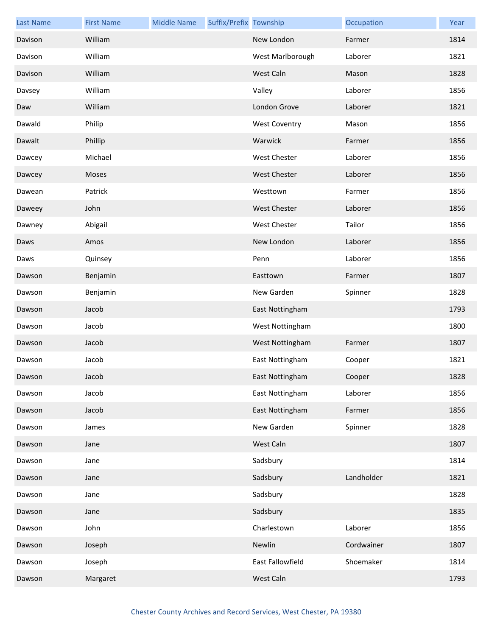| <b>Last Name</b> | <b>First Name</b> | <b>Middle Name</b> | Suffix/Prefix Township |                      | Occupation | Year |
|------------------|-------------------|--------------------|------------------------|----------------------|------------|------|
| Davison          | William           |                    |                        | New London           | Farmer     | 1814 |
| Davison          | William           |                    |                        | West Marlborough     | Laborer    | 1821 |
| Davison          | William           |                    |                        | West Caln            | Mason      | 1828 |
| Davsey           | William           |                    |                        | Valley               | Laborer    | 1856 |
| Daw              | William           |                    |                        | London Grove         | Laborer    | 1821 |
| Dawald           | Philip            |                    |                        | <b>West Coventry</b> | Mason      | 1856 |
| Dawalt           | Phillip           |                    |                        | Warwick              | Farmer     | 1856 |
| Dawcey           | Michael           |                    |                        | West Chester         | Laborer    | 1856 |
| Dawcey           | Moses             |                    |                        | <b>West Chester</b>  | Laborer    | 1856 |
| Dawean           | Patrick           |                    |                        | Westtown             | Farmer     | 1856 |
| Daweey           | John              |                    |                        | <b>West Chester</b>  | Laborer    | 1856 |
| Dawney           | Abigail           |                    |                        | <b>West Chester</b>  | Tailor     | 1856 |
| Daws             | Amos              |                    |                        | New London           | Laborer    | 1856 |
| Daws             | Quinsey           |                    |                        | Penn                 | Laborer    | 1856 |
| Dawson           | Benjamin          |                    |                        | Easttown             | Farmer     | 1807 |
| Dawson           | Benjamin          |                    |                        | New Garden           | Spinner    | 1828 |
| Dawson           | Jacob             |                    |                        | East Nottingham      |            | 1793 |
| Dawson           | Jacob             |                    |                        | West Nottingham      |            | 1800 |
| Dawson           | Jacob             |                    |                        | West Nottingham      | Farmer     | 1807 |
| Dawson           | Jacob             |                    |                        | East Nottingham      | Cooper     | 1821 |
| Dawson           | Jacob             |                    |                        | East Nottingham      | Cooper     | 1828 |
| Dawson           | Jacob             |                    |                        | East Nottingham      | Laborer    | 1856 |
| Dawson           | Jacob             |                    |                        | East Nottingham      | Farmer     | 1856 |
| Dawson           | James             |                    |                        | New Garden           | Spinner    | 1828 |
| Dawson           | Jane              |                    |                        | West Caln            |            | 1807 |
| Dawson           | Jane              |                    |                        | Sadsbury             |            | 1814 |
| Dawson           | Jane              |                    |                        | Sadsbury             | Landholder | 1821 |
| Dawson           | Jane              |                    |                        | Sadsbury             |            | 1828 |
| Dawson           | Jane              |                    |                        | Sadsbury             |            | 1835 |
| Dawson           | John              |                    |                        | Charlestown          | Laborer    | 1856 |
| Dawson           | Joseph            |                    |                        | Newlin               | Cordwainer | 1807 |
| Dawson           | Joseph            |                    |                        | East Fallowfield     | Shoemaker  | 1814 |
| Dawson           | Margaret          |                    |                        | West Caln            |            | 1793 |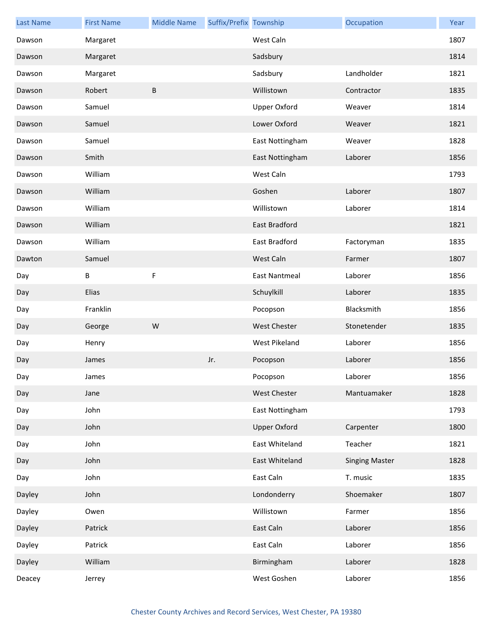| <b>Last Name</b> | <b>First Name</b> | <b>Middle Name</b> | Suffix/Prefix Township |                      | Occupation            | Year |
|------------------|-------------------|--------------------|------------------------|----------------------|-----------------------|------|
| Dawson           | Margaret          |                    |                        | West Caln            |                       | 1807 |
| Dawson           | Margaret          |                    |                        | Sadsbury             |                       | 1814 |
| Dawson           | Margaret          |                    |                        | Sadsbury             | Landholder            | 1821 |
| Dawson           | Robert            | $\sf B$            |                        | Willistown           | Contractor            | 1835 |
| Dawson           | Samuel            |                    |                        | <b>Upper Oxford</b>  | Weaver                | 1814 |
| Dawson           | Samuel            |                    |                        | Lower Oxford         | Weaver                | 1821 |
| Dawson           | Samuel            |                    |                        | East Nottingham      | Weaver                | 1828 |
| Dawson           | Smith             |                    |                        | East Nottingham      | Laborer               | 1856 |
| Dawson           | William           |                    |                        | West Caln            |                       | 1793 |
| Dawson           | William           |                    |                        | Goshen               | Laborer               | 1807 |
| Dawson           | William           |                    |                        | Willistown           | Laborer               | 1814 |
| Dawson           | William           |                    |                        | <b>East Bradford</b> |                       | 1821 |
| Dawson           | William           |                    |                        | East Bradford        | Factoryman            | 1835 |
| Dawton           | Samuel            |                    |                        | West Caln            | Farmer                | 1807 |
| Day              | В                 | F                  |                        | <b>East Nantmeal</b> | Laborer               | 1856 |
| Day              | Elias             |                    |                        | Schuylkill           | Laborer               | 1835 |
| Day              | Franklin          |                    |                        | Pocopson             | Blacksmith            | 1856 |
| Day              | George            | ${\sf W}$          |                        | <b>West Chester</b>  | Stonetender           | 1835 |
| Day              | Henry             |                    |                        | West Pikeland        | Laborer               | 1856 |
| Day              | James             |                    | Jr.                    | Pocopson             | Laborer               | 1856 |
| Day              | James             |                    |                        | Pocopson             | Laborer               | 1856 |
| Day              | Jane              |                    |                        | <b>West Chester</b>  | Mantuamaker           | 1828 |
| Day              | John              |                    |                        | East Nottingham      |                       | 1793 |
| Day              | John              |                    |                        | <b>Upper Oxford</b>  | Carpenter             | 1800 |
| Day              | John              |                    |                        | East Whiteland       | Teacher               | 1821 |
| Day              | John              |                    |                        | East Whiteland       | <b>Singing Master</b> | 1828 |
| Day              | John              |                    |                        | East Caln            | T. music              | 1835 |
| Dayley           | John              |                    |                        | Londonderry          | Shoemaker             | 1807 |
| Dayley           | Owen              |                    |                        | Willistown           | Farmer                | 1856 |
| Dayley           | Patrick           |                    |                        | East Caln            | Laborer               | 1856 |
| Dayley           | Patrick           |                    |                        | East Caln            | Laborer               | 1856 |
| Dayley           | William           |                    |                        | Birmingham           | Laborer               | 1828 |
| Deacey           | Jerrey            |                    |                        | West Goshen          | Laborer               | 1856 |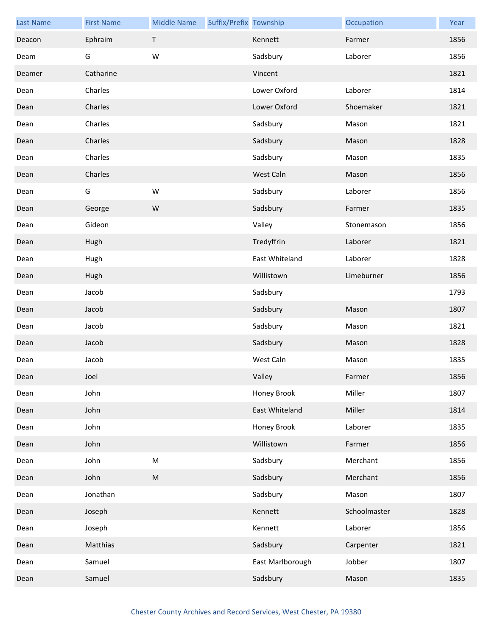| <b>Last Name</b> | <b>First Name</b> | <b>Middle Name</b> | Suffix/Prefix Township |                  | Occupation   | Year |
|------------------|-------------------|--------------------|------------------------|------------------|--------------|------|
| Deacon           | Ephraim           | $\mathsf T$        |                        | Kennett          | Farmer       | 1856 |
| Deam             | G                 | W                  |                        | Sadsbury         | Laborer      | 1856 |
| Deamer           | Catharine         |                    |                        | Vincent          |              | 1821 |
| Dean             | Charles           |                    |                        | Lower Oxford     | Laborer      | 1814 |
| Dean             | Charles           |                    |                        | Lower Oxford     | Shoemaker    | 1821 |
| Dean             | Charles           |                    |                        | Sadsbury         | Mason        | 1821 |
| Dean             | Charles           |                    |                        | Sadsbury         | Mason        | 1828 |
| Dean             | Charles           |                    |                        | Sadsbury         | Mason        | 1835 |
| Dean             | Charles           |                    |                        | West Caln        | Mason        | 1856 |
| Dean             | G                 | ${\sf W}$          |                        | Sadsbury         | Laborer      | 1856 |
| Dean             | George            | W                  |                        | Sadsbury         | Farmer       | 1835 |
| Dean             | Gideon            |                    |                        | Valley           | Stonemason   | 1856 |
| Dean             | Hugh              |                    |                        | Tredyffrin       | Laborer      | 1821 |
| Dean             | Hugh              |                    |                        | East Whiteland   | Laborer      | 1828 |
| Dean             | Hugh              |                    |                        | Willistown       | Limeburner   | 1856 |
| Dean             | Jacob             |                    |                        | Sadsbury         |              | 1793 |
| Dean             | Jacob             |                    |                        | Sadsbury         | Mason        | 1807 |
| Dean             | Jacob             |                    |                        | Sadsbury         | Mason        | 1821 |
| Dean             | Jacob             |                    |                        | Sadsbury         | Mason        | 1828 |
| Dean             | Jacob             |                    |                        | West Caln        | Mason        | 1835 |
| Dean             | Joel              |                    |                        | Valley           | Farmer       | 1856 |
| Dean             | John              |                    |                        | Honey Brook      | Miller       | 1807 |
| Dean             | John              |                    |                        | East Whiteland   | Miller       | 1814 |
| Dean             | John              |                    |                        | Honey Brook      | Laborer      | 1835 |
| Dean             | John              |                    |                        | Willistown       | Farmer       | 1856 |
| Dean             | John              | ${\sf M}$          |                        | Sadsbury         | Merchant     | 1856 |
| Dean             | John              | ${\sf M}$          |                        | Sadsbury         | Merchant     | 1856 |
| Dean             | Jonathan          |                    |                        | Sadsbury         | Mason        | 1807 |
| Dean             | Joseph            |                    |                        | Kennett          | Schoolmaster | 1828 |
| Dean             | Joseph            |                    |                        | Kennett          | Laborer      | 1856 |
| Dean             | Matthias          |                    |                        | Sadsbury         | Carpenter    | 1821 |
| Dean             | Samuel            |                    |                        | East Marlborough | Jobber       | 1807 |
| Dean             | Samuel            |                    |                        | Sadsbury         | Mason        | 1835 |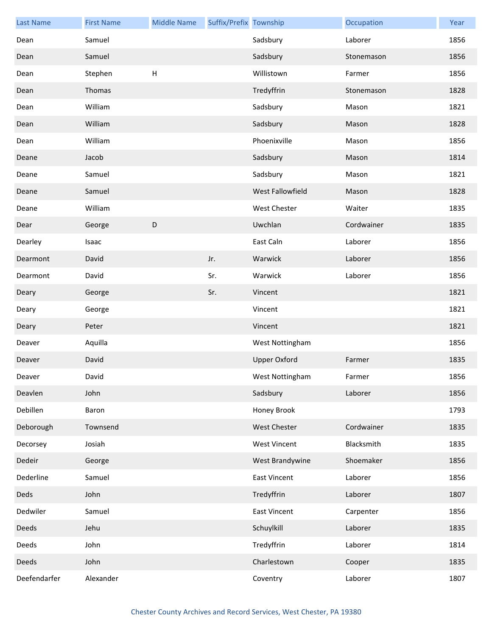| <b>Last Name</b> | <b>First Name</b> | <b>Middle Name</b>        | Suffix/Prefix Township |                     | Occupation | Year |
|------------------|-------------------|---------------------------|------------------------|---------------------|------------|------|
| Dean             | Samuel            |                           |                        | Sadsbury            | Laborer    | 1856 |
| Dean             | Samuel            |                           |                        | Sadsbury            | Stonemason | 1856 |
| Dean             | Stephen           | $\boldsymbol{\mathsf{H}}$ |                        | Willistown          | Farmer     | 1856 |
| Dean             | Thomas            |                           |                        | Tredyffrin          | Stonemason | 1828 |
| Dean             | William           |                           |                        | Sadsbury            | Mason      | 1821 |
| Dean             | William           |                           |                        | Sadsbury            | Mason      | 1828 |
| Dean             | William           |                           |                        | Phoenixville        | Mason      | 1856 |
| Deane            | Jacob             |                           |                        | Sadsbury            | Mason      | 1814 |
| Deane            | Samuel            |                           |                        | Sadsbury            | Mason      | 1821 |
| Deane            | Samuel            |                           |                        | West Fallowfield    | Mason      | 1828 |
| Deane            | William           |                           |                        | West Chester        | Waiter     | 1835 |
| Dear             | George            | $\mathsf D$               |                        | Uwchlan             | Cordwainer | 1835 |
| Dearley          | Isaac             |                           |                        | East Caln           | Laborer    | 1856 |
| Dearmont         | David             |                           | Jr.                    | Warwick             | Laborer    | 1856 |
| Dearmont         | David             |                           | Sr.                    | Warwick             | Laborer    | 1856 |
| Deary            | George            |                           | Sr.                    | Vincent             |            | 1821 |
| Deary            | George            |                           |                        | Vincent             |            | 1821 |
| Deary            | Peter             |                           |                        | Vincent             |            | 1821 |
| Deaver           | Aquilla           |                           |                        | West Nottingham     |            | 1856 |
| Deaver           | David             |                           |                        | <b>Upper Oxford</b> | Farmer     | 1835 |
| Deaver           | David             |                           |                        | West Nottingham     | Farmer     | 1856 |
| Deavlen          | John              |                           |                        | Sadsbury            | Laborer    | 1856 |
| Debillen         | Baron             |                           |                        | Honey Brook         |            | 1793 |
| Deborough        | Townsend          |                           |                        | West Chester        | Cordwainer | 1835 |
| Decorsey         | Josiah            |                           |                        | <b>West Vincent</b> | Blacksmith | 1835 |
| Dedeir           | George            |                           |                        | West Brandywine     | Shoemaker  | 1856 |
| Dederline        | Samuel            |                           |                        | <b>East Vincent</b> | Laborer    | 1856 |
| Deds             | John              |                           |                        | Tredyffrin          | Laborer    | 1807 |
| Dedwiler         | Samuel            |                           |                        | <b>East Vincent</b> | Carpenter  | 1856 |
| Deeds            | Jehu              |                           |                        | Schuylkill          | Laborer    | 1835 |
| Deeds            | John              |                           |                        | Tredyffrin          | Laborer    | 1814 |
| Deeds            | John              |                           |                        | Charlestown         | Cooper     | 1835 |
| Deefendarfer     | Alexander         |                           |                        | Coventry            | Laborer    | 1807 |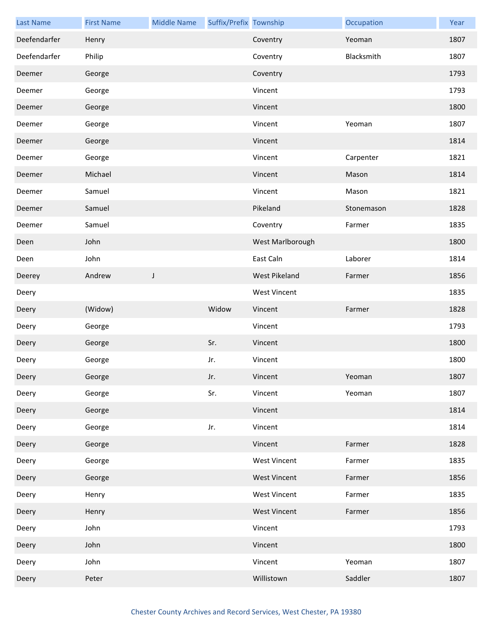| <b>Last Name</b> | <b>First Name</b> | <b>Middle Name</b> | Suffix/Prefix Township |                     | Occupation | Year |
|------------------|-------------------|--------------------|------------------------|---------------------|------------|------|
| Deefendarfer     | Henry             |                    |                        | Coventry            | Yeoman     | 1807 |
| Deefendarfer     | Philip            |                    |                        | Coventry            | Blacksmith | 1807 |
| Deemer           | George            |                    |                        | Coventry            |            | 1793 |
| Deemer           | George            |                    |                        | Vincent             |            | 1793 |
| Deemer           | George            |                    |                        | Vincent             |            | 1800 |
| Deemer           | George            |                    |                        | Vincent             | Yeoman     | 1807 |
| Deemer           | George            |                    |                        | Vincent             |            | 1814 |
| Deemer           | George            |                    |                        | Vincent             | Carpenter  | 1821 |
| Deemer           | Michael           |                    |                        | Vincent             | Mason      | 1814 |
| Deemer           | Samuel            |                    |                        | Vincent             | Mason      | 1821 |
| Deemer           | Samuel            |                    |                        | Pikeland            | Stonemason | 1828 |
| Deemer           | Samuel            |                    |                        | Coventry            | Farmer     | 1835 |
| Deen             | John              |                    |                        | West Marlborough    |            | 1800 |
| Deen             | John              |                    |                        | East Caln           | Laborer    | 1814 |
| Deerey           | Andrew            | $\mathsf J$        |                        | West Pikeland       | Farmer     | 1856 |
| Deery            |                   |                    |                        | <b>West Vincent</b> |            | 1835 |
| Deery            | (Widow)           |                    | Widow                  | Vincent             | Farmer     | 1828 |
| Deery            | George            |                    |                        | Vincent             |            | 1793 |
| Deery            | George            |                    | Sr.                    | Vincent             |            | 1800 |
| Deery            | George            |                    | Jr.                    | Vincent             |            | 1800 |
| Deery            | George            |                    | Jr.                    | Vincent             | Yeoman     | 1807 |
| Deery            | George            |                    | Sr.                    | Vincent             | Yeoman     | 1807 |
| Deery            | George            |                    |                        | Vincent             |            | 1814 |
| Deery            | George            |                    | Jr.                    | Vincent             |            | 1814 |
| Deery            | George            |                    |                        | Vincent             | Farmer     | 1828 |
| Deery            | George            |                    |                        | <b>West Vincent</b> | Farmer     | 1835 |
| Deery            | George            |                    |                        | <b>West Vincent</b> | Farmer     | 1856 |
| Deery            | Henry             |                    |                        | <b>West Vincent</b> | Farmer     | 1835 |
| Deery            | Henry             |                    |                        | <b>West Vincent</b> | Farmer     | 1856 |
| Deery            | John              |                    |                        | Vincent             |            | 1793 |
| Deery            | John              |                    |                        | Vincent             |            | 1800 |
| Deery            | John              |                    |                        | Vincent             | Yeoman     | 1807 |
| Deery            | Peter             |                    |                        | Willistown          | Saddler    | 1807 |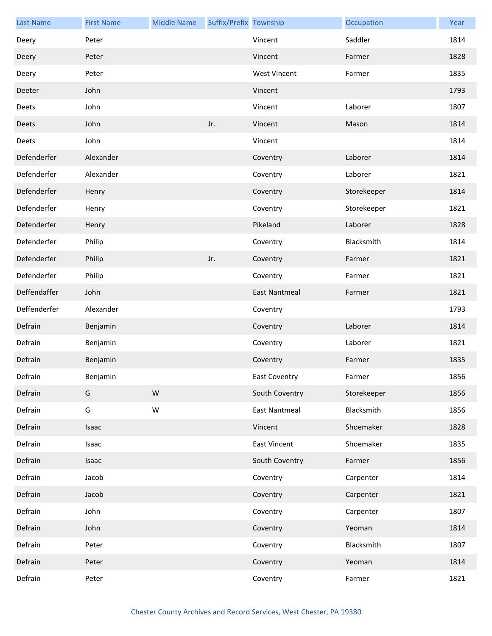| <b>Last Name</b> | <b>First Name</b> | <b>Middle Name</b> | Suffix/Prefix Township |                      | Occupation  | Year |
|------------------|-------------------|--------------------|------------------------|----------------------|-------------|------|
| Deery            | Peter             |                    |                        | Vincent              | Saddler     | 1814 |
| Deery            | Peter             |                    |                        | Vincent              | Farmer      | 1828 |
| Deery            | Peter             |                    |                        | <b>West Vincent</b>  | Farmer      | 1835 |
| Deeter           | John              |                    |                        | Vincent              |             | 1793 |
| Deets            | John              |                    |                        | Vincent              | Laborer     | 1807 |
| Deets            | John              |                    | Jr.                    | Vincent              | Mason       | 1814 |
| Deets            | John              |                    |                        | Vincent              |             | 1814 |
| Defenderfer      | Alexander         |                    |                        | Coventry             | Laborer     | 1814 |
| Defenderfer      | Alexander         |                    |                        | Coventry             | Laborer     | 1821 |
| Defenderfer      | Henry             |                    |                        | Coventry             | Storekeeper | 1814 |
| Defenderfer      | Henry             |                    |                        | Coventry             | Storekeeper | 1821 |
| Defenderfer      | Henry             |                    |                        | Pikeland             | Laborer     | 1828 |
| Defenderfer      | Philip            |                    |                        | Coventry             | Blacksmith  | 1814 |
| Defenderfer      | Philip            |                    | Jr.                    | Coventry             | Farmer      | 1821 |
| Defenderfer      | Philip            |                    |                        | Coventry             | Farmer      | 1821 |
| Deffendaffer     | John              |                    |                        | <b>East Nantmeal</b> | Farmer      | 1821 |
| Deffenderfer     | Alexander         |                    |                        | Coventry             |             | 1793 |
| Defrain          | Benjamin          |                    |                        | Coventry             | Laborer     | 1814 |
| Defrain          | Benjamin          |                    |                        | Coventry             | Laborer     | 1821 |
| Defrain          | Benjamin          |                    |                        | Coventry             | Farmer      | 1835 |
| Defrain          | Benjamin          |                    |                        | East Coventry        | Farmer      | 1856 |
| Defrain          | G                 | ${\sf W}$          |                        | South Coventry       | Storekeeper | 1856 |
| Defrain          | G                 | ${\sf W}$          |                        | <b>East Nantmeal</b> | Blacksmith  | 1856 |
| Defrain          | Isaac             |                    |                        | Vincent              | Shoemaker   | 1828 |
| Defrain          | Isaac             |                    |                        | <b>East Vincent</b>  | Shoemaker   | 1835 |
| Defrain          | Isaac             |                    |                        | South Coventry       | Farmer      | 1856 |
| Defrain          | Jacob             |                    |                        | Coventry             | Carpenter   | 1814 |
| Defrain          | Jacob             |                    |                        | Coventry             | Carpenter   | 1821 |
| Defrain          | John              |                    |                        | Coventry             | Carpenter   | 1807 |
| Defrain          | John              |                    |                        | Coventry             | Yeoman      | 1814 |
| Defrain          | Peter             |                    |                        | Coventry             | Blacksmith  | 1807 |
| Defrain          | Peter             |                    |                        | Coventry             | Yeoman      | 1814 |
| Defrain          | Peter             |                    |                        | Coventry             | Farmer      | 1821 |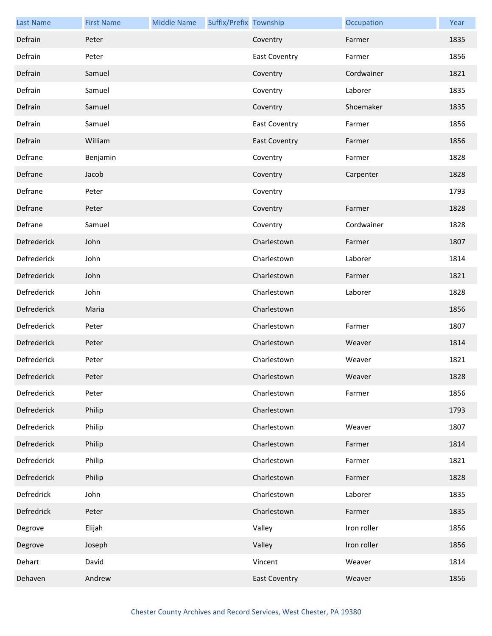| <b>Last Name</b>   | <b>First Name</b> | <b>Middle Name</b> | Suffix/Prefix Township |                      | Occupation  | Year |
|--------------------|-------------------|--------------------|------------------------|----------------------|-------------|------|
| Defrain            | Peter             |                    |                        | Coventry             | Farmer      | 1835 |
| Defrain            | Peter             |                    |                        | <b>East Coventry</b> | Farmer      | 1856 |
| Defrain            | Samuel            |                    |                        | Coventry             | Cordwainer  | 1821 |
| Defrain            | Samuel            |                    |                        | Coventry             | Laborer     | 1835 |
| Defrain            | Samuel            |                    |                        | Coventry             | Shoemaker   | 1835 |
| Defrain            | Samuel            |                    |                        | <b>East Coventry</b> | Farmer      | 1856 |
| Defrain            | William           |                    |                        | <b>East Coventry</b> | Farmer      | 1856 |
| Defrane            | Benjamin          |                    |                        | Coventry             | Farmer      | 1828 |
| Defrane            | Jacob             |                    |                        | Coventry             | Carpenter   | 1828 |
| Defrane            | Peter             |                    |                        | Coventry             |             | 1793 |
| Defrane            | Peter             |                    |                        | Coventry             | Farmer      | 1828 |
| Defrane            | Samuel            |                    |                        | Coventry             | Cordwainer  | 1828 |
| Defrederick        | John              |                    |                        | Charlestown          | Farmer      | 1807 |
| Defrederick        | John              |                    |                        | Charlestown          | Laborer     | 1814 |
| Defrederick        | John              |                    |                        | Charlestown          | Farmer      | 1821 |
| Defrederick        | John              |                    |                        | Charlestown          | Laborer     | 1828 |
| Defrederick        | Maria             |                    |                        | Charlestown          |             | 1856 |
| Defrederick        | Peter             |                    |                        | Charlestown          | Farmer      | 1807 |
| Defrederick        | Peter             |                    |                        | Charlestown          | Weaver      | 1814 |
| Defrederick        | Peter             |                    |                        | Charlestown          | Weaver      | 1821 |
| <b>Defrederick</b> | Peter             |                    |                        | Charlestown          | Weaver      | 1828 |
| Defrederick        | Peter             |                    |                        | Charlestown          | Farmer      | 1856 |
| Defrederick        | Philip            |                    |                        | Charlestown          |             | 1793 |
| Defrederick        | Philip            |                    |                        | Charlestown          | Weaver      | 1807 |
| Defrederick        | Philip            |                    |                        | Charlestown          | Farmer      | 1814 |
| Defrederick        | Philip            |                    |                        | Charlestown          | Farmer      | 1821 |
| Defrederick        | Philip            |                    |                        | Charlestown          | Farmer      | 1828 |
| Defredrick         | John              |                    |                        | Charlestown          | Laborer     | 1835 |
| Defredrick         | Peter             |                    |                        | Charlestown          | Farmer      | 1835 |
| Degrove            | Elijah            |                    |                        | Valley               | Iron roller | 1856 |
| Degrove            | Joseph            |                    |                        | Valley               | Iron roller | 1856 |
| Dehart             | David             |                    |                        | Vincent              | Weaver      | 1814 |
| Dehaven            | Andrew            |                    |                        | <b>East Coventry</b> | Weaver      | 1856 |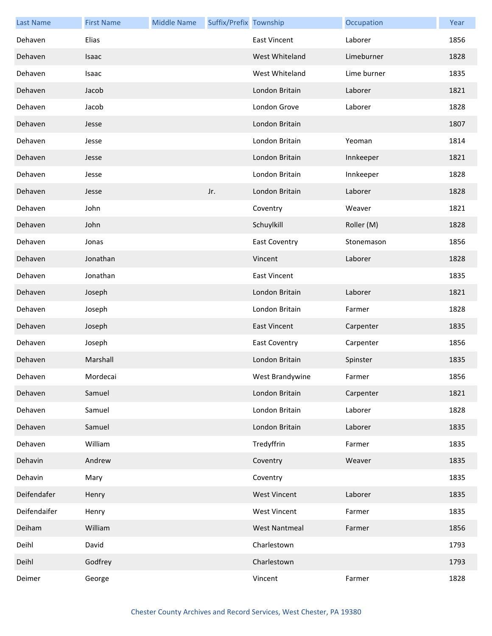| <b>Last Name</b> | <b>First Name</b> | <b>Middle Name</b> | Suffix/Prefix Township |                      | Occupation  | Year |
|------------------|-------------------|--------------------|------------------------|----------------------|-------------|------|
| Dehaven          | Elias             |                    |                        | <b>East Vincent</b>  | Laborer     | 1856 |
| Dehaven          | Isaac             |                    |                        | West Whiteland       | Limeburner  | 1828 |
| Dehaven          | Isaac             |                    |                        | West Whiteland       | Lime burner | 1835 |
| Dehaven          | Jacob             |                    |                        | London Britain       | Laborer     | 1821 |
| Dehaven          | Jacob             |                    |                        | London Grove         | Laborer     | 1828 |
| Dehaven          | Jesse             |                    |                        | London Britain       |             | 1807 |
| Dehaven          | Jesse             |                    |                        | London Britain       | Yeoman      | 1814 |
| Dehaven          | Jesse             |                    |                        | London Britain       | Innkeeper   | 1821 |
| Dehaven          | Jesse             |                    |                        | London Britain       | Innkeeper   | 1828 |
| Dehaven          | Jesse             |                    | Jr.                    | London Britain       | Laborer     | 1828 |
| Dehaven          | John              |                    |                        | Coventry             | Weaver      | 1821 |
| Dehaven          | John              |                    |                        | Schuylkill           | Roller (M)  | 1828 |
| Dehaven          | Jonas             |                    |                        | <b>East Coventry</b> | Stonemason  | 1856 |
| Dehaven          | Jonathan          |                    |                        | Vincent              | Laborer     | 1828 |
| Dehaven          | Jonathan          |                    |                        | <b>East Vincent</b>  |             | 1835 |
| Dehaven          | Joseph            |                    |                        | London Britain       | Laborer     | 1821 |
| Dehaven          | Joseph            |                    |                        | London Britain       | Farmer      | 1828 |
| Dehaven          | Joseph            |                    |                        | <b>East Vincent</b>  | Carpenter   | 1835 |
| Dehaven          | Joseph            |                    |                        | <b>East Coventry</b> | Carpenter   | 1856 |
| Dehaven          | Marshall          |                    |                        | London Britain       | Spinster    | 1835 |
| Dehaven          | Mordecai          |                    |                        | West Brandywine      | Farmer      | 1856 |
| Dehaven          | Samuel            |                    |                        | London Britain       | Carpenter   | 1821 |
| Dehaven          | Samuel            |                    |                        | London Britain       | Laborer     | 1828 |
| Dehaven          | Samuel            |                    |                        | London Britain       | Laborer     | 1835 |
| Dehaven          | William           |                    |                        | Tredyffrin           | Farmer      | 1835 |
| Dehavin          | Andrew            |                    |                        | Coventry             | Weaver      | 1835 |
| Dehavin          | Mary              |                    |                        | Coventry             |             | 1835 |
| Deifendafer      | Henry             |                    |                        | <b>West Vincent</b>  | Laborer     | 1835 |
| Deifendaifer     | Henry             |                    |                        | <b>West Vincent</b>  | Farmer      | 1835 |
| Deiham           | William           |                    |                        | <b>West Nantmeal</b> | Farmer      | 1856 |
| Deihl            | David             |                    |                        | Charlestown          |             | 1793 |
| Deihl            | Godfrey           |                    |                        | Charlestown          |             | 1793 |
| Deimer           | George            |                    |                        | Vincent              | Farmer      | 1828 |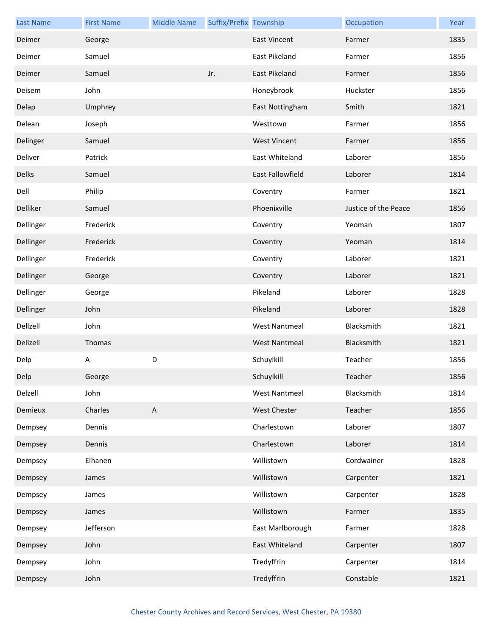| <b>Last Name</b> | <b>First Name</b> | <b>Middle Name</b>        | Suffix/Prefix Township |                      | Occupation           | Year |
|------------------|-------------------|---------------------------|------------------------|----------------------|----------------------|------|
| Deimer           | George            |                           |                        | <b>East Vincent</b>  | Farmer               | 1835 |
| Deimer           | Samuel            |                           |                        | East Pikeland        | Farmer               | 1856 |
| Deimer           | Samuel            |                           | Jr.                    | <b>East Pikeland</b> | Farmer               | 1856 |
| Deisem           | John              |                           |                        | Honeybrook           | Huckster             | 1856 |
| Delap            | Umphrey           |                           |                        | East Nottingham      | Smith                | 1821 |
| Delean           | Joseph            |                           |                        | Westtown             | Farmer               | 1856 |
| Delinger         | Samuel            |                           |                        | <b>West Vincent</b>  | Farmer               | 1856 |
| Deliver          | Patrick           |                           |                        | East Whiteland       | Laborer              | 1856 |
| Delks            | Samuel            |                           |                        | East Fallowfield     | Laborer              | 1814 |
| Dell             | Philip            |                           |                        | Coventry             | Farmer               | 1821 |
| Delliker         | Samuel            |                           |                        | Phoenixville         | Justice of the Peace | 1856 |
| Dellinger        | Frederick         |                           |                        | Coventry             | Yeoman               | 1807 |
| Dellinger        | Frederick         |                           |                        | Coventry             | Yeoman               | 1814 |
| Dellinger        | Frederick         |                           |                        | Coventry             | Laborer              | 1821 |
| Dellinger        | George            |                           |                        | Coventry             | Laborer              | 1821 |
| Dellinger        | George            |                           |                        | Pikeland             | Laborer              | 1828 |
| Dellinger        | John              |                           |                        | Pikeland             | Laborer              | 1828 |
| Dellzell         | John              |                           |                        | <b>West Nantmeal</b> | Blacksmith           | 1821 |
| Dellzell         | Thomas            |                           |                        | <b>West Nantmeal</b> | Blacksmith           | 1821 |
| Delp             | Α                 | D                         |                        | Schuylkill           | Teacher              | 1856 |
| Delp             | George            |                           |                        | Schuylkill           | Teacher              | 1856 |
| Delzell          | John              |                           |                        | <b>West Nantmeal</b> | Blacksmith           | 1814 |
| Demieux          | Charles           | $\boldsymbol{\mathsf{A}}$ |                        | <b>West Chester</b>  | Teacher              | 1856 |
| Dempsey          | Dennis            |                           |                        | Charlestown          | Laborer              | 1807 |
| Dempsey          | Dennis            |                           |                        | Charlestown          | Laborer              | 1814 |
| Dempsey          | Elhanen           |                           |                        | Willistown           | Cordwainer           | 1828 |
| Dempsey          | James             |                           |                        | Willistown           | Carpenter            | 1821 |
| Dempsey          | James             |                           |                        | Willistown           | Carpenter            | 1828 |
| Dempsey          | James             |                           |                        | Willistown           | Farmer               | 1835 |
| Dempsey          | Jefferson         |                           |                        | East Marlborough     | Farmer               | 1828 |
| Dempsey          | John              |                           |                        | East Whiteland       | Carpenter            | 1807 |
| Dempsey          | John              |                           |                        | Tredyffrin           | Carpenter            | 1814 |
| Dempsey          | John              |                           |                        | Tredyffrin           | Constable            | 1821 |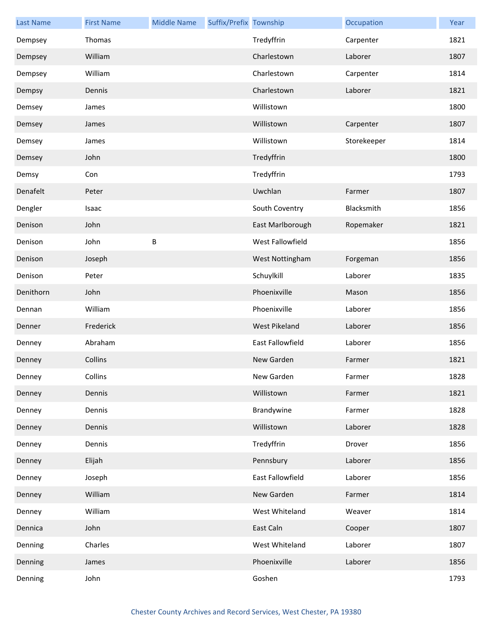| <b>Last Name</b> | <b>First Name</b> | <b>Middle Name</b> | Suffix/Prefix Township |                  | Occupation  | Year |
|------------------|-------------------|--------------------|------------------------|------------------|-------------|------|
| Dempsey          | Thomas            |                    |                        | Tredyffrin       | Carpenter   | 1821 |
| Dempsey          | William           |                    |                        | Charlestown      | Laborer     | 1807 |
| Dempsey          | William           |                    |                        | Charlestown      | Carpenter   | 1814 |
| Dempsy           | Dennis            |                    |                        | Charlestown      | Laborer     | 1821 |
| Demsey           | James             |                    |                        | Willistown       |             | 1800 |
| Demsey           | James             |                    |                        | Willistown       | Carpenter   | 1807 |
| Demsey           | James             |                    |                        | Willistown       | Storekeeper | 1814 |
| Demsey           | John              |                    |                        | Tredyffrin       |             | 1800 |
| Demsy            | Con               |                    |                        | Tredyffrin       |             | 1793 |
| Denafelt         | Peter             |                    |                        | Uwchlan          | Farmer      | 1807 |
| Dengler          | Isaac             |                    |                        | South Coventry   | Blacksmith  | 1856 |
| Denison          | John              |                    |                        | East Marlborough | Ropemaker   | 1821 |
| Denison          | John              | B                  |                        | West Fallowfield |             | 1856 |
| Denison          | Joseph            |                    |                        | West Nottingham  | Forgeman    | 1856 |
| Denison          | Peter             |                    |                        | Schuylkill       | Laborer     | 1835 |
| Denithorn        | John              |                    |                        | Phoenixville     | Mason       | 1856 |
| Dennan           | William           |                    |                        | Phoenixville     | Laborer     | 1856 |
| Denner           | Frederick         |                    |                        | West Pikeland    | Laborer     | 1856 |
| Denney           | Abraham           |                    |                        | East Fallowfield | Laborer     | 1856 |
| Denney           | Collins           |                    |                        | New Garden       | Farmer      | 1821 |
| Denney           | Collins           |                    |                        | New Garden       | Farmer      | 1828 |
| Denney           | Dennis            |                    |                        | Willistown       | Farmer      | 1821 |
| Denney           | Dennis            |                    |                        | Brandywine       | Farmer      | 1828 |
| Denney           | Dennis            |                    |                        | Willistown       | Laborer     | 1828 |
| Denney           | Dennis            |                    |                        | Tredyffrin       | Drover      | 1856 |
| Denney           | Elijah            |                    |                        | Pennsbury        | Laborer     | 1856 |
| Denney           | Joseph            |                    |                        | East Fallowfield | Laborer     | 1856 |
| Denney           | William           |                    |                        | New Garden       | Farmer      | 1814 |
| Denney           | William           |                    |                        | West Whiteland   | Weaver      | 1814 |
| Dennica          | John              |                    |                        | East Caln        | Cooper      | 1807 |
| Denning          | Charles           |                    |                        | West Whiteland   | Laborer     | 1807 |
| Denning          | James             |                    |                        | Phoenixville     | Laborer     | 1856 |
| Denning          | John              |                    |                        | Goshen           |             | 1793 |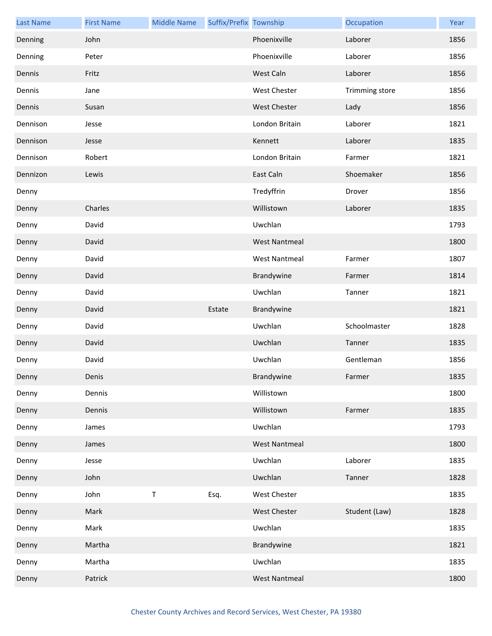| <b>Last Name</b> | <b>First Name</b> | <b>Middle Name</b> | Suffix/Prefix Township |                      | Occupation     | Year |
|------------------|-------------------|--------------------|------------------------|----------------------|----------------|------|
| Denning          | John              |                    |                        | Phoenixville         | Laborer        | 1856 |
| Denning          | Peter             |                    |                        | Phoenixville         | Laborer        | 1856 |
| Dennis           | Fritz             |                    |                        | West Caln            | Laborer        | 1856 |
| Dennis           | Jane              |                    |                        | <b>West Chester</b>  | Trimming store | 1856 |
| Dennis           | Susan             |                    |                        | <b>West Chester</b>  | Lady           | 1856 |
| Dennison         | Jesse             |                    |                        | London Britain       | Laborer        | 1821 |
| Dennison         | Jesse             |                    |                        | Kennett              | Laborer        | 1835 |
| Dennison         | Robert            |                    |                        | London Britain       | Farmer         | 1821 |
| Dennizon         | Lewis             |                    |                        | East Caln            | Shoemaker      | 1856 |
| Denny            |                   |                    |                        | Tredyffrin           | Drover         | 1856 |
| Denny            | Charles           |                    |                        | Willistown           | Laborer        | 1835 |
| Denny            | David             |                    |                        | Uwchlan              |                | 1793 |
| Denny            | David             |                    |                        | <b>West Nantmeal</b> |                | 1800 |
| Denny            | David             |                    |                        | <b>West Nantmeal</b> | Farmer         | 1807 |
| Denny            | David             |                    |                        | Brandywine           | Farmer         | 1814 |
| Denny            | David             |                    |                        | Uwchlan              | Tanner         | 1821 |
| Denny            | David             |                    | Estate                 | Brandywine           |                | 1821 |
| Denny            | David             |                    |                        | Uwchlan              | Schoolmaster   | 1828 |
| Denny            | David             |                    |                        | Uwchlan              | Tanner         | 1835 |
| Denny            | David             |                    |                        | Uwchlan              | Gentleman      | 1856 |
| Denny            | Denis             |                    |                        | Brandywine           | Farmer         | 1835 |
| Denny            | Dennis            |                    |                        | Willistown           |                | 1800 |
| Denny            | Dennis            |                    |                        | Willistown           | Farmer         | 1835 |
| Denny            | James             |                    |                        | Uwchlan              |                | 1793 |
| Denny            | James             |                    |                        | <b>West Nantmeal</b> |                | 1800 |
| Denny            | Jesse             |                    |                        | Uwchlan              | Laborer        | 1835 |
| Denny            | John              |                    |                        | Uwchlan              | Tanner         | 1828 |
| Denny            | John              | $\sf T$            | Esq.                   | West Chester         |                | 1835 |
| Denny            | Mark              |                    |                        | West Chester         | Student (Law)  | 1828 |
| Denny            | Mark              |                    |                        | Uwchlan              |                | 1835 |
| Denny            | Martha            |                    |                        | Brandywine           |                | 1821 |
| Denny            | Martha            |                    |                        | Uwchlan              |                | 1835 |
| Denny            | Patrick           |                    |                        | <b>West Nantmeal</b> |                | 1800 |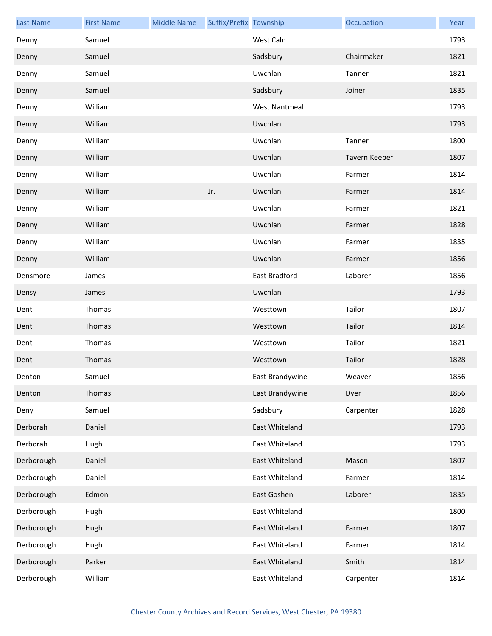| <b>Last Name</b> | <b>First Name</b> | <b>Middle Name</b> | Suffix/Prefix Township |                      | Occupation    | Year |
|------------------|-------------------|--------------------|------------------------|----------------------|---------------|------|
| Denny            | Samuel            |                    |                        | West Caln            |               | 1793 |
| Denny            | Samuel            |                    |                        | Sadsbury             | Chairmaker    | 1821 |
| Denny            | Samuel            |                    |                        | Uwchlan              | Tanner        | 1821 |
| Denny            | Samuel            |                    |                        | Sadsbury             | Joiner        | 1835 |
| Denny            | William           |                    |                        | <b>West Nantmeal</b> |               | 1793 |
| Denny            | William           |                    |                        | Uwchlan              |               | 1793 |
| Denny            | William           |                    |                        | Uwchlan              | Tanner        | 1800 |
| Denny            | William           |                    |                        | Uwchlan              | Tavern Keeper | 1807 |
| Denny            | William           |                    |                        | Uwchlan              | Farmer        | 1814 |
| Denny            | William           |                    | Jr.                    | Uwchlan              | Farmer        | 1814 |
| Denny            | William           |                    |                        | Uwchlan              | Farmer        | 1821 |
| Denny            | William           |                    |                        | Uwchlan              | Farmer        | 1828 |
| Denny            | William           |                    |                        | Uwchlan              | Farmer        | 1835 |
| Denny            | William           |                    |                        | Uwchlan              | Farmer        | 1856 |
| Densmore         | James             |                    |                        | East Bradford        | Laborer       | 1856 |
| Densy            | James             |                    |                        | Uwchlan              |               | 1793 |
| Dent             | Thomas            |                    |                        | Westtown             | Tailor        | 1807 |
| Dent             | Thomas            |                    |                        | Westtown             | Tailor        | 1814 |
| Dent             | Thomas            |                    |                        | Westtown             | Tailor        | 1821 |
| Dent             | Thomas            |                    |                        | Westtown             | Tailor        | 1828 |
| Denton           | Samuel            |                    |                        | East Brandywine      | Weaver        | 1856 |
| Denton           | Thomas            |                    |                        | East Brandywine      | Dyer          | 1856 |
| Deny             | Samuel            |                    |                        | Sadsbury             | Carpenter     | 1828 |
| Derborah         | Daniel            |                    |                        | East Whiteland       |               | 1793 |
| Derborah         | Hugh              |                    |                        | East Whiteland       |               | 1793 |
| Derborough       | Daniel            |                    |                        | East Whiteland       | Mason         | 1807 |
| Derborough       | Daniel            |                    |                        | East Whiteland       | Farmer        | 1814 |
| Derborough       | Edmon             |                    |                        | East Goshen          | Laborer       | 1835 |
| Derborough       | Hugh              |                    |                        | East Whiteland       |               | 1800 |
| Derborough       | Hugh              |                    |                        | East Whiteland       | Farmer        | 1807 |
| Derborough       | Hugh              |                    |                        | East Whiteland       | Farmer        | 1814 |
| Derborough       | Parker            |                    |                        | East Whiteland       | Smith         | 1814 |
| Derborough       | William           |                    |                        | East Whiteland       | Carpenter     | 1814 |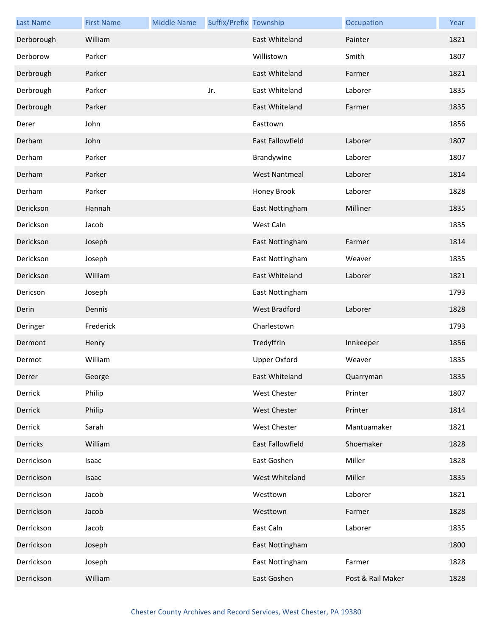| <b>Last Name</b> | <b>First Name</b> | <b>Middle Name</b> | Suffix/Prefix Township |                         | Occupation        | Year |
|------------------|-------------------|--------------------|------------------------|-------------------------|-------------------|------|
| Derborough       | William           |                    |                        | East Whiteland          | Painter           | 1821 |
| Derborow         | Parker            |                    |                        | Willistown              | Smith             | 1807 |
| Derbrough        | Parker            |                    |                        | East Whiteland          | Farmer            | 1821 |
| Derbrough        | Parker            |                    | Jr.                    | East Whiteland          | Laborer           | 1835 |
| Derbrough        | Parker            |                    |                        | East Whiteland          | Farmer            | 1835 |
| Derer            | John              |                    |                        | Easttown                |                   | 1856 |
| Derham           | John              |                    |                        | <b>East Fallowfield</b> | Laborer           | 1807 |
| Derham           | Parker            |                    |                        | Brandywine              | Laborer           | 1807 |
| Derham           | Parker            |                    |                        | <b>West Nantmeal</b>    | Laborer           | 1814 |
| Derham           | Parker            |                    |                        | Honey Brook             | Laborer           | 1828 |
| Derickson        | Hannah            |                    |                        | East Nottingham         | Milliner          | 1835 |
| Derickson        | Jacob             |                    |                        | West Caln               |                   | 1835 |
| Derickson        | Joseph            |                    |                        | East Nottingham         | Farmer            | 1814 |
| Derickson        | Joseph            |                    |                        | East Nottingham         | Weaver            | 1835 |
| Derickson        | William           |                    |                        | East Whiteland          | Laborer           | 1821 |
| Dericson         | Joseph            |                    |                        | East Nottingham         |                   | 1793 |
| Derin            | Dennis            |                    |                        | West Bradford           | Laborer           | 1828 |
| Deringer         | Frederick         |                    |                        | Charlestown             |                   | 1793 |
| Dermont          | Henry             |                    |                        | Tredyffrin              | Innkeeper         | 1856 |
| Dermot           | William           |                    |                        | <b>Upper Oxford</b>     | Weaver            | 1835 |
| Derrer           | George            |                    |                        | East Whiteland          | Quarryman         | 1835 |
| Derrick          | Philip            |                    |                        | <b>West Chester</b>     | Printer           | 1807 |
| Derrick          | Philip            |                    |                        | <b>West Chester</b>     | Printer           | 1814 |
| Derrick          | Sarah             |                    |                        | <b>West Chester</b>     | Mantuamaker       | 1821 |
| Derricks         | William           |                    |                        | East Fallowfield        | Shoemaker         | 1828 |
| Derrickson       | Isaac             |                    |                        | East Goshen             | Miller            | 1828 |
| Derrickson       | Isaac             |                    |                        | West Whiteland          | Miller            | 1835 |
| Derrickson       | Jacob             |                    |                        | Westtown                | Laborer           | 1821 |
| Derrickson       | Jacob             |                    |                        | Westtown                | Farmer            | 1828 |
| Derrickson       | Jacob             |                    |                        | East Caln               | Laborer           | 1835 |
| Derrickson       | Joseph            |                    |                        | East Nottingham         |                   | 1800 |
| Derrickson       | Joseph            |                    |                        | East Nottingham         | Farmer            | 1828 |
| Derrickson       | William           |                    |                        | East Goshen             | Post & Rail Maker | 1828 |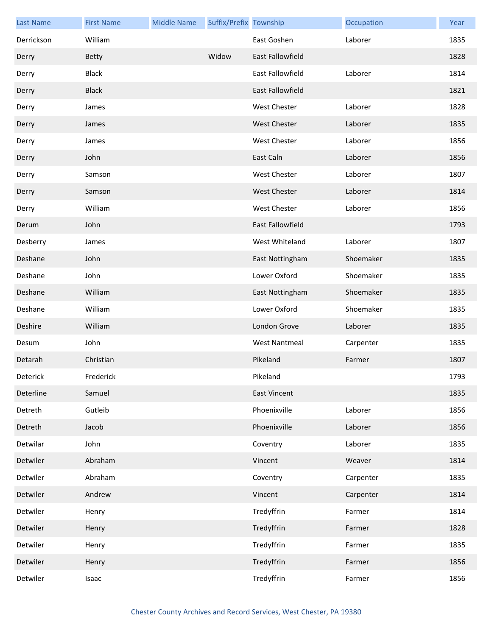| <b>Last Name</b> | <b>First Name</b> | <b>Middle Name</b> | Suffix/Prefix Township |                         | Occupation | Year |
|------------------|-------------------|--------------------|------------------------|-------------------------|------------|------|
| Derrickson       | William           |                    |                        | East Goshen             | Laborer    | 1835 |
| Derry            | <b>Betty</b>      |                    | Widow                  | <b>East Fallowfield</b> |            | 1828 |
| Derry            | <b>Black</b>      |                    |                        | <b>East Fallowfield</b> | Laborer    | 1814 |
| Derry            | <b>Black</b>      |                    |                        | <b>East Fallowfield</b> |            | 1821 |
| Derry            | James             |                    |                        | <b>West Chester</b>     | Laborer    | 1828 |
| Derry            | James             |                    |                        | <b>West Chester</b>     | Laborer    | 1835 |
| Derry            | James             |                    |                        | <b>West Chester</b>     | Laborer    | 1856 |
| Derry            | John              |                    |                        | East Caln               | Laborer    | 1856 |
| Derry            | Samson            |                    |                        | <b>West Chester</b>     | Laborer    | 1807 |
| Derry            | Samson            |                    |                        | <b>West Chester</b>     | Laborer    | 1814 |
| Derry            | William           |                    |                        | <b>West Chester</b>     | Laborer    | 1856 |
| Derum            | John              |                    |                        | East Fallowfield        |            | 1793 |
| Desberry         | James             |                    |                        | West Whiteland          | Laborer    | 1807 |
| Deshane          | John              |                    |                        | East Nottingham         | Shoemaker  | 1835 |
| Deshane          | John              |                    |                        | Lower Oxford            | Shoemaker  | 1835 |
| Deshane          | William           |                    |                        | East Nottingham         | Shoemaker  | 1835 |
| Deshane          | William           |                    |                        | Lower Oxford            | Shoemaker  | 1835 |
| Deshire          | William           |                    |                        | London Grove            | Laborer    | 1835 |
| Desum            | John              |                    |                        | <b>West Nantmeal</b>    | Carpenter  | 1835 |
| Detarah          | Christian         |                    |                        | Pikeland                | Farmer     | 1807 |
| Deterick         | Frederick         |                    |                        | Pikeland                |            | 1793 |
| Deterline        | Samuel            |                    |                        | <b>East Vincent</b>     |            | 1835 |
| Detreth          | Gutleib           |                    |                        | Phoenixville            | Laborer    | 1856 |
| Detreth          | Jacob             |                    |                        | Phoenixville            | Laborer    | 1856 |
| Detwilar         | John              |                    |                        | Coventry                | Laborer    | 1835 |
| Detwiler         | Abraham           |                    |                        | Vincent                 | Weaver     | 1814 |
| Detwiler         | Abraham           |                    |                        | Coventry                | Carpenter  | 1835 |
| Detwiler         | Andrew            |                    |                        | Vincent                 | Carpenter  | 1814 |
| Detwiler         | Henry             |                    |                        | Tredyffrin              | Farmer     | 1814 |
| Detwiler         | Henry             |                    |                        | Tredyffrin              | Farmer     | 1828 |
| Detwiler         | Henry             |                    |                        | Tredyffrin              | Farmer     | 1835 |
| Detwiler         | Henry             |                    |                        | Tredyffrin              | Farmer     | 1856 |
| Detwiler         | Isaac             |                    |                        | Tredyffrin              | Farmer     | 1856 |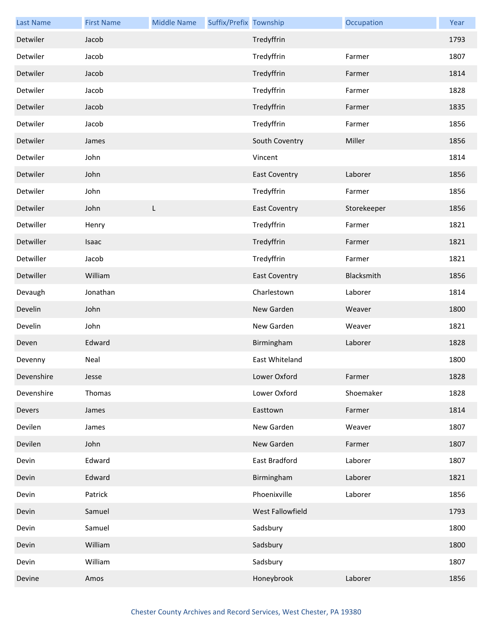| <b>Last Name</b> | <b>First Name</b> | <b>Middle Name</b> | Suffix/Prefix Township |                      | Occupation  | Year |
|------------------|-------------------|--------------------|------------------------|----------------------|-------------|------|
| Detwiler         | Jacob             |                    |                        | Tredyffrin           |             | 1793 |
| Detwiler         | Jacob             |                    |                        | Tredyffrin           | Farmer      | 1807 |
| Detwiler         | Jacob             |                    |                        | Tredyffrin           | Farmer      | 1814 |
| Detwiler         | Jacob             |                    |                        | Tredyffrin           | Farmer      | 1828 |
| Detwiler         | Jacob             |                    |                        | Tredyffrin           | Farmer      | 1835 |
| Detwiler         | Jacob             |                    |                        | Tredyffrin           | Farmer      | 1856 |
| Detwiler         | James             |                    |                        | South Coventry       | Miller      | 1856 |
| Detwiler         | John              |                    |                        | Vincent              |             | 1814 |
| Detwiler         | John              |                    |                        | <b>East Coventry</b> | Laborer     | 1856 |
| Detwiler         | John              |                    |                        | Tredyffrin           | Farmer      | 1856 |
| Detwiler         | John              | L                  |                        | <b>East Coventry</b> | Storekeeper | 1856 |
| Detwiller        | Henry             |                    |                        | Tredyffrin           | Farmer      | 1821 |
| Detwiller        | Isaac             |                    |                        | Tredyffrin           | Farmer      | 1821 |
| Detwiller        | Jacob             |                    |                        | Tredyffrin           | Farmer      | 1821 |
| Detwiller        | William           |                    |                        | <b>East Coventry</b> | Blacksmith  | 1856 |
| Devaugh          | Jonathan          |                    |                        | Charlestown          | Laborer     | 1814 |
| Develin          | John              |                    |                        | New Garden           | Weaver      | 1800 |
| Develin          | John              |                    |                        | New Garden           | Weaver      | 1821 |
| Deven            | Edward            |                    |                        | Birmingham           | Laborer     | 1828 |
| Devenny          | Neal              |                    |                        | East Whiteland       |             | 1800 |
| Devenshire       | Jesse             |                    |                        | Lower Oxford         | Farmer      | 1828 |
| Devenshire       | Thomas            |                    |                        | Lower Oxford         | Shoemaker   | 1828 |
| Devers           | James             |                    |                        | Easttown             | Farmer      | 1814 |
| Devilen          | James             |                    |                        | New Garden           | Weaver      | 1807 |
| Devilen          | John              |                    |                        | New Garden           | Farmer      | 1807 |
| Devin            | Edward            |                    |                        | East Bradford        | Laborer     | 1807 |
| Devin            | Edward            |                    |                        | Birmingham           | Laborer     | 1821 |
| Devin            | Patrick           |                    |                        | Phoenixville         | Laborer     | 1856 |
| Devin            | Samuel            |                    |                        | West Fallowfield     |             | 1793 |
| Devin            | Samuel            |                    |                        | Sadsbury             |             | 1800 |
| Devin            | William           |                    |                        | Sadsbury             |             | 1800 |
| Devin            | William           |                    |                        | Sadsbury             |             | 1807 |
| Devine           | Amos              |                    |                        | Honeybrook           | Laborer     | 1856 |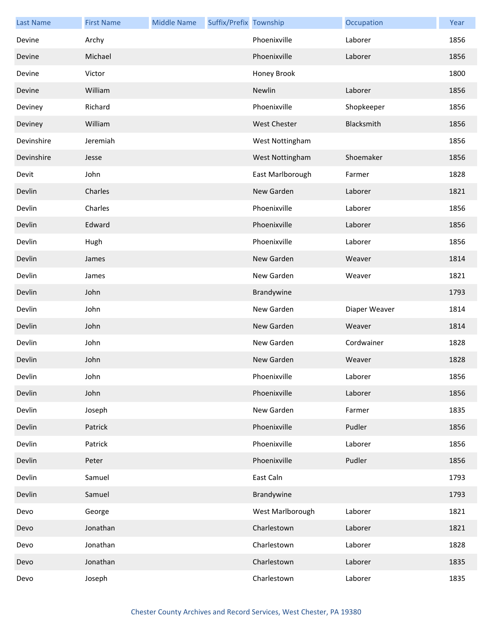| <b>Last Name</b> | <b>First Name</b> | <b>Middle Name</b> | Suffix/Prefix Township |                     | Occupation    | Year |
|------------------|-------------------|--------------------|------------------------|---------------------|---------------|------|
| Devine           | Archy             |                    |                        | Phoenixville        | Laborer       | 1856 |
| Devine           | Michael           |                    |                        | Phoenixville        | Laborer       | 1856 |
| Devine           | Victor            |                    |                        | Honey Brook         |               | 1800 |
| Devine           | William           |                    |                        | Newlin              | Laborer       | 1856 |
| Deviney          | Richard           |                    |                        | Phoenixville        | Shopkeeper    | 1856 |
| Deviney          | William           |                    |                        | <b>West Chester</b> | Blacksmith    | 1856 |
| Devinshire       | Jeremiah          |                    |                        | West Nottingham     |               | 1856 |
| Devinshire       | Jesse             |                    |                        | West Nottingham     | Shoemaker     | 1856 |
| Devit            | John              |                    |                        | East Marlborough    | Farmer        | 1828 |
| Devlin           | Charles           |                    |                        | New Garden          | Laborer       | 1821 |
| Devlin           | Charles           |                    |                        | Phoenixville        | Laborer       | 1856 |
| Devlin           | Edward            |                    |                        | Phoenixville        | Laborer       | 1856 |
| Devlin           | Hugh              |                    |                        | Phoenixville        | Laborer       | 1856 |
| Devlin           | James             |                    |                        | New Garden          | Weaver        | 1814 |
| Devlin           | James             |                    |                        | New Garden          | Weaver        | 1821 |
| Devlin           | John              |                    |                        | Brandywine          |               | 1793 |
| Devlin           | John              |                    |                        | New Garden          | Diaper Weaver | 1814 |
| Devlin           | John              |                    |                        | New Garden          | Weaver        | 1814 |
| Devlin           | John              |                    |                        | New Garden          | Cordwainer    | 1828 |
| Devlin           | John              |                    |                        | New Garden          | Weaver        | 1828 |
| Devlin           | John              |                    |                        | Phoenixville        | Laborer       | 1856 |
| Devlin           | John              |                    |                        | Phoenixville        | Laborer       | 1856 |
| Devlin           | Joseph            |                    |                        | New Garden          | Farmer        | 1835 |
| Devlin           | Patrick           |                    |                        | Phoenixville        | Pudler        | 1856 |
| Devlin           | Patrick           |                    |                        | Phoenixville        | Laborer       | 1856 |
| Devlin           | Peter             |                    |                        | Phoenixville        | Pudler        | 1856 |
| Devlin           | Samuel            |                    |                        | East Caln           |               | 1793 |
| Devlin           | Samuel            |                    |                        | Brandywine          |               | 1793 |
| Devo             | George            |                    |                        | West Marlborough    | Laborer       | 1821 |
| Devo             | Jonathan          |                    |                        | Charlestown         | Laborer       | 1821 |
| Devo             | Jonathan          |                    |                        | Charlestown         | Laborer       | 1828 |
| Devo             | Jonathan          |                    |                        | Charlestown         | Laborer       | 1835 |
| Devo             | Joseph            |                    |                        | Charlestown         | Laborer       | 1835 |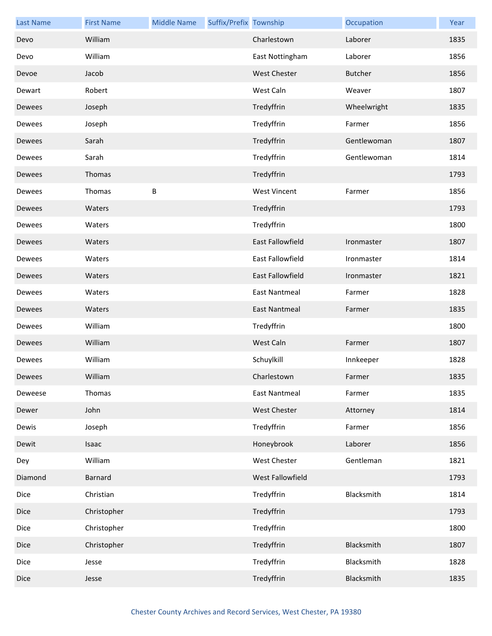| <b>Last Name</b> | <b>First Name</b> | <b>Middle Name</b> | Suffix/Prefix Township |                         | Occupation     | Year |
|------------------|-------------------|--------------------|------------------------|-------------------------|----------------|------|
| Devo             | William           |                    |                        | Charlestown             | Laborer        | 1835 |
| Devo             | William           |                    |                        | East Nottingham         | Laborer        | 1856 |
| Devoe            | Jacob             |                    |                        | <b>West Chester</b>     | <b>Butcher</b> | 1856 |
| Dewart           | Robert            |                    |                        | West Caln               | Weaver         | 1807 |
| Dewees           | Joseph            |                    |                        | Tredyffrin              | Wheelwright    | 1835 |
| Dewees           | Joseph            |                    |                        | Tredyffrin              | Farmer         | 1856 |
| Dewees           | Sarah             |                    |                        | Tredyffrin              | Gentlewoman    | 1807 |
| Dewees           | Sarah             |                    |                        | Tredyffrin              | Gentlewoman    | 1814 |
| Dewees           | Thomas            |                    |                        | Tredyffrin              |                | 1793 |
| Dewees           | Thomas            | $\sf B$            |                        | <b>West Vincent</b>     | Farmer         | 1856 |
| Dewees           | Waters            |                    |                        | Tredyffrin              |                | 1793 |
| Dewees           | Waters            |                    |                        | Tredyffrin              |                | 1800 |
| Dewees           | Waters            |                    |                        | <b>East Fallowfield</b> | Ironmaster     | 1807 |
| Dewees           | Waters            |                    |                        | East Fallowfield        | Ironmaster     | 1814 |
| Dewees           | Waters            |                    |                        | East Fallowfield        | Ironmaster     | 1821 |
| Dewees           | Waters            |                    |                        | <b>East Nantmeal</b>    | Farmer         | 1828 |
| Dewees           | Waters            |                    |                        | East Nantmeal           | Farmer         | 1835 |
| Dewees           | William           |                    |                        | Tredyffrin              |                | 1800 |
| Dewees           | William           |                    |                        | West Caln               | Farmer         | 1807 |
| Dewees           | William           |                    |                        | Schuylkill              | Innkeeper      | 1828 |
| Dewees           | William           |                    |                        | Charlestown             | Farmer         | 1835 |
| Deweese          | Thomas            |                    |                        | <b>East Nantmeal</b>    | Farmer         | 1835 |
| Dewer            | John              |                    |                        | West Chester            | Attorney       | 1814 |
| Dewis            | Joseph            |                    |                        | Tredyffrin              | Farmer         | 1856 |
| Dewit            | Isaac             |                    |                        | Honeybrook              | Laborer        | 1856 |
| Dey              | William           |                    |                        | West Chester            | Gentleman      | 1821 |
| Diamond          | <b>Barnard</b>    |                    |                        | West Fallowfield        |                | 1793 |
| Dice             | Christian         |                    |                        | Tredyffrin              | Blacksmith     | 1814 |
| Dice             | Christopher       |                    |                        | Tredyffrin              |                | 1793 |
| Dice             | Christopher       |                    |                        | Tredyffrin              |                | 1800 |
| Dice             | Christopher       |                    |                        | Tredyffrin              | Blacksmith     | 1807 |
| Dice             | Jesse             |                    |                        | Tredyffrin              | Blacksmith     | 1828 |
| Dice             | Jesse             |                    |                        | Tredyffrin              | Blacksmith     | 1835 |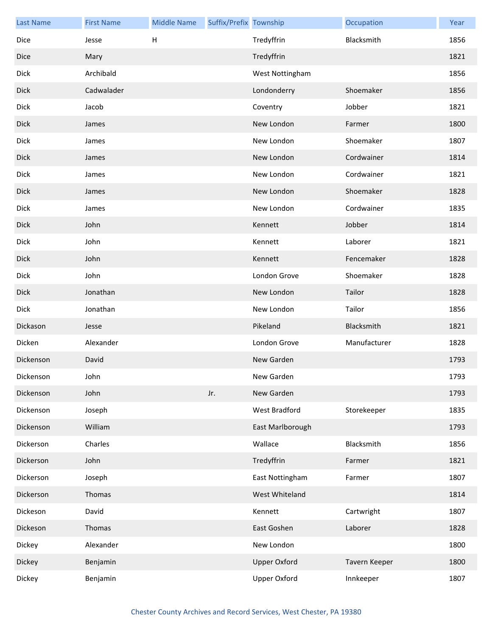| <b>Last Name</b> | <b>First Name</b> | <b>Middle Name</b>        | Suffix/Prefix Township |                     | Occupation    | Year |
|------------------|-------------------|---------------------------|------------------------|---------------------|---------------|------|
| Dice             | Jesse             | $\boldsymbol{\mathsf{H}}$ |                        | Tredyffrin          | Blacksmith    | 1856 |
| Dice             | Mary              |                           |                        | Tredyffrin          |               | 1821 |
| <b>Dick</b>      | Archibald         |                           |                        | West Nottingham     |               | 1856 |
| <b>Dick</b>      | Cadwalader        |                           |                        | Londonderry         | Shoemaker     | 1856 |
| Dick             | Jacob             |                           |                        | Coventry            | Jobber        | 1821 |
| <b>Dick</b>      | James             |                           |                        | New London          | Farmer        | 1800 |
| <b>Dick</b>      | James             |                           |                        | New London          | Shoemaker     | 1807 |
| <b>Dick</b>      | James             |                           |                        | New London          | Cordwainer    | 1814 |
| Dick             | James             |                           |                        | New London          | Cordwainer    | 1821 |
| <b>Dick</b>      | James             |                           |                        | New London          | Shoemaker     | 1828 |
| <b>Dick</b>      | James             |                           |                        | New London          | Cordwainer    | 1835 |
| <b>Dick</b>      | John              |                           |                        | Kennett             | Jobber        | 1814 |
| Dick             | John              |                           |                        | Kennett             | Laborer       | 1821 |
| <b>Dick</b>      | John              |                           |                        | Kennett             | Fencemaker    | 1828 |
| <b>Dick</b>      | John              |                           |                        | London Grove        | Shoemaker     | 1828 |
| <b>Dick</b>      | Jonathan          |                           |                        | New London          | Tailor        | 1828 |
| Dick             | Jonathan          |                           |                        | New London          | Tailor        | 1856 |
| Dickason         | Jesse             |                           |                        | Pikeland            | Blacksmith    | 1821 |
| Dicken           | Alexander         |                           |                        | London Grove        | Manufacturer  | 1828 |
| Dickenson        | David             |                           |                        | New Garden          |               | 1793 |
| Dickenson        | John              |                           |                        | New Garden          |               | 1793 |
| Dickenson        | John              |                           | Jr.                    | New Garden          |               | 1793 |
| Dickenson        | Joseph            |                           |                        | West Bradford       | Storekeeper   | 1835 |
| Dickenson        | William           |                           |                        | East Marlborough    |               | 1793 |
| Dickerson        | Charles           |                           |                        | Wallace             | Blacksmith    | 1856 |
| Dickerson        | John              |                           |                        | Tredyffrin          | Farmer        | 1821 |
| Dickerson        | Joseph            |                           |                        | East Nottingham     | Farmer        | 1807 |
| Dickerson        | Thomas            |                           |                        | West Whiteland      |               | 1814 |
| Dickeson         | David             |                           |                        | Kennett             | Cartwright    | 1807 |
| Dickeson         | Thomas            |                           |                        | East Goshen         | Laborer       | 1828 |
| Dickey           | Alexander         |                           |                        | New London          |               | 1800 |
| Dickey           | Benjamin          |                           |                        | <b>Upper Oxford</b> | Tavern Keeper | 1800 |
| Dickey           | Benjamin          |                           |                        | Upper Oxford        | Innkeeper     | 1807 |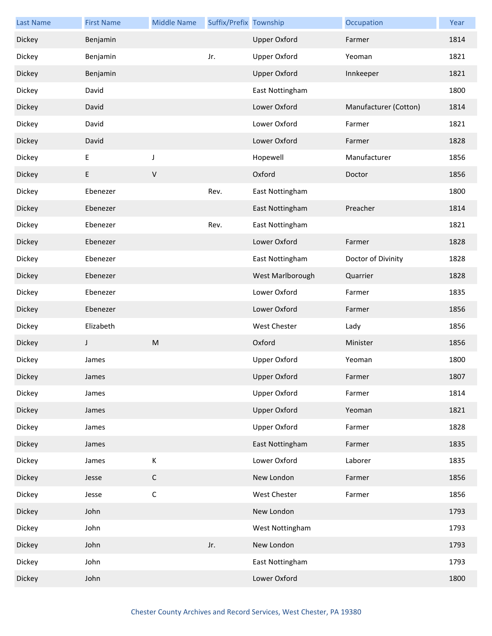| <b>Last Name</b> | <b>First Name</b> | <b>Middle Name</b> | Suffix/Prefix Township |                     | Occupation            | Year |
|------------------|-------------------|--------------------|------------------------|---------------------|-----------------------|------|
| Dickey           | Benjamin          |                    |                        | <b>Upper Oxford</b> | Farmer                | 1814 |
| Dickey           | Benjamin          |                    | Jr.                    | <b>Upper Oxford</b> | Yeoman                | 1821 |
| Dickey           | Benjamin          |                    |                        | <b>Upper Oxford</b> | Innkeeper             | 1821 |
| Dickey           | David             |                    |                        | East Nottingham     |                       | 1800 |
| Dickey           | David             |                    |                        | Lower Oxford        | Manufacturer (Cotton) | 1814 |
| Dickey           | David             |                    |                        | Lower Oxford        | Farmer                | 1821 |
| Dickey           | David             |                    |                        | Lower Oxford        | Farmer                | 1828 |
| Dickey           | E                 | J                  |                        | Hopewell            | Manufacturer          | 1856 |
| Dickey           | E                 | $\sf V$            |                        | Oxford              | Doctor                | 1856 |
| Dickey           | Ebenezer          |                    | Rev.                   | East Nottingham     |                       | 1800 |
| Dickey           | Ebenezer          |                    |                        | East Nottingham     | Preacher              | 1814 |
| Dickey           | Ebenezer          |                    | Rev.                   | East Nottingham     |                       | 1821 |
| Dickey           | Ebenezer          |                    |                        | Lower Oxford        | Farmer                | 1828 |
| Dickey           | Ebenezer          |                    |                        | East Nottingham     | Doctor of Divinity    | 1828 |
| Dickey           | Ebenezer          |                    |                        | West Marlborough    | Quarrier              | 1828 |
| Dickey           | Ebenezer          |                    |                        | Lower Oxford        | Farmer                | 1835 |
| Dickey           | Ebenezer          |                    |                        | Lower Oxford        | Farmer                | 1856 |
| Dickey           | Elizabeth         |                    |                        | <b>West Chester</b> | Lady                  | 1856 |
| Dickey           | J                 | ${\sf M}$          |                        | Oxford              | Minister              | 1856 |
| Dickey           | James             |                    |                        | <b>Upper Oxford</b> | Yeoman                | 1800 |
| Dickey           | James             |                    |                        | Upper Oxford        | Farmer                | 1807 |
| Dickey           | James             |                    |                        | <b>Upper Oxford</b> | Farmer                | 1814 |
| Dickey           | James             |                    |                        | <b>Upper Oxford</b> | Yeoman                | 1821 |
| Dickey           | James             |                    |                        | <b>Upper Oxford</b> | Farmer                | 1828 |
| Dickey           | James             |                    |                        | East Nottingham     | Farmer                | 1835 |
| Dickey           | James             | $\mathsf K$        |                        | Lower Oxford        | Laborer               | 1835 |
| Dickey           | Jesse             | $\mathsf C$        |                        | New London          | Farmer                | 1856 |
| Dickey           | Jesse             | $\mathsf C$        |                        | West Chester        | Farmer                | 1856 |
| Dickey           | John              |                    |                        | New London          |                       | 1793 |
| Dickey           | John              |                    |                        | West Nottingham     |                       | 1793 |
| Dickey           | John              |                    | Jr.                    | New London          |                       | 1793 |
| Dickey           | John              |                    |                        | East Nottingham     |                       | 1793 |
| Dickey           | John              |                    |                        | Lower Oxford        |                       | 1800 |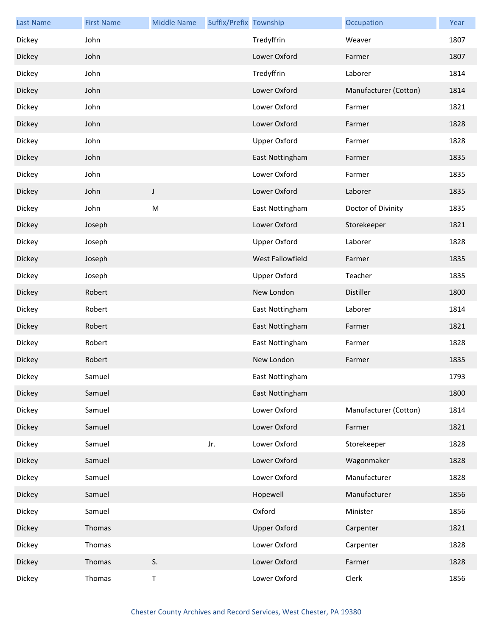| <b>Last Name</b> | <b>First Name</b> | <b>Middle Name</b> | Suffix/Prefix Township |                     | Occupation            | Year |
|------------------|-------------------|--------------------|------------------------|---------------------|-----------------------|------|
| Dickey           | John              |                    |                        | Tredyffrin          | Weaver                | 1807 |
| Dickey           | John              |                    |                        | Lower Oxford        | Farmer                | 1807 |
| Dickey           | John              |                    |                        | Tredyffrin          | Laborer               | 1814 |
| Dickey           | John              |                    |                        | Lower Oxford        | Manufacturer (Cotton) | 1814 |
| Dickey           | John              |                    |                        | Lower Oxford        | Farmer                | 1821 |
| Dickey           | John              |                    |                        | Lower Oxford        | Farmer                | 1828 |
| Dickey           | John              |                    |                        | <b>Upper Oxford</b> | Farmer                | 1828 |
| Dickey           | John              |                    |                        | East Nottingham     | Farmer                | 1835 |
| Dickey           | John              |                    |                        | Lower Oxford        | Farmer                | 1835 |
| Dickey           | John              | J                  |                        | Lower Oxford        | Laborer               | 1835 |
| Dickey           | John              | M                  |                        | East Nottingham     | Doctor of Divinity    | 1835 |
| Dickey           | Joseph            |                    |                        | Lower Oxford        | Storekeeper           | 1821 |
| Dickey           | Joseph            |                    |                        | <b>Upper Oxford</b> | Laborer               | 1828 |
| Dickey           | Joseph            |                    |                        | West Fallowfield    | Farmer                | 1835 |
| Dickey           | Joseph            |                    |                        | <b>Upper Oxford</b> | Teacher               | 1835 |
| Dickey           | Robert            |                    |                        | New London          | Distiller             | 1800 |
| Dickey           | Robert            |                    |                        | East Nottingham     | Laborer               | 1814 |
| Dickey           | Robert            |                    |                        | East Nottingham     | Farmer                | 1821 |
| Dickey           | Robert            |                    |                        | East Nottingham     | Farmer                | 1828 |
| Dickey           | Robert            |                    |                        | New London          | Farmer                | 1835 |
| Dickey           | Samuel            |                    |                        | East Nottingham     |                       | 1793 |
| Dickey           | Samuel            |                    |                        | East Nottingham     |                       | 1800 |
| Dickey           | Samuel            |                    |                        | Lower Oxford        | Manufacturer (Cotton) | 1814 |
| Dickey           | Samuel            |                    |                        | Lower Oxford        | Farmer                | 1821 |
| Dickey           | Samuel            |                    | Jr.                    | Lower Oxford        | Storekeeper           | 1828 |
| Dickey           | Samuel            |                    |                        | Lower Oxford        | Wagonmaker            | 1828 |
| Dickey           | Samuel            |                    |                        | Lower Oxford        | Manufacturer          | 1828 |
| Dickey           | Samuel            |                    |                        | Hopewell            | Manufacturer          | 1856 |
| Dickey           | Samuel            |                    |                        | Oxford              | Minister              | 1856 |
| Dickey           | Thomas            |                    |                        | <b>Upper Oxford</b> | Carpenter             | 1821 |
| Dickey           | Thomas            |                    |                        | Lower Oxford        | Carpenter             | 1828 |
| Dickey           | Thomas            | S.                 |                        | Lower Oxford        | Farmer                | 1828 |
| Dickey           | Thomas            | $\mathsf T$        |                        | Lower Oxford        | Clerk                 | 1856 |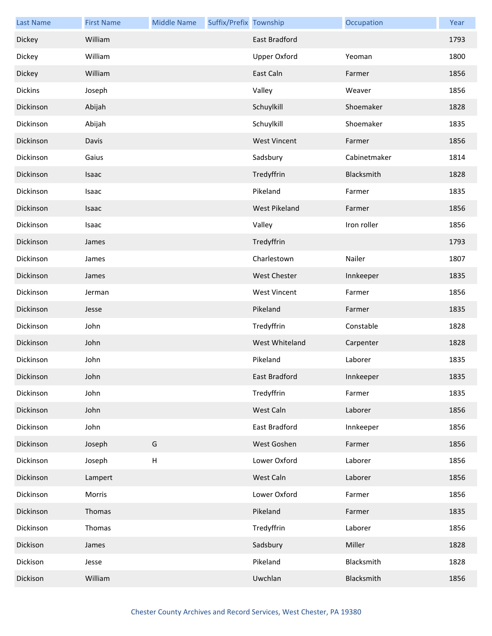| <b>Last Name</b> | <b>First Name</b> | <b>Middle Name</b>        | Suffix/Prefix Township |                      | Occupation   | Year |
|------------------|-------------------|---------------------------|------------------------|----------------------|--------------|------|
| Dickey           | William           |                           |                        | <b>East Bradford</b> |              | 1793 |
| Dickey           | William           |                           |                        | <b>Upper Oxford</b>  | Yeoman       | 1800 |
| Dickey           | William           |                           |                        | East Caln            | Farmer       | 1856 |
| <b>Dickins</b>   | Joseph            |                           |                        | Valley               | Weaver       | 1856 |
| Dickinson        | Abijah            |                           |                        | Schuylkill           | Shoemaker    | 1828 |
| Dickinson        | Abijah            |                           |                        | Schuylkill           | Shoemaker    | 1835 |
| Dickinson        | Davis             |                           |                        | <b>West Vincent</b>  | Farmer       | 1856 |
| Dickinson        | Gaius             |                           |                        | Sadsbury             | Cabinetmaker | 1814 |
| Dickinson        | Isaac             |                           |                        | Tredyffrin           | Blacksmith   | 1828 |
| Dickinson        | Isaac             |                           |                        | Pikeland             | Farmer       | 1835 |
| Dickinson        | Isaac             |                           |                        | <b>West Pikeland</b> | Farmer       | 1856 |
| Dickinson        | Isaac             |                           |                        | Valley               | Iron roller  | 1856 |
| Dickinson        | James             |                           |                        | Tredyffrin           |              | 1793 |
| Dickinson        | James             |                           |                        | Charlestown          | Nailer       | 1807 |
| Dickinson        | James             |                           |                        | <b>West Chester</b>  | Innkeeper    | 1835 |
| Dickinson        | Jerman            |                           |                        | <b>West Vincent</b>  | Farmer       | 1856 |
| Dickinson        | Jesse             |                           |                        | Pikeland             | Farmer       | 1835 |
| Dickinson        | John              |                           |                        | Tredyffrin           | Constable    | 1828 |
| Dickinson        | John              |                           |                        | West Whiteland       | Carpenter    | 1828 |
| Dickinson        | John              |                           |                        | Pikeland             | Laborer      | 1835 |
| Dickinson        | John              |                           |                        | East Bradford        | Innkeeper    | 1835 |
| Dickinson        | John              |                           |                        | Tredyffrin           | Farmer       | 1835 |
| Dickinson        | John              |                           |                        | West Caln            | Laborer      | 1856 |
| Dickinson        | John              |                           |                        | East Bradford        | Innkeeper    | 1856 |
| Dickinson        | Joseph            | G                         |                        | West Goshen          | Farmer       | 1856 |
| Dickinson        | Joseph            | $\boldsymbol{\mathsf{H}}$ |                        | Lower Oxford         | Laborer      | 1856 |
| Dickinson        | Lampert           |                           |                        | West Caln            | Laborer      | 1856 |
| Dickinson        | Morris            |                           |                        | Lower Oxford         | Farmer       | 1856 |
| Dickinson        | Thomas            |                           |                        | Pikeland             | Farmer       | 1835 |
| Dickinson        | Thomas            |                           |                        | Tredyffrin           | Laborer      | 1856 |
| Dickison         | James             |                           |                        | Sadsbury             | Miller       | 1828 |
| Dickison         | Jesse             |                           |                        | Pikeland             | Blacksmith   | 1828 |
| Dickison         | William           |                           |                        | Uwchlan              | Blacksmith   | 1856 |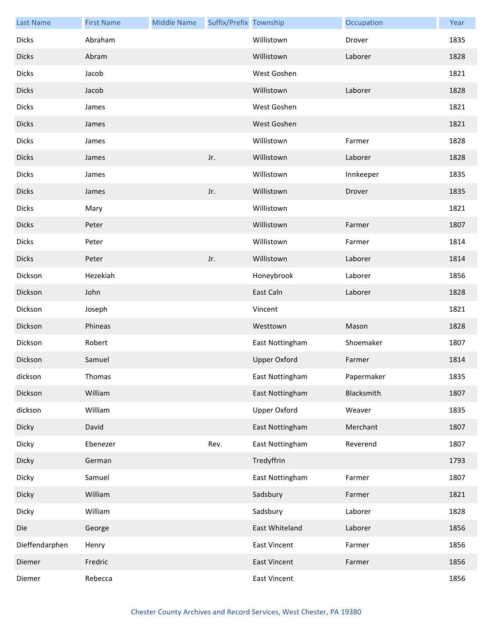| <b>Last Name</b> | <b>First Name</b> | <b>Middle Name</b> | Suffix/Prefix Township |                     | Occupation | Year |
|------------------|-------------------|--------------------|------------------------|---------------------|------------|------|
| <b>Dicks</b>     | Abraham           |                    |                        | Willistown          | Drover     | 1835 |
| <b>Dicks</b>     | Abram             |                    |                        | Willistown          | Laborer    | 1828 |
| <b>Dicks</b>     | Jacob             |                    |                        | West Goshen         |            | 1821 |
| <b>Dicks</b>     | Jacob             |                    |                        | Willistown          | Laborer    | 1828 |
| <b>Dicks</b>     | James             |                    |                        | West Goshen         |            | 1821 |
| <b>Dicks</b>     | James             |                    |                        | West Goshen         |            | 1821 |
| <b>Dicks</b>     | James             |                    |                        | Willistown          | Farmer     | 1828 |
| <b>Dicks</b>     | James             |                    | Jr.                    | Willistown          | Laborer    | 1828 |
| <b>Dicks</b>     | James             |                    |                        | Willistown          | Innkeeper  | 1835 |
| <b>Dicks</b>     | James             |                    | Jr.                    | Willistown          | Drover     | 1835 |
| <b>Dicks</b>     | Mary              |                    |                        | Willistown          |            | 1821 |
| <b>Dicks</b>     | Peter             |                    |                        | Willistown          | Farmer     | 1807 |
| <b>Dicks</b>     | Peter             |                    |                        | Willistown          | Farmer     | 1814 |
| <b>Dicks</b>     | Peter             |                    | Jr.                    | Willistown          | Laborer    | 1814 |
| Dickson          | Hezekiah          |                    |                        | Honeybrook          | Laborer    | 1856 |
| Dickson          | John              |                    |                        | East Caln           | Laborer    | 1828 |
| Dickson          | Joseph            |                    |                        | Vincent             |            | 1821 |
| Dickson          | Phineas           |                    |                        | Westtown            | Mason      | 1828 |
| Dickson          | Robert            |                    |                        | East Nottingham     | Shoemaker  | 1807 |
| Dickson          | Samuel            |                    |                        | <b>Upper Oxford</b> | Farmer     | 1814 |
| dickson          | Thomas            |                    |                        | East Nottingham     | Papermaker | 1835 |
| Dickson          | William           |                    |                        | East Nottingham     | Blacksmith | 1807 |
| dickson          | William           |                    |                        | <b>Upper Oxford</b> | Weaver     | 1835 |
| Dicky            | David             |                    |                        | East Nottingham     | Merchant   | 1807 |
| Dicky            | Ebenezer          |                    | Rev.                   | East Nottingham     | Reverend   | 1807 |
| Dicky            | German            |                    |                        | Tredyffrin          |            | 1793 |
| Dicky            | Samuel            |                    |                        | East Nottingham     | Farmer     | 1807 |
| Dicky            | William           |                    |                        | Sadsbury            | Farmer     | 1821 |
| Dicky            | William           |                    |                        | Sadsbury            | Laborer    | 1828 |
| Die              | George            |                    |                        | East Whiteland      | Laborer    | 1856 |
| Dieffendarphen   | Henry             |                    |                        | <b>East Vincent</b> | Farmer     | 1856 |
| Diemer           | Fredric           |                    |                        | <b>East Vincent</b> | Farmer     | 1856 |
| Diemer           | Rebecca           |                    |                        | <b>East Vincent</b> |            | 1856 |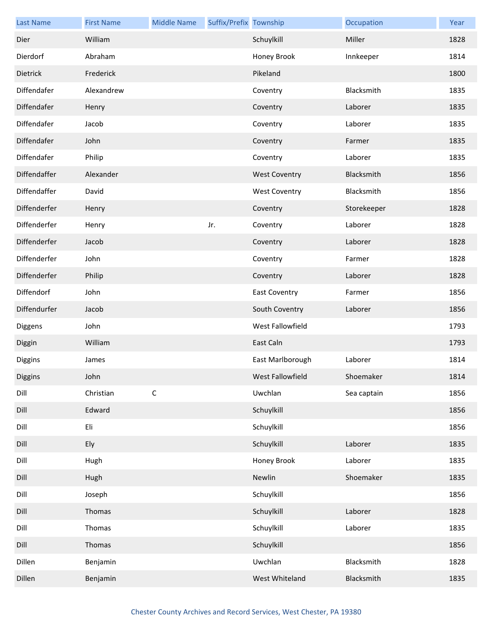| <b>Last Name</b> | <b>First Name</b> | <b>Middle Name</b> | Suffix/Prefix Township |                      | Occupation  | Year |
|------------------|-------------------|--------------------|------------------------|----------------------|-------------|------|
| Dier             | William           |                    |                        | Schuylkill           | Miller      | 1828 |
| Dierdorf         | Abraham           |                    |                        | Honey Brook          | Innkeeper   | 1814 |
| Dietrick         | Frederick         |                    |                        | Pikeland             |             | 1800 |
| Diffendafer      | Alexandrew        |                    |                        | Coventry             | Blacksmith  | 1835 |
| Diffendafer      | Henry             |                    |                        | Coventry             | Laborer     | 1835 |
| Diffendafer      | Jacob             |                    |                        | Coventry             | Laborer     | 1835 |
| Diffendafer      | John              |                    |                        | Coventry             | Farmer      | 1835 |
| Diffendafer      | Philip            |                    |                        | Coventry             | Laborer     | 1835 |
| Diffendaffer     | Alexander         |                    |                        | <b>West Coventry</b> | Blacksmith  | 1856 |
| Diffendaffer     | David             |                    |                        | <b>West Coventry</b> | Blacksmith  | 1856 |
| Diffenderfer     | Henry             |                    |                        | Coventry             | Storekeeper | 1828 |
| Diffenderfer     | Henry             |                    | Jr.                    | Coventry             | Laborer     | 1828 |
| Diffenderfer     | Jacob             |                    |                        | Coventry             | Laborer     | 1828 |
| Diffenderfer     | John              |                    |                        | Coventry             | Farmer      | 1828 |
| Diffenderfer     | Philip            |                    |                        | Coventry             | Laborer     | 1828 |
| Diffendorf       | John              |                    |                        | <b>East Coventry</b> | Farmer      | 1856 |
| Diffendurfer     | Jacob             |                    |                        | South Coventry       | Laborer     | 1856 |
| Diggens          | John              |                    |                        | West Fallowfield     |             | 1793 |
| Diggin           | William           |                    |                        | East Caln            |             | 1793 |
| Diggins          | James             |                    |                        | East Marlborough     | Laborer     | 1814 |
| Diggins          | John              |                    |                        | West Fallowfield     | Shoemaker   | 1814 |
| Dill             | Christian         | $\mathsf C$        |                        | Uwchlan              | Sea captain | 1856 |
| Dill             | Edward            |                    |                        | Schuylkill           |             | 1856 |
| Dill             | Eli               |                    |                        | Schuylkill           |             | 1856 |
| Dill             | Ely               |                    |                        | Schuylkill           | Laborer     | 1835 |
| Dill             | Hugh              |                    |                        | Honey Brook          | Laborer     | 1835 |
| Dill             | Hugh              |                    |                        | Newlin               | Shoemaker   | 1835 |
| Dill             | Joseph            |                    |                        | Schuylkill           |             | 1856 |
| Dill             | Thomas            |                    |                        | Schuylkill           | Laborer     | 1828 |
| Dill             | Thomas            |                    |                        | Schuylkill           | Laborer     | 1835 |
| Dill             | Thomas            |                    |                        | Schuylkill           |             | 1856 |
| Dillen           | Benjamin          |                    |                        | Uwchlan              | Blacksmith  | 1828 |
| Dillen           | Benjamin          |                    |                        | West Whiteland       | Blacksmith  | 1835 |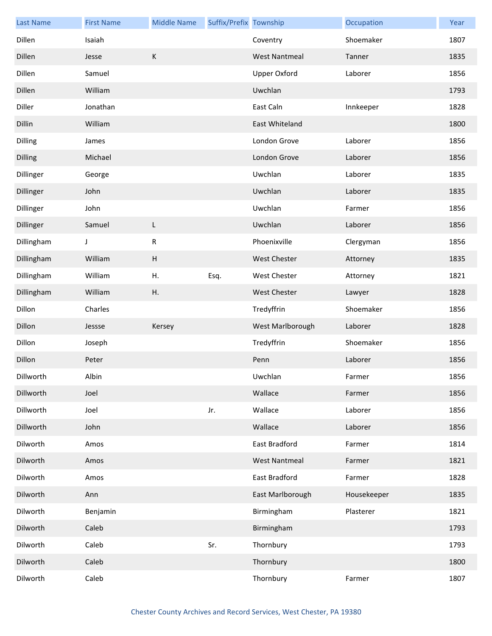| <b>Last Name</b> | <b>First Name</b> | <b>Middle Name</b> | Suffix/Prefix Township |                      | Occupation  | Year |
|------------------|-------------------|--------------------|------------------------|----------------------|-------------|------|
| Dillen           | Isaiah            |                    |                        | Coventry             | Shoemaker   | 1807 |
| Dillen           | Jesse             | $\mathsf K$        |                        | <b>West Nantmeal</b> | Tanner      | 1835 |
| Dillen           | Samuel            |                    |                        | <b>Upper Oxford</b>  | Laborer     | 1856 |
| Dillen           | William           |                    |                        | Uwchlan              |             | 1793 |
| Diller           | Jonathan          |                    |                        | East Caln            | Innkeeper   | 1828 |
| Dillin           | William           |                    |                        | East Whiteland       |             | 1800 |
| <b>Dilling</b>   | James             |                    |                        | London Grove         | Laborer     | 1856 |
| <b>Dilling</b>   | Michael           |                    |                        | London Grove         | Laborer     | 1856 |
| Dillinger        | George            |                    |                        | Uwchlan              | Laborer     | 1835 |
| Dillinger        | John              |                    |                        | Uwchlan              | Laborer     | 1835 |
| Dillinger        | John              |                    |                        | Uwchlan              | Farmer      | 1856 |
| Dillinger        | Samuel            | L                  |                        | Uwchlan              | Laborer     | 1856 |
| Dillingham       | J                 | ${\sf R}$          |                        | Phoenixville         | Clergyman   | 1856 |
| Dillingham       | William           | H                  |                        | West Chester         | Attorney    | 1835 |
| Dillingham       | William           | Η.                 | Esq.                   | West Chester         | Attorney    | 1821 |
| Dillingham       | William           | Η.                 |                        | <b>West Chester</b>  | Lawyer      | 1828 |
| Dillon           | Charles           |                    |                        | Tredyffrin           | Shoemaker   | 1856 |
| Dillon           | Jessse            | Kersey             |                        | West Marlborough     | Laborer     | 1828 |
| Dillon           | Joseph            |                    |                        | Tredyffrin           | Shoemaker   | 1856 |
| Dillon           | Peter             |                    |                        | Penn                 | Laborer     | 1856 |
| Dillworth        | Albin             |                    |                        | Uwchlan              | Farmer      | 1856 |
| Dillworth        | Joel              |                    |                        | Wallace              | Farmer      | 1856 |
| Dillworth        | Joel              |                    | Jr.                    | Wallace              | Laborer     | 1856 |
| Dillworth        | John              |                    |                        | Wallace              | Laborer     | 1856 |
| Dilworth         | Amos              |                    |                        | East Bradford        | Farmer      | 1814 |
| Dilworth         | Amos              |                    |                        | <b>West Nantmeal</b> | Farmer      | 1821 |
| Dilworth         | Amos              |                    |                        | East Bradford        | Farmer      | 1828 |
| Dilworth         | Ann               |                    |                        | East Marlborough     | Housekeeper | 1835 |
| Dilworth         | Benjamin          |                    |                        | Birmingham           | Plasterer   | 1821 |
| Dilworth         | Caleb             |                    |                        | Birmingham           |             | 1793 |
| Dilworth         | Caleb             |                    | Sr.                    | Thornbury            |             | 1793 |
| Dilworth         | Caleb             |                    |                        | Thornbury            |             | 1800 |
| Dilworth         | Caleb             |                    |                        | Thornbury            | Farmer      | 1807 |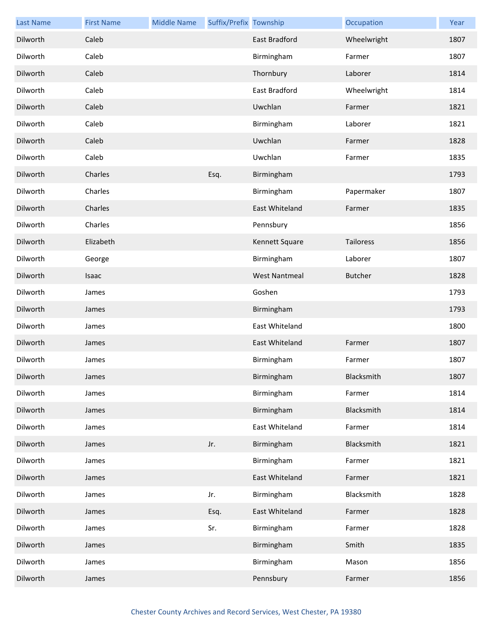| <b>Last Name</b> | <b>First Name</b> | <b>Middle Name</b> | Suffix/Prefix Township |                      | Occupation     | Year |
|------------------|-------------------|--------------------|------------------------|----------------------|----------------|------|
| Dilworth         | Caleb             |                    |                        | <b>East Bradford</b> | Wheelwright    | 1807 |
| Dilworth         | Caleb             |                    |                        | Birmingham           | Farmer         | 1807 |
| Dilworth         | Caleb             |                    |                        | Thornbury            | Laborer        | 1814 |
| Dilworth         | Caleb             |                    |                        | East Bradford        | Wheelwright    | 1814 |
| Dilworth         | Caleb             |                    |                        | Uwchlan              | Farmer         | 1821 |
| Dilworth         | Caleb             |                    |                        | Birmingham           | Laborer        | 1821 |
| Dilworth         | Caleb             |                    |                        | Uwchlan              | Farmer         | 1828 |
| Dilworth         | Caleb             |                    |                        | Uwchlan              | Farmer         | 1835 |
| Dilworth         | Charles           |                    | Esq.                   | Birmingham           |                | 1793 |
| Dilworth         | Charles           |                    |                        | Birmingham           | Papermaker     | 1807 |
| Dilworth         | Charles           |                    |                        | East Whiteland       | Farmer         | 1835 |
| Dilworth         | Charles           |                    |                        | Pennsbury            |                | 1856 |
| Dilworth         | Elizabeth         |                    |                        | Kennett Square       | Tailoress      | 1856 |
| Dilworth         | George            |                    |                        | Birmingham           | Laborer        | 1807 |
| Dilworth         | Isaac             |                    |                        | <b>West Nantmeal</b> | <b>Butcher</b> | 1828 |
| Dilworth         | James             |                    |                        | Goshen               |                | 1793 |
| Dilworth         | James             |                    |                        | Birmingham           |                | 1793 |
| Dilworth         | James             |                    |                        | East Whiteland       |                | 1800 |
| Dilworth         | James             |                    |                        | East Whiteland       | Farmer         | 1807 |
| Dilworth         | James             |                    |                        | Birmingham           | Farmer         | 1807 |
| Dilworth         | James             |                    |                        | Birmingham           | Blacksmith     | 1807 |
| Dilworth         | James             |                    |                        | Birmingham           | Farmer         | 1814 |
| Dilworth         | James             |                    |                        | Birmingham           | Blacksmith     | 1814 |
| Dilworth         | James             |                    |                        | East Whiteland       | Farmer         | 1814 |
| Dilworth         | James             |                    | Jr.                    | Birmingham           | Blacksmith     | 1821 |
| Dilworth         | James             |                    |                        | Birmingham           | Farmer         | 1821 |
| Dilworth         | James             |                    |                        | East Whiteland       | Farmer         | 1821 |
| Dilworth         | James             |                    | Jr.                    | Birmingham           | Blacksmith     | 1828 |
| Dilworth         | James             |                    | Esq.                   | East Whiteland       | Farmer         | 1828 |
| Dilworth         | James             |                    | Sr.                    | Birmingham           | Farmer         | 1828 |
| Dilworth         | James             |                    |                        | Birmingham           | Smith          | 1835 |
| Dilworth         | James             |                    |                        | Birmingham           | Mason          | 1856 |
| Dilworth         | James             |                    |                        | Pennsbury            | Farmer         | 1856 |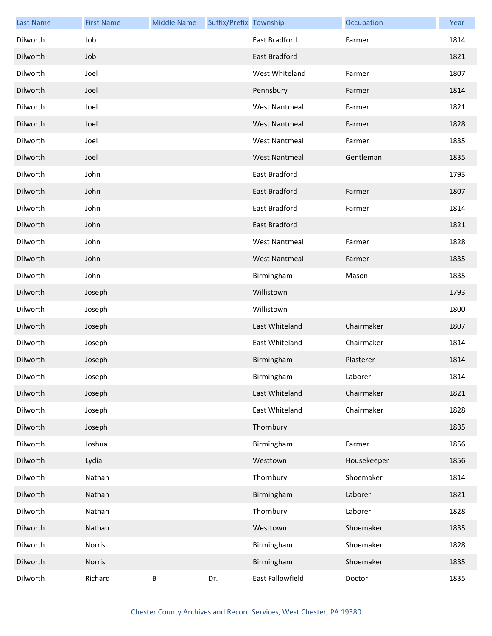| <b>Last Name</b> | <b>First Name</b> | <b>Middle Name</b> | Suffix/Prefix Township |                      | Occupation  | Year |
|------------------|-------------------|--------------------|------------------------|----------------------|-------------|------|
| Dilworth         | Job               |                    |                        | East Bradford        | Farmer      | 1814 |
| Dilworth         | Job               |                    |                        | <b>East Bradford</b> |             | 1821 |
| Dilworth         | Joel              |                    |                        | West Whiteland       | Farmer      | 1807 |
| Dilworth         | Joel              |                    |                        | Pennsbury            | Farmer      | 1814 |
| Dilworth         | Joel              |                    |                        | <b>West Nantmeal</b> | Farmer      | 1821 |
| Dilworth         | Joel              |                    |                        | <b>West Nantmeal</b> | Farmer      | 1828 |
| Dilworth         | Joel              |                    |                        | <b>West Nantmeal</b> | Farmer      | 1835 |
| Dilworth         | Joel              |                    |                        | <b>West Nantmeal</b> | Gentleman   | 1835 |
| Dilworth         | John              |                    |                        | East Bradford        |             | 1793 |
| Dilworth         | John              |                    |                        | East Bradford        | Farmer      | 1807 |
| Dilworth         | John              |                    |                        | East Bradford        | Farmer      | 1814 |
| Dilworth         | John              |                    |                        | <b>East Bradford</b> |             | 1821 |
| Dilworth         | John              |                    |                        | <b>West Nantmeal</b> | Farmer      | 1828 |
| Dilworth         | John              |                    |                        | <b>West Nantmeal</b> | Farmer      | 1835 |
| Dilworth         | John              |                    |                        | Birmingham           | Mason       | 1835 |
| Dilworth         | Joseph            |                    |                        | Willistown           |             | 1793 |
| Dilworth         | Joseph            |                    |                        | Willistown           |             | 1800 |
| Dilworth         | Joseph            |                    |                        | East Whiteland       | Chairmaker  | 1807 |
| Dilworth         | Joseph            |                    |                        | East Whiteland       | Chairmaker  | 1814 |
| Dilworth         | Joseph            |                    |                        | Birmingham           | Plasterer   | 1814 |
| Dilworth         | Joseph            |                    |                        | Birmingham           | Laborer     | 1814 |
| Dilworth         | Joseph            |                    |                        | East Whiteland       | Chairmaker  | 1821 |
| Dilworth         | Joseph            |                    |                        | East Whiteland       | Chairmaker  | 1828 |
| Dilworth         | Joseph            |                    |                        | Thornbury            |             | 1835 |
| Dilworth         | Joshua            |                    |                        | Birmingham           | Farmer      | 1856 |
| Dilworth         | Lydia             |                    |                        | Westtown             | Housekeeper | 1856 |
| Dilworth         | Nathan            |                    |                        | Thornbury            | Shoemaker   | 1814 |
| Dilworth         | Nathan            |                    |                        | Birmingham           | Laborer     | 1821 |
| Dilworth         | Nathan            |                    |                        | Thornbury            | Laborer     | 1828 |
| Dilworth         | Nathan            |                    |                        | Westtown             | Shoemaker   | 1835 |
| Dilworth         | Norris            |                    |                        | Birmingham           | Shoemaker   | 1828 |
| Dilworth         | Norris            |                    |                        | Birmingham           | Shoemaker   | 1835 |
| Dilworth         | Richard           | $\sf B$            | Dr.                    | East Fallowfield     | Doctor      | 1835 |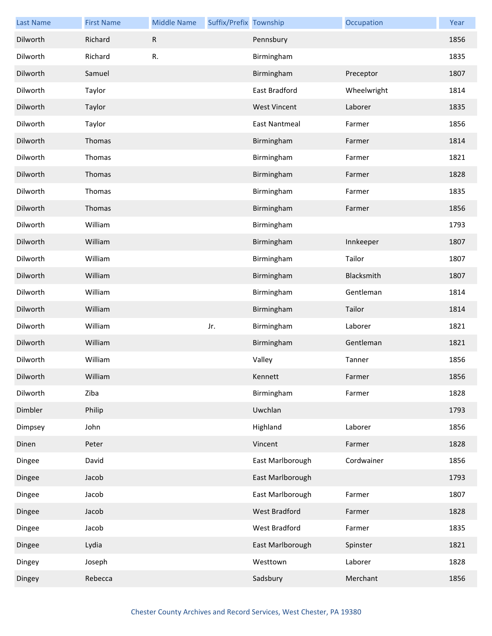| <b>Last Name</b> | <b>First Name</b> | <b>Middle Name</b> | Suffix/Prefix Township |                      | Occupation  | Year |
|------------------|-------------------|--------------------|------------------------|----------------------|-------------|------|
| Dilworth         | Richard           | ${\sf R}$          |                        | Pennsbury            |             | 1856 |
| Dilworth         | Richard           | R.                 |                        | Birmingham           |             | 1835 |
| Dilworth         | Samuel            |                    |                        | Birmingham           | Preceptor   | 1807 |
| Dilworth         | Taylor            |                    |                        | East Bradford        | Wheelwright | 1814 |
| Dilworth         | Taylor            |                    |                        | <b>West Vincent</b>  | Laborer     | 1835 |
| Dilworth         | Taylor            |                    |                        | <b>East Nantmeal</b> | Farmer      | 1856 |
| Dilworth         | Thomas            |                    |                        | Birmingham           | Farmer      | 1814 |
| Dilworth         | Thomas            |                    |                        | Birmingham           | Farmer      | 1821 |
| Dilworth         | Thomas            |                    |                        | Birmingham           | Farmer      | 1828 |
| Dilworth         | Thomas            |                    |                        | Birmingham           | Farmer      | 1835 |
| Dilworth         | Thomas            |                    |                        | Birmingham           | Farmer      | 1856 |
| Dilworth         | William           |                    |                        | Birmingham           |             | 1793 |
| Dilworth         | William           |                    |                        | Birmingham           | Innkeeper   | 1807 |
| Dilworth         | William           |                    |                        | Birmingham           | Tailor      | 1807 |
| Dilworth         | William           |                    |                        | Birmingham           | Blacksmith  | 1807 |
| Dilworth         | William           |                    |                        | Birmingham           | Gentleman   | 1814 |
| Dilworth         | William           |                    |                        | Birmingham           | Tailor      | 1814 |
| Dilworth         | William           |                    | Jr.                    | Birmingham           | Laborer     | 1821 |
| Dilworth         | William           |                    |                        | Birmingham           | Gentleman   | 1821 |
| Dilworth         | William           |                    |                        | Valley               | Tanner      | 1856 |
| Dilworth         | William           |                    |                        | Kennett              | Farmer      | 1856 |
| Dilworth         | Ziba              |                    |                        | Birmingham           | Farmer      | 1828 |
| Dimbler          | Philip            |                    |                        | Uwchlan              |             | 1793 |
| Dimpsey          | John              |                    |                        | Highland             | Laborer     | 1856 |
| Dinen            | Peter             |                    |                        | Vincent              | Farmer      | 1828 |
| Dingee           | David             |                    |                        | East Marlborough     | Cordwainer  | 1856 |
| Dingee           | Jacob             |                    |                        | East Marlborough     |             | 1793 |
| Dingee           | Jacob             |                    |                        | East Marlborough     | Farmer      | 1807 |
| Dingee           | Jacob             |                    |                        | West Bradford        | Farmer      | 1828 |
| Dingee           | Jacob             |                    |                        | West Bradford        | Farmer      | 1835 |
| Dingee           | Lydia             |                    |                        | East Marlborough     | Spinster    | 1821 |
| Dingey           | Joseph            |                    |                        | Westtown             | Laborer     | 1828 |
| Dingey           | Rebecca           |                    |                        | Sadsbury             | Merchant    | 1856 |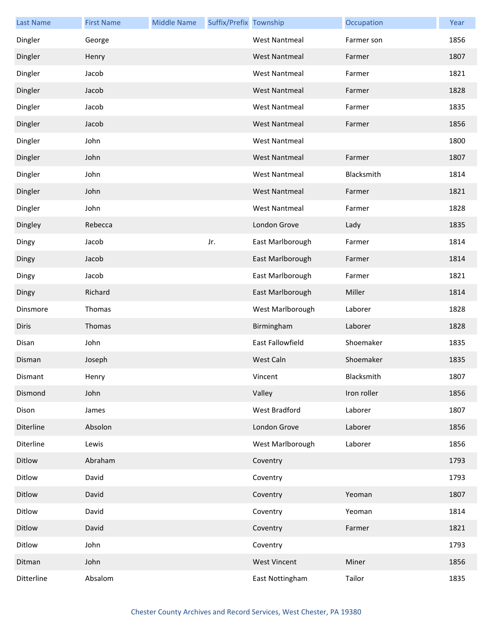| <b>Last Name</b> | <b>First Name</b> | <b>Middle Name</b> | Suffix/Prefix Township |                      | Occupation  | Year |
|------------------|-------------------|--------------------|------------------------|----------------------|-------------|------|
| Dingler          | George            |                    |                        | <b>West Nantmeal</b> | Farmer son  | 1856 |
| Dingler          | Henry             |                    |                        | <b>West Nantmeal</b> | Farmer      | 1807 |
| Dingler          | Jacob             |                    |                        | <b>West Nantmeal</b> | Farmer      | 1821 |
| Dingler          | Jacob             |                    |                        | <b>West Nantmeal</b> | Farmer      | 1828 |
| Dingler          | Jacob             |                    |                        | <b>West Nantmeal</b> | Farmer      | 1835 |
| Dingler          | Jacob             |                    |                        | <b>West Nantmeal</b> | Farmer      | 1856 |
| Dingler          | John              |                    |                        | <b>West Nantmeal</b> |             | 1800 |
| Dingler          | John              |                    |                        | <b>West Nantmeal</b> | Farmer      | 1807 |
| Dingler          | John              |                    |                        | <b>West Nantmeal</b> | Blacksmith  | 1814 |
| Dingler          | John              |                    |                        | <b>West Nantmeal</b> | Farmer      | 1821 |
| Dingler          | John              |                    |                        | <b>West Nantmeal</b> | Farmer      | 1828 |
| Dingley          | Rebecca           |                    |                        | London Grove         | Lady        | 1835 |
| Dingy            | Jacob             |                    | Jr.                    | East Marlborough     | Farmer      | 1814 |
| Dingy            | Jacob             |                    |                        | East Marlborough     | Farmer      | 1814 |
| Dingy            | Jacob             |                    |                        | East Marlborough     | Farmer      | 1821 |
| Dingy            | Richard           |                    |                        | East Marlborough     | Miller      | 1814 |
| Dinsmore         | Thomas            |                    |                        | West Marlborough     | Laborer     | 1828 |
| <b>Diris</b>     | Thomas            |                    |                        | Birmingham           | Laborer     | 1828 |
| Disan            | John              |                    |                        | East Fallowfield     | Shoemaker   | 1835 |
| Disman           | Joseph            |                    |                        | West Caln            | Shoemaker   | 1835 |
| Dismant          | Henry             |                    |                        | Vincent              | Blacksmith  | 1807 |
| Dismond          | John              |                    |                        | Valley               | Iron roller | 1856 |
| Dison            | James             |                    |                        | West Bradford        | Laborer     | 1807 |
| Diterline        | Absolon           |                    |                        | London Grove         | Laborer     | 1856 |
| Diterline        | Lewis             |                    |                        | West Marlborough     | Laborer     | 1856 |
| Ditlow           | Abraham           |                    |                        | Coventry             |             | 1793 |
| Ditlow           | David             |                    |                        | Coventry             |             | 1793 |
| Ditlow           | David             |                    |                        | Coventry             | Yeoman      | 1807 |
| Ditlow           | David             |                    |                        | Coventry             | Yeoman      | 1814 |
| Ditlow           | David             |                    |                        | Coventry             | Farmer      | 1821 |
| Ditlow           | John              |                    |                        | Coventry             |             | 1793 |
| Ditman           | John              |                    |                        | <b>West Vincent</b>  | Miner       | 1856 |
| Ditterline       | Absalom           |                    |                        | East Nottingham      | Tailor      | 1835 |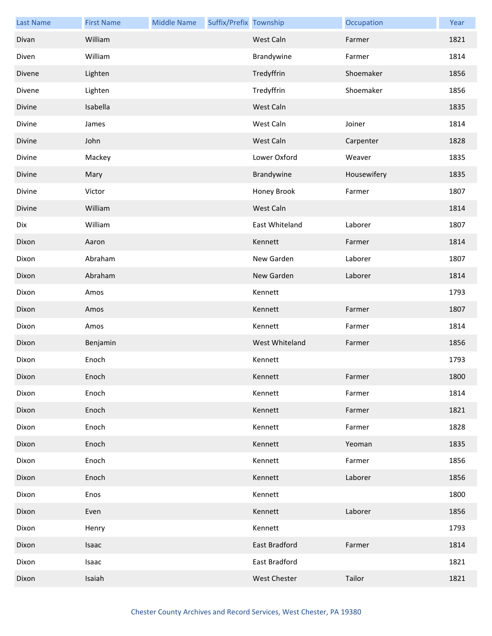| <b>Last Name</b> | <b>First Name</b> | <b>Middle Name</b> | Suffix/Prefix Township |                     | Occupation  | Year |
|------------------|-------------------|--------------------|------------------------|---------------------|-------------|------|
| Divan            | William           |                    |                        | West Caln           | Farmer      | 1821 |
| Diven            | William           |                    |                        | Brandywine          | Farmer      | 1814 |
| Divene           | Lighten           |                    |                        | Tredyffrin          | Shoemaker   | 1856 |
| Divene           | Lighten           |                    |                        | Tredyffrin          | Shoemaker   | 1856 |
| Divine           | Isabella          |                    |                        | West Caln           |             | 1835 |
| Divine           | James             |                    |                        | West Caln           | Joiner      | 1814 |
| Divine           | John              |                    |                        | West Caln           | Carpenter   | 1828 |
| Divine           | Mackey            |                    |                        | Lower Oxford        | Weaver      | 1835 |
| Divine           | Mary              |                    |                        | Brandywine          | Housewifery | 1835 |
| Divine           | Victor            |                    |                        | Honey Brook         | Farmer      | 1807 |
| Divine           | William           |                    |                        | West Caln           |             | 1814 |
| Dix              | William           |                    |                        | East Whiteland      | Laborer     | 1807 |
| Dixon            | Aaron             |                    |                        | Kennett             | Farmer      | 1814 |
| Dixon            | Abraham           |                    |                        | New Garden          | Laborer     | 1807 |
| Dixon            | Abraham           |                    |                        | New Garden          | Laborer     | 1814 |
| Dixon            | Amos              |                    |                        | Kennett             |             | 1793 |
| Dixon            | Amos              |                    |                        | Kennett             | Farmer      | 1807 |
| Dixon            | Amos              |                    |                        | Kennett             | Farmer      | 1814 |
| Dixon            | Benjamin          |                    |                        | West Whiteland      | Farmer      | 1856 |
| Dixon            | Enoch             |                    |                        | Kennett             |             | 1793 |
| Dixon            | Enoch             |                    |                        | Kennett             | Farmer      | 1800 |
| Dixon            | Enoch             |                    |                        | Kennett             | Farmer      | 1814 |
| Dixon            | Enoch             |                    |                        | Kennett             | Farmer      | 1821 |
| Dixon            | Enoch             |                    |                        | Kennett             | Farmer      | 1828 |
| Dixon            | Enoch             |                    |                        | Kennett             | Yeoman      | 1835 |
| Dixon            | Enoch             |                    |                        | Kennett             | Farmer      | 1856 |
| Dixon            | Enoch             |                    |                        | Kennett             | Laborer     | 1856 |
| Dixon            | Enos              |                    |                        | Kennett             |             | 1800 |
| Dixon            | Even              |                    |                        | Kennett             | Laborer     | 1856 |
| Dixon            | Henry             |                    |                        | Kennett             |             | 1793 |
| Dixon            | <b>Isaac</b>      |                    |                        | East Bradford       | Farmer      | 1814 |
| Dixon            | Isaac             |                    |                        | East Bradford       |             | 1821 |
| Dixon            | Isaiah            |                    |                        | <b>West Chester</b> | Tailor      | 1821 |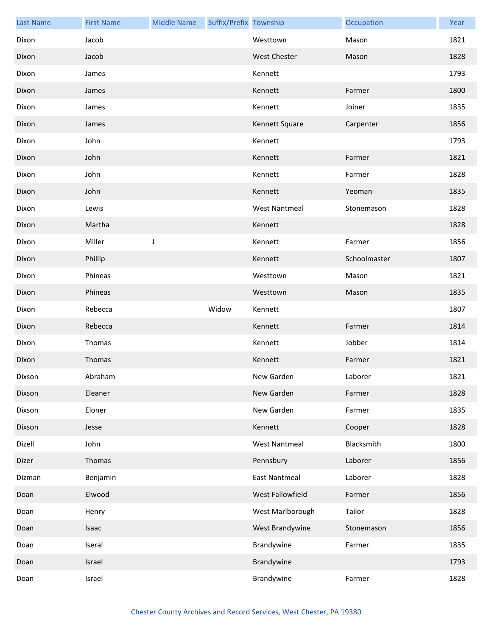| <b>Last Name</b> | <b>First Name</b> | <b>Middle Name</b> | Suffix/Prefix Township |                      | Occupation   | Year |
|------------------|-------------------|--------------------|------------------------|----------------------|--------------|------|
| Dixon            | Jacob             |                    |                        | Westtown             | Mason        | 1821 |
| Dixon            | Jacob             |                    |                        | <b>West Chester</b>  | Mason        | 1828 |
| Dixon            | James             |                    |                        | Kennett              |              | 1793 |
| Dixon            | James             |                    |                        | Kennett              | Farmer       | 1800 |
| Dixon            | James             |                    |                        | Kennett              | Joiner       | 1835 |
| Dixon            | James             |                    |                        | Kennett Square       | Carpenter    | 1856 |
| Dixon            | John              |                    |                        | Kennett              |              | 1793 |
| Dixon            | John              |                    |                        | Kennett              | Farmer       | 1821 |
| Dixon            | John              |                    |                        | Kennett              | Farmer       | 1828 |
| Dixon            | John              |                    |                        | Kennett              | Yeoman       | 1835 |
| Dixon            | Lewis             |                    |                        | <b>West Nantmeal</b> | Stonemason   | 1828 |
| Dixon            | Martha            |                    |                        | Kennett              |              | 1828 |
| Dixon            | Miller            | J                  |                        | Kennett              | Farmer       | 1856 |
| Dixon            | Phillip           |                    |                        | Kennett              | Schoolmaster | 1807 |
| Dixon            | Phineas           |                    |                        | Westtown             | Mason        | 1821 |
| Dixon            | Phineas           |                    |                        | Westtown             | Mason        | 1835 |
| Dixon            | Rebecca           |                    | Widow                  | Kennett              |              | 1807 |
| Dixon            | Rebecca           |                    |                        | Kennett              | Farmer       | 1814 |
| Dixon            | Thomas            |                    |                        | Kennett              | Jobber       | 1814 |
| Dixon            | Thomas            |                    |                        | Kennett              | Farmer       | 1821 |
| Dixson           | Abraham           |                    |                        | New Garden           | Laborer      | 1821 |
| Dixson           | Eleaner           |                    |                        | New Garden           | Farmer       | 1828 |
| Dixson           | Eloner            |                    |                        | New Garden           | Farmer       | 1835 |
| Dixson           | Jesse             |                    |                        | Kennett              | Cooper       | 1828 |
| Dizell           | John              |                    |                        | <b>West Nantmeal</b> | Blacksmith   | 1800 |
| Dizer            | Thomas            |                    |                        | Pennsbury            | Laborer      | 1856 |
| Dizman           | Benjamin          |                    |                        | <b>East Nantmeal</b> | Laborer      | 1828 |
| Doan             | Elwood            |                    |                        | West Fallowfield     | Farmer       | 1856 |
| Doan             | Henry             |                    |                        | West Marlborough     | Tailor       | 1828 |
| Doan             | Isaac             |                    |                        | West Brandywine      | Stonemason   | 1856 |
| Doan             | Iseral            |                    |                        | Brandywine           | Farmer       | 1835 |
| Doan             | Israel            |                    |                        | Brandywine           |              | 1793 |
| Doan             | Israel            |                    |                        | Brandywine           | Farmer       | 1828 |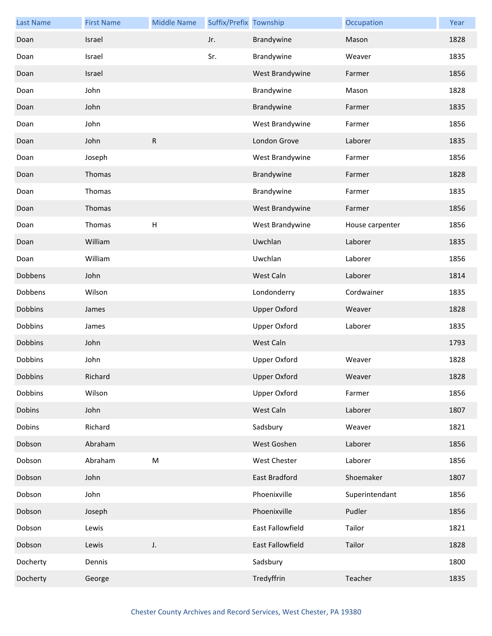| <b>Last Name</b> | <b>First Name</b> | <b>Middle Name</b>        | Suffix/Prefix Township |                     | Occupation      | Year |
|------------------|-------------------|---------------------------|------------------------|---------------------|-----------------|------|
| Doan             | Israel            |                           | Jr.                    | Brandywine          | Mason           | 1828 |
| Doan             | Israel            |                           | Sr.                    | Brandywine          | Weaver          | 1835 |
| Doan             | Israel            |                           |                        | West Brandywine     | Farmer          | 1856 |
| Doan             | John              |                           |                        | Brandywine          | Mason           | 1828 |
| Doan             | John              |                           |                        | Brandywine          | Farmer          | 1835 |
| Doan             | John              |                           |                        | West Brandywine     | Farmer          | 1856 |
| Doan             | John              | ${\sf R}$                 |                        | London Grove        | Laborer         | 1835 |
| Doan             | Joseph            |                           |                        | West Brandywine     | Farmer          | 1856 |
| Doan             | Thomas            |                           |                        | Brandywine          | Farmer          | 1828 |
| Doan             | Thomas            |                           |                        | Brandywine          | Farmer          | 1835 |
| Doan             | Thomas            |                           |                        | West Brandywine     | Farmer          | 1856 |
| Doan             | Thomas            | $\boldsymbol{\mathsf{H}}$ |                        | West Brandywine     | House carpenter | 1856 |
| Doan             | William           |                           |                        | Uwchlan             | Laborer         | 1835 |
| Doan             | William           |                           |                        | Uwchlan             | Laborer         | 1856 |
| Dobbens          | John              |                           |                        | West Caln           | Laborer         | 1814 |
| Dobbens          | Wilson            |                           |                        | Londonderry         | Cordwainer      | 1835 |
| Dobbins          | James             |                           |                        | <b>Upper Oxford</b> | Weaver          | 1828 |
| Dobbins          | James             |                           |                        | <b>Upper Oxford</b> | Laborer         | 1835 |
| Dobbins          | John              |                           |                        | West Caln           |                 | 1793 |
| Dobbins          | John              |                           |                        | <b>Upper Oxford</b> | Weaver          | 1828 |
| Dobbins          | Richard           |                           |                        | Upper Oxford        | Weaver          | 1828 |
| Dobbins          | Wilson            |                           |                        | <b>Upper Oxford</b> | Farmer          | 1856 |
| Dobins           | John              |                           |                        | West Caln           | Laborer         | 1807 |
| Dobins           | Richard           |                           |                        | Sadsbury            | Weaver          | 1821 |
| Dobson           | Abraham           |                           |                        | West Goshen         | Laborer         | 1856 |
| Dobson           | Abraham           | ${\sf M}$                 |                        | West Chester        | Laborer         | 1856 |
| Dobson           | John              |                           |                        | East Bradford       | Shoemaker       | 1807 |
| Dobson           | John              |                           |                        | Phoenixville        | Superintendant  | 1856 |
| Dobson           | Joseph            |                           |                        | Phoenixville        | Pudler          | 1856 |
| Dobson           | Lewis             |                           |                        | East Fallowfield    | Tailor          | 1821 |
| Dobson           | Lewis             | J.                        |                        | East Fallowfield    | Tailor          | 1828 |
| Docherty         | Dennis            |                           |                        | Sadsbury            |                 | 1800 |
| Docherty         | George            |                           |                        | Tredyffrin          | Teacher         | 1835 |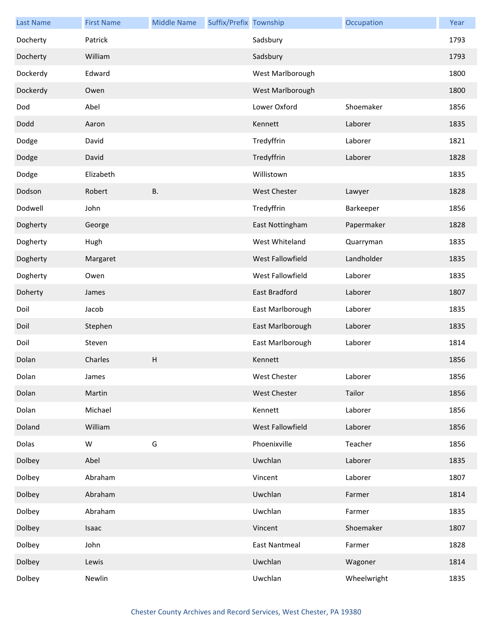| <b>Last Name</b> | <b>First Name</b> | <b>Middle Name</b> | Suffix/Prefix Township |                      | Occupation  | Year |
|------------------|-------------------|--------------------|------------------------|----------------------|-------------|------|
| Docherty         | Patrick           |                    |                        | Sadsbury             |             | 1793 |
| Docherty         | William           |                    |                        | Sadsbury             |             | 1793 |
| Dockerdy         | Edward            |                    |                        | West Marlborough     |             | 1800 |
| Dockerdy         | Owen              |                    |                        | West Marlborough     |             | 1800 |
| Dod              | Abel              |                    |                        | Lower Oxford         | Shoemaker   | 1856 |
| Dodd             | Aaron             |                    |                        | Kennett              | Laborer     | 1835 |
| Dodge            | David             |                    |                        | Tredyffrin           | Laborer     | 1821 |
| Dodge            | David             |                    |                        | Tredyffrin           | Laborer     | 1828 |
| Dodge            | Elizabeth         |                    |                        | Willistown           |             | 1835 |
| Dodson           | Robert            | <b>B.</b>          |                        | <b>West Chester</b>  | Lawyer      | 1828 |
| Dodwell          | John              |                    |                        | Tredyffrin           | Barkeeper   | 1856 |
| Dogherty         | George            |                    |                        | East Nottingham      | Papermaker  | 1828 |
| Dogherty         | Hugh              |                    |                        | West Whiteland       | Quarryman   | 1835 |
| Dogherty         | Margaret          |                    |                        | West Fallowfield     | Landholder  | 1835 |
| Dogherty         | Owen              |                    |                        | West Fallowfield     | Laborer     | 1835 |
| Doherty          | James             |                    |                        | East Bradford        | Laborer     | 1807 |
| Doil             | Jacob             |                    |                        | East Marlborough     | Laborer     | 1835 |
| Doil             | Stephen           |                    |                        | East Marlborough     | Laborer     | 1835 |
| Doil             | Steven            |                    |                        | East Marlborough     | Laborer     | 1814 |
| Dolan            | Charles           | $\sf H$            |                        | Kennett              |             | 1856 |
| Dolan            | James             |                    |                        | West Chester         | Laborer     | 1856 |
| Dolan            | Martin            |                    |                        | West Chester         | Tailor      | 1856 |
| Dolan            | Michael           |                    |                        | Kennett              | Laborer     | 1856 |
| Doland           | William           |                    |                        | West Fallowfield     | Laborer     | 1856 |
| Dolas            | W                 | G                  |                        | Phoenixville         | Teacher     | 1856 |
| Dolbey           | Abel              |                    |                        | Uwchlan              | Laborer     | 1835 |
| Dolbey           | Abraham           |                    |                        | Vincent              | Laborer     | 1807 |
| Dolbey           | Abraham           |                    |                        | Uwchlan              | Farmer      | 1814 |
| Dolbey           | Abraham           |                    |                        | Uwchlan              | Farmer      | 1835 |
| Dolbey           | Isaac             |                    |                        | Vincent              | Shoemaker   | 1807 |
| Dolbey           | John              |                    |                        | <b>East Nantmeal</b> | Farmer      | 1828 |
| Dolbey           | Lewis             |                    |                        | Uwchlan              | Wagoner     | 1814 |
| Dolbey           | Newlin            |                    |                        | Uwchlan              | Wheelwright | 1835 |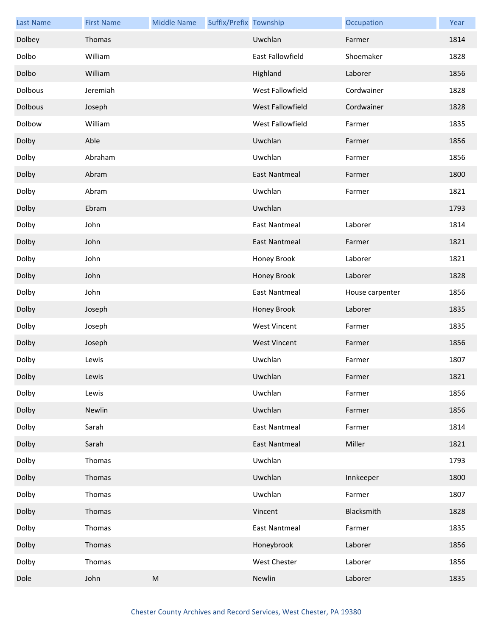| <b>Last Name</b> | <b>First Name</b> | <b>Middle Name</b> | Suffix/Prefix Township |                      | Occupation      | Year |
|------------------|-------------------|--------------------|------------------------|----------------------|-----------------|------|
| Dolbey           | Thomas            |                    |                        | Uwchlan              | Farmer          | 1814 |
| Dolbo            | William           |                    |                        | East Fallowfield     | Shoemaker       | 1828 |
| Dolbo            | William           |                    |                        | Highland             | Laborer         | 1856 |
| Dolbous          | Jeremiah          |                    |                        | West Fallowfield     | Cordwainer      | 1828 |
| Dolbous          | Joseph            |                    |                        | West Fallowfield     | Cordwainer      | 1828 |
| Dolbow           | William           |                    |                        | West Fallowfield     | Farmer          | 1835 |
| Dolby            | Able              |                    |                        | Uwchlan              | Farmer          | 1856 |
| Dolby            | Abraham           |                    |                        | Uwchlan              | Farmer          | 1856 |
| Dolby            | Abram             |                    |                        | <b>East Nantmeal</b> | Farmer          | 1800 |
| Dolby            | Abram             |                    |                        | Uwchlan              | Farmer          | 1821 |
| Dolby            | Ebram             |                    |                        | Uwchlan              |                 | 1793 |
| Dolby            | John              |                    |                        | <b>East Nantmeal</b> | Laborer         | 1814 |
| Dolby            | John              |                    |                        | <b>East Nantmeal</b> | Farmer          | 1821 |
| Dolby            | John              |                    |                        | Honey Brook          | Laborer         | 1821 |
| Dolby            | John              |                    |                        | Honey Brook          | Laborer         | 1828 |
| Dolby            | John              |                    |                        | <b>East Nantmeal</b> | House carpenter | 1856 |
| Dolby            | Joseph            |                    |                        | Honey Brook          | Laborer         | 1835 |
| Dolby            | Joseph            |                    |                        | <b>West Vincent</b>  | Farmer          | 1835 |
| Dolby            | Joseph            |                    |                        | <b>West Vincent</b>  | Farmer          | 1856 |
| Dolby            | Lewis             |                    |                        | Uwchlan              | Farmer          | 1807 |
| Dolby            | Lewis             |                    |                        | Uwchlan              | Farmer          | 1821 |
| Dolby            | Lewis             |                    |                        | Uwchlan              | Farmer          | 1856 |
| Dolby            | Newlin            |                    |                        | Uwchlan              | Farmer          | 1856 |
| Dolby            | Sarah             |                    |                        | <b>East Nantmeal</b> | Farmer          | 1814 |
| Dolby            | Sarah             |                    |                        | <b>East Nantmeal</b> | Miller          | 1821 |
| Dolby            | Thomas            |                    |                        | Uwchlan              |                 | 1793 |
| Dolby            | Thomas            |                    |                        | Uwchlan              | Innkeeper       | 1800 |
| Dolby            | Thomas            |                    |                        | Uwchlan              | Farmer          | 1807 |
| Dolby            | Thomas            |                    |                        | Vincent              | Blacksmith      | 1828 |
| Dolby            | Thomas            |                    |                        | <b>East Nantmeal</b> | Farmer          | 1835 |
| Dolby            | Thomas            |                    |                        | Honeybrook           | Laborer         | 1856 |
| Dolby            | Thomas            |                    |                        | West Chester         | Laborer         | 1856 |
| Dole             | John              | ${\sf M}$          |                        | Newlin               | Laborer         | 1835 |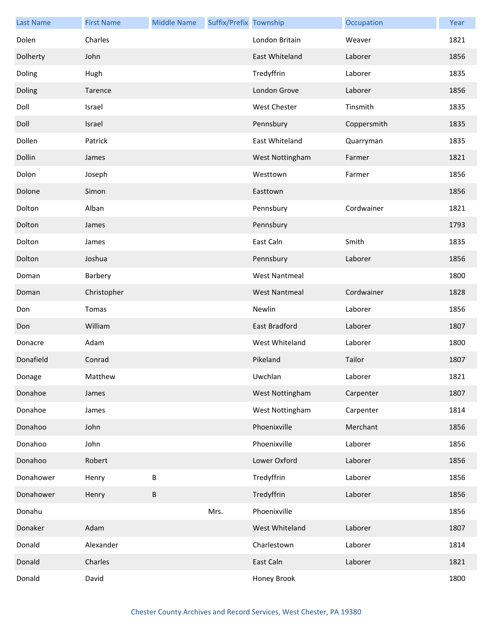| <b>Last Name</b> | <b>First Name</b> | <b>Middle Name</b> | Suffix/Prefix Township |                      | Occupation  | Year |
|------------------|-------------------|--------------------|------------------------|----------------------|-------------|------|
| Dolen            | Charles           |                    |                        | London Britain       | Weaver      | 1821 |
| Dolherty         | John              |                    |                        | East Whiteland       | Laborer     | 1856 |
| Doling           | Hugh              |                    |                        | Tredyffrin           | Laborer     | 1835 |
| Doling           | Tarence           |                    |                        | London Grove         | Laborer     | 1856 |
| Doll             | Israel            |                    |                        | <b>West Chester</b>  | Tinsmith    | 1835 |
| Doll             | Israel            |                    |                        | Pennsbury            | Coppersmith | 1835 |
| Dollen           | Patrick           |                    |                        | East Whiteland       | Quarryman   | 1835 |
| Dollin           | James             |                    |                        | West Nottingham      | Farmer      | 1821 |
| Dolon            | Joseph            |                    |                        | Westtown             | Farmer      | 1856 |
| Dolone           | Simon             |                    |                        | Easttown             |             | 1856 |
| Dolton           | Alban             |                    |                        | Pennsbury            | Cordwainer  | 1821 |
| Dolton           | James             |                    |                        | Pennsbury            |             | 1793 |
| Dolton           | James             |                    |                        | East Caln            | Smith       | 1835 |
| Dolton           | Joshua            |                    |                        | Pennsbury            | Laborer     | 1856 |
| Doman            | Barbery           |                    |                        | <b>West Nantmeal</b> |             | 1800 |
| Doman            | Christopher       |                    |                        | <b>West Nantmeal</b> | Cordwainer  | 1828 |
| Don              | Tomas             |                    |                        | Newlin               | Laborer     | 1856 |
| Don              | William           |                    |                        | East Bradford        | Laborer     | 1807 |
| Donacre          | Adam              |                    |                        | West Whiteland       | Laborer     | 1800 |
| Donafield        | Conrad            |                    |                        | Pikeland             | Tailor      | 1807 |
| Donage           | Matthew           |                    |                        | Uwchlan              | Laborer     | 1821 |
| Donahoe          | James             |                    |                        | West Nottingham      | Carpenter   | 1807 |
| Donahoe          | James             |                    |                        | West Nottingham      | Carpenter   | 1814 |
| Donahoo          | John              |                    |                        | Phoenixville         | Merchant    | 1856 |
| Donahoo          | John              |                    |                        | Phoenixville         | Laborer     | 1856 |
| Donahoo          | Robert            |                    |                        | Lower Oxford         | Laborer     | 1856 |
| Donahower        | Henry             | B                  |                        | Tredyffrin           | Laborer     | 1856 |
| Donahower        | Henry             | B                  |                        | Tredyffrin           | Laborer     | 1856 |
| Donahu           |                   |                    | Mrs.                   | Phoenixville         |             | 1856 |
| Donaker          | Adam              |                    |                        | West Whiteland       | Laborer     | 1807 |
| Donald           | Alexander         |                    |                        | Charlestown          | Laborer     | 1814 |
| Donald           | Charles           |                    |                        | East Caln            | Laborer     | 1821 |
| Donald           | David             |                    |                        | Honey Brook          |             | 1800 |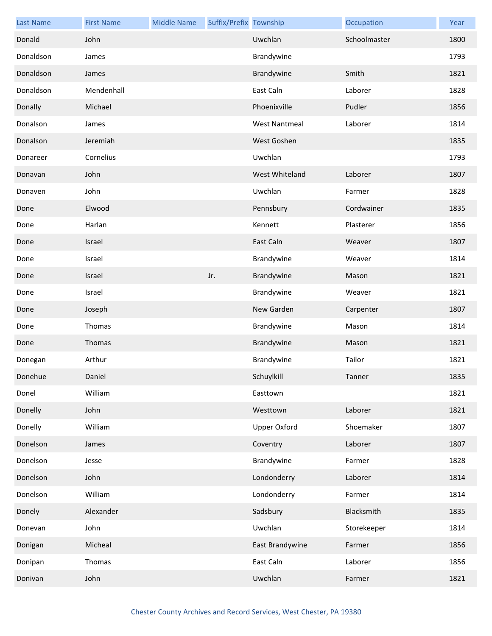| <b>Last Name</b> | <b>First Name</b> | <b>Middle Name</b> | Suffix/Prefix Township |                      | Occupation   | Year |
|------------------|-------------------|--------------------|------------------------|----------------------|--------------|------|
| Donald           | John              |                    |                        | Uwchlan              | Schoolmaster | 1800 |
| Donaldson        | James             |                    |                        | Brandywine           |              | 1793 |
| Donaldson        | James             |                    |                        | Brandywine           | Smith        | 1821 |
| Donaldson        | Mendenhall        |                    |                        | East Caln            | Laborer      | 1828 |
| Donally          | Michael           |                    |                        | Phoenixville         | Pudler       | 1856 |
| Donalson         | James             |                    |                        | <b>West Nantmeal</b> | Laborer      | 1814 |
| Donalson         | Jeremiah          |                    |                        | West Goshen          |              | 1835 |
| Donareer         | Cornelius         |                    |                        | Uwchlan              |              | 1793 |
| Donavan          | John              |                    |                        | West Whiteland       | Laborer      | 1807 |
| Donaven          | John              |                    |                        | Uwchlan              | Farmer       | 1828 |
| Done             | Elwood            |                    |                        | Pennsbury            | Cordwainer   | 1835 |
| Done             | Harlan            |                    |                        | Kennett              | Plasterer    | 1856 |
| Done             | Israel            |                    |                        | East Caln            | Weaver       | 1807 |
| Done             | Israel            |                    |                        | Brandywine           | Weaver       | 1814 |
| Done             | Israel            |                    | Jr.                    | Brandywine           | Mason        | 1821 |
| Done             | Israel            |                    |                        | Brandywine           | Weaver       | 1821 |
| Done             | Joseph            |                    |                        | New Garden           | Carpenter    | 1807 |
| Done             | Thomas            |                    |                        | Brandywine           | Mason        | 1814 |
| Done             | Thomas            |                    |                        | Brandywine           | Mason        | 1821 |
| Donegan          | Arthur            |                    |                        | Brandywine           | Tailor       | 1821 |
| Donehue          | Daniel            |                    |                        | Schuylkill           | Tanner       | 1835 |
| Donel            | William           |                    |                        | Easttown             |              | 1821 |
| Donelly          | John              |                    |                        | Westtown             | Laborer      | 1821 |
| Donelly          | William           |                    |                        | <b>Upper Oxford</b>  | Shoemaker    | 1807 |
| Donelson         | James             |                    |                        | Coventry             | Laborer      | 1807 |
| Donelson         | Jesse             |                    |                        | Brandywine           | Farmer       | 1828 |
| Donelson         | John              |                    |                        | Londonderry          | Laborer      | 1814 |
| Donelson         | William           |                    |                        | Londonderry          | Farmer       | 1814 |
| Donely           | Alexander         |                    |                        | Sadsbury             | Blacksmith   | 1835 |
| Donevan          | John              |                    |                        | Uwchlan              | Storekeeper  | 1814 |
| Donigan          | Micheal           |                    |                        | East Brandywine      | Farmer       | 1856 |
| Donipan          | Thomas            |                    |                        | East Caln            | Laborer      | 1856 |
| Donivan          | John              |                    |                        | Uwchlan              | Farmer       | 1821 |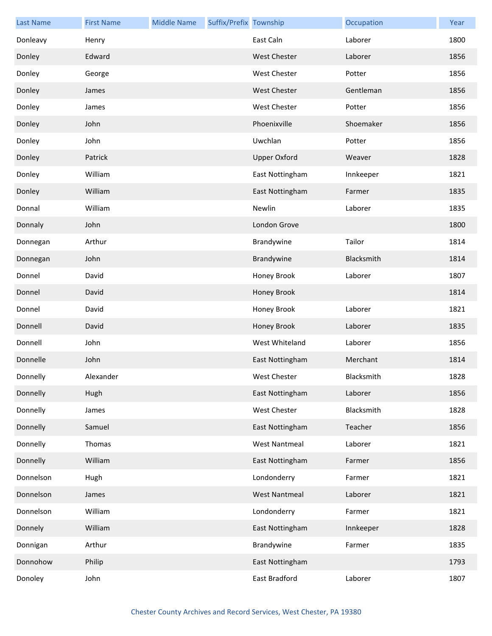| <b>Last Name</b> | <b>First Name</b> | <b>Middle Name</b> | Suffix/Prefix Township |                      | Occupation | Year |
|------------------|-------------------|--------------------|------------------------|----------------------|------------|------|
| Donleavy         | Henry             |                    |                        | East Caln            | Laborer    | 1800 |
| Donley           | Edward            |                    |                        | <b>West Chester</b>  | Laborer    | 1856 |
| Donley           | George            |                    |                        | <b>West Chester</b>  | Potter     | 1856 |
| Donley           | James             |                    |                        | <b>West Chester</b>  | Gentleman  | 1856 |
| Donley           | James             |                    |                        | West Chester         | Potter     | 1856 |
| Donley           | John              |                    |                        | Phoenixville         | Shoemaker  | 1856 |
| Donley           | John              |                    |                        | Uwchlan              | Potter     | 1856 |
| Donley           | Patrick           |                    |                        | <b>Upper Oxford</b>  | Weaver     | 1828 |
| Donley           | William           |                    |                        | East Nottingham      | Innkeeper  | 1821 |
| Donley           | William           |                    |                        | East Nottingham      | Farmer     | 1835 |
| Donnal           | William           |                    |                        | Newlin               | Laborer    | 1835 |
| Donnaly          | John              |                    |                        | London Grove         |            | 1800 |
| Donnegan         | Arthur            |                    |                        | Brandywine           | Tailor     | 1814 |
| Donnegan         | John              |                    |                        | Brandywine           | Blacksmith | 1814 |
| Donnel           | David             |                    |                        | Honey Brook          | Laborer    | 1807 |
| Donnel           | David             |                    |                        | Honey Brook          |            | 1814 |
| Donnel           | David             |                    |                        | Honey Brook          | Laborer    | 1821 |
| Donnell          | David             |                    |                        | Honey Brook          | Laborer    | 1835 |
| Donnell          | John              |                    |                        | West Whiteland       | Laborer    | 1856 |
| Donnelle         | John              |                    |                        | East Nottingham      | Merchant   | 1814 |
| Donnelly         | Alexander         |                    |                        | West Chester         | Blacksmith | 1828 |
| Donnelly         | Hugh              |                    |                        | East Nottingham      | Laborer    | 1856 |
| Donnelly         | James             |                    |                        | West Chester         | Blacksmith | 1828 |
| Donnelly         | Samuel            |                    |                        | East Nottingham      | Teacher    | 1856 |
| Donnelly         | Thomas            |                    |                        | <b>West Nantmeal</b> | Laborer    | 1821 |
| Donnelly         | William           |                    |                        | East Nottingham      | Farmer     | 1856 |
| Donnelson        | Hugh              |                    |                        | Londonderry          | Farmer     | 1821 |
| Donnelson        | James             |                    |                        | <b>West Nantmeal</b> | Laborer    | 1821 |
| Donnelson        | William           |                    |                        | Londonderry          | Farmer     | 1821 |
| Donnely          | William           |                    |                        | East Nottingham      | Innkeeper  | 1828 |
| Donnigan         | Arthur            |                    |                        | Brandywine           | Farmer     | 1835 |
| Donnohow         | Philip            |                    |                        | East Nottingham      |            | 1793 |
| Donoley          | John              |                    |                        | East Bradford        | Laborer    | 1807 |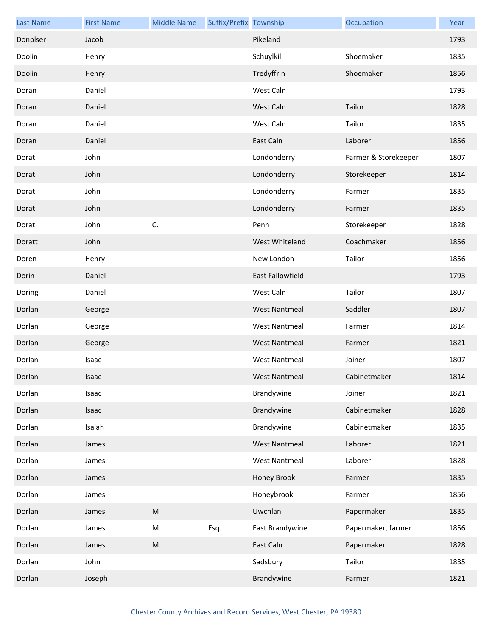| <b>Last Name</b> | <b>First Name</b> | <b>Middle Name</b> | Suffix/Prefix Township |                         | Occupation           | Year |
|------------------|-------------------|--------------------|------------------------|-------------------------|----------------------|------|
| Donplser         | Jacob             |                    |                        | Pikeland                |                      | 1793 |
| Doolin           | Henry             |                    |                        | Schuylkill              | Shoemaker            | 1835 |
| Doolin           | Henry             |                    |                        | Tredyffrin              | Shoemaker            | 1856 |
| Doran            | Daniel            |                    |                        | West Caln               |                      | 1793 |
| Doran            | Daniel            |                    |                        | West Caln               | Tailor               | 1828 |
| Doran            | Daniel            |                    |                        | West Caln               | Tailor               | 1835 |
| Doran            | Daniel            |                    |                        | East Caln               | Laborer              | 1856 |
| Dorat            | John              |                    |                        | Londonderry             | Farmer & Storekeeper | 1807 |
| Dorat            | John              |                    |                        | Londonderry             | Storekeeper          | 1814 |
| Dorat            | John              |                    |                        | Londonderry             | Farmer               | 1835 |
| Dorat            | John              |                    |                        | Londonderry             | Farmer               | 1835 |
| Dorat            | John              | C.                 |                        | Penn                    | Storekeeper          | 1828 |
| Doratt           | John              |                    |                        | West Whiteland          | Coachmaker           | 1856 |
| Doren            | Henry             |                    |                        | New London              | Tailor               | 1856 |
| Dorin            | Daniel            |                    |                        | <b>East Fallowfield</b> |                      | 1793 |
| Doring           | Daniel            |                    |                        | West Caln               | Tailor               | 1807 |
| Dorlan           | George            |                    |                        | <b>West Nantmeal</b>    | Saddler              | 1807 |
| Dorlan           | George            |                    |                        | <b>West Nantmeal</b>    | Farmer               | 1814 |
| Dorlan           | George            |                    |                        | <b>West Nantmeal</b>    | Farmer               | 1821 |
| Dorlan           | Isaac             |                    |                        | <b>West Nantmeal</b>    | Joiner               | 1807 |
| Dorlan           | Isaac             |                    |                        | West Nantmeal           | Cabinetmaker         | 1814 |
| Dorlan           | Isaac             |                    |                        | Brandywine              | Joiner               | 1821 |
| Dorlan           | Isaac             |                    |                        | Brandywine              | Cabinetmaker         | 1828 |
| Dorlan           | Isaiah            |                    |                        | Brandywine              | Cabinetmaker         | 1835 |
| Dorlan           | James             |                    |                        | <b>West Nantmeal</b>    | Laborer              | 1821 |
| Dorlan           | James             |                    |                        | <b>West Nantmeal</b>    | Laborer              | 1828 |
| Dorlan           | James             |                    |                        | Honey Brook             | Farmer               | 1835 |
| Dorlan           | James             |                    |                        | Honeybrook              | Farmer               | 1856 |
| Dorlan           | James             | ${\sf M}$          |                        | Uwchlan                 | Papermaker           | 1835 |
| Dorlan           | James             | M                  | Esq.                   | East Brandywine         | Papermaker, farmer   | 1856 |
| Dorlan           | James             | M.                 |                        | East Caln               | Papermaker           | 1828 |
| Dorlan           | John              |                    |                        | Sadsbury                | Tailor               | 1835 |
| Dorlan           | Joseph            |                    |                        | Brandywine              | Farmer               | 1821 |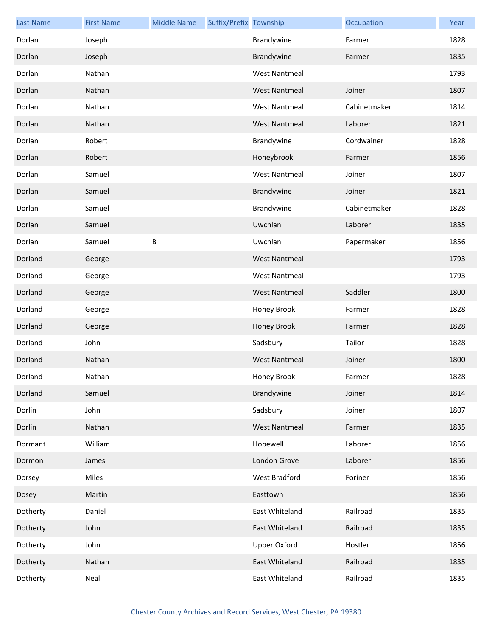| <b>Last Name</b> | <b>First Name</b> | <b>Middle Name</b> | Suffix/Prefix Township |                      | Occupation   | Year |
|------------------|-------------------|--------------------|------------------------|----------------------|--------------|------|
| Dorlan           | Joseph            |                    |                        | Brandywine           | Farmer       | 1828 |
| Dorlan           | Joseph            |                    |                        | Brandywine           | Farmer       | 1835 |
| Dorlan           | Nathan            |                    |                        | <b>West Nantmeal</b> |              | 1793 |
| Dorlan           | Nathan            |                    |                        | <b>West Nantmeal</b> | Joiner       | 1807 |
| Dorlan           | Nathan            |                    |                        | <b>West Nantmeal</b> | Cabinetmaker | 1814 |
| Dorlan           | Nathan            |                    |                        | <b>West Nantmeal</b> | Laborer      | 1821 |
| Dorlan           | Robert            |                    |                        | Brandywine           | Cordwainer   | 1828 |
| Dorlan           | Robert            |                    |                        | Honeybrook           | Farmer       | 1856 |
| Dorlan           | Samuel            |                    |                        | <b>West Nantmeal</b> | Joiner       | 1807 |
| Dorlan           | Samuel            |                    |                        | Brandywine           | Joiner       | 1821 |
| Dorlan           | Samuel            |                    |                        | Brandywine           | Cabinetmaker | 1828 |
| Dorlan           | Samuel            |                    |                        | Uwchlan              | Laborer      | 1835 |
| Dorlan           | Samuel            | B                  |                        | Uwchlan              | Papermaker   | 1856 |
| Dorland          | George            |                    |                        | <b>West Nantmeal</b> |              | 1793 |
| Dorland          | George            |                    |                        | <b>West Nantmeal</b> |              | 1793 |
| Dorland          | George            |                    |                        | <b>West Nantmeal</b> | Saddler      | 1800 |
| Dorland          | George            |                    |                        | Honey Brook          | Farmer       | 1828 |
| Dorland          | George            |                    |                        | Honey Brook          | Farmer       | 1828 |
| Dorland          | John              |                    |                        | Sadsbury             | Tailor       | 1828 |
| Dorland          | Nathan            |                    |                        | <b>West Nantmeal</b> | Joiner       | 1800 |
| Dorland          | Nathan            |                    |                        | Honey Brook          | Farmer       | 1828 |
| Dorland          | Samuel            |                    |                        | Brandywine           | Joiner       | 1814 |
| Dorlin           | John              |                    |                        | Sadsbury             | Joiner       | 1807 |
| Dorlin           | Nathan            |                    |                        | <b>West Nantmeal</b> | Farmer       | 1835 |
| Dormant          | William           |                    |                        | Hopewell             | Laborer      | 1856 |
| Dormon           | James             |                    |                        | London Grove         | Laborer      | 1856 |
| Dorsey           | Miles             |                    |                        | West Bradford        | Foriner      | 1856 |
| Dosey            | Martin            |                    |                        | Easttown             |              | 1856 |
| Dotherty         | Daniel            |                    |                        | East Whiteland       | Railroad     | 1835 |
| Dotherty         | John              |                    |                        | East Whiteland       | Railroad     | 1835 |
| Dotherty         | John              |                    |                        | <b>Upper Oxford</b>  | Hostler      | 1856 |
| Dotherty         | Nathan            |                    |                        | East Whiteland       | Railroad     | 1835 |
| Dotherty         | Neal              |                    |                        | East Whiteland       | Railroad     | 1835 |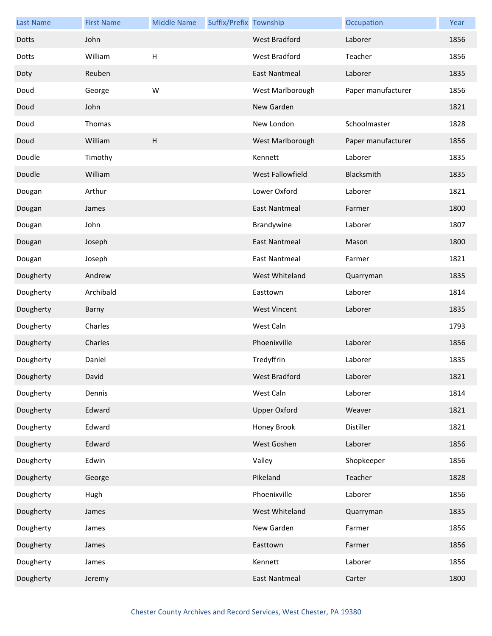| <b>Last Name</b> | <b>First Name</b> | <b>Middle Name</b> | Suffix/Prefix Township |                         | Occupation         | Year |
|------------------|-------------------|--------------------|------------------------|-------------------------|--------------------|------|
| Dotts            | John              |                    |                        | <b>West Bradford</b>    | Laborer            | 1856 |
| Dotts            | William           | H                  |                        | West Bradford           | Teacher            | 1856 |
| Doty             | Reuben            |                    |                        | <b>East Nantmeal</b>    | Laborer            | 1835 |
| Doud             | George            | W                  |                        | West Marlborough        | Paper manufacturer | 1856 |
| Doud             | John              |                    |                        | New Garden              |                    | 1821 |
| Doud             | Thomas            |                    |                        | New London              | Schoolmaster       | 1828 |
| Doud             | William           | H                  |                        | West Marlborough        | Paper manufacturer | 1856 |
| Doudle           | Timothy           |                    |                        | Kennett                 | Laborer            | 1835 |
| Doudle           | William           |                    |                        | <b>West Fallowfield</b> | Blacksmith         | 1835 |
| Dougan           | Arthur            |                    |                        | Lower Oxford            | Laborer            | 1821 |
| Dougan           | James             |                    |                        | <b>East Nantmeal</b>    | Farmer             | 1800 |
| Dougan           | John              |                    |                        | Brandywine              | Laborer            | 1807 |
| Dougan           | Joseph            |                    |                        | <b>East Nantmeal</b>    | Mason              | 1800 |
| Dougan           | Joseph            |                    |                        | <b>East Nantmeal</b>    | Farmer             | 1821 |
| Dougherty        | Andrew            |                    |                        | West Whiteland          | Quarryman          | 1835 |
| Dougherty        | Archibald         |                    |                        | Easttown                | Laborer            | 1814 |
| Dougherty        | Barny             |                    |                        | <b>West Vincent</b>     | Laborer            | 1835 |
| Dougherty        | Charles           |                    |                        | West Caln               |                    | 1793 |
| Dougherty        | Charles           |                    |                        | Phoenixville            | Laborer            | 1856 |
| Dougherty        | Daniel            |                    |                        | Tredyffrin              | Laborer            | 1835 |
| Dougherty        | David             |                    |                        | West Bradford           | Laborer            | 1821 |
| Dougherty        | Dennis            |                    |                        | West Caln               | Laborer            | 1814 |
| Dougherty        | Edward            |                    |                        | <b>Upper Oxford</b>     | Weaver             | 1821 |
| Dougherty        | Edward            |                    |                        | Honey Brook             | Distiller          | 1821 |
| Dougherty        | Edward            |                    |                        | West Goshen             | Laborer            | 1856 |
| Dougherty        | Edwin             |                    |                        | Valley                  | Shopkeeper         | 1856 |
| Dougherty        | George            |                    |                        | Pikeland                | Teacher            | 1828 |
| Dougherty        | Hugh              |                    |                        | Phoenixville            | Laborer            | 1856 |
| Dougherty        | James             |                    |                        | West Whiteland          | Quarryman          | 1835 |
| Dougherty        | James             |                    |                        | New Garden              | Farmer             | 1856 |
| Dougherty        | James             |                    |                        | Easttown                | Farmer             | 1856 |
| Dougherty        | James             |                    |                        | Kennett                 | Laborer            | 1856 |
| Dougherty        | Jeremy            |                    |                        | <b>East Nantmeal</b>    | Carter             | 1800 |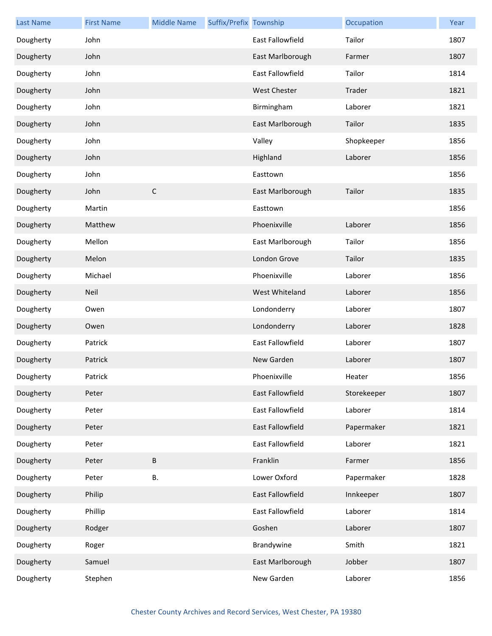| <b>Last Name</b> | <b>First Name</b> | <b>Middle Name</b> | Suffix/Prefix Township |                     | Occupation  | Year |
|------------------|-------------------|--------------------|------------------------|---------------------|-------------|------|
| Dougherty        | John              |                    |                        | East Fallowfield    | Tailor      | 1807 |
| Dougherty        | John              |                    |                        | East Marlborough    | Farmer      | 1807 |
| Dougherty        | John              |                    |                        | East Fallowfield    | Tailor      | 1814 |
| Dougherty        | John              |                    |                        | <b>West Chester</b> | Trader      | 1821 |
| Dougherty        | John              |                    |                        | Birmingham          | Laborer     | 1821 |
| Dougherty        | John              |                    |                        | East Marlborough    | Tailor      | 1835 |
| Dougherty        | John              |                    |                        | Valley              | Shopkeeper  | 1856 |
| Dougherty        | John              |                    |                        | Highland            | Laborer     | 1856 |
| Dougherty        | John              |                    |                        | Easttown            |             | 1856 |
| Dougherty        | John              | $\mathsf C$        |                        | East Marlborough    | Tailor      | 1835 |
| Dougherty        | Martin            |                    |                        | Easttown            |             | 1856 |
| Dougherty        | Matthew           |                    |                        | Phoenixville        | Laborer     | 1856 |
| Dougherty        | Mellon            |                    |                        | East Marlborough    | Tailor      | 1856 |
| Dougherty        | Melon             |                    |                        | London Grove        | Tailor      | 1835 |
| Dougherty        | Michael           |                    |                        | Phoenixville        | Laborer     | 1856 |
| Dougherty        | Neil              |                    |                        | West Whiteland      | Laborer     | 1856 |
| Dougherty        | Owen              |                    |                        | Londonderry         | Laborer     | 1807 |
| Dougherty        | Owen              |                    |                        | Londonderry         | Laborer     | 1828 |
| Dougherty        | Patrick           |                    |                        | East Fallowfield    | Laborer     | 1807 |
| Dougherty        | Patrick           |                    |                        | New Garden          | Laborer     | 1807 |
| Dougherty        | Patrick           |                    |                        | Phoenixville        | Heater      | 1856 |
| Dougherty        | Peter             |                    |                        | East Fallowfield    | Storekeeper | 1807 |
| Dougherty        | Peter             |                    |                        | East Fallowfield    | Laborer     | 1814 |
| Dougherty        | Peter             |                    |                        | East Fallowfield    | Papermaker  | 1821 |
| Dougherty        | Peter             |                    |                        | East Fallowfield    | Laborer     | 1821 |
| Dougherty        | Peter             | $\sf B$            |                        | Franklin            | Farmer      | 1856 |
| Dougherty        | Peter             | В.                 |                        | Lower Oxford        | Papermaker  | 1828 |
| Dougherty        | Philip            |                    |                        | East Fallowfield    | Innkeeper   | 1807 |
| Dougherty        | Phillip           |                    |                        | East Fallowfield    | Laborer     | 1814 |
| Dougherty        | Rodger            |                    |                        | Goshen              | Laborer     | 1807 |
| Dougherty        | Roger             |                    |                        | Brandywine          | Smith       | 1821 |
| Dougherty        | Samuel            |                    |                        | East Marlborough    | Jobber      | 1807 |
| Dougherty        | Stephen           |                    |                        | New Garden          | Laborer     | 1856 |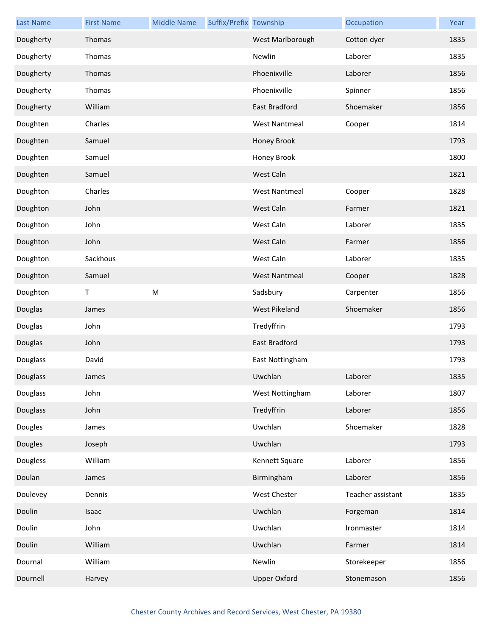| <b>Last Name</b> | <b>First Name</b> | <b>Middle Name</b> | Suffix/Prefix Township |                      | Occupation        | Year |
|------------------|-------------------|--------------------|------------------------|----------------------|-------------------|------|
| Dougherty        | Thomas            |                    |                        | West Marlborough     | Cotton dyer       | 1835 |
| Dougherty        | Thomas            |                    |                        | Newlin               | Laborer           | 1835 |
| Dougherty        | Thomas            |                    |                        | Phoenixville         | Laborer           | 1856 |
| Dougherty        | Thomas            |                    |                        | Phoenixville         | Spinner           | 1856 |
| Dougherty        | William           |                    |                        | East Bradford        | Shoemaker         | 1856 |
| Doughten         | Charles           |                    |                        | <b>West Nantmeal</b> | Cooper            | 1814 |
| Doughten         | Samuel            |                    |                        | Honey Brook          |                   | 1793 |
| Doughten         | Samuel            |                    |                        | Honey Brook          |                   | 1800 |
| Doughten         | Samuel            |                    |                        | West Caln            |                   | 1821 |
| Doughton         | Charles           |                    |                        | <b>West Nantmeal</b> | Cooper            | 1828 |
| Doughton         | John              |                    |                        | West Caln            | Farmer            | 1821 |
| Doughton         | John              |                    |                        | West Caln            | Laborer           | 1835 |
| Doughton         | John              |                    |                        | West Caln            | Farmer            | 1856 |
| Doughton         | Sackhous          |                    |                        | West Caln            | Laborer           | 1835 |
| Doughton         | Samuel            |                    |                        | <b>West Nantmeal</b> | Cooper            | 1828 |
| Doughton         | Τ                 | ${\sf M}$          |                        | Sadsbury             | Carpenter         | 1856 |
| Douglas          | James             |                    |                        | West Pikeland        | Shoemaker         | 1856 |
| Douglas          | John              |                    |                        | Tredyffrin           |                   | 1793 |
| Douglas          | John              |                    |                        | East Bradford        |                   | 1793 |
| Douglass         | David             |                    |                        | East Nottingham      |                   | 1793 |
| Douglass         | James             |                    |                        | Uwchlan              | Laborer           | 1835 |
| Douglass         | John              |                    |                        | West Nottingham      | Laborer           | 1807 |
| Douglass         | John              |                    |                        | Tredyffrin           | Laborer           | 1856 |
| Dougles          | James             |                    |                        | Uwchlan              | Shoemaker         | 1828 |
| Dougles          | Joseph            |                    |                        | Uwchlan              |                   | 1793 |
| Dougless         | William           |                    |                        | Kennett Square       | Laborer           | 1856 |
| Doulan           | James             |                    |                        | Birmingham           | Laborer           | 1856 |
| Doulevey         | Dennis            |                    |                        | West Chester         | Teacher assistant | 1835 |
| Doulin           | Isaac             |                    |                        | Uwchlan              | Forgeman          | 1814 |
| Doulin           | John              |                    |                        | Uwchlan              | Ironmaster        | 1814 |
| Doulin           | William           |                    |                        | Uwchlan              | Farmer            | 1814 |
| Dournal          | William           |                    |                        | Newlin               | Storekeeper       | 1856 |
| Dournell         | Harvey            |                    |                        | <b>Upper Oxford</b>  | Stonemason        | 1856 |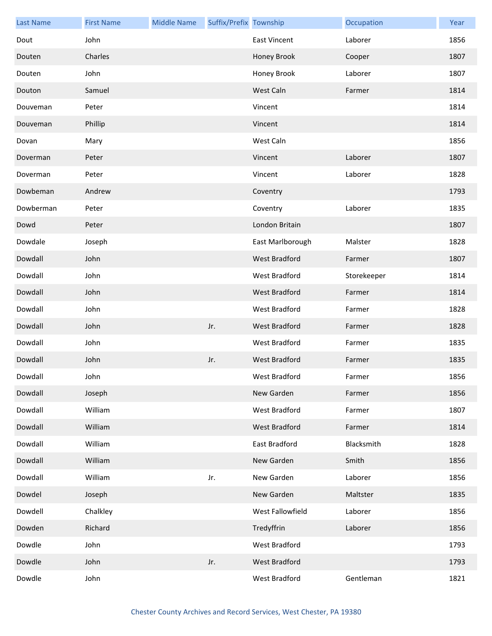| <b>Last Name</b> | <b>First Name</b> | <b>Middle Name</b> | Suffix/Prefix Township |                      | Occupation  | Year |
|------------------|-------------------|--------------------|------------------------|----------------------|-------------|------|
| Dout             | John              |                    |                        | <b>East Vincent</b>  | Laborer     | 1856 |
| Douten           | Charles           |                    |                        | Honey Brook          | Cooper      | 1807 |
| Douten           | John              |                    |                        | Honey Brook          | Laborer     | 1807 |
| Douton           | Samuel            |                    |                        | West Caln            | Farmer      | 1814 |
| Douveman         | Peter             |                    |                        | Vincent              |             | 1814 |
| Douveman         | Phillip           |                    |                        | Vincent              |             | 1814 |
| Dovan            | Mary              |                    |                        | West Caln            |             | 1856 |
| Doverman         | Peter             |                    |                        | Vincent              | Laborer     | 1807 |
| Doverman         | Peter             |                    |                        | Vincent              | Laborer     | 1828 |
| Dowbeman         | Andrew            |                    |                        | Coventry             |             | 1793 |
| Dowberman        | Peter             |                    |                        | Coventry             | Laborer     | 1835 |
| Dowd             | Peter             |                    |                        | London Britain       |             | 1807 |
| Dowdale          | Joseph            |                    |                        | East Marlborough     | Malster     | 1828 |
| Dowdall          | John              |                    |                        | West Bradford        | Farmer      | 1807 |
| Dowdall          | John              |                    |                        | <b>West Bradford</b> | Storekeeper | 1814 |
| Dowdall          | John              |                    |                        | West Bradford        | Farmer      | 1814 |
| Dowdall          | John              |                    |                        | West Bradford        | Farmer      | 1828 |
| Dowdall          | John              |                    | Jr.                    | West Bradford        | Farmer      | 1828 |
| Dowdall          | John              |                    |                        | West Bradford        | Farmer      | 1835 |
| Dowdall          | John              |                    | Jr.                    | <b>West Bradford</b> | Farmer      | 1835 |
| Dowdall          | John              |                    |                        | West Bradford        | Farmer      | 1856 |
| Dowdall          | Joseph            |                    |                        | New Garden           | Farmer      | 1856 |
| Dowdall          | William           |                    |                        | West Bradford        | Farmer      | 1807 |
| Dowdall          | William           |                    |                        | West Bradford        | Farmer      | 1814 |
| Dowdall          | William           |                    |                        | East Bradford        | Blacksmith  | 1828 |
| Dowdall          | William           |                    |                        | New Garden           | Smith       | 1856 |
| Dowdall          | William           |                    | Jr.                    | New Garden           | Laborer     | 1856 |
| Dowdel           | Joseph            |                    |                        | New Garden           | Maltster    | 1835 |
| Dowdell          | Chalkley          |                    |                        | West Fallowfield     | Laborer     | 1856 |
| Dowden           | Richard           |                    |                        | Tredyffrin           | Laborer     | 1856 |
| Dowdle           | John              |                    |                        | West Bradford        |             | 1793 |
| Dowdle           | John              |                    | Jr.                    | West Bradford        |             | 1793 |
| Dowdle           | John              |                    |                        | West Bradford        | Gentleman   | 1821 |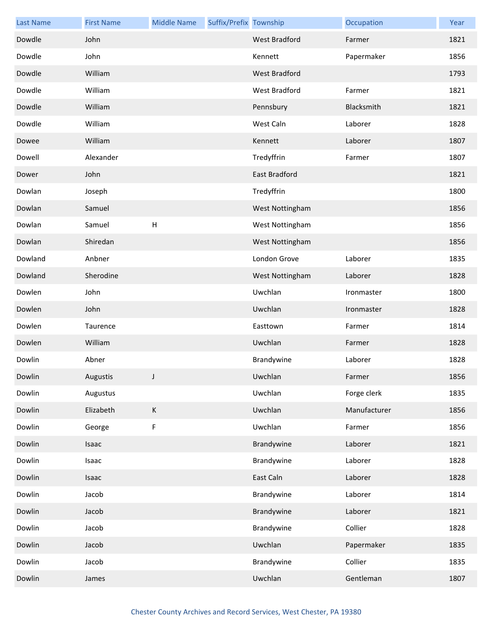| <b>Last Name</b> | <b>First Name</b> | <b>Middle Name</b>        | Suffix/Prefix Township |                      | Occupation   | Year |
|------------------|-------------------|---------------------------|------------------------|----------------------|--------------|------|
| Dowdle           | John              |                           |                        | <b>West Bradford</b> | Farmer       | 1821 |
| Dowdle           | John              |                           |                        | Kennett              | Papermaker   | 1856 |
| Dowdle           | William           |                           |                        | <b>West Bradford</b> |              | 1793 |
| Dowdle           | William           |                           |                        | West Bradford        | Farmer       | 1821 |
| Dowdle           | William           |                           |                        | Pennsbury            | Blacksmith   | 1821 |
| Dowdle           | William           |                           |                        | West Caln            | Laborer      | 1828 |
| Dowee            | William           |                           |                        | Kennett              | Laborer      | 1807 |
| Dowell           | Alexander         |                           |                        | Tredyffrin           | Farmer       | 1807 |
| Dower            | John              |                           |                        | East Bradford        |              | 1821 |
| Dowlan           | Joseph            |                           |                        | Tredyffrin           |              | 1800 |
| Dowlan           | Samuel            |                           |                        | West Nottingham      |              | 1856 |
| Dowlan           | Samuel            | $\boldsymbol{\mathsf{H}}$ |                        | West Nottingham      |              | 1856 |
| Dowlan           | Shiredan          |                           |                        | West Nottingham      |              | 1856 |
| Dowland          | Anbner            |                           |                        | London Grove         | Laborer      | 1835 |
| Dowland          | Sherodine         |                           |                        | West Nottingham      | Laborer      | 1828 |
| Dowlen           | John              |                           |                        | Uwchlan              | Ironmaster   | 1800 |
| Dowlen           | John              |                           |                        | Uwchlan              | Ironmaster   | 1828 |
| Dowlen           | Taurence          |                           |                        | Easttown             | Farmer       | 1814 |
| Dowlen           | William           |                           |                        | Uwchlan              | Farmer       | 1828 |
| Dowlin           | Abner             |                           |                        | Brandywine           | Laborer      | 1828 |
| Dowlin           | Augustis          |                           |                        | Uwchlan              | Farmer       | 1856 |
| Dowlin           | Augustus          |                           |                        | Uwchlan              | Forge clerk  | 1835 |
| Dowlin           | Elizabeth         | $\mathsf K$               |                        | Uwchlan              | Manufacturer | 1856 |
| Dowlin           | George            | $\mathsf F$               |                        | Uwchlan              | Farmer       | 1856 |
| Dowlin           | Isaac             |                           |                        | Brandywine           | Laborer      | 1821 |
| Dowlin           | Isaac             |                           |                        | Brandywine           | Laborer      | 1828 |
| Dowlin           | Isaac             |                           |                        | East Caln            | Laborer      | 1828 |
| Dowlin           | Jacob             |                           |                        | Brandywine           | Laborer      | 1814 |
| Dowlin           | Jacob             |                           |                        | Brandywine           | Laborer      | 1821 |
| Dowlin           | Jacob             |                           |                        | Brandywine           | Collier      | 1828 |
| Dowlin           | Jacob             |                           |                        | Uwchlan              | Papermaker   | 1835 |
| Dowlin           | Jacob             |                           |                        | Brandywine           | Collier      | 1835 |
| Dowlin           | James             |                           |                        | Uwchlan              | Gentleman    | 1807 |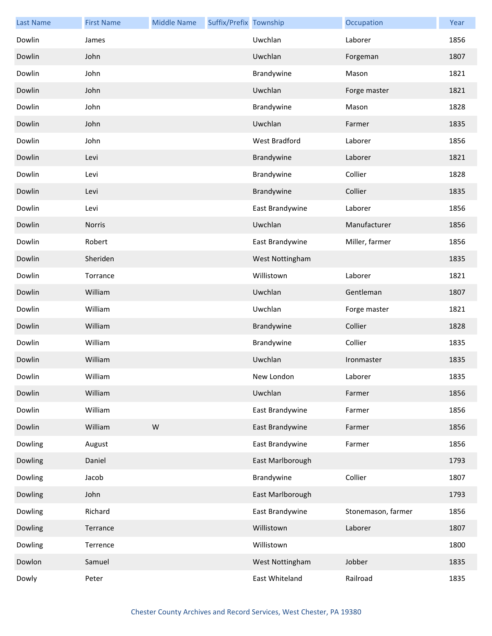| <b>Last Name</b> | <b>First Name</b> | <b>Middle Name</b> | Suffix/Prefix Township |                  | Occupation         | Year |
|------------------|-------------------|--------------------|------------------------|------------------|--------------------|------|
| Dowlin           | James             |                    |                        | Uwchlan          | Laborer            | 1856 |
| Dowlin           | John              |                    |                        | Uwchlan          | Forgeman           | 1807 |
| Dowlin           | John              |                    |                        | Brandywine       | Mason              | 1821 |
| Dowlin           | John              |                    |                        | Uwchlan          | Forge master       | 1821 |
| Dowlin           | John              |                    |                        | Brandywine       | Mason              | 1828 |
| Dowlin           | John              |                    |                        | Uwchlan          | Farmer             | 1835 |
| Dowlin           | John              |                    |                        | West Bradford    | Laborer            | 1856 |
| Dowlin           | Levi              |                    |                        | Brandywine       | Laborer            | 1821 |
| Dowlin           | Levi              |                    |                        | Brandywine       | Collier            | 1828 |
| Dowlin           | Levi              |                    |                        | Brandywine       | Collier            | 1835 |
| Dowlin           | Levi              |                    |                        | East Brandywine  | Laborer            | 1856 |
| Dowlin           | <b>Norris</b>     |                    |                        | Uwchlan          | Manufacturer       | 1856 |
| Dowlin           | Robert            |                    |                        | East Brandywine  | Miller, farmer     | 1856 |
| Dowlin           | Sheriden          |                    |                        | West Nottingham  |                    | 1835 |
| Dowlin           | Torrance          |                    |                        | Willistown       | Laborer            | 1821 |
| Dowlin           | William           |                    |                        | Uwchlan          | Gentleman          | 1807 |
| Dowlin           | William           |                    |                        | Uwchlan          | Forge master       | 1821 |
| Dowlin           | William           |                    |                        | Brandywine       | Collier            | 1828 |
| Dowlin           | William           |                    |                        | Brandywine       | Collier            | 1835 |
| Dowlin           | William           |                    |                        | Uwchlan          | Ironmaster         | 1835 |
| Dowlin           | William           |                    |                        | New London       | Laborer            | 1835 |
| Dowlin           | William           |                    |                        | Uwchlan          | Farmer             | 1856 |
| Dowlin           | William           |                    |                        | East Brandywine  | Farmer             | 1856 |
| Dowlin           | William           | ${\sf W}$          |                        | East Brandywine  | Farmer             | 1856 |
| Dowling          | August            |                    |                        | East Brandywine  | Farmer             | 1856 |
| Dowling          | Daniel            |                    |                        | East Marlborough |                    | 1793 |
| Dowling          | Jacob             |                    |                        | Brandywine       | Collier            | 1807 |
| Dowling          | John              |                    |                        | East Marlborough |                    | 1793 |
| Dowling          | Richard           |                    |                        | East Brandywine  | Stonemason, farmer | 1856 |
| Dowling          | Terrance          |                    |                        | Willistown       | Laborer            | 1807 |
| Dowling          | Terrence          |                    |                        | Willistown       |                    | 1800 |
| Dowlon           | Samuel            |                    |                        | West Nottingham  | Jobber             | 1835 |
| Dowly            | Peter             |                    |                        | East Whiteland   | Railroad           | 1835 |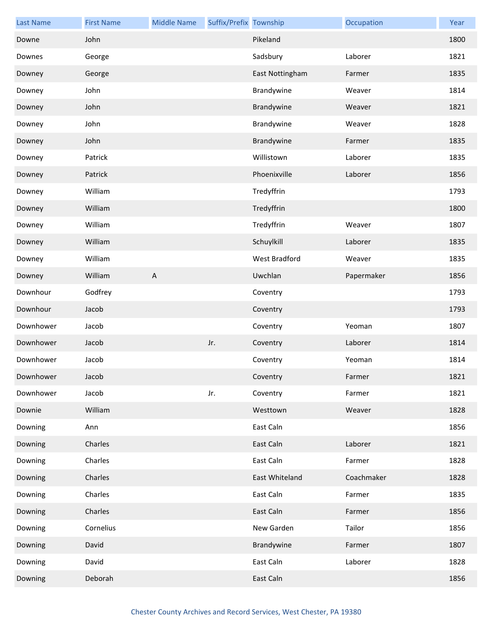| <b>Last Name</b> | <b>First Name</b> | <b>Middle Name</b>        | Suffix/Prefix Township |                 | Occupation | Year |
|------------------|-------------------|---------------------------|------------------------|-----------------|------------|------|
| Downe            | John              |                           |                        | Pikeland        |            | 1800 |
| Downes           | George            |                           |                        | Sadsbury        | Laborer    | 1821 |
| Downey           | George            |                           |                        | East Nottingham | Farmer     | 1835 |
| Downey           | John              |                           |                        | Brandywine      | Weaver     | 1814 |
| Downey           | John              |                           |                        | Brandywine      | Weaver     | 1821 |
| Downey           | John              |                           |                        | Brandywine      | Weaver     | 1828 |
| Downey           | John              |                           |                        | Brandywine      | Farmer     | 1835 |
| Downey           | Patrick           |                           |                        | Willistown      | Laborer    | 1835 |
| Downey           | Patrick           |                           |                        | Phoenixville    | Laborer    | 1856 |
| Downey           | William           |                           |                        | Tredyffrin      |            | 1793 |
| Downey           | William           |                           |                        | Tredyffrin      |            | 1800 |
| Downey           | William           |                           |                        | Tredyffrin      | Weaver     | 1807 |
| Downey           | William           |                           |                        | Schuylkill      | Laborer    | 1835 |
| Downey           | William           |                           |                        | West Bradford   | Weaver     | 1835 |
| Downey           | William           | $\boldsymbol{\mathsf{A}}$ |                        | Uwchlan         | Papermaker | 1856 |
| Downhour         | Godfrey           |                           |                        | Coventry        |            | 1793 |
| Downhour         | Jacob             |                           |                        | Coventry        |            | 1793 |
| Downhower        | Jacob             |                           |                        | Coventry        | Yeoman     | 1807 |
| Downhower        | Jacob             |                           | Jr.                    | Coventry        | Laborer    | 1814 |
| Downhower        | Jacob             |                           |                        | Coventry        | Yeoman     | 1814 |
| Downhower        | Jacob             |                           |                        | Coventry        | Farmer     | 1821 |
| Downhower        | Jacob             |                           | Jr.                    | Coventry        | Farmer     | 1821 |
| Downie           | William           |                           |                        | Westtown        | Weaver     | 1828 |
| Downing          | Ann               |                           |                        | East Caln       |            | 1856 |
| Downing          | Charles           |                           |                        | East Caln       | Laborer    | 1821 |
| Downing          | Charles           |                           |                        | East Caln       | Farmer     | 1828 |
| Downing          | Charles           |                           |                        | East Whiteland  | Coachmaker | 1828 |
| Downing          | Charles           |                           |                        | East Caln       | Farmer     | 1835 |
| Downing          | Charles           |                           |                        | East Caln       | Farmer     | 1856 |
| Downing          | Cornelius         |                           |                        | New Garden      | Tailor     | 1856 |
| Downing          | David             |                           |                        | Brandywine      | Farmer     | 1807 |
| Downing          | David             |                           |                        | East Caln       | Laborer    | 1828 |
| Downing          | Deborah           |                           |                        | East Caln       |            | 1856 |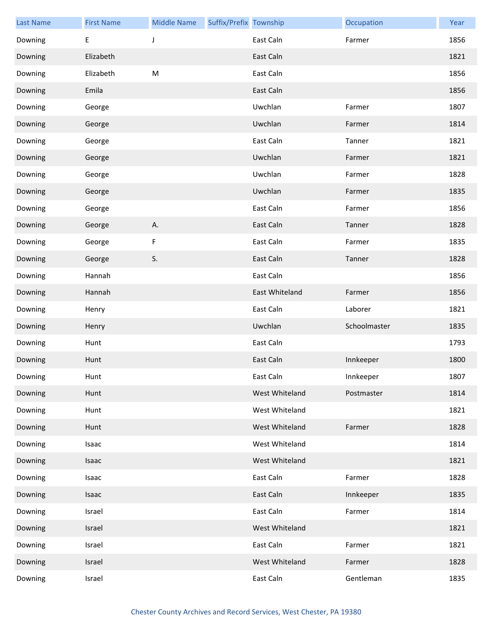| <b>Last Name</b> | <b>First Name</b> | <b>Middle Name</b> | Suffix/Prefix Township |                | Occupation   | Year |
|------------------|-------------------|--------------------|------------------------|----------------|--------------|------|
| Downing          | Е                 | J                  |                        | East Caln      | Farmer       | 1856 |
| Downing          | Elizabeth         |                    |                        | East Caln      |              | 1821 |
| Downing          | Elizabeth         | M                  |                        | East Caln      |              | 1856 |
| Downing          | Emila             |                    |                        | East Caln      |              | 1856 |
| Downing          | George            |                    |                        | Uwchlan        | Farmer       | 1807 |
| Downing          | George            |                    |                        | Uwchlan        | Farmer       | 1814 |
| Downing          | George            |                    |                        | East Caln      | Tanner       | 1821 |
| Downing          | George            |                    |                        | Uwchlan        | Farmer       | 1821 |
| Downing          | George            |                    |                        | Uwchlan        | Farmer       | 1828 |
| Downing          | George            |                    |                        | Uwchlan        | Farmer       | 1835 |
| Downing          | George            |                    |                        | East Caln      | Farmer       | 1856 |
| Downing          | George            | Α.                 |                        | East Caln      | Tanner       | 1828 |
| Downing          | George            | F                  |                        | East Caln      | Farmer       | 1835 |
| Downing          | George            | S.                 |                        | East Caln      | Tanner       | 1828 |
| Downing          | Hannah            |                    |                        | East Caln      |              | 1856 |
| Downing          | Hannah            |                    |                        | East Whiteland | Farmer       | 1856 |
| Downing          | Henry             |                    |                        | East Caln      | Laborer      | 1821 |
| Downing          | Henry             |                    |                        | Uwchlan        | Schoolmaster | 1835 |
| Downing          | Hunt              |                    |                        | East Caln      |              | 1793 |
| Downing          | Hunt              |                    |                        | East Caln      | Innkeeper    | 1800 |
| Downing          | Hunt              |                    |                        | East Caln      | Innkeeper    | 1807 |
| Downing          | Hunt              |                    |                        | West Whiteland | Postmaster   | 1814 |
| Downing          | Hunt              |                    |                        | West Whiteland |              | 1821 |
| Downing          | Hunt              |                    |                        | West Whiteland | Farmer       | 1828 |
| Downing          | Isaac             |                    |                        | West Whiteland |              | 1814 |
| Downing          | Isaac             |                    |                        | West Whiteland |              | 1821 |
| Downing          | Isaac             |                    |                        | East Caln      | Farmer       | 1828 |
| Downing          | Isaac             |                    |                        | East Caln      | Innkeeper    | 1835 |
| Downing          | Israel            |                    |                        | East Caln      | Farmer       | 1814 |
| Downing          | Israel            |                    |                        | West Whiteland |              | 1821 |
| Downing          | Israel            |                    |                        | East Caln      | Farmer       | 1821 |
| Downing          | Israel            |                    |                        | West Whiteland | Farmer       | 1828 |
| Downing          | Israel            |                    |                        | East Caln      | Gentleman    | 1835 |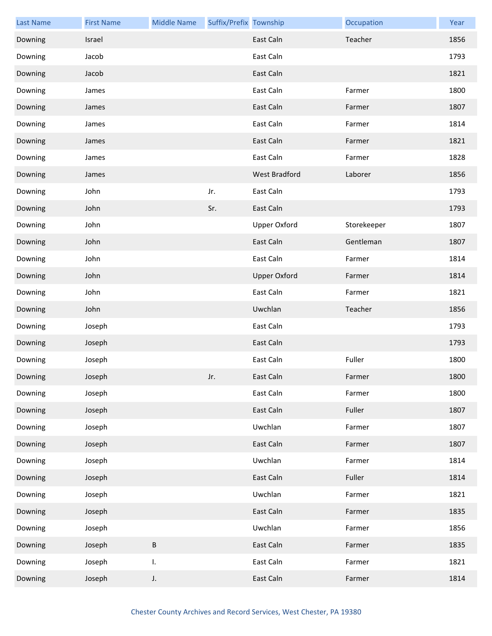| <b>Last Name</b> | <b>First Name</b> | <b>Middle Name</b> | Suffix/Prefix Township |                     | Occupation  | Year |
|------------------|-------------------|--------------------|------------------------|---------------------|-------------|------|
| Downing          | Israel            |                    |                        | East Caln           | Teacher     | 1856 |
| Downing          | Jacob             |                    |                        | East Caln           |             | 1793 |
| Downing          | Jacob             |                    |                        | East Caln           |             | 1821 |
| Downing          | James             |                    |                        | East Caln           | Farmer      | 1800 |
| Downing          | James             |                    |                        | East Caln           | Farmer      | 1807 |
| Downing          | James             |                    |                        | East Caln           | Farmer      | 1814 |
| Downing          | James             |                    |                        | East Caln           | Farmer      | 1821 |
| Downing          | James             |                    |                        | East Caln           | Farmer      | 1828 |
| Downing          | James             |                    |                        | West Bradford       | Laborer     | 1856 |
| Downing          | John              |                    | Jr.                    | East Caln           |             | 1793 |
| Downing          | John              |                    | Sr.                    | East Caln           |             | 1793 |
| Downing          | John              |                    |                        | <b>Upper Oxford</b> | Storekeeper | 1807 |
| Downing          | John              |                    |                        | East Caln           | Gentleman   | 1807 |
| Downing          | John              |                    |                        | East Caln           | Farmer      | 1814 |
| Downing          | John              |                    |                        | <b>Upper Oxford</b> | Farmer      | 1814 |
| Downing          | John              |                    |                        | East Caln           | Farmer      | 1821 |
| Downing          | John              |                    |                        | Uwchlan             | Teacher     | 1856 |
| Downing          | Joseph            |                    |                        | East Caln           |             | 1793 |
| Downing          | Joseph            |                    |                        | East Caln           |             | 1793 |
| Downing          | Joseph            |                    |                        | East Caln           | Fuller      | 1800 |
| Downing          | Joseph            |                    | Jr.                    | East Caln           | Farmer      | 1800 |
| Downing          | Joseph            |                    |                        | East Caln           | Farmer      | 1800 |
| Downing          | Joseph            |                    |                        | East Caln           | Fuller      | 1807 |
| Downing          | Joseph            |                    |                        | Uwchlan             | Farmer      | 1807 |
| Downing          | Joseph            |                    |                        | East Caln           | Farmer      | 1807 |
| Downing          | Joseph            |                    |                        | Uwchlan             | Farmer      | 1814 |
| Downing          | Joseph            |                    |                        | East Caln           | Fuller      | 1814 |
| Downing          | Joseph            |                    |                        | Uwchlan             | Farmer      | 1821 |
| Downing          | Joseph            |                    |                        | East Caln           | Farmer      | 1835 |
| Downing          | Joseph            |                    |                        | Uwchlan             | Farmer      | 1856 |
| Downing          | Joseph            | $\sf B$            |                        | East Caln           | Farmer      | 1835 |
| Downing          | Joseph            | I.                 |                        | East Caln           | Farmer      | 1821 |
| Downing          | Joseph            | J.                 |                        | East Caln           | Farmer      | 1814 |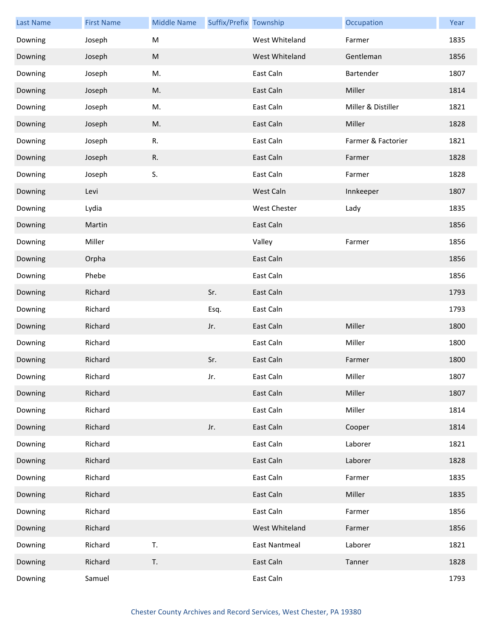| <b>Last Name</b> | <b>First Name</b> | <b>Middle Name</b> | Suffix/Prefix Township |                | Occupation         | Year |
|------------------|-------------------|--------------------|------------------------|----------------|--------------------|------|
| Downing          | Joseph            | M                  |                        | West Whiteland | Farmer             | 1835 |
| Downing          | Joseph            | ${\sf M}$          |                        | West Whiteland | Gentleman          | 1856 |
| Downing          | Joseph            | M.                 |                        | East Caln      | Bartender          | 1807 |
| Downing          | Joseph            | M.                 |                        | East Caln      | Miller             | 1814 |
| Downing          | Joseph            | M.                 |                        | East Caln      | Miller & Distiller | 1821 |
| Downing          | Joseph            | M.                 |                        | East Caln      | Miller             | 1828 |
| Downing          | Joseph            | R.                 |                        | East Caln      | Farmer & Factorier | 1821 |
| Downing          | Joseph            | R.                 |                        | East Caln      | Farmer             | 1828 |
| Downing          | Joseph            | S.                 |                        | East Caln      | Farmer             | 1828 |
| Downing          | Levi              |                    |                        | West Caln      | Innkeeper          | 1807 |
| Downing          | Lydia             |                    |                        | West Chester   | Lady               | 1835 |
| Downing          | Martin            |                    |                        | East Caln      |                    | 1856 |
| Downing          | Miller            |                    |                        | Valley         | Farmer             | 1856 |
| Downing          | Orpha             |                    |                        | East Caln      |                    | 1856 |
| Downing          | Phebe             |                    |                        | East Caln      |                    | 1856 |
| Downing          | Richard           |                    | Sr.                    | East Caln      |                    | 1793 |
| Downing          | Richard           |                    | Esq.                   | East Caln      |                    | 1793 |
| Downing          | Richard           |                    | Jr.                    | East Caln      | Miller             | 1800 |
| Downing          | Richard           |                    |                        | East Caln      | Miller             | 1800 |
| Downing          | Richard           |                    | Sr.                    | East Caln      | Farmer             | 1800 |
| Downing          | Richard           |                    | Jr.                    | East Caln      | Miller             | 1807 |
| Downing          | Richard           |                    |                        | East Caln      | Miller             | 1807 |
| Downing          | Richard           |                    |                        | East Caln      | Miller             | 1814 |
| Downing          | Richard           |                    | Jr.                    | East Caln      | Cooper             | 1814 |
| Downing          | Richard           |                    |                        | East Caln      | Laborer            | 1821 |
| Downing          | Richard           |                    |                        | East Caln      | Laborer            | 1828 |
| Downing          | Richard           |                    |                        | East Caln      | Farmer             | 1835 |
| Downing          | Richard           |                    |                        | East Caln      | Miller             | 1835 |
| Downing          | Richard           |                    |                        | East Caln      | Farmer             | 1856 |
| Downing          | Richard           |                    |                        | West Whiteland | Farmer             | 1856 |
| Downing          | Richard           | T.                 |                        | East Nantmeal  | Laborer            | 1821 |
| Downing          | Richard           | T.                 |                        | East Caln      | Tanner             | 1828 |
| Downing          | Samuel            |                    |                        | East Caln      |                    | 1793 |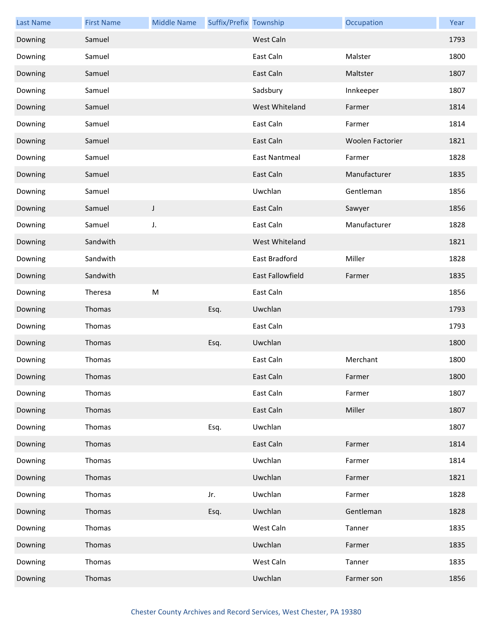| <b>Last Name</b> | <b>First Name</b> | <b>Middle Name</b> | Suffix/Prefix Township |                         | Occupation       | Year |
|------------------|-------------------|--------------------|------------------------|-------------------------|------------------|------|
| Downing          | Samuel            |                    |                        | West Caln               |                  | 1793 |
| Downing          | Samuel            |                    |                        | East Caln               | Malster          | 1800 |
| Downing          | Samuel            |                    |                        | East Caln               | Maltster         | 1807 |
| Downing          | Samuel            |                    |                        | Sadsbury                | Innkeeper        | 1807 |
| Downing          | Samuel            |                    |                        | West Whiteland          | Farmer           | 1814 |
| Downing          | Samuel            |                    |                        | East Caln               | Farmer           | 1814 |
| Downing          | Samuel            |                    |                        | East Caln               | Woolen Factorier | 1821 |
| Downing          | Samuel            |                    |                        | <b>East Nantmeal</b>    | Farmer           | 1828 |
| Downing          | Samuel            |                    |                        | East Caln               | Manufacturer     | 1835 |
| Downing          | Samuel            |                    |                        | Uwchlan                 | Gentleman        | 1856 |
| Downing          | Samuel            | J                  |                        | East Caln               | Sawyer           | 1856 |
| Downing          | Samuel            | J.                 |                        | East Caln               | Manufacturer     | 1828 |
| Downing          | Sandwith          |                    |                        | West Whiteland          |                  | 1821 |
| Downing          | Sandwith          |                    |                        | East Bradford           | Miller           | 1828 |
| Downing          | Sandwith          |                    |                        | <b>East Fallowfield</b> | Farmer           | 1835 |
| Downing          | Theresa           | M                  |                        | East Caln               |                  | 1856 |
| Downing          | Thomas            |                    | Esq.                   | Uwchlan                 |                  | 1793 |
| Downing          | Thomas            |                    |                        | East Caln               |                  | 1793 |
| Downing          | Thomas            |                    | Esq.                   | Uwchlan                 |                  | 1800 |
| Downing          | Thomas            |                    |                        | East Caln               | Merchant         | 1800 |
| Downing          | Thomas            |                    |                        | East Caln               | Farmer           | 1800 |
| Downing          | Thomas            |                    |                        | East Caln               | Farmer           | 1807 |
| Downing          | Thomas            |                    |                        | East Caln               | Miller           | 1807 |
| Downing          | Thomas            |                    | Esq.                   | Uwchlan                 |                  | 1807 |
| Downing          | Thomas            |                    |                        | East Caln               | Farmer           | 1814 |
| Downing          | Thomas            |                    |                        | Uwchlan                 | Farmer           | 1814 |
| Downing          | Thomas            |                    |                        | Uwchlan                 | Farmer           | 1821 |
| Downing          | Thomas            |                    | Jr.                    | Uwchlan                 | Farmer           | 1828 |
| Downing          | Thomas            |                    | Esq.                   | Uwchlan                 | Gentleman        | 1828 |
| Downing          | Thomas            |                    |                        | West Caln               | Tanner           | 1835 |
| Downing          | Thomas            |                    |                        | Uwchlan                 | Farmer           | 1835 |
| Downing          | Thomas            |                    |                        | West Caln               | Tanner           | 1835 |
| Downing          | Thomas            |                    |                        | Uwchlan                 | Farmer son       | 1856 |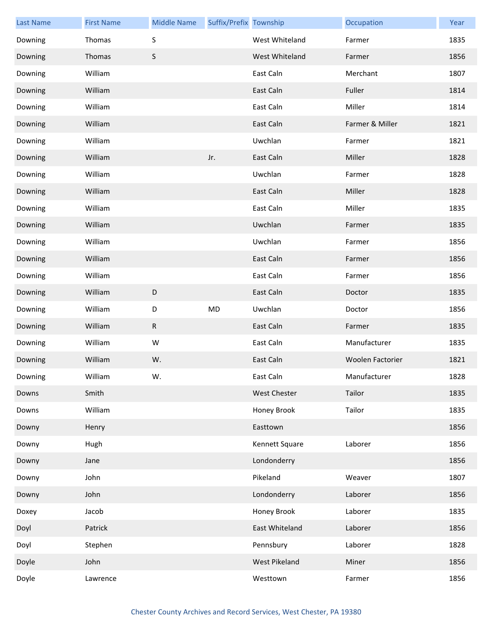| <b>Last Name</b> | <b>First Name</b> | <b>Middle Name</b> | Suffix/Prefix Township |                     | Occupation       | Year |
|------------------|-------------------|--------------------|------------------------|---------------------|------------------|------|
| Downing          | Thomas            | S                  |                        | West Whiteland      | Farmer           | 1835 |
| Downing          | Thomas            | S                  |                        | West Whiteland      | Farmer           | 1856 |
| Downing          | William           |                    |                        | East Caln           | Merchant         | 1807 |
| Downing          | William           |                    |                        | East Caln           | Fuller           | 1814 |
| Downing          | William           |                    |                        | East Caln           | Miller           | 1814 |
| Downing          | William           |                    |                        | East Caln           | Farmer & Miller  | 1821 |
| Downing          | William           |                    |                        | Uwchlan             | Farmer           | 1821 |
| Downing          | William           |                    | Jr.                    | East Caln           | Miller           | 1828 |
| Downing          | William           |                    |                        | Uwchlan             | Farmer           | 1828 |
| Downing          | William           |                    |                        | East Caln           | Miller           | 1828 |
| Downing          | William           |                    |                        | East Caln           | Miller           | 1835 |
| Downing          | William           |                    |                        | Uwchlan             | Farmer           | 1835 |
| Downing          | William           |                    |                        | Uwchlan             | Farmer           | 1856 |
| Downing          | William           |                    |                        | East Caln           | Farmer           | 1856 |
| Downing          | William           |                    |                        | East Caln           | Farmer           | 1856 |
| Downing          | William           | $\mathsf D$        |                        | East Caln           | Doctor           | 1835 |
| Downing          | William           | D                  | <b>MD</b>              | Uwchlan             | Doctor           | 1856 |
| Downing          | William           | ${\sf R}$          |                        | East Caln           | Farmer           | 1835 |
| Downing          | William           | W                  |                        | East Caln           | Manufacturer     | 1835 |
| Downing          | William           | W.                 |                        | East Caln           | Woolen Factorier | 1821 |
| Downing          | William           | W.                 |                        | East Caln           | Manufacturer     | 1828 |
| Downs            | Smith             |                    |                        | <b>West Chester</b> | Tailor           | 1835 |
| Downs            | William           |                    |                        | Honey Brook         | Tailor           | 1835 |
| Downy            | Henry             |                    |                        | Easttown            |                  | 1856 |
| Downy            | Hugh              |                    |                        | Kennett Square      | Laborer          | 1856 |
| Downy            | Jane              |                    |                        | Londonderry         |                  | 1856 |
| Downy            | John              |                    |                        | Pikeland            | Weaver           | 1807 |
| Downy            | John              |                    |                        | Londonderry         | Laborer          | 1856 |
| Doxey            | Jacob             |                    |                        | Honey Brook         | Laborer          | 1835 |
| Doyl             | Patrick           |                    |                        | East Whiteland      | Laborer          | 1856 |
| Doyl             | Stephen           |                    |                        | Pennsbury           | Laborer          | 1828 |
| Doyle            | John              |                    |                        | West Pikeland       | Miner            | 1856 |
| Doyle            | Lawrence          |                    |                        | Westtown            | Farmer           | 1856 |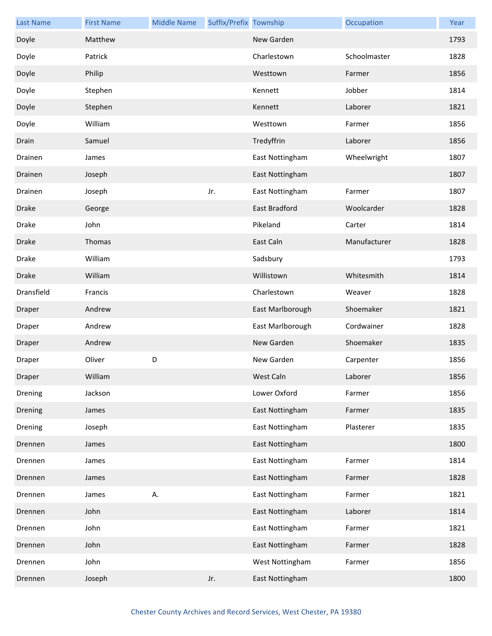| <b>Last Name</b> | <b>First Name</b> | <b>Middle Name</b> | Suffix/Prefix Township |                  | Occupation   | Year |
|------------------|-------------------|--------------------|------------------------|------------------|--------------|------|
| Doyle            | Matthew           |                    |                        | New Garden       |              | 1793 |
| Doyle            | Patrick           |                    |                        | Charlestown      | Schoolmaster | 1828 |
| Doyle            | Philip            |                    |                        | Westtown         | Farmer       | 1856 |
| Doyle            | Stephen           |                    |                        | Kennett          | Jobber       | 1814 |
| Doyle            | Stephen           |                    |                        | Kennett          | Laborer      | 1821 |
| Doyle            | William           |                    |                        | Westtown         | Farmer       | 1856 |
| Drain            | Samuel            |                    |                        | Tredyffrin       | Laborer      | 1856 |
| Drainen          | James             |                    |                        | East Nottingham  | Wheelwright  | 1807 |
| Drainen          | Joseph            |                    |                        | East Nottingham  |              | 1807 |
| Drainen          | Joseph            |                    | Jr.                    | East Nottingham  | Farmer       | 1807 |
| <b>Drake</b>     | George            |                    |                        | East Bradford    | Woolcarder   | 1828 |
| Drake            | John              |                    |                        | Pikeland         | Carter       | 1814 |
| Drake            | <b>Thomas</b>     |                    |                        | East Caln        | Manufacturer | 1828 |
| Drake            | William           |                    |                        | Sadsbury         |              | 1793 |
| Drake            | William           |                    |                        | Willistown       | Whitesmith   | 1814 |
| Dransfield       | Francis           |                    |                        | Charlestown      | Weaver       | 1828 |
| Draper           | Andrew            |                    |                        | East Marlborough | Shoemaker    | 1821 |
| Draper           | Andrew            |                    |                        | East Marlborough | Cordwainer   | 1828 |
| Draper           | Andrew            |                    |                        | New Garden       | Shoemaker    | 1835 |
| Draper           | Oliver            | D                  |                        | New Garden       | Carpenter    | 1856 |
| Draper           | William           |                    |                        | West Caln        | Laborer      | 1856 |
| Drening          | Jackson           |                    |                        | Lower Oxford     | Farmer       | 1856 |
| Drening          | James             |                    |                        | East Nottingham  | Farmer       | 1835 |
| Drening          | Joseph            |                    |                        | East Nottingham  | Plasterer    | 1835 |
| Drennen          | James             |                    |                        | East Nottingham  |              | 1800 |
| Drennen          | James             |                    |                        | East Nottingham  | Farmer       | 1814 |
| Drennen          | James             |                    |                        | East Nottingham  | Farmer       | 1828 |
| Drennen          | James             | Α.                 |                        | East Nottingham  | Farmer       | 1821 |
| Drennen          | John              |                    |                        | East Nottingham  | Laborer      | 1814 |
| Drennen          | John              |                    |                        | East Nottingham  | Farmer       | 1821 |
| Drennen          | John              |                    |                        | East Nottingham  | Farmer       | 1828 |
| Drennen          | John              |                    |                        | West Nottingham  | Farmer       | 1856 |
| Drennen          | Joseph            |                    | Jr.                    | East Nottingham  |              | 1800 |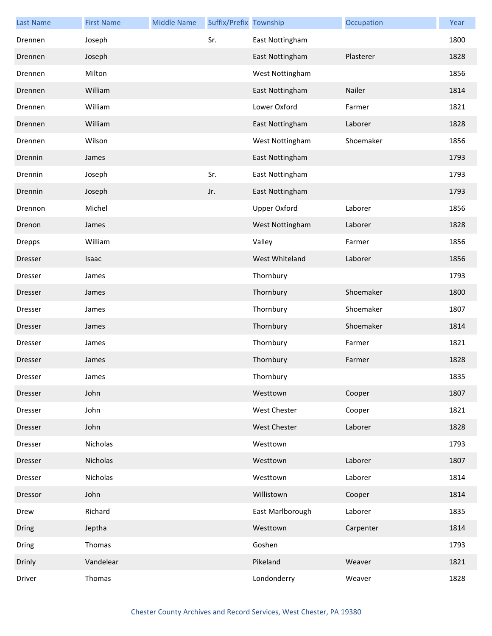| <b>Last Name</b> | <b>First Name</b> | <b>Middle Name</b> | Suffix/Prefix Township |                     | Occupation | Year |
|------------------|-------------------|--------------------|------------------------|---------------------|------------|------|
| Drennen          | Joseph            |                    | Sr.                    | East Nottingham     |            | 1800 |
| Drennen          | Joseph            |                    |                        | East Nottingham     | Plasterer  | 1828 |
| Drennen          | Milton            |                    |                        | West Nottingham     |            | 1856 |
| Drennen          | William           |                    |                        | East Nottingham     | Nailer     | 1814 |
| Drennen          | William           |                    |                        | Lower Oxford        | Farmer     | 1821 |
| Drennen          | William           |                    |                        | East Nottingham     | Laborer    | 1828 |
| Drennen          | Wilson            |                    |                        | West Nottingham     | Shoemaker  | 1856 |
| Drennin          | James             |                    |                        | East Nottingham     |            | 1793 |
| Drennin          | Joseph            |                    | Sr.                    | East Nottingham     |            | 1793 |
| Drennin          | Joseph            |                    | Jr.                    | East Nottingham     |            | 1793 |
| Drennon          | Michel            |                    |                        | <b>Upper Oxford</b> | Laborer    | 1856 |
| Drenon           | James             |                    |                        | West Nottingham     | Laborer    | 1828 |
| <b>Drepps</b>    | William           |                    |                        | Valley              | Farmer     | 1856 |
| Dresser          | Isaac             |                    |                        | West Whiteland      | Laborer    | 1856 |
| Dresser          | James             |                    |                        | Thornbury           |            | 1793 |
| Dresser          | James             |                    |                        | Thornbury           | Shoemaker  | 1800 |
| Dresser          | James             |                    |                        | Thornbury           | Shoemaker  | 1807 |
| Dresser          | James             |                    |                        | Thornbury           | Shoemaker  | 1814 |
| Dresser          | James             |                    |                        | Thornbury           | Farmer     | 1821 |
| Dresser          | James             |                    |                        | Thornbury           | Farmer     | 1828 |
| Dresser          | James             |                    |                        | Thornbury           |            | 1835 |
| Dresser          | John              |                    |                        | Westtown            | Cooper     | 1807 |
| Dresser          | John              |                    |                        | West Chester        | Cooper     | 1821 |
| Dresser          | John              |                    |                        | West Chester        | Laborer    | 1828 |
| Dresser          | Nicholas          |                    |                        | Westtown            |            | 1793 |
| Dresser          | Nicholas          |                    |                        | Westtown            | Laborer    | 1807 |
| Dresser          | Nicholas          |                    |                        | Westtown            | Laborer    | 1814 |
| Dressor          | John              |                    |                        | Willistown          | Cooper     | 1814 |
| Drew             | Richard           |                    |                        | East Marlborough    | Laborer    | 1835 |
| Dring            | Jeptha            |                    |                        | Westtown            | Carpenter  | 1814 |
| Dring            | Thomas            |                    |                        | Goshen              |            | 1793 |
| Drinly           | Vandelear         |                    |                        | Pikeland            | Weaver     | 1821 |
| Driver           | Thomas            |                    |                        | Londonderry         | Weaver     | 1828 |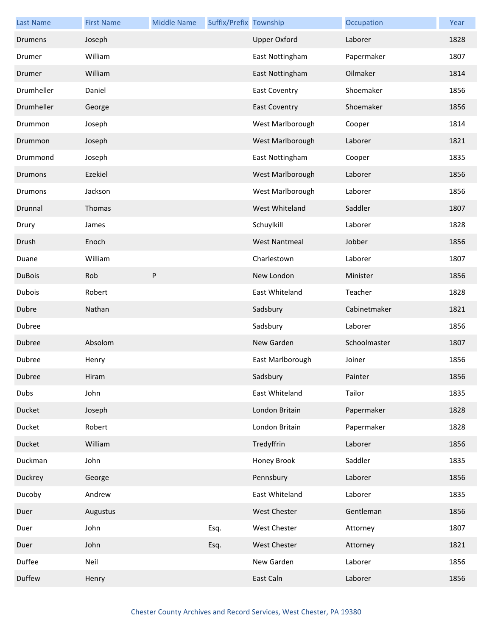| <b>Last Name</b> | <b>First Name</b> | <b>Middle Name</b> | Suffix/Prefix Township |                      | Occupation   | Year |
|------------------|-------------------|--------------------|------------------------|----------------------|--------------|------|
| Drumens          | Joseph            |                    |                        | <b>Upper Oxford</b>  | Laborer      | 1828 |
| Drumer           | William           |                    |                        | East Nottingham      | Papermaker   | 1807 |
| Drumer           | William           |                    |                        | East Nottingham      | Oilmaker     | 1814 |
| Drumheller       | Daniel            |                    |                        | <b>East Coventry</b> | Shoemaker    | 1856 |
| Drumheller       | George            |                    |                        | <b>East Coventry</b> | Shoemaker    | 1856 |
| Drummon          | Joseph            |                    |                        | West Marlborough     | Cooper       | 1814 |
| Drummon          | Joseph            |                    |                        | West Marlborough     | Laborer      | 1821 |
| Drummond         | Joseph            |                    |                        | East Nottingham      | Cooper       | 1835 |
| <b>Drumons</b>   | Ezekiel           |                    |                        | West Marlborough     | Laborer      | 1856 |
| <b>Drumons</b>   | Jackson           |                    |                        | West Marlborough     | Laborer      | 1856 |
| Drunnal          | Thomas            |                    |                        | West Whiteland       | Saddler      | 1807 |
| Drury            | James             |                    |                        | Schuylkill           | Laborer      | 1828 |
| Drush            | Enoch             |                    |                        | <b>West Nantmeal</b> | Jobber       | 1856 |
| Duane            | William           |                    |                        | Charlestown          | Laborer      | 1807 |
| <b>DuBois</b>    | Rob               | P                  |                        | New London           | Minister     | 1856 |
| Dubois           | Robert            |                    |                        | East Whiteland       | Teacher      | 1828 |
| Dubre            | Nathan            |                    |                        | Sadsbury             | Cabinetmaker | 1821 |
| Dubree           |                   |                    |                        | Sadsbury             | Laborer      | 1856 |
| Dubree           | Absolom           |                    |                        | New Garden           | Schoolmaster | 1807 |
| Dubree           | Henry             |                    |                        | East Marlborough     | Joiner       | 1856 |
| Dubree           | Hiram             |                    |                        | Sadsbury             | Painter      | 1856 |
| Dubs             | John              |                    |                        | East Whiteland       | Tailor       | 1835 |
| Ducket           | Joseph            |                    |                        | London Britain       | Papermaker   | 1828 |
| Ducket           | Robert            |                    |                        | London Britain       | Papermaker   | 1828 |
| Ducket           | William           |                    |                        | Tredyffrin           | Laborer      | 1856 |
| Duckman          | John              |                    |                        | Honey Brook          | Saddler      | 1835 |
| Duckrey          | George            |                    |                        | Pennsbury            | Laborer      | 1856 |
| Ducoby           | Andrew            |                    |                        | East Whiteland       | Laborer      | 1835 |
| Duer             | Augustus          |                    |                        | West Chester         | Gentleman    | 1856 |
| Duer             | John              |                    | Esq.                   | <b>West Chester</b>  | Attorney     | 1807 |
| Duer             | John              |                    | Esq.                   | <b>West Chester</b>  | Attorney     | 1821 |
| Duffee           | Neil              |                    |                        | New Garden           | Laborer      | 1856 |
| Duffew           | Henry             |                    |                        | East Caln            | Laborer      | 1856 |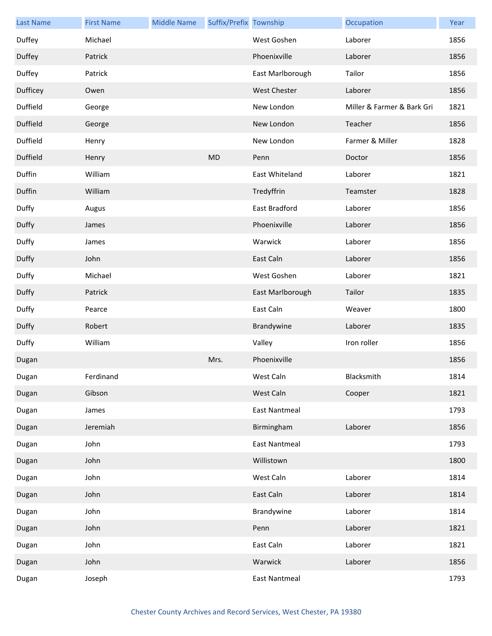| <b>Last Name</b> | <b>First Name</b> | <b>Middle Name</b> | Suffix/Prefix Township |                      | Occupation                 | Year |
|------------------|-------------------|--------------------|------------------------|----------------------|----------------------------|------|
| Duffey           | Michael           |                    |                        | West Goshen          | Laborer                    | 1856 |
| Duffey           | Patrick           |                    |                        | Phoenixville         | Laborer                    | 1856 |
| Duffey           | Patrick           |                    |                        | East Marlborough     | Tailor                     | 1856 |
| Dufficey         | Owen              |                    |                        | <b>West Chester</b>  | Laborer                    | 1856 |
| Duffield         | George            |                    |                        | New London           | Miller & Farmer & Bark Gri | 1821 |
| Duffield         | George            |                    |                        | New London           | Teacher                    | 1856 |
| Duffield         | Henry             |                    |                        | New London           | Farmer & Miller            | 1828 |
| Duffield         | Henry             |                    | <b>MD</b>              | Penn                 | Doctor                     | 1856 |
| Duffin           | William           |                    |                        | East Whiteland       | Laborer                    | 1821 |
| Duffin           | William           |                    |                        | Tredyffrin           | Teamster                   | 1828 |
| Duffy            | Augus             |                    |                        | East Bradford        | Laborer                    | 1856 |
| Duffy            | James             |                    |                        | Phoenixville         | Laborer                    | 1856 |
| Duffy            | James             |                    |                        | Warwick              | Laborer                    | 1856 |
| Duffy            | John              |                    |                        | East Caln            | Laborer                    | 1856 |
| Duffy            | Michael           |                    |                        | West Goshen          | Laborer                    | 1821 |
| Duffy            | Patrick           |                    |                        | East Marlborough     | Tailor                     | 1835 |
| Duffy            | Pearce            |                    |                        | East Caln            | Weaver                     | 1800 |
| Duffy            | Robert            |                    |                        | Brandywine           | Laborer                    | 1835 |
| Duffy            | William           |                    |                        | Valley               | Iron roller                | 1856 |
| Dugan            |                   |                    | Mrs.                   | Phoenixville         |                            | 1856 |
| Dugan            | Ferdinand         |                    |                        | West Caln            | Blacksmith                 | 1814 |
| Dugan            | Gibson            |                    |                        | West Caln            | Cooper                     | 1821 |
| Dugan            | James             |                    |                        | <b>East Nantmeal</b> |                            | 1793 |
| Dugan            | Jeremiah          |                    |                        | Birmingham           | Laborer                    | 1856 |
| Dugan            | John              |                    |                        | <b>East Nantmeal</b> |                            | 1793 |
| Dugan            | John              |                    |                        | Willistown           |                            | 1800 |
| Dugan            | John              |                    |                        | West Caln            | Laborer                    | 1814 |
| Dugan            | John              |                    |                        | East Caln            | Laborer                    | 1814 |
| Dugan            | John              |                    |                        | Brandywine           | Laborer                    | 1814 |
| Dugan            | John              |                    |                        | Penn                 | Laborer                    | 1821 |
| Dugan            | John              |                    |                        | East Caln            | Laborer                    | 1821 |
| Dugan            | John              |                    |                        | Warwick              | Laborer                    | 1856 |
| Dugan            | Joseph            |                    |                        | <b>East Nantmeal</b> |                            | 1793 |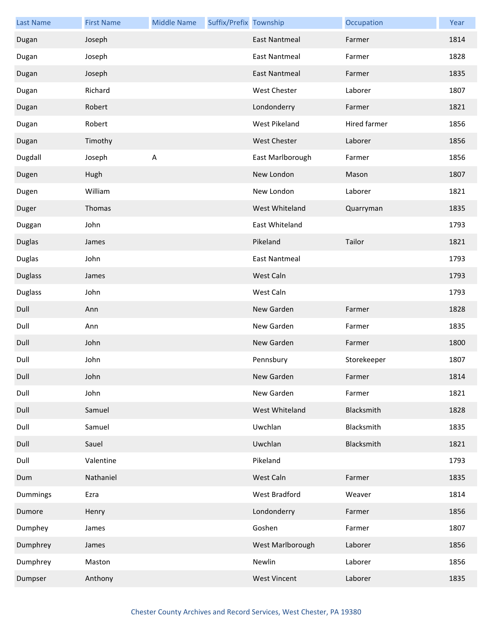| <b>Last Name</b> | <b>First Name</b> | <b>Middle Name</b> | Suffix/Prefix Township |                      | Occupation   | Year |
|------------------|-------------------|--------------------|------------------------|----------------------|--------------|------|
| Dugan            | Joseph            |                    |                        | <b>East Nantmeal</b> | Farmer       | 1814 |
| Dugan            | Joseph            |                    |                        | <b>East Nantmeal</b> | Farmer       | 1828 |
| Dugan            | Joseph            |                    |                        | <b>East Nantmeal</b> | Farmer       | 1835 |
| Dugan            | Richard           |                    |                        | West Chester         | Laborer      | 1807 |
| Dugan            | Robert            |                    |                        | Londonderry          | Farmer       | 1821 |
| Dugan            | Robert            |                    |                        | West Pikeland        | Hired farmer | 1856 |
| Dugan            | Timothy           |                    |                        | <b>West Chester</b>  | Laborer      | 1856 |
| Dugdall          | Joseph            | $\sf A$            |                        | East Marlborough     | Farmer       | 1856 |
| Dugen            | Hugh              |                    |                        | New London           | Mason        | 1807 |
| Dugen            | William           |                    |                        | New London           | Laborer      | 1821 |
| Duger            | Thomas            |                    |                        | West Whiteland       | Quarryman    | 1835 |
| Duggan           | John              |                    |                        | East Whiteland       |              | 1793 |
| <b>Duglas</b>    | James             |                    |                        | Pikeland             | Tailor       | 1821 |
| <b>Duglas</b>    | John              |                    |                        | <b>East Nantmeal</b> |              | 1793 |
| <b>Duglass</b>   | James             |                    |                        | West Caln            |              | 1793 |
| <b>Duglass</b>   | John              |                    |                        | West Caln            |              | 1793 |
| Dull             | Ann               |                    |                        | New Garden           | Farmer       | 1828 |
| Dull             | Ann               |                    |                        | New Garden           | Farmer       | 1835 |
| Dull             | John              |                    |                        | New Garden           | Farmer       | 1800 |
| Dull             | John              |                    |                        | Pennsbury            | Storekeeper  | 1807 |
| Dull             | John              |                    |                        | New Garden           | Farmer       | 1814 |
| Dull             | John              |                    |                        | New Garden           | Farmer       | 1821 |
| Dull             | Samuel            |                    |                        | West Whiteland       | Blacksmith   | 1828 |
| Dull             | Samuel            |                    |                        | Uwchlan              | Blacksmith   | 1835 |
| Dull             | Sauel             |                    |                        | Uwchlan              | Blacksmith   | 1821 |
| Dull             | Valentine         |                    |                        | Pikeland             |              | 1793 |
| Dum              | Nathaniel         |                    |                        | West Caln            | Farmer       | 1835 |
| Dummings         | Ezra              |                    |                        | West Bradford        | Weaver       | 1814 |
| Dumore           | Henry             |                    |                        | Londonderry          | Farmer       | 1856 |
| Dumphey          | James             |                    |                        | Goshen               | Farmer       | 1807 |
| Dumphrey         | James             |                    |                        | West Marlborough     | Laborer      | 1856 |
| Dumphrey         | Maston            |                    |                        | Newlin               | Laborer      | 1856 |
| Dumpser          | Anthony           |                    |                        | <b>West Vincent</b>  | Laborer      | 1835 |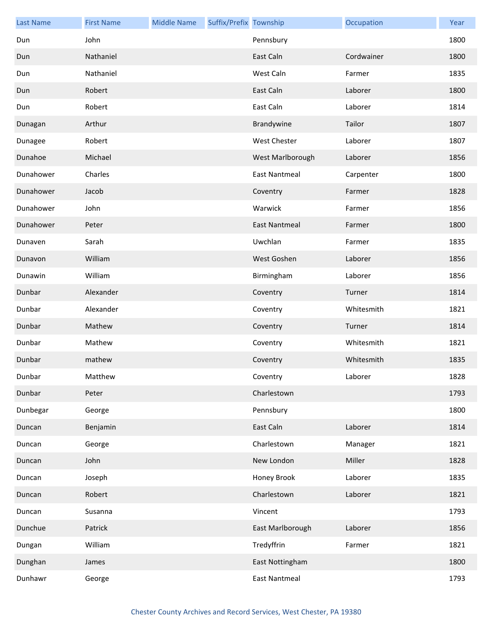| <b>Last Name</b> | <b>First Name</b> | <b>Middle Name</b> | Suffix/Prefix Township |                      | Occupation | Year |
|------------------|-------------------|--------------------|------------------------|----------------------|------------|------|
| Dun              | John              |                    |                        | Pennsbury            |            | 1800 |
| Dun              | Nathaniel         |                    |                        | East Caln            | Cordwainer | 1800 |
| Dun              | Nathaniel         |                    |                        | West Caln            | Farmer     | 1835 |
| Dun              | Robert            |                    |                        | East Caln            | Laborer    | 1800 |
| Dun              | Robert            |                    |                        | East Caln            | Laborer    | 1814 |
| Dunagan          | Arthur            |                    |                        | Brandywine           | Tailor     | 1807 |
| Dunagee          | Robert            |                    |                        | West Chester         | Laborer    | 1807 |
| Dunahoe          | Michael           |                    |                        | West Marlborough     | Laborer    | 1856 |
| Dunahower        | Charles           |                    |                        | <b>East Nantmeal</b> | Carpenter  | 1800 |
| Dunahower        | Jacob             |                    |                        | Coventry             | Farmer     | 1828 |
| Dunahower        | John              |                    |                        | Warwick              | Farmer     | 1856 |
| Dunahower        | Peter             |                    |                        | <b>East Nantmeal</b> | Farmer     | 1800 |
| Dunaven          | Sarah             |                    |                        | Uwchlan              | Farmer     | 1835 |
| Dunavon          | William           |                    |                        | West Goshen          | Laborer    | 1856 |
| Dunawin          | William           |                    |                        | Birmingham           | Laborer    | 1856 |
| Dunbar           | Alexander         |                    |                        | Coventry             | Turner     | 1814 |
| Dunbar           | Alexander         |                    |                        | Coventry             | Whitesmith | 1821 |
| Dunbar           | Mathew            |                    |                        | Coventry             | Turner     | 1814 |
| Dunbar           | Mathew            |                    |                        | Coventry             | Whitesmith | 1821 |
| Dunbar           | mathew            |                    |                        | Coventry             | Whitesmith | 1835 |
| Dunbar           | Matthew           |                    |                        | Coventry             | Laborer    | 1828 |
| Dunbar           | Peter             |                    |                        | Charlestown          |            | 1793 |
| Dunbegar         | George            |                    |                        | Pennsbury            |            | 1800 |
| Duncan           | Benjamin          |                    |                        | East Caln            | Laborer    | 1814 |
| Duncan           | George            |                    |                        | Charlestown          | Manager    | 1821 |
| Duncan           | John              |                    |                        | New London           | Miller     | 1828 |
| Duncan           | Joseph            |                    |                        | Honey Brook          | Laborer    | 1835 |
| Duncan           | Robert            |                    |                        | Charlestown          | Laborer    | 1821 |
| Duncan           | Susanna           |                    |                        | Vincent              |            | 1793 |
| Dunchue          | Patrick           |                    |                        | East Marlborough     | Laborer    | 1856 |
| Dungan           | William           |                    |                        | Tredyffrin           | Farmer     | 1821 |
| Dunghan          | James             |                    |                        | East Nottingham      |            | 1800 |
| Dunhawr          | George            |                    |                        | <b>East Nantmeal</b> |            | 1793 |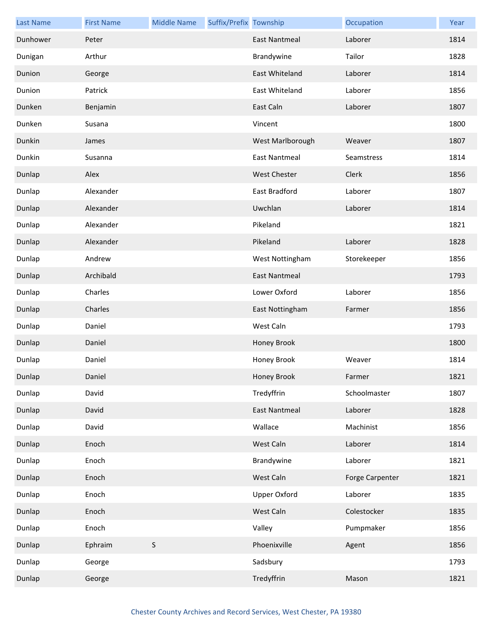| <b>Last Name</b> | <b>First Name</b> | <b>Middle Name</b> | Suffix/Prefix Township |                      | Occupation      | Year |
|------------------|-------------------|--------------------|------------------------|----------------------|-----------------|------|
| Dunhower         | Peter             |                    |                        | <b>East Nantmeal</b> | Laborer         | 1814 |
| Dunigan          | Arthur            |                    |                        | Brandywine           | Tailor          | 1828 |
| Dunion           | George            |                    |                        | East Whiteland       | Laborer         | 1814 |
| Dunion           | Patrick           |                    |                        | East Whiteland       | Laborer         | 1856 |
| Dunken           | Benjamin          |                    |                        | East Caln            | Laborer         | 1807 |
| Dunken           | Susana            |                    |                        | Vincent              |                 | 1800 |
| Dunkin           | James             |                    |                        | West Marlborough     | Weaver          | 1807 |
| Dunkin           | Susanna           |                    |                        | <b>East Nantmeal</b> | Seamstress      | 1814 |
| Dunlap           | Alex              |                    |                        | <b>West Chester</b>  | Clerk           | 1856 |
| Dunlap           | Alexander         |                    |                        | East Bradford        | Laborer         | 1807 |
| Dunlap           | Alexander         |                    |                        | Uwchlan              | Laborer         | 1814 |
| Dunlap           | Alexander         |                    |                        | Pikeland             |                 | 1821 |
| Dunlap           | Alexander         |                    |                        | Pikeland             | Laborer         | 1828 |
| Dunlap           | Andrew            |                    |                        | West Nottingham      | Storekeeper     | 1856 |
| Dunlap           | Archibald         |                    |                        | <b>East Nantmeal</b> |                 | 1793 |
| Dunlap           | Charles           |                    |                        | Lower Oxford         | Laborer         | 1856 |
| Dunlap           | Charles           |                    |                        | East Nottingham      | Farmer          | 1856 |
| Dunlap           | Daniel            |                    |                        | West Caln            |                 | 1793 |
| Dunlap           | Daniel            |                    |                        | Honey Brook          |                 | 1800 |
| Dunlap           | Daniel            |                    |                        | Honey Brook          | Weaver          | 1814 |
| Dunlap           | Daniel            |                    |                        | Honey Brook          | Farmer          | 1821 |
| Dunlap           | David             |                    |                        | Tredyffrin           | Schoolmaster    | 1807 |
| Dunlap           | David             |                    |                        | <b>East Nantmeal</b> | Laborer         | 1828 |
| Dunlap           | David             |                    |                        | Wallace              | Machinist       | 1856 |
| Dunlap           | Enoch             |                    |                        | West Caln            | Laborer         | 1814 |
| Dunlap           | Enoch             |                    |                        | Brandywine           | Laborer         | 1821 |
| Dunlap           | Enoch             |                    |                        | West Caln            | Forge Carpenter | 1821 |
| Dunlap           | Enoch             |                    |                        | <b>Upper Oxford</b>  | Laborer         | 1835 |
| Dunlap           | Enoch             |                    |                        | West Caln            | Colestocker     | 1835 |
| Dunlap           | Enoch             |                    |                        | Valley               | Pumpmaker       | 1856 |
| Dunlap           | Ephraim           | $\sf S$            |                        | Phoenixville         | Agent           | 1856 |
| Dunlap           | George            |                    |                        | Sadsbury             |                 | 1793 |
| Dunlap           | George            |                    |                        | Tredyffrin           | Mason           | 1821 |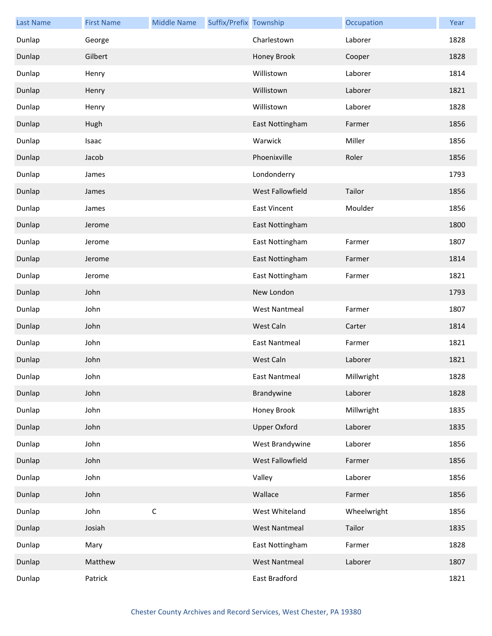| <b>Last Name</b> | <b>First Name</b> | <b>Middle Name</b> | Suffix/Prefix Township |                      | Occupation  | Year |
|------------------|-------------------|--------------------|------------------------|----------------------|-------------|------|
| Dunlap           | George            |                    |                        | Charlestown          | Laborer     | 1828 |
| Dunlap           | Gilbert           |                    |                        | Honey Brook          | Cooper      | 1828 |
| Dunlap           | Henry             |                    |                        | Willistown           | Laborer     | 1814 |
| Dunlap           | Henry             |                    |                        | Willistown           | Laborer     | 1821 |
| Dunlap           | Henry             |                    |                        | Willistown           | Laborer     | 1828 |
| Dunlap           | Hugh              |                    |                        | East Nottingham      | Farmer      | 1856 |
| Dunlap           | Isaac             |                    |                        | Warwick              | Miller      | 1856 |
| Dunlap           | Jacob             |                    |                        | Phoenixville         | Roler       | 1856 |
| Dunlap           | James             |                    |                        | Londonderry          |             | 1793 |
| Dunlap           | James             |                    |                        | West Fallowfield     | Tailor      | 1856 |
| Dunlap           | James             |                    |                        | <b>East Vincent</b>  | Moulder     | 1856 |
| Dunlap           | Jerome            |                    |                        | East Nottingham      |             | 1800 |
| Dunlap           | Jerome            |                    |                        | East Nottingham      | Farmer      | 1807 |
| Dunlap           | Jerome            |                    |                        | East Nottingham      | Farmer      | 1814 |
| Dunlap           | Jerome            |                    |                        | East Nottingham      | Farmer      | 1821 |
| Dunlap           | John              |                    |                        | New London           |             | 1793 |
| Dunlap           | John              |                    |                        | <b>West Nantmeal</b> | Farmer      | 1807 |
| Dunlap           | John              |                    |                        | West Caln            | Carter      | 1814 |
| Dunlap           | John              |                    |                        | <b>East Nantmeal</b> | Farmer      | 1821 |
| Dunlap           | John              |                    |                        | West Caln            | Laborer     | 1821 |
| Dunlap           | John              |                    |                        | East Nantmeal        | Millwright  | 1828 |
| Dunlap           | John              |                    |                        | Brandywine           | Laborer     | 1828 |
| Dunlap           | John              |                    |                        | Honey Brook          | Millwright  | 1835 |
| Dunlap           | John              |                    |                        | <b>Upper Oxford</b>  | Laborer     | 1835 |
| Dunlap           | John              |                    |                        | West Brandywine      | Laborer     | 1856 |
| Dunlap           | John              |                    |                        | West Fallowfield     | Farmer      | 1856 |
| Dunlap           | John              |                    |                        | Valley               | Laborer     | 1856 |
| Dunlap           | John              |                    |                        | Wallace              | Farmer      | 1856 |
| Dunlap           | John              | $\mathsf C$        |                        | West Whiteland       | Wheelwright | 1856 |
| Dunlap           | Josiah            |                    |                        | <b>West Nantmeal</b> | Tailor      | 1835 |
| Dunlap           | Mary              |                    |                        | East Nottingham      | Farmer      | 1828 |
| Dunlap           | Matthew           |                    |                        | <b>West Nantmeal</b> | Laborer     | 1807 |
| Dunlap           | Patrick           |                    |                        | East Bradford        |             | 1821 |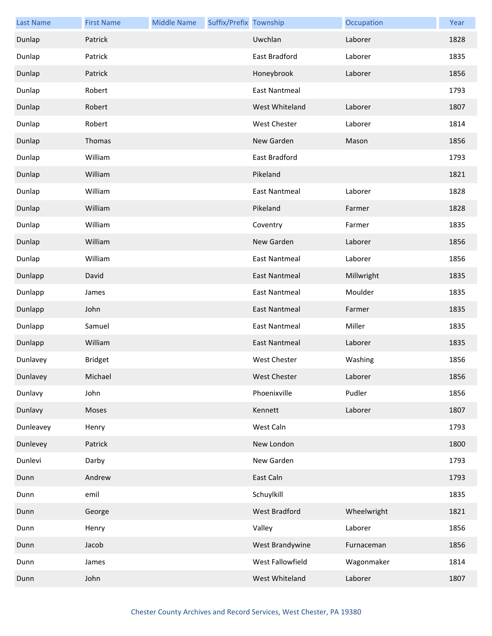| <b>Last Name</b> | <b>First Name</b> | <b>Middle Name</b> | Suffix/Prefix Township |                      | Occupation  | Year |
|------------------|-------------------|--------------------|------------------------|----------------------|-------------|------|
| Dunlap           | Patrick           |                    |                        | Uwchlan              | Laborer     | 1828 |
| Dunlap           | Patrick           |                    |                        | East Bradford        | Laborer     | 1835 |
| Dunlap           | Patrick           |                    |                        | Honeybrook           | Laborer     | 1856 |
| Dunlap           | Robert            |                    |                        | <b>East Nantmeal</b> |             | 1793 |
| Dunlap           | Robert            |                    |                        | West Whiteland       | Laborer     | 1807 |
| Dunlap           | Robert            |                    |                        | <b>West Chester</b>  | Laborer     | 1814 |
| Dunlap           | Thomas            |                    |                        | New Garden           | Mason       | 1856 |
| Dunlap           | William           |                    |                        | East Bradford        |             | 1793 |
| Dunlap           | William           |                    |                        | Pikeland             |             | 1821 |
| Dunlap           | William           |                    |                        | <b>East Nantmeal</b> | Laborer     | 1828 |
| Dunlap           | William           |                    |                        | Pikeland             | Farmer      | 1828 |
| Dunlap           | William           |                    |                        | Coventry             | Farmer      | 1835 |
| Dunlap           | William           |                    |                        | New Garden           | Laborer     | 1856 |
| Dunlap           | William           |                    |                        | <b>East Nantmeal</b> | Laborer     | 1856 |
| Dunlapp          | David             |                    |                        | <b>East Nantmeal</b> | Millwright  | 1835 |
| Dunlapp          | James             |                    |                        | <b>East Nantmeal</b> | Moulder     | 1835 |
| Dunlapp          | John              |                    |                        | <b>East Nantmeal</b> | Farmer      | 1835 |
| Dunlapp          | Samuel            |                    |                        | <b>East Nantmeal</b> | Miller      | 1835 |
| Dunlapp          | William           |                    |                        | <b>East Nantmeal</b> | Laborer     | 1835 |
| Dunlavey         | <b>Bridget</b>    |                    |                        | <b>West Chester</b>  | Washing     | 1856 |
| Dunlavey         | Michael           |                    |                        | West Chester         | Laborer     | 1856 |
| Dunlavy          | John              |                    |                        | Phoenixville         | Pudler      | 1856 |
| Dunlavy          | Moses             |                    |                        | Kennett              | Laborer     | 1807 |
| Dunleavey        | Henry             |                    |                        | West Caln            |             | 1793 |
| Dunlevey         | Patrick           |                    |                        | New London           |             | 1800 |
| Dunlevi          | Darby             |                    |                        | New Garden           |             | 1793 |
| Dunn             | Andrew            |                    |                        | East Caln            |             | 1793 |
| Dunn             | emil              |                    |                        | Schuylkill           |             | 1835 |
| Dunn             | George            |                    |                        | <b>West Bradford</b> | Wheelwright | 1821 |
| Dunn             | Henry             |                    |                        | Valley               | Laborer     | 1856 |
| Dunn             | Jacob             |                    |                        | West Brandywine      | Furnaceman  | 1856 |
| Dunn             | James             |                    |                        | West Fallowfield     | Wagonmaker  | 1814 |
| Dunn             | John              |                    |                        | West Whiteland       | Laborer     | 1807 |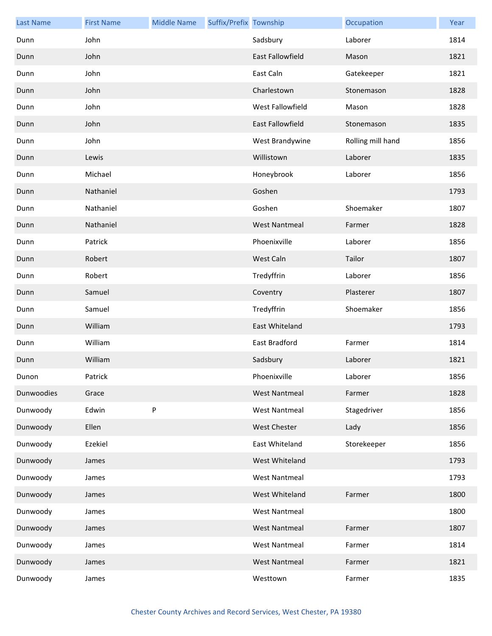| <b>Last Name</b> | <b>First Name</b> | <b>Middle Name</b> | Suffix/Prefix Township |                         | Occupation        | Year |
|------------------|-------------------|--------------------|------------------------|-------------------------|-------------------|------|
| Dunn             | John              |                    |                        | Sadsbury                | Laborer           | 1814 |
| Dunn             | John              |                    |                        | <b>East Fallowfield</b> | Mason             | 1821 |
| Dunn             | John              |                    |                        | East Caln               | Gatekeeper        | 1821 |
| Dunn             | John              |                    |                        | Charlestown             | Stonemason        | 1828 |
| Dunn             | John              |                    |                        | West Fallowfield        | Mason             | 1828 |
| Dunn             | John              |                    |                        | East Fallowfield        | Stonemason        | 1835 |
| Dunn             | John              |                    |                        | West Brandywine         | Rolling mill hand | 1856 |
| Dunn             | Lewis             |                    |                        | Willistown              | Laborer           | 1835 |
| Dunn             | Michael           |                    |                        | Honeybrook              | Laborer           | 1856 |
| Dunn             | Nathaniel         |                    |                        | Goshen                  |                   | 1793 |
| Dunn             | Nathaniel         |                    |                        | Goshen                  | Shoemaker         | 1807 |
| Dunn             | Nathaniel         |                    |                        | <b>West Nantmeal</b>    | Farmer            | 1828 |
| Dunn             | Patrick           |                    |                        | Phoenixville            | Laborer           | 1856 |
| Dunn             | Robert            |                    |                        | West Caln               | Tailor            | 1807 |
| Dunn             | Robert            |                    |                        | Tredyffrin              | Laborer           | 1856 |
| Dunn             | Samuel            |                    |                        | Coventry                | Plasterer         | 1807 |
| Dunn             | Samuel            |                    |                        | Tredyffrin              | Shoemaker         | 1856 |
| Dunn             | William           |                    |                        | East Whiteland          |                   | 1793 |
| Dunn             | William           |                    |                        | East Bradford           | Farmer            | 1814 |
| Dunn             | William           |                    |                        | Sadsbury                | Laborer           | 1821 |
| Dunon            | Patrick           |                    |                        | Phoenixville            | Laborer           | 1856 |
| Dunwoodies       | Grace             |                    |                        | <b>West Nantmeal</b>    | Farmer            | 1828 |
| Dunwoody         | Edwin             | P                  |                        | <b>West Nantmeal</b>    | Stagedriver       | 1856 |
| Dunwoody         | Ellen             |                    |                        | West Chester            | Lady              | 1856 |
| Dunwoody         | Ezekiel           |                    |                        | East Whiteland          | Storekeeper       | 1856 |
| Dunwoody         | James             |                    |                        | West Whiteland          |                   | 1793 |
| Dunwoody         | James             |                    |                        | <b>West Nantmeal</b>    |                   | 1793 |
| Dunwoody         | James             |                    |                        | West Whiteland          | Farmer            | 1800 |
| Dunwoody         | James             |                    |                        | <b>West Nantmeal</b>    |                   | 1800 |
| Dunwoody         | James             |                    |                        | <b>West Nantmeal</b>    | Farmer            | 1807 |
| Dunwoody         | James             |                    |                        | <b>West Nantmeal</b>    | Farmer            | 1814 |
| Dunwoody         | James             |                    |                        | <b>West Nantmeal</b>    | Farmer            | 1821 |
| Dunwoody         | James             |                    |                        | Westtown                | Farmer            | 1835 |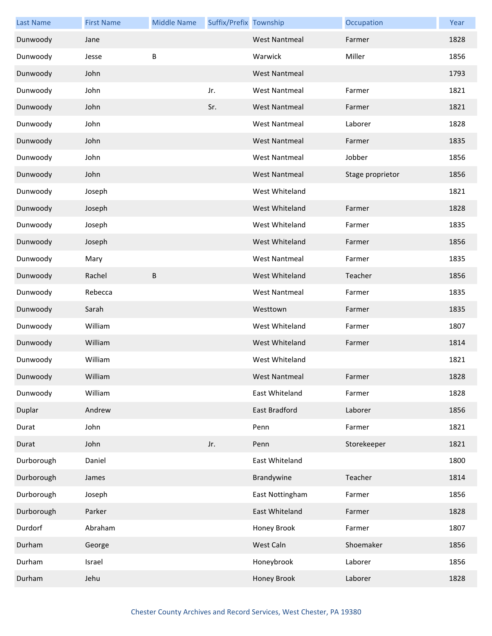| <b>Last Name</b> | <b>First Name</b> | <b>Middle Name</b> | Suffix/Prefix Township |                      | Occupation       | Year |
|------------------|-------------------|--------------------|------------------------|----------------------|------------------|------|
| Dunwoody         | Jane              |                    |                        | <b>West Nantmeal</b> | Farmer           | 1828 |
| Dunwoody         | Jesse             | B                  |                        | Warwick              | Miller           | 1856 |
| Dunwoody         | John              |                    |                        | <b>West Nantmeal</b> |                  | 1793 |
| Dunwoody         | John              |                    | Jr.                    | <b>West Nantmeal</b> | Farmer           | 1821 |
| Dunwoody         | John              |                    | Sr.                    | <b>West Nantmeal</b> | Farmer           | 1821 |
| Dunwoody         | John              |                    |                        | <b>West Nantmeal</b> | Laborer          | 1828 |
| Dunwoody         | John              |                    |                        | <b>West Nantmeal</b> | Farmer           | 1835 |
| Dunwoody         | John              |                    |                        | <b>West Nantmeal</b> | Jobber           | 1856 |
| Dunwoody         | John              |                    |                        | <b>West Nantmeal</b> | Stage proprietor | 1856 |
| Dunwoody         | Joseph            |                    |                        | West Whiteland       |                  | 1821 |
| Dunwoody         | Joseph            |                    |                        | West Whiteland       | Farmer           | 1828 |
| Dunwoody         | Joseph            |                    |                        | West Whiteland       | Farmer           | 1835 |
| Dunwoody         | Joseph            |                    |                        | West Whiteland       | Farmer           | 1856 |
| Dunwoody         | Mary              |                    |                        | <b>West Nantmeal</b> | Farmer           | 1835 |
| Dunwoody         | Rachel            | B                  |                        | West Whiteland       | Teacher          | 1856 |
| Dunwoody         | Rebecca           |                    |                        | <b>West Nantmeal</b> | Farmer           | 1835 |
| Dunwoody         | Sarah             |                    |                        | Westtown             | Farmer           | 1835 |
| Dunwoody         | William           |                    |                        | West Whiteland       | Farmer           | 1807 |
| Dunwoody         | William           |                    |                        | West Whiteland       | Farmer           | 1814 |
| Dunwoody         | William           |                    |                        | West Whiteland       |                  | 1821 |
| Dunwoody         | William           |                    |                        | West Nantmeal        | Farmer           | 1828 |
| Dunwoody         | William           |                    |                        | East Whiteland       | Farmer           | 1828 |
| Duplar           | Andrew            |                    |                        | East Bradford        | Laborer          | 1856 |
| Durat            | John              |                    |                        | Penn                 | Farmer           | 1821 |
| Durat            | John              |                    | Jr.                    | Penn                 | Storekeeper      | 1821 |
| Durborough       | Daniel            |                    |                        | East Whiteland       |                  | 1800 |
| Durborough       | James             |                    |                        | Brandywine           | Teacher          | 1814 |
| Durborough       | Joseph            |                    |                        | East Nottingham      | Farmer           | 1856 |
| Durborough       | Parker            |                    |                        | East Whiteland       | Farmer           | 1828 |
| Durdorf          | Abraham           |                    |                        | Honey Brook          | Farmer           | 1807 |
| Durham           | George            |                    |                        | West Caln            | Shoemaker        | 1856 |
| Durham           | Israel            |                    |                        | Honeybrook           | Laborer          | 1856 |
| Durham           | Jehu              |                    |                        | Honey Brook          | Laborer          | 1828 |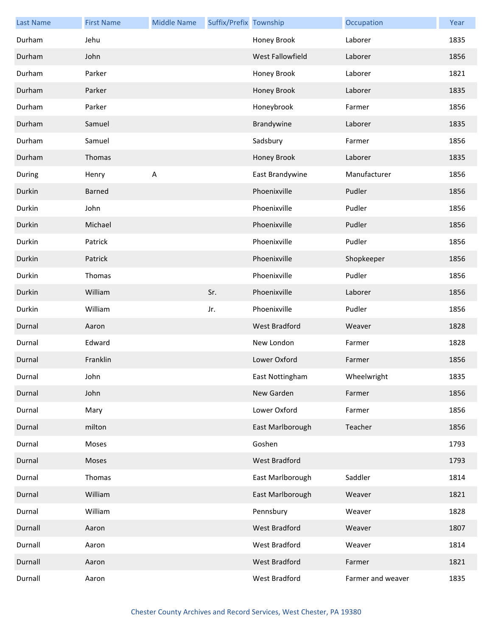| <b>Last Name</b> | <b>First Name</b> | <b>Middle Name</b> | Suffix/Prefix Township |                      | Occupation        | Year |
|------------------|-------------------|--------------------|------------------------|----------------------|-------------------|------|
| Durham           | Jehu              |                    |                        | Honey Brook          | Laborer           | 1835 |
| Durham           | John              |                    |                        | West Fallowfield     | Laborer           | 1856 |
| Durham           | Parker            |                    |                        | Honey Brook          | Laborer           | 1821 |
| Durham           | Parker            |                    |                        | Honey Brook          | Laborer           | 1835 |
| Durham           | Parker            |                    |                        | Honeybrook           | Farmer            | 1856 |
| Durham           | Samuel            |                    |                        | Brandywine           | Laborer           | 1835 |
| Durham           | Samuel            |                    |                        | Sadsbury             | Farmer            | 1856 |
| Durham           | Thomas            |                    |                        | Honey Brook          | Laborer           | 1835 |
| During           | Henry             | A                  |                        | East Brandywine      | Manufacturer      | 1856 |
| Durkin           | Barned            |                    |                        | Phoenixville         | Pudler            | 1856 |
| Durkin           | John              |                    |                        | Phoenixville         | Pudler            | 1856 |
| Durkin           | Michael           |                    |                        | Phoenixville         | Pudler            | 1856 |
| Durkin           | Patrick           |                    |                        | Phoenixville         | Pudler            | 1856 |
| Durkin           | Patrick           |                    |                        | Phoenixville         | Shopkeeper        | 1856 |
| Durkin           | Thomas            |                    |                        | Phoenixville         | Pudler            | 1856 |
| Durkin           | William           |                    | Sr.                    | Phoenixville         | Laborer           | 1856 |
| Durkin           | William           |                    | Jr.                    | Phoenixville         | Pudler            | 1856 |
| Durnal           | Aaron             |                    |                        | <b>West Bradford</b> | Weaver            | 1828 |
| Durnal           | Edward            |                    |                        | New London           | Farmer            | 1828 |
| Durnal           | Franklin          |                    |                        | Lower Oxford         | Farmer            | 1856 |
| Durnal           | John              |                    |                        | East Nottingham      | Wheelwright       | 1835 |
| Durnal           | John              |                    |                        | New Garden           | Farmer            | 1856 |
| Durnal           | Mary              |                    |                        | Lower Oxford         | Farmer            | 1856 |
| Durnal           | milton            |                    |                        | East Marlborough     | Teacher           | 1856 |
| Durnal           | Moses             |                    |                        | Goshen               |                   | 1793 |
| Durnal           | Moses             |                    |                        | West Bradford        |                   | 1793 |
| Durnal           | Thomas            |                    |                        | East Marlborough     | Saddler           | 1814 |
| Durnal           | William           |                    |                        | East Marlborough     | Weaver            | 1821 |
| Durnal           | William           |                    |                        | Pennsbury            | Weaver            | 1828 |
| Durnall          | Aaron             |                    |                        | <b>West Bradford</b> | Weaver            | 1807 |
| Durnall          | Aaron             |                    |                        | West Bradford        | Weaver            | 1814 |
| Durnall          | Aaron             |                    |                        | West Bradford        | Farmer            | 1821 |
| Durnall          | Aaron             |                    |                        | West Bradford        | Farmer and weaver | 1835 |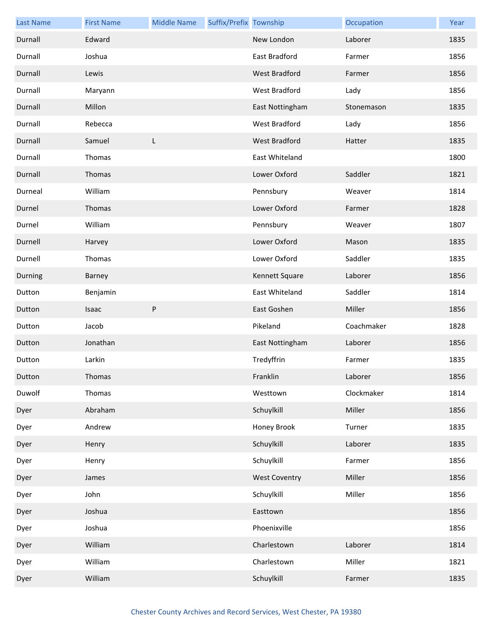| <b>Last Name</b> | <b>First Name</b> | <b>Middle Name</b> | Suffix/Prefix Township |                      | Occupation | Year |
|------------------|-------------------|--------------------|------------------------|----------------------|------------|------|
| Durnall          | Edward            |                    |                        | New London           | Laborer    | 1835 |
| Durnall          | Joshua            |                    |                        | East Bradford        | Farmer     | 1856 |
| Durnall          | Lewis             |                    |                        | West Bradford        | Farmer     | 1856 |
| Durnall          | Maryann           |                    |                        | West Bradford        | Lady       | 1856 |
| Durnall          | Millon            |                    |                        | East Nottingham      | Stonemason | 1835 |
| Durnall          | Rebecca           |                    |                        | West Bradford        | Lady       | 1856 |
| Durnall          | Samuel            | L                  |                        | West Bradford        | Hatter     | 1835 |
| Durnall          | Thomas            |                    |                        | East Whiteland       |            | 1800 |
| Durnall          | Thomas            |                    |                        | Lower Oxford         | Saddler    | 1821 |
| Durneal          | William           |                    |                        | Pennsbury            | Weaver     | 1814 |
| Durnel           | Thomas            |                    |                        | Lower Oxford         | Farmer     | 1828 |
| Durnel           | William           |                    |                        | Pennsbury            | Weaver     | 1807 |
| Durnell          | Harvey            |                    |                        | Lower Oxford         | Mason      | 1835 |
| Durnell          | Thomas            |                    |                        | Lower Oxford         | Saddler    | 1835 |
| Durning          | Barney            |                    |                        | Kennett Square       | Laborer    | 1856 |
| Dutton           | Benjamin          |                    |                        | East Whiteland       | Saddler    | 1814 |
| Dutton           | Isaac             | ${\sf P}$          |                        | East Goshen          | Miller     | 1856 |
| Dutton           | Jacob             |                    |                        | Pikeland             | Coachmaker | 1828 |
| Dutton           | Jonathan          |                    |                        | East Nottingham      | Laborer    | 1856 |
| Dutton           | Larkin            |                    |                        | Tredyffrin           | Farmer     | 1835 |
| Dutton           | Thomas            |                    |                        | Franklin             | Laborer    | 1856 |
| Duwolf           | Thomas            |                    |                        | Westtown             | Clockmaker | 1814 |
| Dyer             | Abraham           |                    |                        | Schuylkill           | Miller     | 1856 |
| Dyer             | Andrew            |                    |                        | Honey Brook          | Turner     | 1835 |
| Dyer             | Henry             |                    |                        | Schuylkill           | Laborer    | 1835 |
| Dyer             | Henry             |                    |                        | Schuylkill           | Farmer     | 1856 |
| Dyer             | James             |                    |                        | <b>West Coventry</b> | Miller     | 1856 |
| Dyer             | John              |                    |                        | Schuylkill           | Miller     | 1856 |
| Dyer             | Joshua            |                    |                        | Easttown             |            | 1856 |
| Dyer             | Joshua            |                    |                        | Phoenixville         |            | 1856 |
| Dyer             | William           |                    |                        | Charlestown          | Laborer    | 1814 |
| Dyer             | William           |                    |                        | Charlestown          | Miller     | 1821 |
| Dyer             | William           |                    |                        | Schuylkill           | Farmer     | 1835 |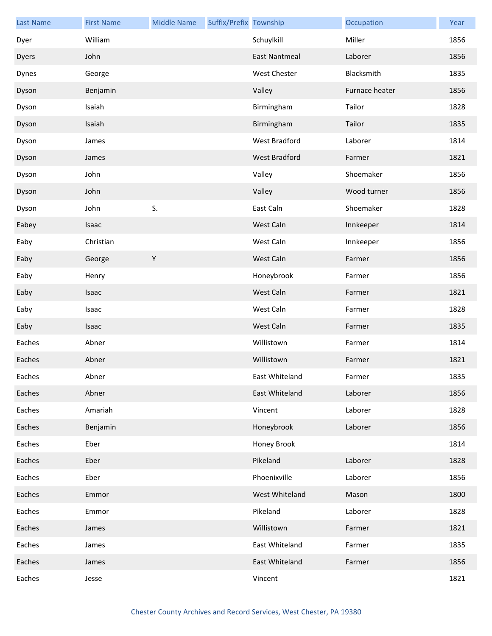| <b>Last Name</b> | <b>First Name</b> | <b>Middle Name</b> | Suffix/Prefix Township |                      | Occupation     | Year |
|------------------|-------------------|--------------------|------------------------|----------------------|----------------|------|
| Dyer             | William           |                    |                        | Schuylkill           | Miller         | 1856 |
| Dyers            | John              |                    |                        | <b>East Nantmeal</b> | Laborer        | 1856 |
| Dynes            | George            |                    |                        | <b>West Chester</b>  | Blacksmith     | 1835 |
| Dyson            | Benjamin          |                    |                        | Valley               | Furnace heater | 1856 |
| Dyson            | Isaiah            |                    |                        | Birmingham           | Tailor         | 1828 |
| Dyson            | Isaiah            |                    |                        | Birmingham           | Tailor         | 1835 |
| Dyson            | James             |                    |                        | West Bradford        | Laborer        | 1814 |
| Dyson            | James             |                    |                        | West Bradford        | Farmer         | 1821 |
| Dyson            | John              |                    |                        | Valley               | Shoemaker      | 1856 |
| Dyson            | John              |                    |                        | Valley               | Wood turner    | 1856 |
| Dyson            | John              | S.                 |                        | East Caln            | Shoemaker      | 1828 |
| Eabey            | Isaac             |                    |                        | West Caln            | Innkeeper      | 1814 |
| Eaby             | Christian         |                    |                        | West Caln            | Innkeeper      | 1856 |
| Eaby             | George            | $\mathsf Y$        |                        | West Caln            | Farmer         | 1856 |
| Eaby             | Henry             |                    |                        | Honeybrook           | Farmer         | 1856 |
| Eaby             | Isaac             |                    |                        | West Caln            | Farmer         | 1821 |
| Eaby             | Isaac             |                    |                        | West Caln            | Farmer         | 1828 |
| Eaby             | Isaac             |                    |                        | West Caln            | Farmer         | 1835 |
| Eaches           | Abner             |                    |                        | Willistown           | Farmer         | 1814 |
| Eaches           | Abner             |                    |                        | Willistown           | Farmer         | 1821 |
| Eaches           | Abner             |                    |                        | East Whiteland       | Farmer         | 1835 |
| Eaches           | Abner             |                    |                        | East Whiteland       | Laborer        | 1856 |
| Eaches           | Amariah           |                    |                        | Vincent              | Laborer        | 1828 |
| Eaches           | Benjamin          |                    |                        | Honeybrook           | Laborer        | 1856 |
| Eaches           | Eber              |                    |                        | Honey Brook          |                | 1814 |
| Eaches           | Eber              |                    |                        | Pikeland             | Laborer        | 1828 |
| Eaches           | Eber              |                    |                        | Phoenixville         | Laborer        | 1856 |
| Eaches           | Emmor             |                    |                        | West Whiteland       | Mason          | 1800 |
| Eaches           | Emmor             |                    |                        | Pikeland             | Laborer        | 1828 |
| Eaches           | James             |                    |                        | Willistown           | Farmer         | 1821 |
| Eaches           | James             |                    |                        | East Whiteland       | Farmer         | 1835 |
| Eaches           | James             |                    |                        | East Whiteland       | Farmer         | 1856 |
| Eaches           | Jesse             |                    |                        | Vincent              |                | 1821 |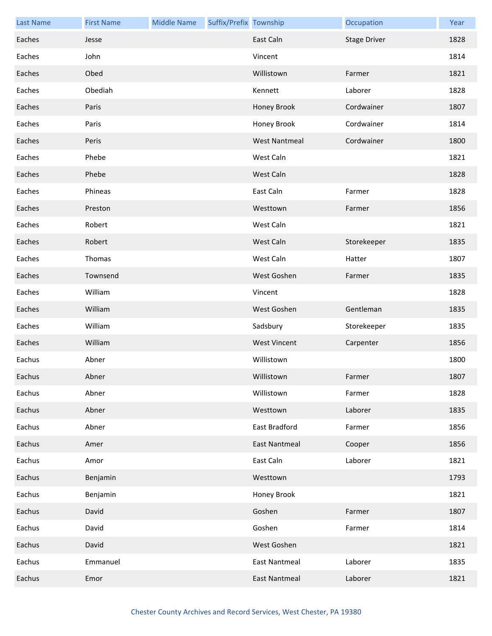| <b>Last Name</b> | <b>First Name</b> | <b>Middle Name</b> | Suffix/Prefix Township |                      | Occupation          | Year |
|------------------|-------------------|--------------------|------------------------|----------------------|---------------------|------|
| Eaches           | Jesse             |                    |                        | East Caln            | <b>Stage Driver</b> | 1828 |
| Eaches           | John              |                    |                        | Vincent              |                     | 1814 |
| Eaches           | Obed              |                    |                        | Willistown           | Farmer              | 1821 |
| Eaches           | Obediah           |                    |                        | Kennett              | Laborer             | 1828 |
| Eaches           | Paris             |                    |                        | Honey Brook          | Cordwainer          | 1807 |
| Eaches           | Paris             |                    |                        | Honey Brook          | Cordwainer          | 1814 |
| Eaches           | Peris             |                    |                        | <b>West Nantmeal</b> | Cordwainer          | 1800 |
| Eaches           | Phebe             |                    |                        | West Caln            |                     | 1821 |
| Eaches           | Phebe             |                    |                        | West Caln            |                     | 1828 |
| Eaches           | Phineas           |                    |                        | East Caln            | Farmer              | 1828 |
| Eaches           | Preston           |                    |                        | Westtown             | Farmer              | 1856 |
| Eaches           | Robert            |                    |                        | West Caln            |                     | 1821 |
| Eaches           | Robert            |                    |                        | West Caln            | Storekeeper         | 1835 |
| Eaches           | Thomas            |                    |                        | West Caln            | Hatter              | 1807 |
| Eaches           | Townsend          |                    |                        | West Goshen          | Farmer              | 1835 |
| Eaches           | William           |                    |                        | Vincent              |                     | 1828 |
| Eaches           | William           |                    |                        | West Goshen          | Gentleman           | 1835 |
| Eaches           | William           |                    |                        | Sadsbury             | Storekeeper         | 1835 |
| Eaches           | William           |                    |                        | <b>West Vincent</b>  | Carpenter           | 1856 |
| Eachus           | Abner             |                    |                        | Willistown           |                     | 1800 |
| Eachus           | Abner             |                    |                        | Willistown           | Farmer              | 1807 |
| Eachus           | Abner             |                    |                        | Willistown           | Farmer              | 1828 |
| Eachus           | Abner             |                    |                        | Westtown             | Laborer             | 1835 |
| Eachus           | Abner             |                    |                        | East Bradford        | Farmer              | 1856 |
| Eachus           | Amer              |                    |                        | <b>East Nantmeal</b> | Cooper              | 1856 |
| Eachus           | Amor              |                    |                        | East Caln            | Laborer             | 1821 |
| Eachus           | Benjamin          |                    |                        | Westtown             |                     | 1793 |
| Eachus           | Benjamin          |                    |                        | Honey Brook          |                     | 1821 |
| Eachus           | David             |                    |                        | Goshen               | Farmer              | 1807 |
| Eachus           | David             |                    |                        | Goshen               | Farmer              | 1814 |
| Eachus           | David             |                    |                        | West Goshen          |                     | 1821 |
| Eachus           | Emmanuel          |                    |                        | <b>East Nantmeal</b> | Laborer             | 1835 |
| Eachus           | Emor              |                    |                        | <b>East Nantmeal</b> | Laborer             | 1821 |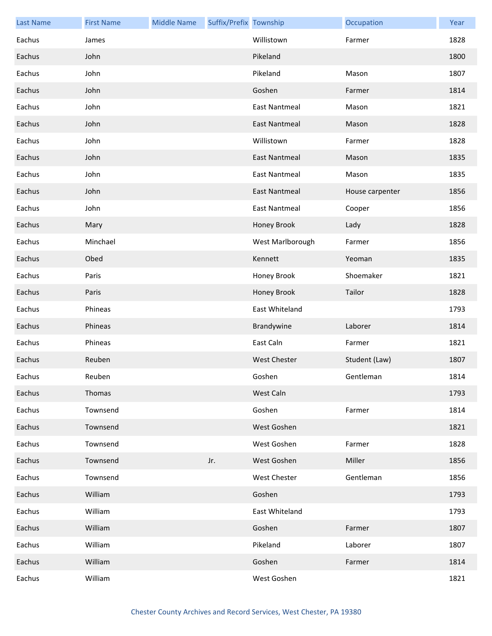| <b>Last Name</b> | <b>First Name</b> | <b>Middle Name</b> | Suffix/Prefix Township |                      | Occupation      | Year |
|------------------|-------------------|--------------------|------------------------|----------------------|-----------------|------|
| Eachus           | James             |                    |                        | Willistown           | Farmer          | 1828 |
| Eachus           | John              |                    |                        | Pikeland             |                 | 1800 |
| Eachus           | John              |                    |                        | Pikeland             | Mason           | 1807 |
| Eachus           | John              |                    |                        | Goshen               | Farmer          | 1814 |
| Eachus           | John              |                    |                        | <b>East Nantmeal</b> | Mason           | 1821 |
| Eachus           | John              |                    |                        | <b>East Nantmeal</b> | Mason           | 1828 |
| Eachus           | John              |                    |                        | Willistown           | Farmer          | 1828 |
| Eachus           | John              |                    |                        | <b>East Nantmeal</b> | Mason           | 1835 |
| Eachus           | John              |                    |                        | <b>East Nantmeal</b> | Mason           | 1835 |
| Eachus           | John              |                    |                        | <b>East Nantmeal</b> | House carpenter | 1856 |
| Eachus           | John              |                    |                        | <b>East Nantmeal</b> | Cooper          | 1856 |
| Eachus           | Mary              |                    |                        | Honey Brook          | Lady            | 1828 |
| Eachus           | Minchael          |                    |                        | West Marlborough     | Farmer          | 1856 |
| Eachus           | Obed              |                    |                        | Kennett              | Yeoman          | 1835 |
| Eachus           | Paris             |                    |                        | Honey Brook          | Shoemaker       | 1821 |
| Eachus           | Paris             |                    |                        | Honey Brook          | Tailor          | 1828 |
| Eachus           | Phineas           |                    |                        | East Whiteland       |                 | 1793 |
| Eachus           | Phineas           |                    |                        | Brandywine           | Laborer         | 1814 |
| Eachus           | Phineas           |                    |                        | East Caln            | Farmer          | 1821 |
| Eachus           | Reuben            |                    |                        | <b>West Chester</b>  | Student (Law)   | 1807 |
| Eachus           | Reuben            |                    |                        | Goshen               | Gentleman       | 1814 |
| Eachus           | Thomas            |                    |                        | West Caln            |                 | 1793 |
| Eachus           | Townsend          |                    |                        | Goshen               | Farmer          | 1814 |
| Eachus           | Townsend          |                    |                        | West Goshen          |                 | 1821 |
| Eachus           | Townsend          |                    |                        | West Goshen          | Farmer          | 1828 |
| Eachus           | Townsend          |                    | Jr.                    | West Goshen          | Miller          | 1856 |
| Eachus           | Townsend          |                    |                        | West Chester         | Gentleman       | 1856 |
| Eachus           | William           |                    |                        | Goshen               |                 | 1793 |
| Eachus           | William           |                    |                        | East Whiteland       |                 | 1793 |
| Eachus           | William           |                    |                        | Goshen               | Farmer          | 1807 |
| Eachus           | William           |                    |                        | Pikeland             | Laborer         | 1807 |
| Eachus           | William           |                    |                        | Goshen               | Farmer          | 1814 |
| Eachus           | William           |                    |                        | West Goshen          |                 | 1821 |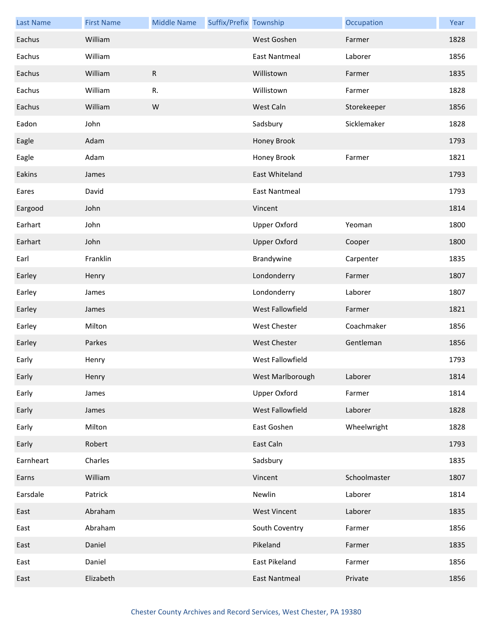| <b>Last Name</b> | <b>First Name</b> | <b>Middle Name</b> | Suffix/Prefix Township |                         | Occupation   | Year |
|------------------|-------------------|--------------------|------------------------|-------------------------|--------------|------|
| Eachus           | William           |                    |                        | West Goshen             | Farmer       | 1828 |
| Eachus           | William           |                    |                        | <b>East Nantmeal</b>    | Laborer      | 1856 |
| Eachus           | William           | $\mathsf{R}$       |                        | Willistown              | Farmer       | 1835 |
| Eachus           | William           | R.                 |                        | Willistown              | Farmer       | 1828 |
| Eachus           | William           | ${\sf W}$          |                        | West Caln               | Storekeeper  | 1856 |
| Eadon            | John              |                    |                        | Sadsbury                | Sicklemaker  | 1828 |
| Eagle            | Adam              |                    |                        | Honey Brook             |              | 1793 |
| Eagle            | Adam              |                    |                        | Honey Brook             | Farmer       | 1821 |
| Eakins           | James             |                    |                        | East Whiteland          |              | 1793 |
| Eares            | David             |                    |                        | <b>East Nantmeal</b>    |              | 1793 |
| Eargood          | John              |                    |                        | Vincent                 |              | 1814 |
| Earhart          | John              |                    |                        | <b>Upper Oxford</b>     | Yeoman       | 1800 |
| Earhart          | John              |                    |                        | <b>Upper Oxford</b>     | Cooper       | 1800 |
| Earl             | Franklin          |                    |                        | Brandywine              | Carpenter    | 1835 |
| Earley           | Henry             |                    |                        | Londonderry             | Farmer       | 1807 |
| Earley           | James             |                    |                        | Londonderry             | Laborer      | 1807 |
| Earley           | James             |                    |                        | <b>West Fallowfield</b> | Farmer       | 1821 |
| Earley           | Milton            |                    |                        | West Chester            | Coachmaker   | 1856 |
| Earley           | Parkes            |                    |                        | West Chester            | Gentleman    | 1856 |
| Early            | Henry             |                    |                        | West Fallowfield        |              | 1793 |
| Early            | Henry             |                    |                        | West Marlborough        | Laborer      | 1814 |
| Early            | James             |                    |                        | <b>Upper Oxford</b>     | Farmer       | 1814 |
| Early            | James             |                    |                        | West Fallowfield        | Laborer      | 1828 |
| Early            | Milton            |                    |                        | East Goshen             | Wheelwright  | 1828 |
| Early            | Robert            |                    |                        | East Caln               |              | 1793 |
| Earnheart        | Charles           |                    |                        | Sadsbury                |              | 1835 |
| Earns            | William           |                    |                        | Vincent                 | Schoolmaster | 1807 |
| Earsdale         | Patrick           |                    |                        | Newlin                  | Laborer      | 1814 |
| East             | Abraham           |                    |                        | <b>West Vincent</b>     | Laborer      | 1835 |
| East             | Abraham           |                    |                        | South Coventry          | Farmer       | 1856 |
| East             | Daniel            |                    |                        | Pikeland                | Farmer       | 1835 |
| East             | Daniel            |                    |                        | East Pikeland           | Farmer       | 1856 |
| East             | Elizabeth         |                    |                        | <b>East Nantmeal</b>    | Private      | 1856 |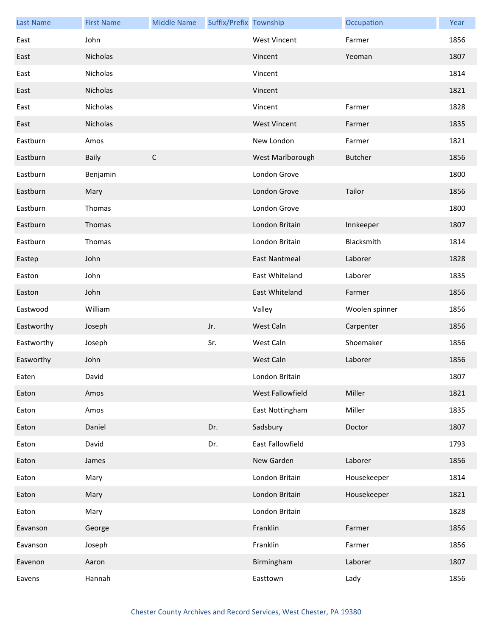| <b>Last Name</b> | <b>First Name</b> | <b>Middle Name</b> | Suffix/Prefix Township |                      | Occupation     | Year |
|------------------|-------------------|--------------------|------------------------|----------------------|----------------|------|
| East             | John              |                    |                        | <b>West Vincent</b>  | Farmer         | 1856 |
| East             | Nicholas          |                    |                        | Vincent              | Yeoman         | 1807 |
| East             | Nicholas          |                    |                        | Vincent              |                | 1814 |
| East             | Nicholas          |                    |                        | Vincent              |                | 1821 |
| East             | Nicholas          |                    |                        | Vincent              | Farmer         | 1828 |
| East             | Nicholas          |                    |                        | <b>West Vincent</b>  | Farmer         | 1835 |
| Eastburn         | Amos              |                    |                        | New London           | Farmer         | 1821 |
| Eastburn         | <b>Baily</b>      | $\mathsf C$        |                        | West Marlborough     | <b>Butcher</b> | 1856 |
| Eastburn         | Benjamin          |                    |                        | London Grove         |                | 1800 |
| Eastburn         | Mary              |                    |                        | London Grove         | Tailor         | 1856 |
| Eastburn         | Thomas            |                    |                        | London Grove         |                | 1800 |
| Eastburn         | Thomas            |                    |                        | London Britain       | Innkeeper      | 1807 |
| Eastburn         | Thomas            |                    |                        | London Britain       | Blacksmith     | 1814 |
| Eastep           | John              |                    |                        | <b>East Nantmeal</b> | Laborer        | 1828 |
| Easton           | John              |                    |                        | East Whiteland       | Laborer        | 1835 |
| Easton           | John              |                    |                        | East Whiteland       | Farmer         | 1856 |
| Eastwood         | William           |                    |                        | Valley               | Woolen spinner | 1856 |
| Eastworthy       | Joseph            |                    | Jr.                    | West Caln            | Carpenter      | 1856 |
| Eastworthy       | Joseph            |                    | Sr.                    | West Caln            | Shoemaker      | 1856 |
| Easworthy        | John              |                    |                        | West Caln            | Laborer        | 1856 |
| Eaten            | David             |                    |                        | London Britain       |                | 1807 |
| Eaton            | Amos              |                    |                        | West Fallowfield     | Miller         | 1821 |
| Eaton            | Amos              |                    |                        | East Nottingham      | Miller         | 1835 |
| Eaton            | Daniel            |                    | Dr.                    | Sadsbury             | Doctor         | 1807 |
| Eaton            | David             |                    | Dr.                    | East Fallowfield     |                | 1793 |
| Eaton            | James             |                    |                        | New Garden           | Laborer        | 1856 |
| Eaton            | Mary              |                    |                        | London Britain       | Housekeeper    | 1814 |
| Eaton            | Mary              |                    |                        | London Britain       | Housekeeper    | 1821 |
| Eaton            | Mary              |                    |                        | London Britain       |                | 1828 |
| Eavanson         | George            |                    |                        | Franklin             | Farmer         | 1856 |
| Eavanson         | Joseph            |                    |                        | Franklin             | Farmer         | 1856 |
| Eavenon          | Aaron             |                    |                        | Birmingham           | Laborer        | 1807 |
| Eavens           | Hannah            |                    |                        | Easttown             | Lady           | 1856 |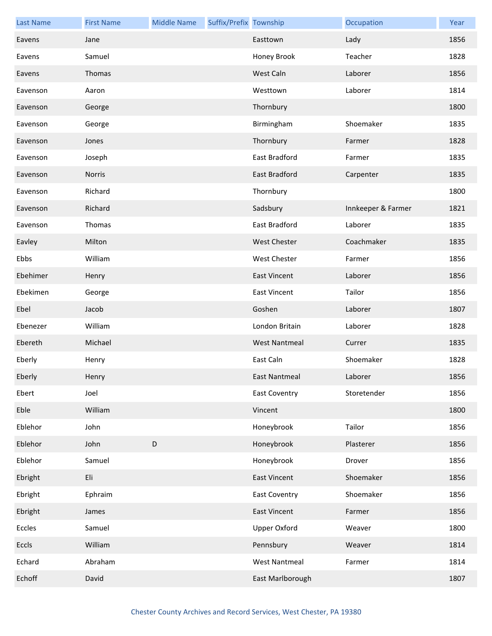| <b>Last Name</b> | <b>First Name</b> | <b>Middle Name</b> | Suffix/Prefix Township |                      | Occupation         | Year |
|------------------|-------------------|--------------------|------------------------|----------------------|--------------------|------|
| Eavens           | Jane              |                    |                        | Easttown             | Lady               | 1856 |
| Eavens           | Samuel            |                    |                        | Honey Brook          | Teacher            | 1828 |
| Eavens           | Thomas            |                    |                        | West Caln            | Laborer            | 1856 |
| Eavenson         | Aaron             |                    |                        | Westtown             | Laborer            | 1814 |
| Eavenson         | George            |                    |                        | Thornbury            |                    | 1800 |
| Eavenson         | George            |                    |                        | Birmingham           | Shoemaker          | 1835 |
| Eavenson         | Jones             |                    |                        | Thornbury            | Farmer             | 1828 |
| Eavenson         | Joseph            |                    |                        | East Bradford        | Farmer             | 1835 |
| Eavenson         | Norris            |                    |                        | East Bradford        | Carpenter          | 1835 |
| Eavenson         | Richard           |                    |                        | Thornbury            |                    | 1800 |
| Eavenson         | Richard           |                    |                        | Sadsbury             | Innkeeper & Farmer | 1821 |
| Eavenson         | Thomas            |                    |                        | <b>East Bradford</b> | Laborer            | 1835 |
| Eavley           | Milton            |                    |                        | <b>West Chester</b>  | Coachmaker         | 1835 |
| Ebbs             | William           |                    |                        | <b>West Chester</b>  | Farmer             | 1856 |
| Ebehimer         | Henry             |                    |                        | <b>East Vincent</b>  | Laborer            | 1856 |
| Ebekimen         | George            |                    |                        | <b>East Vincent</b>  | Tailor             | 1856 |
| Ebel             | Jacob             |                    |                        | Goshen               | Laborer            | 1807 |
| Ebenezer         | William           |                    |                        | London Britain       | Laborer            | 1828 |
| Ebereth          | Michael           |                    |                        | <b>West Nantmeal</b> | Currer             | 1835 |
| Eberly           | Henry             |                    |                        | East Caln            | Shoemaker          | 1828 |
| Eberly           | Henry             |                    |                        | East Nantmeal        | Laborer            | 1856 |
| Ebert            | Joel              |                    |                        | <b>East Coventry</b> | Storetender        | 1856 |
| Eble             | William           |                    |                        | Vincent              |                    | 1800 |
| Eblehor          | John              |                    |                        | Honeybrook           | Tailor             | 1856 |
| Eblehor          | John              | $\mathsf D$        |                        | Honeybrook           | Plasterer          | 1856 |
| Eblehor          | Samuel            |                    |                        | Honeybrook           | Drover             | 1856 |
| Ebright          | Eli               |                    |                        | <b>East Vincent</b>  | Shoemaker          | 1856 |
| Ebright          | Ephraim           |                    |                        | <b>East Coventry</b> | Shoemaker          | 1856 |
| Ebright          | James             |                    |                        | <b>East Vincent</b>  | Farmer             | 1856 |
| Eccles           | Samuel            |                    |                        | <b>Upper Oxford</b>  | Weaver             | 1800 |
| Eccls            | William           |                    |                        | Pennsbury            | Weaver             | 1814 |
| Echard           | Abraham           |                    |                        | <b>West Nantmeal</b> | Farmer             | 1814 |
| Echoff           | David             |                    |                        | East Marlborough     |                    | 1807 |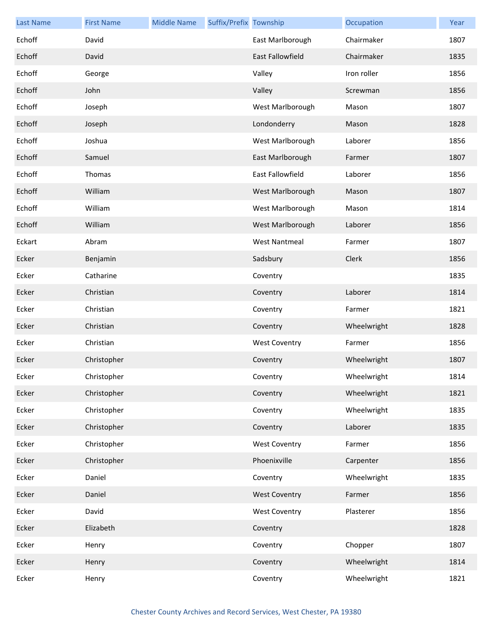| <b>Last Name</b> | <b>First Name</b> | <b>Middle Name</b> | Suffix/Prefix Township |                         | Occupation  | Year |
|------------------|-------------------|--------------------|------------------------|-------------------------|-------------|------|
| Echoff           | David             |                    |                        | East Marlborough        | Chairmaker  | 1807 |
| Echoff           | David             |                    |                        | <b>East Fallowfield</b> | Chairmaker  | 1835 |
| Echoff           | George            |                    |                        | Valley                  | Iron roller | 1856 |
| Echoff           | John              |                    |                        | Valley                  | Screwman    | 1856 |
| Echoff           | Joseph            |                    |                        | West Marlborough        | Mason       | 1807 |
| Echoff           | Joseph            |                    |                        | Londonderry             | Mason       | 1828 |
| Echoff           | Joshua            |                    |                        | West Marlborough        | Laborer     | 1856 |
| Echoff           | Samuel            |                    |                        | East Marlborough        | Farmer      | 1807 |
| Echoff           | Thomas            |                    |                        | East Fallowfield        | Laborer     | 1856 |
| Echoff           | William           |                    |                        | West Marlborough        | Mason       | 1807 |
| Echoff           | William           |                    |                        | West Marlborough        | Mason       | 1814 |
| Echoff           | William           |                    |                        | West Marlborough        | Laborer     | 1856 |
| Eckart           | Abram             |                    |                        | <b>West Nantmeal</b>    | Farmer      | 1807 |
| Ecker            | Benjamin          |                    |                        | Sadsbury                | Clerk       | 1856 |
| Ecker            | Catharine         |                    |                        | Coventry                |             | 1835 |
| Ecker            | Christian         |                    |                        | Coventry                | Laborer     | 1814 |
| Ecker            | Christian         |                    |                        | Coventry                | Farmer      | 1821 |
| Ecker            | Christian         |                    |                        | Coventry                | Wheelwright | 1828 |
| Ecker            | Christian         |                    |                        | <b>West Coventry</b>    | Farmer      | 1856 |
| Ecker            | Christopher       |                    |                        | Coventry                | Wheelwright | 1807 |
| Ecker            | Christopher       |                    |                        | Coventry                | Wheelwright | 1814 |
| Ecker            | Christopher       |                    |                        | Coventry                | Wheelwright | 1821 |
| Ecker            | Christopher       |                    |                        | Coventry                | Wheelwright | 1835 |
| Ecker            | Christopher       |                    |                        | Coventry                | Laborer     | 1835 |
| Ecker            | Christopher       |                    |                        | <b>West Coventry</b>    | Farmer      | 1856 |
| Ecker            | Christopher       |                    |                        | Phoenixville            | Carpenter   | 1856 |
| Ecker            | Daniel            |                    |                        | Coventry                | Wheelwright | 1835 |
| Ecker            | Daniel            |                    |                        | <b>West Coventry</b>    | Farmer      | 1856 |
| Ecker            | David             |                    |                        | <b>West Coventry</b>    | Plasterer   | 1856 |
| Ecker            | Elizabeth         |                    |                        | Coventry                |             | 1828 |
| Ecker            | Henry             |                    |                        | Coventry                | Chopper     | 1807 |
| Ecker            | Henry             |                    |                        | Coventry                | Wheelwright | 1814 |
| Ecker            | Henry             |                    |                        | Coventry                | Wheelwright | 1821 |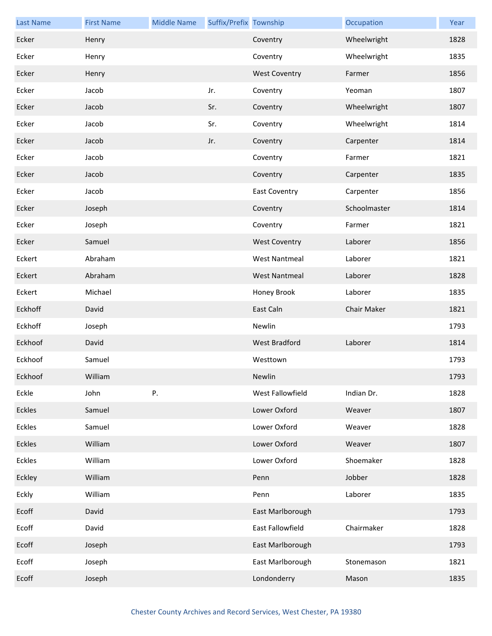| <b>Last Name</b> | <b>First Name</b> | <b>Middle Name</b> | Suffix/Prefix Township |                      | Occupation   | Year |
|------------------|-------------------|--------------------|------------------------|----------------------|--------------|------|
| Ecker            | Henry             |                    |                        | Coventry             | Wheelwright  | 1828 |
| Ecker            | Henry             |                    |                        | Coventry             | Wheelwright  | 1835 |
| Ecker            | Henry             |                    |                        | <b>West Coventry</b> | Farmer       | 1856 |
| Ecker            | Jacob             |                    | Jr.                    | Coventry             | Yeoman       | 1807 |
| Ecker            | Jacob             |                    | Sr.                    | Coventry             | Wheelwright  | 1807 |
| Ecker            | Jacob             |                    | Sr.                    | Coventry             | Wheelwright  | 1814 |
| Ecker            | Jacob             |                    | Jr.                    | Coventry             | Carpenter    | 1814 |
| Ecker            | Jacob             |                    |                        | Coventry             | Farmer       | 1821 |
| Ecker            | Jacob             |                    |                        | Coventry             | Carpenter    | 1835 |
| Ecker            | Jacob             |                    |                        | <b>East Coventry</b> | Carpenter    | 1856 |
| Ecker            | Joseph            |                    |                        | Coventry             | Schoolmaster | 1814 |
| Ecker            | Joseph            |                    |                        | Coventry             | Farmer       | 1821 |
| Ecker            | Samuel            |                    |                        | <b>West Coventry</b> | Laborer      | 1856 |
| Eckert           | Abraham           |                    |                        | <b>West Nantmeal</b> | Laborer      | 1821 |
| Eckert           | Abraham           |                    |                        | <b>West Nantmeal</b> | Laborer      | 1828 |
| Eckert           | Michael           |                    |                        | Honey Brook          | Laborer      | 1835 |
| Eckhoff          | David             |                    |                        | East Caln            | Chair Maker  | 1821 |
| Eckhoff          | Joseph            |                    |                        | Newlin               |              | 1793 |
| Eckhoof          | David             |                    |                        | West Bradford        | Laborer      | 1814 |
| Eckhoof          | Samuel            |                    |                        | Westtown             |              | 1793 |
| Eckhoof          | William           |                    |                        | Newlin               |              | 1793 |
| Eckle            | John              | Ρ.                 |                        | West Fallowfield     | Indian Dr.   | 1828 |
| Eckles           | Samuel            |                    |                        | Lower Oxford         | Weaver       | 1807 |
| Eckles           | Samuel            |                    |                        | Lower Oxford         | Weaver       | 1828 |
| Eckles           | William           |                    |                        | Lower Oxford         | Weaver       | 1807 |
| Eckles           | William           |                    |                        | Lower Oxford         | Shoemaker    | 1828 |
| Eckley           | William           |                    |                        | Penn                 | Jobber       | 1828 |
| Eckly            | William           |                    |                        | Penn                 | Laborer      | 1835 |
| Ecoff            | David             |                    |                        | East Marlborough     |              | 1793 |
| Ecoff            | David             |                    |                        | East Fallowfield     | Chairmaker   | 1828 |
| Ecoff            | Joseph            |                    |                        | East Marlborough     |              | 1793 |
| Ecoff            | Joseph            |                    |                        | East Marlborough     | Stonemason   | 1821 |
| Ecoff            | Joseph            |                    |                        | Londonderry          | Mason        | 1835 |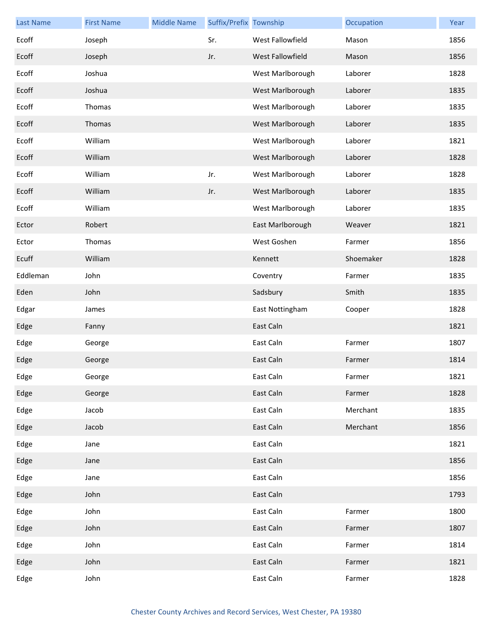| <b>Last Name</b> | <b>First Name</b> | <b>Middle Name</b> | Suffix/Prefix Township |                  | Occupation | Year |
|------------------|-------------------|--------------------|------------------------|------------------|------------|------|
| Ecoff            | Joseph            |                    | Sr.                    | West Fallowfield | Mason      | 1856 |
| Ecoff            | Joseph            |                    | Jr.                    | West Fallowfield | Mason      | 1856 |
| Ecoff            | Joshua            |                    |                        | West Marlborough | Laborer    | 1828 |
| Ecoff            | Joshua            |                    |                        | West Marlborough | Laborer    | 1835 |
| Ecoff            | Thomas            |                    |                        | West Marlborough | Laborer    | 1835 |
| Ecoff            | Thomas            |                    |                        | West Marlborough | Laborer    | 1835 |
| Ecoff            | William           |                    |                        | West Marlborough | Laborer    | 1821 |
| Ecoff            | William           |                    |                        | West Marlborough | Laborer    | 1828 |
| Ecoff            | William           |                    | Jr.                    | West Marlborough | Laborer    | 1828 |
| Ecoff            | William           |                    | Jr.                    | West Marlborough | Laborer    | 1835 |
| Ecoff            | William           |                    |                        | West Marlborough | Laborer    | 1835 |
| Ector            | Robert            |                    |                        | East Marlborough | Weaver     | 1821 |
| Ector            | Thomas            |                    |                        | West Goshen      | Farmer     | 1856 |
| Ecuff            | William           |                    |                        | Kennett          | Shoemaker  | 1828 |
| Eddleman         | John              |                    |                        | Coventry         | Farmer     | 1835 |
| Eden             | John              |                    |                        | Sadsbury         | Smith      | 1835 |
| Edgar            | James             |                    |                        | East Nottingham  | Cooper     | 1828 |
| Edge             | Fanny             |                    |                        | East Caln        |            | 1821 |
| Edge             | George            |                    |                        | East Caln        | Farmer     | 1807 |
| Edge             | George            |                    |                        | East Caln        | Farmer     | 1814 |
| Edge             | George            |                    |                        | East Caln        | Farmer     | 1821 |
| Edge             | George            |                    |                        | East Caln        | Farmer     | 1828 |
| Edge             | Jacob             |                    |                        | East Caln        | Merchant   | 1835 |
| Edge             | Jacob             |                    |                        | East Caln        | Merchant   | 1856 |
| Edge             | Jane              |                    |                        | East Caln        |            | 1821 |
| Edge             | Jane              |                    |                        | East Caln        |            | 1856 |
| Edge             | Jane              |                    |                        | East Caln        |            | 1856 |
| Edge             | John              |                    |                        | East Caln        |            | 1793 |
| Edge             | John              |                    |                        | East Caln        | Farmer     | 1800 |
| Edge             | John              |                    |                        | East Caln        | Farmer     | 1807 |
| Edge             | John              |                    |                        | East Caln        | Farmer     | 1814 |
| Edge             | John              |                    |                        | East Caln        | Farmer     | 1821 |
| Edge             | John              |                    |                        | East Caln        | Farmer     | 1828 |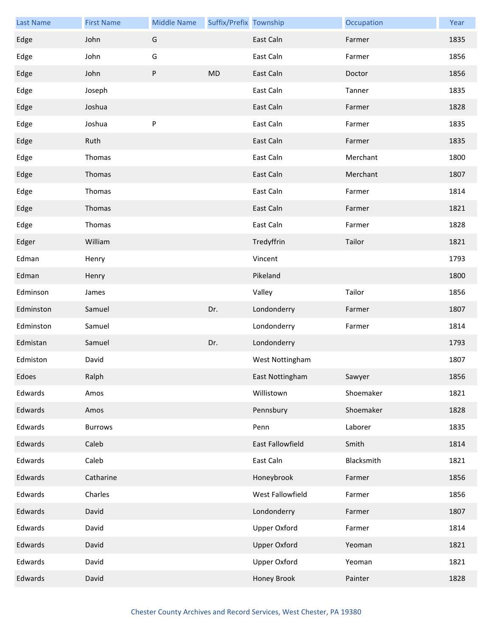| <b>Last Name</b> | <b>First Name</b> | <b>Middle Name</b> | Suffix/Prefix Township |                     | Occupation | Year |
|------------------|-------------------|--------------------|------------------------|---------------------|------------|------|
| Edge             | John              | G                  |                        | East Caln           | Farmer     | 1835 |
| Edge             | John              | G                  |                        | East Caln           | Farmer     | 1856 |
| Edge             | John              | ${\sf P}$          | <b>MD</b>              | East Caln           | Doctor     | 1856 |
| Edge             | Joseph            |                    |                        | East Caln           | Tanner     | 1835 |
| Edge             | Joshua            |                    |                        | East Caln           | Farmer     | 1828 |
| Edge             | Joshua            | P                  |                        | East Caln           | Farmer     | 1835 |
| Edge             | Ruth              |                    |                        | East Caln           | Farmer     | 1835 |
| Edge             | Thomas            |                    |                        | East Caln           | Merchant   | 1800 |
| Edge             | Thomas            |                    |                        | East Caln           | Merchant   | 1807 |
| Edge             | Thomas            |                    |                        | East Caln           | Farmer     | 1814 |
| Edge             | Thomas            |                    |                        | East Caln           | Farmer     | 1821 |
| Edge             | Thomas            |                    |                        | East Caln           | Farmer     | 1828 |
| Edger            | William           |                    |                        | Tredyffrin          | Tailor     | 1821 |
| Edman            | Henry             |                    |                        | Vincent             |            | 1793 |
| Edman            | Henry             |                    |                        | Pikeland            |            | 1800 |
| Edminson         | James             |                    |                        | Valley              | Tailor     | 1856 |
| Edminston        | Samuel            |                    | Dr.                    | Londonderry         | Farmer     | 1807 |
| Edminston        | Samuel            |                    |                        | Londonderry         | Farmer     | 1814 |
| Edmistan         | Samuel            |                    | Dr.                    | Londonderry         |            | 1793 |
| Edmiston         | David             |                    |                        | West Nottingham     |            | 1807 |
| Edoes            | Ralph             |                    |                        | East Nottingham     | Sawyer     | 1856 |
| Edwards          | Amos              |                    |                        | Willistown          | Shoemaker  | 1821 |
| Edwards          | Amos              |                    |                        | Pennsbury           | Shoemaker  | 1828 |
| Edwards          | <b>Burrows</b>    |                    |                        | Penn                | Laborer    | 1835 |
| Edwards          | Caleb             |                    |                        | East Fallowfield    | Smith      | 1814 |
| Edwards          | Caleb             |                    |                        | East Caln           | Blacksmith | 1821 |
| Edwards          | Catharine         |                    |                        | Honeybrook          | Farmer     | 1856 |
| Edwards          | Charles           |                    |                        | West Fallowfield    | Farmer     | 1856 |
| Edwards          | David             |                    |                        | Londonderry         | Farmer     | 1807 |
| Edwards          | David             |                    |                        | <b>Upper Oxford</b> | Farmer     | 1814 |
| Edwards          | David             |                    |                        | <b>Upper Oxford</b> | Yeoman     | 1821 |
| Edwards          | David             |                    |                        | <b>Upper Oxford</b> | Yeoman     | 1821 |
| Edwards          | David             |                    |                        | <b>Honey Brook</b>  | Painter    | 1828 |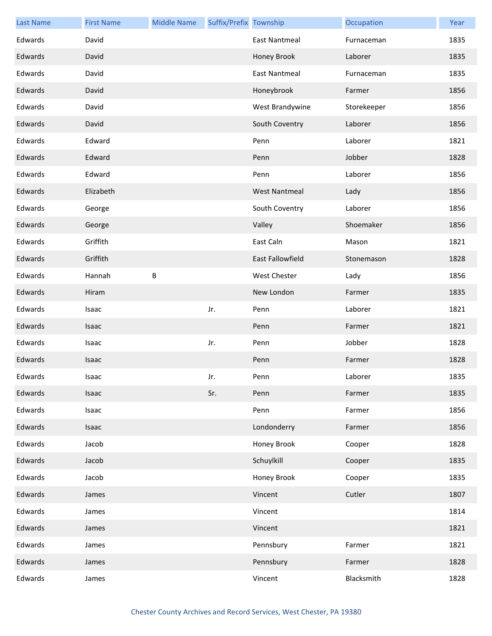| <b>Last Name</b> | <b>First Name</b> | <b>Middle Name</b> | Suffix/Prefix Township |                         | Occupation  | Year |
|------------------|-------------------|--------------------|------------------------|-------------------------|-------------|------|
| Edwards          | David             |                    |                        | <b>East Nantmeal</b>    | Furnaceman  | 1835 |
| Edwards          | David             |                    |                        | Honey Brook             | Laborer     | 1835 |
| Edwards          | David             |                    |                        | East Nantmeal           | Furnaceman  | 1835 |
| Edwards          | David             |                    |                        | Honeybrook              | Farmer      | 1856 |
| Edwards          | David             |                    |                        | West Brandywine         | Storekeeper | 1856 |
| Edwards          | David             |                    |                        | South Coventry          | Laborer     | 1856 |
| Edwards          | Edward            |                    |                        | Penn                    | Laborer     | 1821 |
| Edwards          | Edward            |                    |                        | Penn                    | Jobber      | 1828 |
| Edwards          | Edward            |                    |                        | Penn                    | Laborer     | 1856 |
| Edwards          | Elizabeth         |                    |                        | <b>West Nantmeal</b>    | Lady        | 1856 |
| Edwards          | George            |                    |                        | South Coventry          | Laborer     | 1856 |
| Edwards          | George            |                    |                        | Valley                  | Shoemaker   | 1856 |
| Edwards          | Griffith          |                    |                        | East Caln               | Mason       | 1821 |
| Edwards          | Griffith          |                    |                        | <b>East Fallowfield</b> | Stonemason  | 1828 |
| Edwards          | Hannah            | B                  |                        | West Chester            | Lady        | 1856 |
| Edwards          | Hiram             |                    |                        | New London              | Farmer      | 1835 |
| Edwards          | Isaac             |                    | Jr.                    | Penn                    | Laborer     | 1821 |
| Edwards          | Isaac             |                    |                        | Penn                    | Farmer      | 1821 |
| Edwards          | Isaac             |                    | Jr.                    | Penn                    | Jobber      | 1828 |
| Edwards          | Isaac             |                    |                        | Penn                    | Farmer      | 1828 |
| Edwards          | Isaac             |                    | Jr.                    | Penn                    | Laborer     | 1835 |
| Edwards          | Isaac             |                    | Sr.                    | Penn                    | Farmer      | 1835 |
| Edwards          | Isaac             |                    |                        | Penn                    | Farmer      | 1856 |
| Edwards          | Isaac             |                    |                        | Londonderry             | Farmer      | 1856 |
| Edwards          | Jacob             |                    |                        | Honey Brook             | Cooper      | 1828 |
| Edwards          | Jacob             |                    |                        | Schuylkill              | Cooper      | 1835 |
| Edwards          | Jacob             |                    |                        | Honey Brook             | Cooper      | 1835 |
| Edwards          | James             |                    |                        | Vincent                 | Cutler      | 1807 |
| Edwards          | James             |                    |                        | Vincent                 |             | 1814 |
| Edwards          | James             |                    |                        | Vincent                 |             | 1821 |
| Edwards          | James             |                    |                        | Pennsbury               | Farmer      | 1821 |
| Edwards          | James             |                    |                        | Pennsbury               | Farmer      | 1828 |
| Edwards          | James             |                    |                        | Vincent                 | Blacksmith  | 1828 |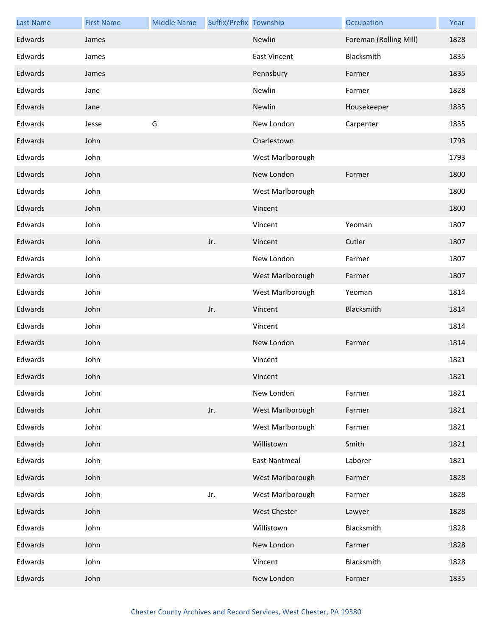| <b>Last Name</b> | <b>First Name</b> | <b>Middle Name</b> | Suffix/Prefix Township |                      | Occupation             | Year |
|------------------|-------------------|--------------------|------------------------|----------------------|------------------------|------|
| Edwards          | James             |                    |                        | Newlin               | Foreman (Rolling Mill) | 1828 |
| Edwards          | James             |                    |                        | <b>East Vincent</b>  | Blacksmith             | 1835 |
| Edwards          | James             |                    |                        | Pennsbury            | Farmer                 | 1835 |
| Edwards          | Jane              |                    |                        | Newlin               | Farmer                 | 1828 |
| Edwards          | Jane              |                    |                        | Newlin               | Housekeeper            | 1835 |
| Edwards          | Jesse             | G                  |                        | New London           | Carpenter              | 1835 |
| Edwards          | John              |                    |                        | Charlestown          |                        | 1793 |
| Edwards          | John              |                    |                        | West Marlborough     |                        | 1793 |
| Edwards          | John              |                    |                        | New London           | Farmer                 | 1800 |
| Edwards          | John              |                    |                        | West Marlborough     |                        | 1800 |
| Edwards          | John              |                    |                        | Vincent              |                        | 1800 |
| Edwards          | John              |                    |                        | Vincent              | Yeoman                 | 1807 |
| Edwards          | John              |                    | Jr.                    | Vincent              | Cutler                 | 1807 |
| Edwards          | John              |                    |                        | New London           | Farmer                 | 1807 |
| Edwards          | John              |                    |                        | West Marlborough     | Farmer                 | 1807 |
| Edwards          | John              |                    |                        | West Marlborough     | Yeoman                 | 1814 |
| Edwards          | John              |                    | Jr.                    | Vincent              | Blacksmith             | 1814 |
| Edwards          | John              |                    |                        | Vincent              |                        | 1814 |
| Edwards          | John              |                    |                        | New London           | Farmer                 | 1814 |
| Edwards          | John              |                    |                        | Vincent              |                        | 1821 |
| Edwards          | John              |                    |                        | Vincent              |                        | 1821 |
| Edwards          | John              |                    |                        | New London           | Farmer                 | 1821 |
| Edwards          | John              |                    | Jr.                    | West Marlborough     | Farmer                 | 1821 |
| Edwards          | John              |                    |                        | West Marlborough     | Farmer                 | 1821 |
| Edwards          | John              |                    |                        | Willistown           | Smith                  | 1821 |
| Edwards          | John              |                    |                        | <b>East Nantmeal</b> | Laborer                | 1821 |
| Edwards          | John              |                    |                        | West Marlborough     | Farmer                 | 1828 |
| Edwards          | John              |                    | Jr.                    | West Marlborough     | Farmer                 | 1828 |
| Edwards          | John              |                    |                        | West Chester         | Lawyer                 | 1828 |
| Edwards          | John              |                    |                        | Willistown           | Blacksmith             | 1828 |
| Edwards          | John              |                    |                        | New London           | Farmer                 | 1828 |
| Edwards          | John              |                    |                        | Vincent              | Blacksmith             | 1828 |
| Edwards          | John              |                    |                        | New London           | Farmer                 | 1835 |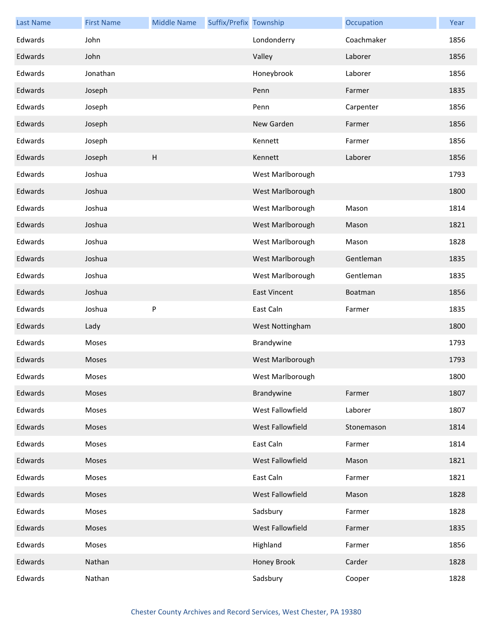| <b>Last Name</b> | <b>First Name</b> | <b>Middle Name</b> | Suffix/Prefix Township |                     | Occupation | Year |
|------------------|-------------------|--------------------|------------------------|---------------------|------------|------|
| Edwards          | John              |                    |                        | Londonderry         | Coachmaker | 1856 |
| Edwards          | John              |                    |                        | Valley              | Laborer    | 1856 |
| Edwards          | Jonathan          |                    |                        | Honeybrook          | Laborer    | 1856 |
| Edwards          | Joseph            |                    |                        | Penn                | Farmer     | 1835 |
| Edwards          | Joseph            |                    |                        | Penn                | Carpenter  | 1856 |
| Edwards          | Joseph            |                    |                        | New Garden          | Farmer     | 1856 |
| Edwards          | Joseph            |                    |                        | Kennett             | Farmer     | 1856 |
| Edwards          | Joseph            | $\sf H$            |                        | Kennett             | Laborer    | 1856 |
| Edwards          | Joshua            |                    |                        | West Marlborough    |            | 1793 |
| Edwards          | Joshua            |                    |                        | West Marlborough    |            | 1800 |
| Edwards          | Joshua            |                    |                        | West Marlborough    | Mason      | 1814 |
| Edwards          | Joshua            |                    |                        | West Marlborough    | Mason      | 1821 |
| Edwards          | Joshua            |                    |                        | West Marlborough    | Mason      | 1828 |
| Edwards          | Joshua            |                    |                        | West Marlborough    | Gentleman  | 1835 |
| Edwards          | Joshua            |                    |                        | West Marlborough    | Gentleman  | 1835 |
| Edwards          | Joshua            |                    |                        | <b>East Vincent</b> | Boatman    | 1856 |
| Edwards          | Joshua            | P                  |                        | East Caln           | Farmer     | 1835 |
| Edwards          | Lady              |                    |                        | West Nottingham     |            | 1800 |
| Edwards          | Moses             |                    |                        | Brandywine          |            | 1793 |
| Edwards          | Moses             |                    |                        | West Marlborough    |            | 1793 |
| Edwards          | Moses             |                    |                        | West Marlborough    |            | 1800 |
| Edwards          | Moses             |                    |                        | Brandywine          | Farmer     | 1807 |
| Edwards          | Moses             |                    |                        | West Fallowfield    | Laborer    | 1807 |
| Edwards          | Moses             |                    |                        | West Fallowfield    | Stonemason | 1814 |
| Edwards          | Moses             |                    |                        | East Caln           | Farmer     | 1814 |
| Edwards          | Moses             |                    |                        | West Fallowfield    | Mason      | 1821 |
| Edwards          | Moses             |                    |                        | East Caln           | Farmer     | 1821 |
| Edwards          | Moses             |                    |                        | West Fallowfield    | Mason      | 1828 |
| Edwards          | Moses             |                    |                        | Sadsbury            | Farmer     | 1828 |
| Edwards          | Moses             |                    |                        | West Fallowfield    | Farmer     | 1835 |
| Edwards          | Moses             |                    |                        | Highland            | Farmer     | 1856 |
| Edwards          | Nathan            |                    |                        | Honey Brook         | Carder     | 1828 |
| Edwards          | Nathan            |                    |                        | Sadsbury            | Cooper     | 1828 |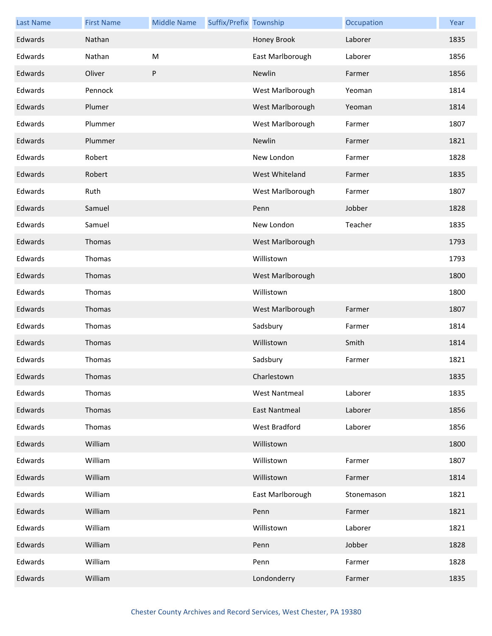| <b>Last Name</b> | <b>First Name</b> | <b>Middle Name</b> | Suffix/Prefix Township |                      | Occupation | Year |
|------------------|-------------------|--------------------|------------------------|----------------------|------------|------|
| Edwards          | Nathan            |                    |                        | Honey Brook          | Laborer    | 1835 |
| Edwards          | Nathan            | M                  |                        | East Marlborough     | Laborer    | 1856 |
| Edwards          | Oliver            | P                  |                        | Newlin               | Farmer     | 1856 |
| Edwards          | Pennock           |                    |                        | West Marlborough     | Yeoman     | 1814 |
| Edwards          | Plumer            |                    |                        | West Marlborough     | Yeoman     | 1814 |
| Edwards          | Plummer           |                    |                        | West Marlborough     | Farmer     | 1807 |
| Edwards          | Plummer           |                    |                        | Newlin               | Farmer     | 1821 |
| Edwards          | Robert            |                    |                        | New London           | Farmer     | 1828 |
| Edwards          | Robert            |                    |                        | West Whiteland       | Farmer     | 1835 |
| Edwards          | Ruth              |                    |                        | West Marlborough     | Farmer     | 1807 |
| Edwards          | Samuel            |                    |                        | Penn                 | Jobber     | 1828 |
| Edwards          | Samuel            |                    |                        | New London           | Teacher    | 1835 |
| Edwards          | Thomas            |                    |                        | West Marlborough     |            | 1793 |
| Edwards          | Thomas            |                    |                        | Willistown           |            | 1793 |
| Edwards          | Thomas            |                    |                        | West Marlborough     |            | 1800 |
| Edwards          | Thomas            |                    |                        | Willistown           |            | 1800 |
| Edwards          | Thomas            |                    |                        | West Marlborough     | Farmer     | 1807 |
| Edwards          | Thomas            |                    |                        | Sadsbury             | Farmer     | 1814 |
| Edwards          | Thomas            |                    |                        | Willistown           | Smith      | 1814 |
| Edwards          | Thomas            |                    |                        | Sadsbury             | Farmer     | 1821 |
| Edwards          | Thomas            |                    |                        | Charlestown          |            | 1835 |
| Edwards          | Thomas            |                    |                        | <b>West Nantmeal</b> | Laborer    | 1835 |
| Edwards          | Thomas            |                    |                        | East Nantmeal        | Laborer    | 1856 |
| Edwards          | Thomas            |                    |                        | West Bradford        | Laborer    | 1856 |
| Edwards          | William           |                    |                        | Willistown           |            | 1800 |
| Edwards          | William           |                    |                        | Willistown           | Farmer     | 1807 |
| Edwards          | William           |                    |                        | Willistown           | Farmer     | 1814 |
| Edwards          | William           |                    |                        | East Marlborough     | Stonemason | 1821 |
| Edwards          | William           |                    |                        | Penn                 | Farmer     | 1821 |
| Edwards          | William           |                    |                        | Willistown           | Laborer    | 1821 |
| Edwards          | William           |                    |                        | Penn                 | Jobber     | 1828 |
| Edwards          | William           |                    |                        | Penn                 | Farmer     | 1828 |
| Edwards          | William           |                    |                        | Londonderry          | Farmer     | 1835 |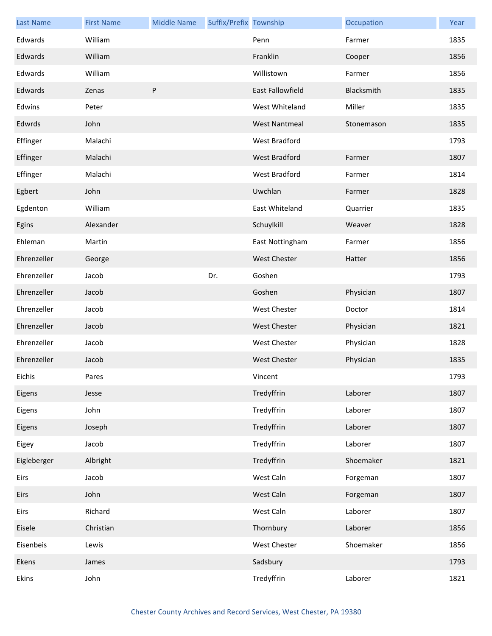| <b>Last Name</b> | <b>First Name</b> | <b>Middle Name</b> | Suffix/Prefix Township |                      | Occupation | Year |
|------------------|-------------------|--------------------|------------------------|----------------------|------------|------|
| Edwards          | William           |                    |                        | Penn                 | Farmer     | 1835 |
| Edwards          | William           |                    |                        | Franklin             | Cooper     | 1856 |
| Edwards          | William           |                    |                        | Willistown           | Farmer     | 1856 |
| Edwards          | Zenas             | P                  |                        | East Fallowfield     | Blacksmith | 1835 |
| Edwins           | Peter             |                    |                        | West Whiteland       | Miller     | 1835 |
| Edwrds           | John              |                    |                        | <b>West Nantmeal</b> | Stonemason | 1835 |
| Effinger         | Malachi           |                    |                        | West Bradford        |            | 1793 |
| Effinger         | Malachi           |                    |                        | <b>West Bradford</b> | Farmer     | 1807 |
| Effinger         | Malachi           |                    |                        | West Bradford        | Farmer     | 1814 |
| Egbert           | John              |                    |                        | Uwchlan              | Farmer     | 1828 |
| Egdenton         | William           |                    |                        | East Whiteland       | Quarrier   | 1835 |
| Egins            | Alexander         |                    |                        | Schuylkill           | Weaver     | 1828 |
| Ehleman          | Martin            |                    |                        | East Nottingham      | Farmer     | 1856 |
| Ehrenzeller      | George            |                    |                        | <b>West Chester</b>  | Hatter     | 1856 |
| Ehrenzeller      | Jacob             |                    | Dr.                    | Goshen               |            | 1793 |
| Ehrenzeller      | Jacob             |                    |                        | Goshen               | Physician  | 1807 |
| Ehrenzeller      | Jacob             |                    |                        | West Chester         | Doctor     | 1814 |
| Ehrenzeller      | Jacob             |                    |                        | <b>West Chester</b>  | Physician  | 1821 |
| Ehrenzeller      | Jacob             |                    |                        | West Chester         | Physician  | 1828 |
| Ehrenzeller      | Jacob             |                    |                        | <b>West Chester</b>  | Physician  | 1835 |
| Eichis           | Pares             |                    |                        | Vincent              |            | 1793 |
| Eigens           | Jesse             |                    |                        | Tredyffrin           | Laborer    | 1807 |
| Eigens           | John              |                    |                        | Tredyffrin           | Laborer    | 1807 |
| Eigens           | Joseph            |                    |                        | Tredyffrin           | Laborer    | 1807 |
| Eigey            | Jacob             |                    |                        | Tredyffrin           | Laborer    | 1807 |
| Eigleberger      | Albright          |                    |                        | Tredyffrin           | Shoemaker  | 1821 |
| Eirs             | Jacob             |                    |                        | West Caln            | Forgeman   | 1807 |
| Eirs             | John              |                    |                        | West Caln            | Forgeman   | 1807 |
| Eirs             | Richard           |                    |                        | West Caln            | Laborer    | 1807 |
| Eisele           | Christian         |                    |                        | Thornbury            | Laborer    | 1856 |
| Eisenbeis        | Lewis             |                    |                        | West Chester         | Shoemaker  | 1856 |
| Ekens            | James             |                    |                        | Sadsbury             |            | 1793 |
| Ekins            | John              |                    |                        | Tredyffrin           | Laborer    | 1821 |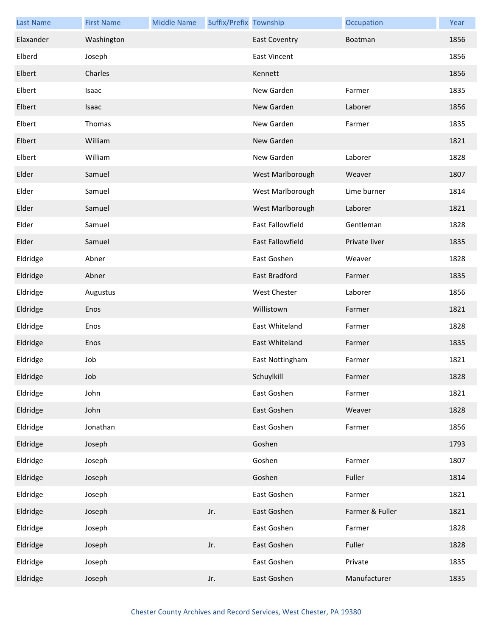| <b>Last Name</b> | <b>First Name</b> | <b>Middle Name</b> | Suffix/Prefix Township |                      | Occupation      | Year |
|------------------|-------------------|--------------------|------------------------|----------------------|-----------------|------|
| Elaxander        | Washington        |                    |                        | <b>East Coventry</b> | Boatman         | 1856 |
| Elberd           | Joseph            |                    |                        | <b>East Vincent</b>  |                 | 1856 |
| Elbert           | Charles           |                    |                        | Kennett              |                 | 1856 |
| Elbert           | Isaac             |                    |                        | New Garden           | Farmer          | 1835 |
| Elbert           | <b>Isaac</b>      |                    |                        | New Garden           | Laborer         | 1856 |
| Elbert           | Thomas            |                    |                        | New Garden           | Farmer          | 1835 |
| Elbert           | William           |                    |                        | New Garden           |                 | 1821 |
| Elbert           | William           |                    |                        | New Garden           | Laborer         | 1828 |
| Elder            | Samuel            |                    |                        | West Marlborough     | Weaver          | 1807 |
| Elder            | Samuel            |                    |                        | West Marlborough     | Lime burner     | 1814 |
| Elder            | Samuel            |                    |                        | West Marlborough     | Laborer         | 1821 |
| Elder            | Samuel            |                    |                        | East Fallowfield     | Gentleman       | 1828 |
| Elder            | Samuel            |                    |                        | East Fallowfield     | Private liver   | 1835 |
| Eldridge         | Abner             |                    |                        | East Goshen          | Weaver          | 1828 |
| Eldridge         | Abner             |                    |                        | East Bradford        | Farmer          | 1835 |
| Eldridge         | Augustus          |                    |                        | <b>West Chester</b>  | Laborer         | 1856 |
| Eldridge         | Enos              |                    |                        | Willistown           | Farmer          | 1821 |
| Eldridge         | Enos              |                    |                        | East Whiteland       | Farmer          | 1828 |
| Eldridge         | Enos              |                    |                        | East Whiteland       | Farmer          | 1835 |
| Eldridge         | Job               |                    |                        | East Nottingham      | Farmer          | 1821 |
| Eldridge         | Job               |                    |                        | Schuylkill           | Farmer          | 1828 |
| Eldridge         | John              |                    |                        | East Goshen          | Farmer          | 1821 |
| Eldridge         | John              |                    |                        | East Goshen          | Weaver          | 1828 |
| Eldridge         | Jonathan          |                    |                        | East Goshen          | Farmer          | 1856 |
| Eldridge         | Joseph            |                    |                        | Goshen               |                 | 1793 |
| Eldridge         | Joseph            |                    |                        | Goshen               | Farmer          | 1807 |
| Eldridge         | Joseph            |                    |                        | Goshen               | Fuller          | 1814 |
| Eldridge         | Joseph            |                    |                        | East Goshen          | Farmer          | 1821 |
| Eldridge         | Joseph            |                    | Jr.                    | East Goshen          | Farmer & Fuller | 1821 |
| Eldridge         | Joseph            |                    |                        | East Goshen          | Farmer          | 1828 |
| Eldridge         | Joseph            |                    | Jr.                    | East Goshen          | Fuller          | 1828 |
| Eldridge         | Joseph            |                    |                        | East Goshen          | Private         | 1835 |
| Eldridge         | Joseph            |                    | Jr.                    | East Goshen          | Manufacturer    | 1835 |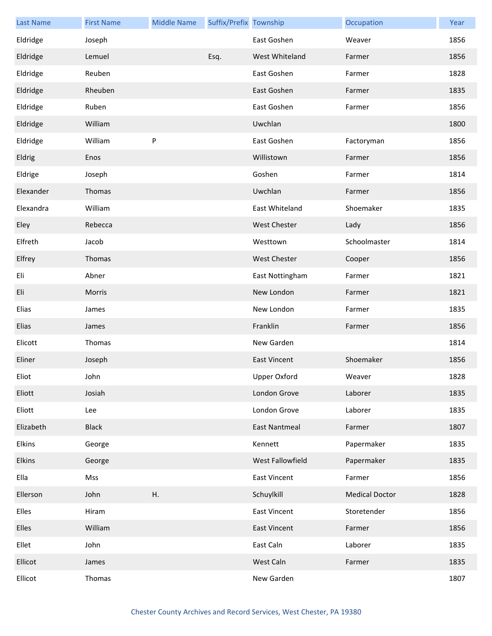| <b>Last Name</b> | <b>First Name</b> | <b>Middle Name</b> | Suffix/Prefix Township |                      | Occupation            | Year |
|------------------|-------------------|--------------------|------------------------|----------------------|-----------------------|------|
| Eldridge         | Joseph            |                    |                        | East Goshen          | Weaver                | 1856 |
| Eldridge         | Lemuel            |                    | Esq.                   | West Whiteland       | Farmer                | 1856 |
| Eldridge         | Reuben            |                    |                        | East Goshen          | Farmer                | 1828 |
| Eldridge         | Rheuben           |                    |                        | East Goshen          | Farmer                | 1835 |
| Eldridge         | Ruben             |                    |                        | East Goshen          | Farmer                | 1856 |
| Eldridge         | William           |                    |                        | Uwchlan              |                       | 1800 |
| Eldridge         | William           | $\sf P$            |                        | East Goshen          | Factoryman            | 1856 |
| Eldrig           | Enos              |                    |                        | Willistown           | Farmer                | 1856 |
| Eldrige          | Joseph            |                    |                        | Goshen               | Farmer                | 1814 |
| Elexander        | Thomas            |                    |                        | Uwchlan              | Farmer                | 1856 |
| Elexandra        | William           |                    |                        | East Whiteland       | Shoemaker             | 1835 |
| Eley             | Rebecca           |                    |                        | <b>West Chester</b>  | Lady                  | 1856 |
| Elfreth          | Jacob             |                    |                        | Westtown             | Schoolmaster          | 1814 |
| Elfrey           | Thomas            |                    |                        | <b>West Chester</b>  | Cooper                | 1856 |
| Eli              | Abner             |                    |                        | East Nottingham      | Farmer                | 1821 |
| Eli              | Morris            |                    |                        | New London           | Farmer                | 1821 |
| Elias            | James             |                    |                        | New London           | Farmer                | 1835 |
| Elias            | James             |                    |                        | Franklin             | Farmer                | 1856 |
| Elicott          | Thomas            |                    |                        | New Garden           |                       | 1814 |
| Eliner           | Joseph            |                    |                        | <b>East Vincent</b>  | Shoemaker             | 1856 |
| Eliot            | John              |                    |                        | Upper Oxford         | Weaver                | 1828 |
| Eliott           | Josiah            |                    |                        | London Grove         | Laborer               | 1835 |
| Eliott           | Lee               |                    |                        | London Grove         | Laborer               | 1835 |
| Elizabeth        | <b>Black</b>      |                    |                        | <b>East Nantmeal</b> | Farmer                | 1807 |
| Elkins           | George            |                    |                        | Kennett              | Papermaker            | 1835 |
| Elkins           | George            |                    |                        | West Fallowfield     | Papermaker            | 1835 |
| Ella             | Mss               |                    |                        | <b>East Vincent</b>  | Farmer                | 1856 |
| Ellerson         | John              | Η.                 |                        | Schuylkill           | <b>Medical Doctor</b> | 1828 |
| Elles            | Hiram             |                    |                        | <b>East Vincent</b>  | Storetender           | 1856 |
| Elles            | William           |                    |                        | <b>East Vincent</b>  | Farmer                | 1856 |
| Ellet            | John              |                    |                        | East Caln            | Laborer               | 1835 |
| Ellicot          | James             |                    |                        | West Caln            | Farmer                | 1835 |
| Ellicot          | Thomas            |                    |                        | New Garden           |                       | 1807 |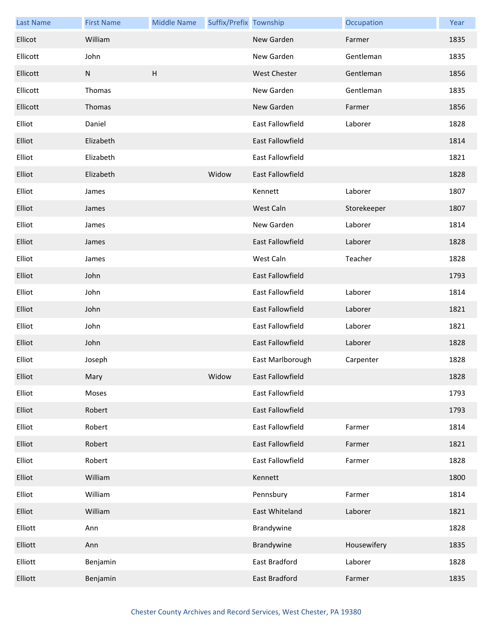| <b>Last Name</b> | <b>First Name</b> | <b>Middle Name</b>        | Suffix/Prefix Township |                         | Occupation  | Year |
|------------------|-------------------|---------------------------|------------------------|-------------------------|-------------|------|
| Ellicot          | William           |                           |                        | New Garden              | Farmer      | 1835 |
| Ellicott         | John              |                           |                        | New Garden              | Gentleman   | 1835 |
| Ellicott         | N                 | $\boldsymbol{\mathsf{H}}$ |                        | <b>West Chester</b>     | Gentleman   | 1856 |
| Ellicott         | Thomas            |                           |                        | New Garden              | Gentleman   | 1835 |
| Ellicott         | Thomas            |                           |                        | New Garden              | Farmer      | 1856 |
| Elliot           | Daniel            |                           |                        | East Fallowfield        | Laborer     | 1828 |
| Elliot           | Elizabeth         |                           |                        | East Fallowfield        |             | 1814 |
| Elliot           | Elizabeth         |                           |                        | East Fallowfield        |             | 1821 |
| Elliot           | Elizabeth         |                           | Widow                  | East Fallowfield        |             | 1828 |
| Elliot           | James             |                           |                        | Kennett                 | Laborer     | 1807 |
| Elliot           | James             |                           |                        | West Caln               | Storekeeper | 1807 |
| Elliot           | James             |                           |                        | New Garden              | Laborer     | 1814 |
| Elliot           | James             |                           |                        | East Fallowfield        | Laborer     | 1828 |
| Elliot           | James             |                           |                        | West Caln               | Teacher     | 1828 |
| Elliot           | John              |                           |                        | <b>East Fallowfield</b> |             | 1793 |
| Elliot           | John              |                           |                        | East Fallowfield        | Laborer     | 1814 |
| Elliot           | John              |                           |                        | East Fallowfield        | Laborer     | 1821 |
| Elliot           | John              |                           |                        | East Fallowfield        | Laborer     | 1821 |
| Elliot           | John              |                           |                        | East Fallowfield        | Laborer     | 1828 |
| Elliot           | Joseph            |                           |                        | East Marlborough        | Carpenter   | 1828 |
| Elliot           | Mary              |                           | Widow                  | East Fallowfield        |             | 1828 |
| Elliot           | Moses             |                           |                        | East Fallowfield        |             | 1793 |
| Elliot           | Robert            |                           |                        | East Fallowfield        |             | 1793 |
| Elliot           | Robert            |                           |                        | East Fallowfield        | Farmer      | 1814 |
| Elliot           | Robert            |                           |                        | East Fallowfield        | Farmer      | 1821 |
| Elliot           | Robert            |                           |                        | East Fallowfield        | Farmer      | 1828 |
| Elliot           | William           |                           |                        | Kennett                 |             | 1800 |
| Elliot           | William           |                           |                        | Pennsbury               | Farmer      | 1814 |
| Elliot           | William           |                           |                        | East Whiteland          | Laborer     | 1821 |
| Elliott          | Ann               |                           |                        | Brandywine              |             | 1828 |
| Elliott          | Ann               |                           |                        | Brandywine              | Housewifery | 1835 |
| Elliott          | Benjamin          |                           |                        | East Bradford           | Laborer     | 1828 |
| Elliott          | Benjamin          |                           |                        | East Bradford           | Farmer      | 1835 |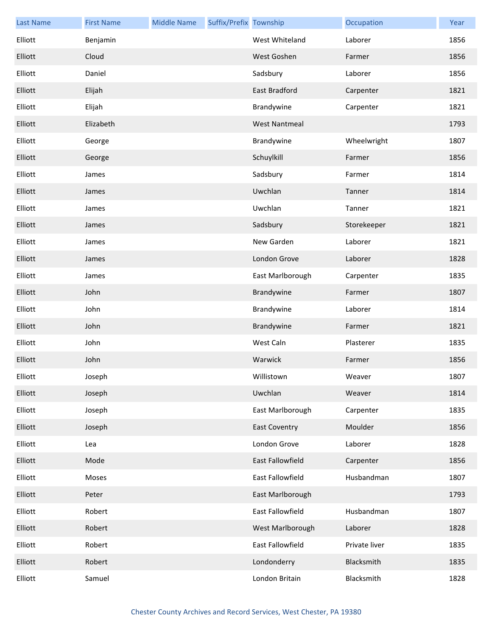| <b>Last Name</b> | <b>First Name</b> | <b>Middle Name</b> | Suffix/Prefix Township |                      | Occupation    | Year |
|------------------|-------------------|--------------------|------------------------|----------------------|---------------|------|
| Elliott          | Benjamin          |                    |                        | West Whiteland       | Laborer       | 1856 |
| Elliott          | Cloud             |                    |                        | West Goshen          | Farmer        | 1856 |
| Elliott          | Daniel            |                    |                        | Sadsbury             | Laborer       | 1856 |
| Elliott          | Elijah            |                    |                        | East Bradford        | Carpenter     | 1821 |
| Elliott          | Elijah            |                    |                        | Brandywine           | Carpenter     | 1821 |
| Elliott          | Elizabeth         |                    |                        | <b>West Nantmeal</b> |               | 1793 |
| Elliott          | George            |                    |                        | Brandywine           | Wheelwright   | 1807 |
| Elliott          | George            |                    |                        | Schuylkill           | Farmer        | 1856 |
| Elliott          | James             |                    |                        | Sadsbury             | Farmer        | 1814 |
| Elliott          | James             |                    |                        | Uwchlan              | Tanner        | 1814 |
| Elliott          | James             |                    |                        | Uwchlan              | Tanner        | 1821 |
| Elliott          | James             |                    |                        | Sadsbury             | Storekeeper   | 1821 |
| Elliott          | James             |                    |                        | New Garden           | Laborer       | 1821 |
| Elliott          | James             |                    |                        | London Grove         | Laborer       | 1828 |
| Elliott          | James             |                    |                        | East Marlborough     | Carpenter     | 1835 |
| Elliott          | John              |                    |                        | Brandywine           | Farmer        | 1807 |
| Elliott          | John              |                    |                        | Brandywine           | Laborer       | 1814 |
| Elliott          | John              |                    |                        | Brandywine           | Farmer        | 1821 |
| Elliott          | John              |                    |                        | West Caln            | Plasterer     | 1835 |
| Elliott          | John              |                    |                        | Warwick              | Farmer        | 1856 |
| Elliott          | Joseph            |                    |                        | Willistown           | Weaver        | 1807 |
| Elliott          | Joseph            |                    |                        | Uwchlan              | Weaver        | 1814 |
| Elliott          | Joseph            |                    |                        | East Marlborough     | Carpenter     | 1835 |
| Elliott          | Joseph            |                    |                        | <b>East Coventry</b> | Moulder       | 1856 |
| Elliott          | Lea               |                    |                        | London Grove         | Laborer       | 1828 |
| Elliott          | Mode              |                    |                        | East Fallowfield     | Carpenter     | 1856 |
| Elliott          | Moses             |                    |                        | East Fallowfield     | Husbandman    | 1807 |
| Elliott          | Peter             |                    |                        | East Marlborough     |               | 1793 |
| Elliott          | Robert            |                    |                        | East Fallowfield     | Husbandman    | 1807 |
| Elliott          | Robert            |                    |                        | West Marlborough     | Laborer       | 1828 |
| Elliott          | Robert            |                    |                        | East Fallowfield     | Private liver | 1835 |
| Elliott          | Robert            |                    |                        | Londonderry          | Blacksmith    | 1835 |
| Elliott          | Samuel            |                    |                        | London Britain       | Blacksmith    | 1828 |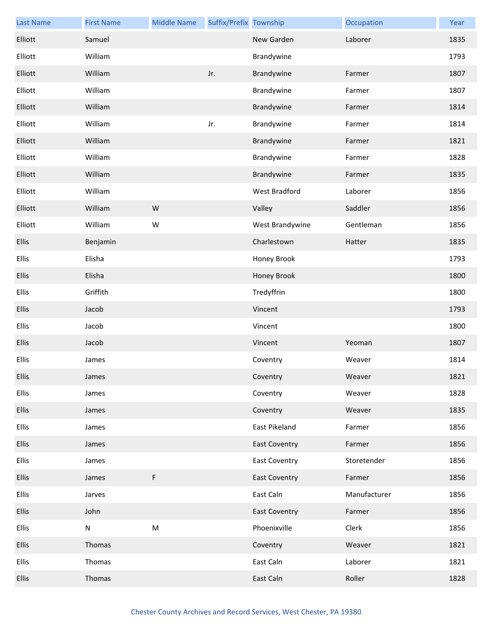| <b>Last Name</b> | <b>First Name</b> | <b>Middle Name</b> | Suffix/Prefix Township |                      | Occupation   | Year |
|------------------|-------------------|--------------------|------------------------|----------------------|--------------|------|
| Elliott          | Samuel            |                    |                        | New Garden           | Laborer      | 1835 |
| Elliott          | William           |                    |                        | Brandywine           |              | 1793 |
| Elliott          | William           |                    | Jr.                    | Brandywine           | Farmer       | 1807 |
| Elliott          | William           |                    |                        | Brandywine           | Farmer       | 1807 |
| Elliott          | William           |                    |                        | Brandywine           | Farmer       | 1814 |
| Elliott          | William           |                    | Jr.                    | Brandywine           | Farmer       | 1814 |
| Elliott          | William           |                    |                        | Brandywine           | Farmer       | 1821 |
| Elliott          | William           |                    |                        | Brandywine           | Farmer       | 1828 |
| Elliott          | William           |                    |                        | Brandywine           | Farmer       | 1835 |
| Elliott          | William           |                    |                        | West Bradford        | Laborer      | 1856 |
| Elliott          | William           | W                  |                        | Valley               | Saddler      | 1856 |
| Elliott          | William           | W                  |                        | West Brandywine      | Gentleman    | 1856 |
| <b>Ellis</b>     | Benjamin          |                    |                        | Charlestown          | Hatter       | 1835 |
| <b>Ellis</b>     | Elisha            |                    |                        | Honey Brook          |              | 1793 |
| <b>Ellis</b>     | Elisha            |                    |                        | Honey Brook          |              | 1800 |
| <b>Ellis</b>     | Griffith          |                    |                        | Tredyffrin           |              | 1800 |
| <b>Ellis</b>     | Jacob             |                    |                        | Vincent              |              | 1793 |
| <b>Ellis</b>     | Jacob             |                    |                        | Vincent              |              | 1800 |
| <b>Ellis</b>     | Jacob             |                    |                        | Vincent              | Yeoman       | 1807 |
| <b>Ellis</b>     | James             |                    |                        | Coventry             | Weaver       | 1814 |
| <b>Ellis</b>     | James             |                    |                        | Coventry             | Weaver       | 1821 |
| <b>Ellis</b>     | James             |                    |                        | Coventry             | Weaver       | 1828 |
| <b>Ellis</b>     | James             |                    |                        | Coventry             | Weaver       | 1835 |
| <b>Ellis</b>     | James             |                    |                        | East Pikeland        | Farmer       | 1856 |
| <b>Ellis</b>     | James             |                    |                        | <b>East Coventry</b> | Farmer       | 1856 |
| <b>Ellis</b>     | James             |                    |                        | <b>East Coventry</b> | Storetender  | 1856 |
| <b>Ellis</b>     | James             | F                  |                        | <b>East Coventry</b> | Farmer       | 1856 |
| <b>Ellis</b>     | Jarves            |                    |                        | East Caln            | Manufacturer | 1856 |
| <b>Ellis</b>     | John              |                    |                        | <b>East Coventry</b> | Farmer       | 1856 |
| <b>Ellis</b>     | N                 | ${\sf M}$          |                        | Phoenixville         | Clerk        | 1856 |
| <b>Ellis</b>     | Thomas            |                    |                        | Coventry             | Weaver       | 1821 |
| <b>Ellis</b>     | Thomas            |                    |                        | East Caln            | Laborer      | 1821 |
| <b>Ellis</b>     | Thomas            |                    |                        | East Caln            | Roller       | 1828 |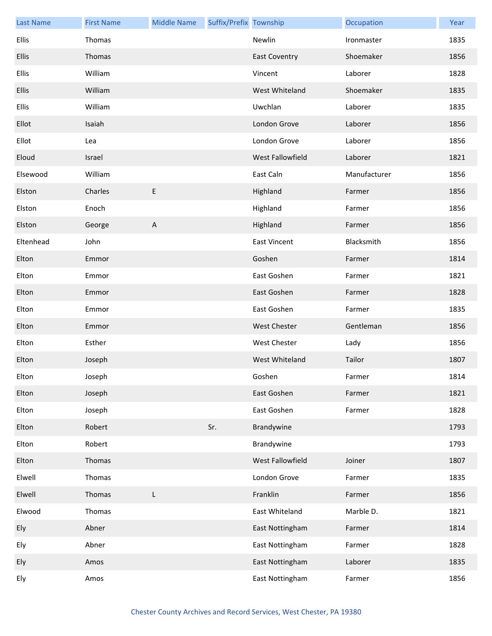| <b>Last Name</b> | <b>First Name</b> | <b>Middle Name</b>        | Suffix/Prefix Township |                      | Occupation   | Year |
|------------------|-------------------|---------------------------|------------------------|----------------------|--------------|------|
| <b>Ellis</b>     | Thomas            |                           |                        | Newlin               | Ironmaster   | 1835 |
| <b>Ellis</b>     | Thomas            |                           |                        | <b>East Coventry</b> | Shoemaker    | 1856 |
| <b>Ellis</b>     | William           |                           |                        | Vincent              | Laborer      | 1828 |
| <b>Ellis</b>     | William           |                           |                        | West Whiteland       | Shoemaker    | 1835 |
| <b>Ellis</b>     | William           |                           |                        | Uwchlan              | Laborer      | 1835 |
| Ellot            | Isaiah            |                           |                        | London Grove         | Laborer      | 1856 |
| Ellot            | Lea               |                           |                        | London Grove         | Laborer      | 1856 |
| Eloud            | Israel            |                           |                        | West Fallowfield     | Laborer      | 1821 |
| Elsewood         | William           |                           |                        | East Caln            | Manufacturer | 1856 |
| Elston           | Charles           | E                         |                        | Highland             | Farmer       | 1856 |
| Elston           | Enoch             |                           |                        | Highland             | Farmer       | 1856 |
| Elston           | George            | $\boldsymbol{\mathsf{A}}$ |                        | Highland             | Farmer       | 1856 |
| Eltenhead        | John              |                           |                        | <b>East Vincent</b>  | Blacksmith   | 1856 |
| Elton            | Emmor             |                           |                        | Goshen               | Farmer       | 1814 |
| Elton            | Emmor             |                           |                        | East Goshen          | Farmer       | 1821 |
| Elton            | Emmor             |                           |                        | East Goshen          | Farmer       | 1828 |
| Elton            | Emmor             |                           |                        | East Goshen          | Farmer       | 1835 |
| Elton            | Emmor             |                           |                        | <b>West Chester</b>  | Gentleman    | 1856 |
| Elton            | Esther            |                           |                        | <b>West Chester</b>  | Lady         | 1856 |
| Elton            | Joseph            |                           |                        | West Whiteland       | Tailor       | 1807 |
| Elton            | Joseph            |                           |                        | Goshen               | Farmer       | 1814 |
| Elton            | Joseph            |                           |                        | East Goshen          | Farmer       | 1821 |
| Elton            | Joseph            |                           |                        | East Goshen          | Farmer       | 1828 |
| Elton            | Robert            |                           | Sr.                    | Brandywine           |              | 1793 |
| Elton            | Robert            |                           |                        | Brandywine           |              | 1793 |
| Elton            | Thomas            |                           |                        | West Fallowfield     | Joiner       | 1807 |
| Elwell           | Thomas            |                           |                        | London Grove         | Farmer       | 1835 |
| Elwell           | Thomas            | L                         |                        | Franklin             | Farmer       | 1856 |
| Elwood           | Thomas            |                           |                        | East Whiteland       | Marble D.    | 1821 |
| Ely              | Abner             |                           |                        | East Nottingham      | Farmer       | 1814 |
| Ely              | Abner             |                           |                        | East Nottingham      | Farmer       | 1828 |
| Ely              | Amos              |                           |                        | East Nottingham      | Laborer      | 1835 |
| Ely              | Amos              |                           |                        | East Nottingham      | Farmer       | 1856 |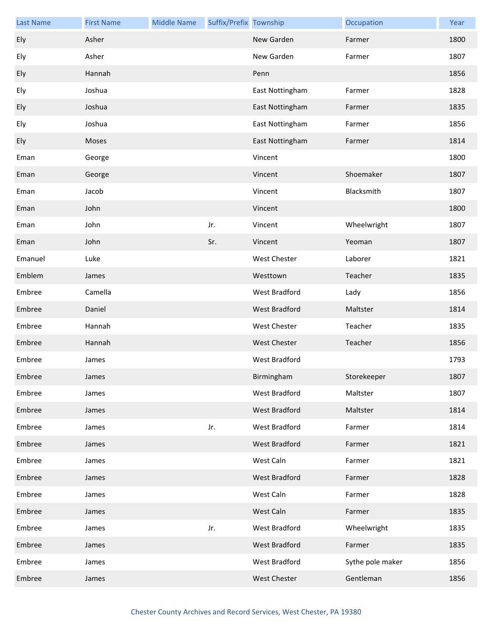| <b>Last Name</b> | <b>First Name</b> | <b>Middle Name</b> | Suffix/Prefix Township |                      | Occupation       | Year |
|------------------|-------------------|--------------------|------------------------|----------------------|------------------|------|
| Ely              | Asher             |                    |                        | New Garden           | Farmer           | 1800 |
| Ely              | Asher             |                    |                        | New Garden           | Farmer           | 1807 |
| Ely              | Hannah            |                    |                        | Penn                 |                  | 1856 |
| Ely              | Joshua            |                    |                        | East Nottingham      | Farmer           | 1828 |
| Ely              | Joshua            |                    |                        | East Nottingham      | Farmer           | 1835 |
| Ely              | Joshua            |                    |                        | East Nottingham      | Farmer           | 1856 |
| Ely              | Moses             |                    |                        | East Nottingham      | Farmer           | 1814 |
| Eman             | George            |                    |                        | Vincent              |                  | 1800 |
| Eman             | George            |                    |                        | Vincent              | Shoemaker        | 1807 |
| Eman             | Jacob             |                    |                        | Vincent              | Blacksmith       | 1807 |
| Eman             | John              |                    |                        | Vincent              |                  | 1800 |
| Eman             | John              |                    | Jr.                    | Vincent              | Wheelwright      | 1807 |
| Eman             | John              |                    | Sr.                    | Vincent              | Yeoman           | 1807 |
| Emanuel          | Luke              |                    |                        | <b>West Chester</b>  | Laborer          | 1821 |
| Emblem           | James             |                    |                        | Westtown             | Teacher          | 1835 |
| Embree           | Camella           |                    |                        | West Bradford        | Lady             | 1856 |
| Embree           | Daniel            |                    |                        | West Bradford        | Maltster         | 1814 |
| Embree           | Hannah            |                    |                        | <b>West Chester</b>  | Teacher          | 1835 |
| Embree           | Hannah            |                    |                        | West Chester         | Teacher          | 1856 |
| Embree           | James             |                    |                        | <b>West Bradford</b> |                  | 1793 |
| Embree           | James             |                    |                        | Birmingham           | Storekeeper      | 1807 |
| Embree           | James             |                    |                        | <b>West Bradford</b> | Maltster         | 1807 |
| Embree           | James             |                    |                        | West Bradford        | Maltster         | 1814 |
| Embree           | James             |                    | Jr.                    | West Bradford        | Farmer           | 1814 |
| Embree           | James             |                    |                        | <b>West Bradford</b> | Farmer           | 1821 |
| Embree           | James             |                    |                        | West Caln            | Farmer           | 1821 |
| Embree           | James             |                    |                        | <b>West Bradford</b> | Farmer           | 1828 |
| Embree           | James             |                    |                        | West Caln            | Farmer           | 1828 |
| Embree           | James             |                    |                        | West Caln            | Farmer           | 1835 |
| Embree           | James             |                    | Jr.                    | West Bradford        | Wheelwright      | 1835 |
| Embree           | James             |                    |                        | West Bradford        | Farmer           | 1835 |
| Embree           | James             |                    |                        | West Bradford        | Sythe pole maker | 1856 |
| Embree           | James             |                    |                        | <b>West Chester</b>  | Gentleman        | 1856 |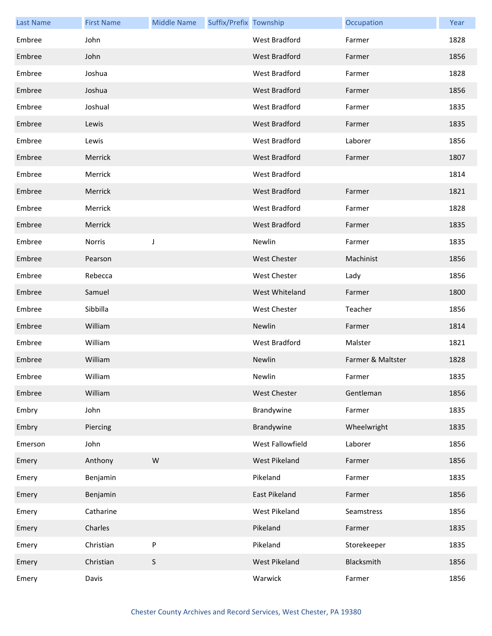| <b>Last Name</b> | <b>First Name</b> | <b>Middle Name</b> | Suffix/Prefix Township |                      | Occupation        | Year |
|------------------|-------------------|--------------------|------------------------|----------------------|-------------------|------|
| Embree           | John              |                    |                        | <b>West Bradford</b> | Farmer            | 1828 |
| Embree           | John              |                    |                        | West Bradford        | Farmer            | 1856 |
| Embree           | Joshua            |                    |                        | West Bradford        | Farmer            | 1828 |
| Embree           | Joshua            |                    |                        | West Bradford        | Farmer            | 1856 |
| Embree           | Joshual           |                    |                        | West Bradford        | Farmer            | 1835 |
| Embree           | Lewis             |                    |                        | <b>West Bradford</b> | Farmer            | 1835 |
| Embree           | Lewis             |                    |                        | West Bradford        | Laborer           | 1856 |
| Embree           | Merrick           |                    |                        | <b>West Bradford</b> | Farmer            | 1807 |
| Embree           | Merrick           |                    |                        | West Bradford        |                   | 1814 |
| Embree           | Merrick           |                    |                        | West Bradford        | Farmer            | 1821 |
| Embree           | Merrick           |                    |                        | West Bradford        | Farmer            | 1828 |
| Embree           | Merrick           |                    |                        | <b>West Bradford</b> | Farmer            | 1835 |
| Embree           | <b>Norris</b>     | J                  |                        | Newlin               | Farmer            | 1835 |
| Embree           | Pearson           |                    |                        | <b>West Chester</b>  | Machinist         | 1856 |
| Embree           | Rebecca           |                    |                        | <b>West Chester</b>  | Lady              | 1856 |
| Embree           | Samuel            |                    |                        | West Whiteland       | Farmer            | 1800 |
| Embree           | Sibbilla          |                    |                        | West Chester         | Teacher           | 1856 |
| Embree           | William           |                    |                        | Newlin               | Farmer            | 1814 |
| Embree           | William           |                    |                        | West Bradford        | Malster           | 1821 |
| Embree           | William           |                    |                        | Newlin               | Farmer & Maltster | 1828 |
| Embree           | William           |                    |                        | Newlin               | Farmer            | 1835 |
| Embree           | William           |                    |                        | <b>West Chester</b>  | Gentleman         | 1856 |
| Embry            | John              |                    |                        | Brandywine           | Farmer            | 1835 |
| Embry            | Piercing          |                    |                        | Brandywine           | Wheelwright       | 1835 |
| Emerson          | John              |                    |                        | West Fallowfield     | Laborer           | 1856 |
| Emery            | Anthony           | W                  |                        | West Pikeland        | Farmer            | 1856 |
| Emery            | Benjamin          |                    |                        | Pikeland             | Farmer            | 1835 |
| Emery            | Benjamin          |                    |                        | East Pikeland        | Farmer            | 1856 |
| Emery            | Catharine         |                    |                        | West Pikeland        | Seamstress        | 1856 |
| Emery            | Charles           |                    |                        | Pikeland             | Farmer            | 1835 |
| Emery            | Christian         | P                  |                        | Pikeland             | Storekeeper       | 1835 |
| Emery            | Christian         | $\sf S$            |                        | West Pikeland        | Blacksmith        | 1856 |
| Emery            | Davis             |                    |                        | Warwick              | Farmer            | 1856 |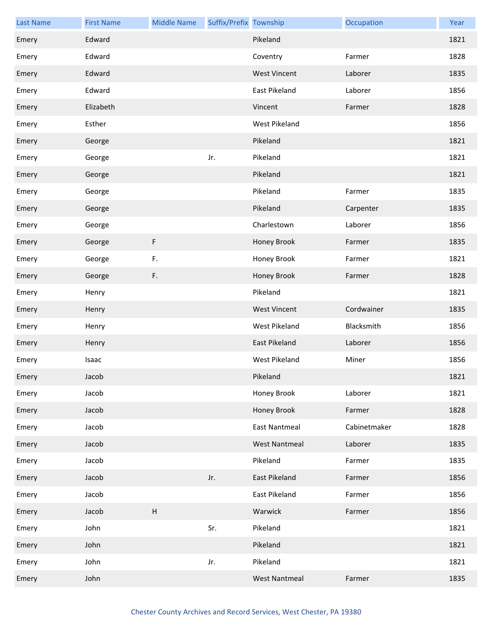| <b>Last Name</b> | <b>First Name</b> | <b>Middle Name</b> | Suffix/Prefix Township |                      | Occupation   | Year |
|------------------|-------------------|--------------------|------------------------|----------------------|--------------|------|
| Emery            | Edward            |                    |                        | Pikeland             |              | 1821 |
| Emery            | Edward            |                    |                        | Coventry             | Farmer       | 1828 |
| Emery            | Edward            |                    |                        | <b>West Vincent</b>  | Laborer      | 1835 |
| Emery            | Edward            |                    |                        | East Pikeland        | Laborer      | 1856 |
| Emery            | Elizabeth         |                    |                        | Vincent              | Farmer       | 1828 |
| Emery            | Esther            |                    |                        | <b>West Pikeland</b> |              | 1856 |
| Emery            | George            |                    |                        | Pikeland             |              | 1821 |
| Emery            | George            |                    | Jr.                    | Pikeland             |              | 1821 |
| Emery            | George            |                    |                        | Pikeland             |              | 1821 |
| Emery            | George            |                    |                        | Pikeland             | Farmer       | 1835 |
| Emery            | George            |                    |                        | Pikeland             | Carpenter    | 1835 |
| Emery            | George            |                    |                        | Charlestown          | Laborer      | 1856 |
| Emery            | George            | F                  |                        | Honey Brook          | Farmer       | 1835 |
| Emery            | George            | F.                 |                        | Honey Brook          | Farmer       | 1821 |
| Emery            | George            | F.                 |                        | Honey Brook          | Farmer       | 1828 |
| Emery            | Henry             |                    |                        | Pikeland             |              | 1821 |
| Emery            | Henry             |                    |                        | <b>West Vincent</b>  | Cordwainer   | 1835 |
| Emery            | Henry             |                    |                        | West Pikeland        | Blacksmith   | 1856 |
| Emery            | Henry             |                    |                        | East Pikeland        | Laborer      | 1856 |
| Emery            | Isaac             |                    |                        | West Pikeland        | Miner        | 1856 |
| Emery            | Jacob             |                    |                        | Pikeland             |              | 1821 |
| Emery            | Jacob             |                    |                        | Honey Brook          | Laborer      | 1821 |
| Emery            | Jacob             |                    |                        | Honey Brook          | Farmer       | 1828 |
| Emery            | Jacob             |                    |                        | <b>East Nantmeal</b> | Cabinetmaker | 1828 |
| Emery            | Jacob             |                    |                        | <b>West Nantmeal</b> | Laborer      | 1835 |
| Emery            | Jacob             |                    |                        | Pikeland             | Farmer       | 1835 |
| Emery            | Jacob             |                    | Jr.                    | East Pikeland        | Farmer       | 1856 |
| Emery            | Jacob             |                    |                        | East Pikeland        | Farmer       | 1856 |
| Emery            | Jacob             | H                  |                        | Warwick              | Farmer       | 1856 |
| Emery            | John              |                    | Sr.                    | Pikeland             |              | 1821 |
| Emery            | John              |                    |                        | Pikeland             |              | 1821 |
| Emery            | John              |                    | Jr.                    | Pikeland             |              | 1821 |
| Emery            | John              |                    |                        | <b>West Nantmeal</b> | Farmer       | 1835 |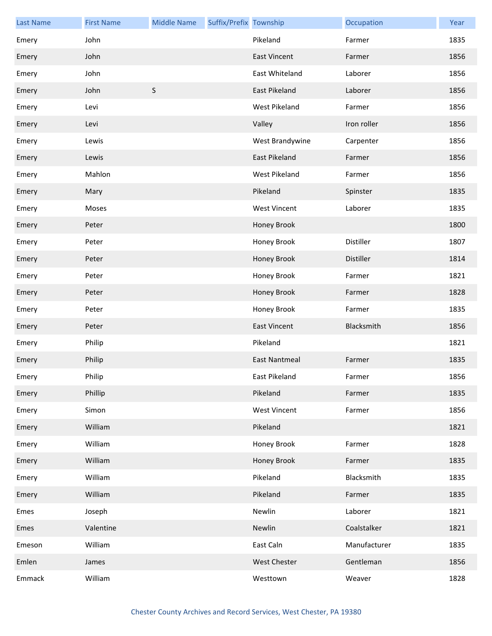| <b>Last Name</b> | <b>First Name</b> | <b>Middle Name</b> | Suffix/Prefix Township |                     | Occupation   | Year |
|------------------|-------------------|--------------------|------------------------|---------------------|--------------|------|
| Emery            | John              |                    |                        | Pikeland            | Farmer       | 1835 |
| Emery            | John              |                    |                        | <b>East Vincent</b> | Farmer       | 1856 |
| Emery            | John              |                    |                        | East Whiteland      | Laborer      | 1856 |
| Emery            | John              | $\sf S$            |                        | East Pikeland       | Laborer      | 1856 |
| Emery            | Levi              |                    |                        | West Pikeland       | Farmer       | 1856 |
| Emery            | Levi              |                    |                        | Valley              | Iron roller  | 1856 |
| Emery            | Lewis             |                    |                        | West Brandywine     | Carpenter    | 1856 |
| Emery            | Lewis             |                    |                        | East Pikeland       | Farmer       | 1856 |
| Emery            | Mahlon            |                    |                        | West Pikeland       | Farmer       | 1856 |
| Emery            | Mary              |                    |                        | Pikeland            | Spinster     | 1835 |
| Emery            | Moses             |                    |                        | <b>West Vincent</b> | Laborer      | 1835 |
| Emery            | Peter             |                    |                        | Honey Brook         |              | 1800 |
| Emery            | Peter             |                    |                        | Honey Brook         | Distiller    | 1807 |
| Emery            | Peter             |                    |                        | Honey Brook         | Distiller    | 1814 |
| Emery            | Peter             |                    |                        | Honey Brook         | Farmer       | 1821 |
| Emery            | Peter             |                    |                        | Honey Brook         | Farmer       | 1828 |
| Emery            | Peter             |                    |                        | Honey Brook         | Farmer       | 1835 |
| Emery            | Peter             |                    |                        | <b>East Vincent</b> | Blacksmith   | 1856 |
| Emery            | Philip            |                    |                        | Pikeland            |              | 1821 |
| Emery            | Philip            |                    |                        | East Nantmeal       | Farmer       | 1835 |
| Emery            | Philip            |                    |                        | East Pikeland       | Farmer       | 1856 |
| Emery            | Phillip           |                    |                        | Pikeland            | Farmer       | 1835 |
| Emery            | Simon             |                    |                        | West Vincent        | Farmer       | 1856 |
| Emery            | William           |                    |                        | Pikeland            |              | 1821 |
| Emery            | William           |                    |                        | Honey Brook         | Farmer       | 1828 |
| Emery            | William           |                    |                        | Honey Brook         | Farmer       | 1835 |
| Emery            | William           |                    |                        | Pikeland            | Blacksmith   | 1835 |
| Emery            | William           |                    |                        | Pikeland            | Farmer       | 1835 |
| Emes             | Joseph            |                    |                        | Newlin              | Laborer      | 1821 |
| Emes             | Valentine         |                    |                        | Newlin              | Coalstalker  | 1821 |
| Emeson           | William           |                    |                        | East Caln           | Manufacturer | 1835 |
| Emlen            | James             |                    |                        | West Chester        | Gentleman    | 1856 |
| Emmack           | William           |                    |                        | Westtown            | Weaver       | 1828 |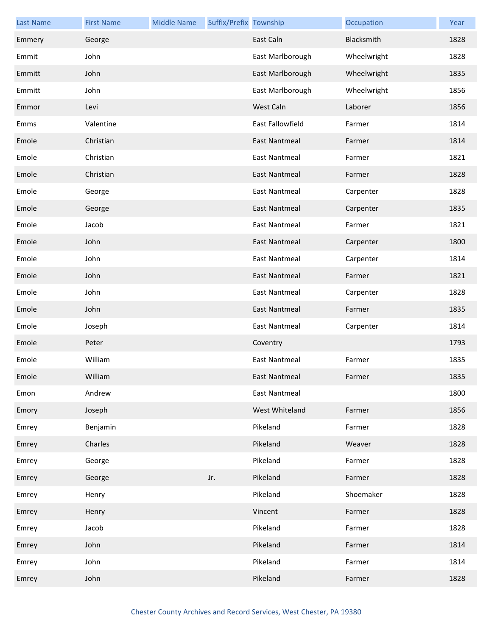| <b>Last Name</b> | <b>First Name</b> | <b>Middle Name</b> | Suffix/Prefix Township |                      | Occupation  | Year |
|------------------|-------------------|--------------------|------------------------|----------------------|-------------|------|
| Emmery           | George            |                    |                        | East Caln            | Blacksmith  | 1828 |
| Emmit            | John              |                    |                        | East Marlborough     | Wheelwright | 1828 |
| Emmitt           | John              |                    |                        | East Marlborough     | Wheelwright | 1835 |
| Emmitt           | John              |                    |                        | East Marlborough     | Wheelwright | 1856 |
| Emmor            | Levi              |                    |                        | West Caln            | Laborer     | 1856 |
| Emms             | Valentine         |                    |                        | East Fallowfield     | Farmer      | 1814 |
| Emole            | Christian         |                    |                        | <b>East Nantmeal</b> | Farmer      | 1814 |
| Emole            | Christian         |                    |                        | <b>East Nantmeal</b> | Farmer      | 1821 |
| Emole            | Christian         |                    |                        | East Nantmeal        | Farmer      | 1828 |
| Emole            | George            |                    |                        | <b>East Nantmeal</b> | Carpenter   | 1828 |
| Emole            | George            |                    |                        | <b>East Nantmeal</b> | Carpenter   | 1835 |
| Emole            | Jacob             |                    |                        | <b>East Nantmeal</b> | Farmer      | 1821 |
| Emole            | John              |                    |                        | East Nantmeal        | Carpenter   | 1800 |
| Emole            | John              |                    |                        | <b>East Nantmeal</b> | Carpenter   | 1814 |
| Emole            | John              |                    |                        | <b>East Nantmeal</b> | Farmer      | 1821 |
| Emole            | John              |                    |                        | <b>East Nantmeal</b> | Carpenter   | 1828 |
| Emole            | John              |                    |                        | East Nantmeal        | Farmer      | 1835 |
| Emole            | Joseph            |                    |                        | <b>East Nantmeal</b> | Carpenter   | 1814 |
| Emole            | Peter             |                    |                        | Coventry             |             | 1793 |
| Emole            | William           |                    |                        | <b>East Nantmeal</b> | Farmer      | 1835 |
| Emole            | William           |                    |                        | East Nantmeal        | Farmer      | 1835 |
| Emon             | Andrew            |                    |                        | <b>East Nantmeal</b> |             | 1800 |
| Emory            | Joseph            |                    |                        | West Whiteland       | Farmer      | 1856 |
| Emrey            | Benjamin          |                    |                        | Pikeland             | Farmer      | 1828 |
| Emrey            | Charles           |                    |                        | Pikeland             | Weaver      | 1828 |
| Emrey            | George            |                    |                        | Pikeland             | Farmer      | 1828 |
| Emrey            | George            |                    | Jr.                    | Pikeland             | Farmer      | 1828 |
| Emrey            | Henry             |                    |                        | Pikeland             | Shoemaker   | 1828 |
| Emrey            | Henry             |                    |                        | Vincent              | Farmer      | 1828 |
| Emrey            | Jacob             |                    |                        | Pikeland             | Farmer      | 1828 |
| Emrey            | John              |                    |                        | Pikeland             | Farmer      | 1814 |
| Emrey            | John              |                    |                        | Pikeland             | Farmer      | 1814 |
| Emrey            | John              |                    |                        | Pikeland             | Farmer      | 1828 |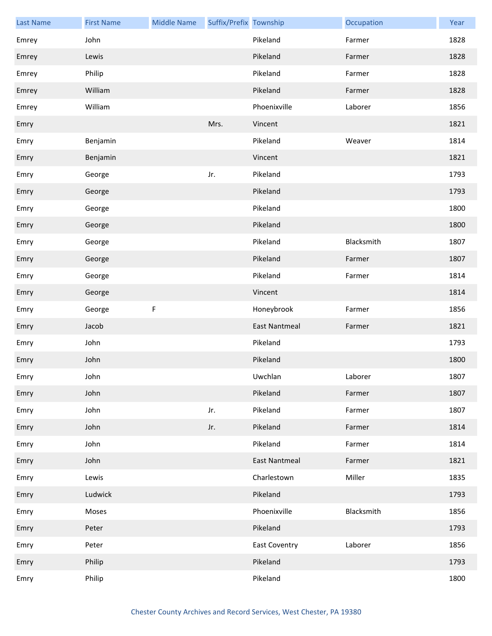| <b>Last Name</b> | <b>First Name</b> | <b>Middle Name</b> | Suffix/Prefix Township |                      | Occupation | Year |
|------------------|-------------------|--------------------|------------------------|----------------------|------------|------|
| Emrey            | John              |                    |                        | Pikeland             | Farmer     | 1828 |
| Emrey            | Lewis             |                    |                        | Pikeland             | Farmer     | 1828 |
| Emrey            | Philip            |                    |                        | Pikeland             | Farmer     | 1828 |
| Emrey            | William           |                    |                        | Pikeland             | Farmer     | 1828 |
| Emrey            | William           |                    |                        | Phoenixville         | Laborer    | 1856 |
| Emry             |                   |                    | Mrs.                   | Vincent              |            | 1821 |
| Emry             | Benjamin          |                    |                        | Pikeland             | Weaver     | 1814 |
| Emry             | Benjamin          |                    |                        | Vincent              |            | 1821 |
| Emry             | George            |                    | Jr.                    | Pikeland             |            | 1793 |
| Emry             | George            |                    |                        | Pikeland             |            | 1793 |
| Emry             | George            |                    |                        | Pikeland             |            | 1800 |
| Emry             | George            |                    |                        | Pikeland             |            | 1800 |
| Emry             | George            |                    |                        | Pikeland             | Blacksmith | 1807 |
| Emry             | George            |                    |                        | Pikeland             | Farmer     | 1807 |
| Emry             | George            |                    |                        | Pikeland             | Farmer     | 1814 |
| Emry             | George            |                    |                        | Vincent              |            | 1814 |
| Emry             | George            | F                  |                        | Honeybrook           | Farmer     | 1856 |
| Emry             | Jacob             |                    |                        | <b>East Nantmeal</b> | Farmer     | 1821 |
| Emry             | John              |                    |                        | Pikeland             |            | 1793 |
| Emry             | John              |                    |                        | Pikeland             |            | 1800 |
| Emry             | John              |                    |                        | Uwchlan              | Laborer    | 1807 |
| Emry             | John              |                    |                        | Pikeland             | Farmer     | 1807 |
| Emry             | John              |                    | Jr.                    | Pikeland             | Farmer     | 1807 |
| Emry             | John              |                    | Jr.                    | Pikeland             | Farmer     | 1814 |
| Emry             | John              |                    |                        | Pikeland             | Farmer     | 1814 |
| Emry             | John              |                    |                        | <b>East Nantmeal</b> | Farmer     | 1821 |
| Emry             | Lewis             |                    |                        | Charlestown          | Miller     | 1835 |
| Emry             | Ludwick           |                    |                        | Pikeland             |            | 1793 |
| Emry             | Moses             |                    |                        | Phoenixville         | Blacksmith | 1856 |
| Emry             | Peter             |                    |                        | Pikeland             |            | 1793 |
| Emry             | Peter             |                    |                        | <b>East Coventry</b> | Laborer    | 1856 |
| Emry             | Philip            |                    |                        | Pikeland             |            | 1793 |
| Emry             | Philip            |                    |                        | Pikeland             |            | 1800 |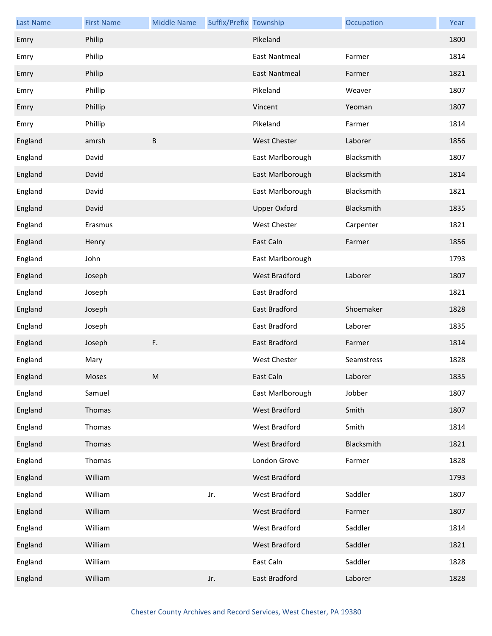| <b>Last Name</b> | <b>First Name</b> | <b>Middle Name</b> | Suffix/Prefix Township |                      | Occupation | Year |
|------------------|-------------------|--------------------|------------------------|----------------------|------------|------|
| Emry             | Philip            |                    |                        | Pikeland             |            | 1800 |
| Emry             | Philip            |                    |                        | <b>East Nantmeal</b> | Farmer     | 1814 |
| Emry             | Philip            |                    |                        | <b>East Nantmeal</b> | Farmer     | 1821 |
| Emry             | Phillip           |                    |                        | Pikeland             | Weaver     | 1807 |
| Emry             | Phillip           |                    |                        | Vincent              | Yeoman     | 1807 |
| Emry             | Phillip           |                    |                        | Pikeland             | Farmer     | 1814 |
| England          | amrsh             | B                  |                        | <b>West Chester</b>  | Laborer    | 1856 |
| England          | David             |                    |                        | East Marlborough     | Blacksmith | 1807 |
| England          | David             |                    |                        | East Marlborough     | Blacksmith | 1814 |
| England          | David             |                    |                        | East Marlborough     | Blacksmith | 1821 |
| England          | David             |                    |                        | <b>Upper Oxford</b>  | Blacksmith | 1835 |
| England          | Erasmus           |                    |                        | <b>West Chester</b>  | Carpenter  | 1821 |
| England          | Henry             |                    |                        | East Caln            | Farmer     | 1856 |
| England          | John              |                    |                        | East Marlborough     |            | 1793 |
| England          | Joseph            |                    |                        | West Bradford        | Laborer    | 1807 |
| England          | Joseph            |                    |                        | East Bradford        |            | 1821 |
| England          | Joseph            |                    |                        | East Bradford        | Shoemaker  | 1828 |
| England          | Joseph            |                    |                        | East Bradford        | Laborer    | 1835 |
| England          | Joseph            | F.                 |                        | <b>East Bradford</b> | Farmer     | 1814 |
| England          | Mary              |                    |                        | West Chester         | Seamstress | 1828 |
| England          | Moses             | M                  |                        | East Caln            | Laborer    | 1835 |
| England          | Samuel            |                    |                        | East Marlborough     | Jobber     | 1807 |
| England          | Thomas            |                    |                        | West Bradford        | Smith      | 1807 |
| England          | Thomas            |                    |                        | West Bradford        | Smith      | 1814 |
| England          | Thomas            |                    |                        | West Bradford        | Blacksmith | 1821 |
| England          | Thomas            |                    |                        | London Grove         | Farmer     | 1828 |
| England          | William           |                    |                        | West Bradford        |            | 1793 |
| England          | William           |                    | Jr.                    | West Bradford        | Saddler    | 1807 |
| England          | William           |                    |                        | West Bradford        | Farmer     | 1807 |
| England          | William           |                    |                        | West Bradford        | Saddler    | 1814 |
| England          | William           |                    |                        | West Bradford        | Saddler    | 1821 |
| England          | William           |                    |                        | East Caln            | Saddler    | 1828 |
| England          | William           |                    | Jr.                    | East Bradford        | Laborer    | 1828 |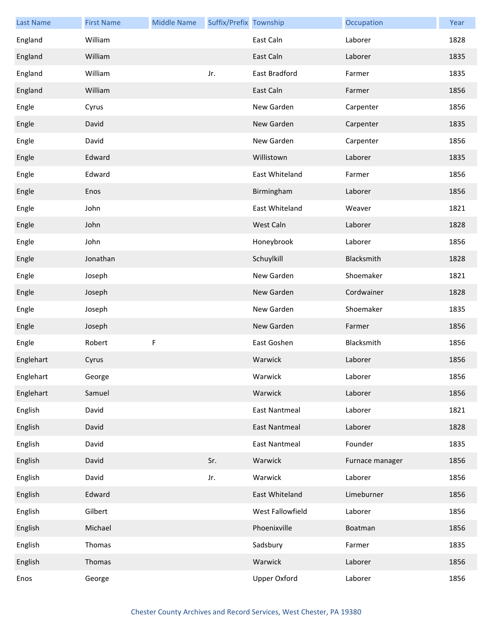| <b>Last Name</b> | <b>First Name</b> | <b>Middle Name</b> | Suffix/Prefix Township |                      | Occupation      | Year |
|------------------|-------------------|--------------------|------------------------|----------------------|-----------------|------|
| England          | William           |                    |                        | East Caln            | Laborer         | 1828 |
| England          | William           |                    |                        | East Caln            | Laborer         | 1835 |
| England          | William           |                    | Jr.                    | East Bradford        | Farmer          | 1835 |
| England          | William           |                    |                        | East Caln            | Farmer          | 1856 |
| Engle            | Cyrus             |                    |                        | New Garden           | Carpenter       | 1856 |
| Engle            | David             |                    |                        | New Garden           | Carpenter       | 1835 |
| Engle            | David             |                    |                        | New Garden           | Carpenter       | 1856 |
| Engle            | Edward            |                    |                        | Willistown           | Laborer         | 1835 |
| Engle            | Edward            |                    |                        | East Whiteland       | Farmer          | 1856 |
| Engle            | Enos              |                    |                        | Birmingham           | Laborer         | 1856 |
| Engle            | John              |                    |                        | East Whiteland       | Weaver          | 1821 |
| Engle            | John              |                    |                        | West Caln            | Laborer         | 1828 |
| Engle            | John              |                    |                        | Honeybrook           | Laborer         | 1856 |
| Engle            | Jonathan          |                    |                        | Schuylkill           | Blacksmith      | 1828 |
| Engle            | Joseph            |                    |                        | New Garden           | Shoemaker       | 1821 |
| Engle            | Joseph            |                    |                        | New Garden           | Cordwainer      | 1828 |
| Engle            | Joseph            |                    |                        | New Garden           | Shoemaker       | 1835 |
| Engle            | Joseph            |                    |                        | New Garden           | Farmer          | 1856 |
| Engle            | Robert            | F                  |                        | East Goshen          | Blacksmith      | 1856 |
| Englehart        | Cyrus             |                    |                        | Warwick              | Laborer         | 1856 |
| Englehart        | George            |                    |                        | Warwick              | Laborer         | 1856 |
| Englehart        | Samuel            |                    |                        | Warwick              | Laborer         | 1856 |
| English          | David             |                    |                        | <b>East Nantmeal</b> | Laborer         | 1821 |
| English          | David             |                    |                        | <b>East Nantmeal</b> | Laborer         | 1828 |
| English          | David             |                    |                        | <b>East Nantmeal</b> | Founder         | 1835 |
| English          | David             |                    | Sr.                    | Warwick              | Furnace manager | 1856 |
| English          | David             |                    | Jr.                    | Warwick              | Laborer         | 1856 |
| English          | Edward            |                    |                        | East Whiteland       | Limeburner      | 1856 |
| English          | Gilbert           |                    |                        | West Fallowfield     | Laborer         | 1856 |
| English          | Michael           |                    |                        | Phoenixville         | Boatman         | 1856 |
| English          | Thomas            |                    |                        | Sadsbury             | Farmer          | 1835 |
| English          | Thomas            |                    |                        | Warwick              | Laborer         | 1856 |
| Enos             | George            |                    |                        | <b>Upper Oxford</b>  | Laborer         | 1856 |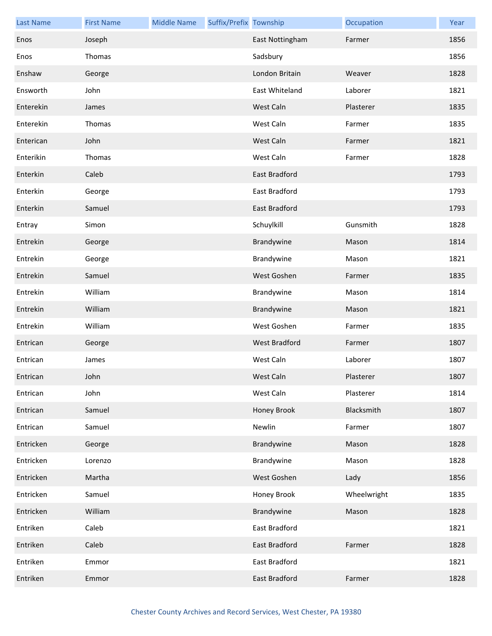| <b>Last Name</b> | <b>First Name</b> | <b>Middle Name</b> | Suffix/Prefix Township |                      | Occupation  | Year |
|------------------|-------------------|--------------------|------------------------|----------------------|-------------|------|
| Enos             | Joseph            |                    |                        | East Nottingham      | Farmer      | 1856 |
| Enos             | Thomas            |                    |                        | Sadsbury             |             | 1856 |
| Enshaw           | George            |                    |                        | London Britain       | Weaver      | 1828 |
| Ensworth         | John              |                    |                        | East Whiteland       | Laborer     | 1821 |
| Enterekin        | James             |                    |                        | West Caln            | Plasterer   | 1835 |
| Enterekin        | Thomas            |                    |                        | West Caln            | Farmer      | 1835 |
| Enterican        | John              |                    |                        | West Caln            | Farmer      | 1821 |
| Enterikin        | Thomas            |                    |                        | West Caln            | Farmer      | 1828 |
| Enterkin         | Caleb             |                    |                        | <b>East Bradford</b> |             | 1793 |
| Enterkin         | George            |                    |                        | East Bradford        |             | 1793 |
| Enterkin         | Samuel            |                    |                        | <b>East Bradford</b> |             | 1793 |
| Entray           | Simon             |                    |                        | Schuylkill           | Gunsmith    | 1828 |
| Entrekin         | George            |                    |                        | Brandywine           | Mason       | 1814 |
| Entrekin         | George            |                    |                        | Brandywine           | Mason       | 1821 |
| Entrekin         | Samuel            |                    |                        | West Goshen          | Farmer      | 1835 |
| Entrekin         | William           |                    |                        | Brandywine           | Mason       | 1814 |
| Entrekin         | William           |                    |                        | Brandywine           | Mason       | 1821 |
| Entrekin         | William           |                    |                        | West Goshen          | Farmer      | 1835 |
| Entrican         | George            |                    |                        | West Bradford        | Farmer      | 1807 |
| Entrican         | James             |                    |                        | West Caln            | Laborer     | 1807 |
| Entrican         | John              |                    |                        | West Caln            | Plasterer   | 1807 |
| Entrican         | John              |                    |                        | West Caln            | Plasterer   | 1814 |
| Entrican         | Samuel            |                    |                        | Honey Brook          | Blacksmith  | 1807 |
| Entrican         | Samuel            |                    |                        | Newlin               | Farmer      | 1807 |
| Entricken        | George            |                    |                        | Brandywine           | Mason       | 1828 |
| Entricken        | Lorenzo           |                    |                        | Brandywine           | Mason       | 1828 |
| Entricken        | Martha            |                    |                        | West Goshen          | Lady        | 1856 |
| Entricken        | Samuel            |                    |                        | Honey Brook          | Wheelwright | 1835 |
| Entricken        | William           |                    |                        | Brandywine           | Mason       | 1828 |
| Entriken         | Caleb             |                    |                        | East Bradford        |             | 1821 |
| Entriken         | Caleb             |                    |                        | East Bradford        | Farmer      | 1828 |
| Entriken         | Emmor             |                    |                        | East Bradford        |             | 1821 |
| Entriken         | Emmor             |                    |                        | East Bradford        | Farmer      | 1828 |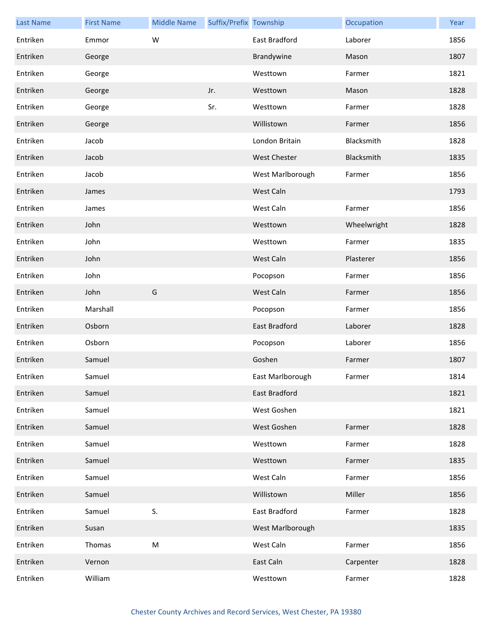| <b>Last Name</b> | <b>First Name</b> | <b>Middle Name</b> | Suffix/Prefix Township |                      | Occupation  | Year |
|------------------|-------------------|--------------------|------------------------|----------------------|-------------|------|
| Entriken         | Emmor             | W                  |                        | East Bradford        | Laborer     | 1856 |
| Entriken         | George            |                    |                        | Brandywine           | Mason       | 1807 |
| Entriken         | George            |                    |                        | Westtown             | Farmer      | 1821 |
| Entriken         | George            |                    | Jr.                    | Westtown             | Mason       | 1828 |
| Entriken         | George            |                    | Sr.                    | Westtown             | Farmer      | 1828 |
| Entriken         | George            |                    |                        | Willistown           | Farmer      | 1856 |
| Entriken         | Jacob             |                    |                        | London Britain       | Blacksmith  | 1828 |
| Entriken         | Jacob             |                    |                        | <b>West Chester</b>  | Blacksmith  | 1835 |
| Entriken         | Jacob             |                    |                        | West Marlborough     | Farmer      | 1856 |
| Entriken         | James             |                    |                        | West Caln            |             | 1793 |
| Entriken         | James             |                    |                        | West Caln            | Farmer      | 1856 |
| Entriken         | John              |                    |                        | Westtown             | Wheelwright | 1828 |
| Entriken         | John              |                    |                        | Westtown             | Farmer      | 1835 |
| Entriken         | John              |                    |                        | West Caln            | Plasterer   | 1856 |
| Entriken         | John              |                    |                        | Pocopson             | Farmer      | 1856 |
| Entriken         | John              | G                  |                        | West Caln            | Farmer      | 1856 |
| Entriken         | Marshall          |                    |                        | Pocopson             | Farmer      | 1856 |
| Entriken         | Osborn            |                    |                        | East Bradford        | Laborer     | 1828 |
| Entriken         | Osborn            |                    |                        | Pocopson             | Laborer     | 1856 |
| Entriken         | Samuel            |                    |                        | Goshen               | Farmer      | 1807 |
| Entriken         | Samuel            |                    |                        | East Marlborough     | Farmer      | 1814 |
| Entriken         | Samuel            |                    |                        | <b>East Bradford</b> |             | 1821 |
| Entriken         | Samuel            |                    |                        | West Goshen          |             | 1821 |
| Entriken         | Samuel            |                    |                        | West Goshen          | Farmer      | 1828 |
| Entriken         | Samuel            |                    |                        | Westtown             | Farmer      | 1828 |
| Entriken         | Samuel            |                    |                        | Westtown             | Farmer      | 1835 |
| Entriken         | Samuel            |                    |                        | West Caln            | Farmer      | 1856 |
| Entriken         | Samuel            |                    |                        | Willistown           | Miller      | 1856 |
| Entriken         | Samuel            | S.                 |                        | East Bradford        | Farmer      | 1828 |
| Entriken         | Susan             |                    |                        | West Marlborough     |             | 1835 |
| Entriken         | Thomas            | M                  |                        | West Caln            | Farmer      | 1856 |
| Entriken         | Vernon            |                    |                        | East Caln            | Carpenter   | 1828 |
| Entriken         | William           |                    |                        | Westtown             | Farmer      | 1828 |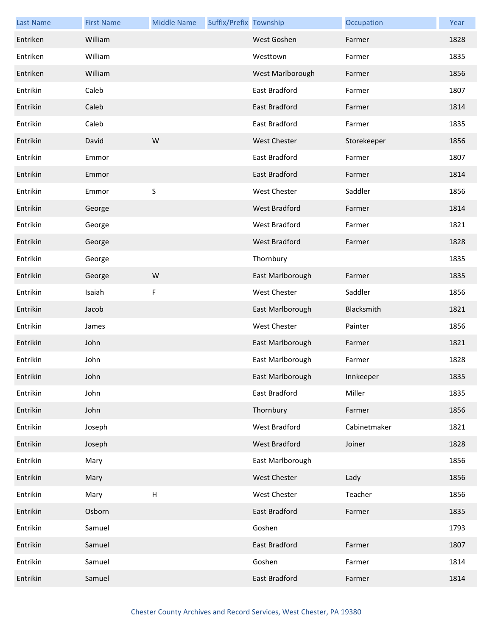| <b>Last Name</b> | <b>First Name</b> | <b>Middle Name</b>        | Suffix/Prefix Township |                      | Occupation   | Year |
|------------------|-------------------|---------------------------|------------------------|----------------------|--------------|------|
| Entriken         | William           |                           |                        | West Goshen          | Farmer       | 1828 |
| Entriken         | William           |                           |                        | Westtown             | Farmer       | 1835 |
| Entriken         | William           |                           |                        | West Marlborough     | Farmer       | 1856 |
| Entrikin         | Caleb             |                           |                        | East Bradford        | Farmer       | 1807 |
| Entrikin         | Caleb             |                           |                        | East Bradford        | Farmer       | 1814 |
| Entrikin         | Caleb             |                           |                        | East Bradford        | Farmer       | 1835 |
| Entrikin         | David             | W                         |                        | <b>West Chester</b>  | Storekeeper  | 1856 |
| Entrikin         | Emmor             |                           |                        | East Bradford        | Farmer       | 1807 |
| Entrikin         | Emmor             |                           |                        | <b>East Bradford</b> | Farmer       | 1814 |
| Entrikin         | Emmor             | $\sf S$                   |                        | West Chester         | Saddler      | 1856 |
| Entrikin         | George            |                           |                        | <b>West Bradford</b> | Farmer       | 1814 |
| Entrikin         | George            |                           |                        | <b>West Bradford</b> | Farmer       | 1821 |
| Entrikin         | George            |                           |                        | West Bradford        | Farmer       | 1828 |
| Entrikin         | George            |                           |                        | Thornbury            |              | 1835 |
| Entrikin         | George            | W                         |                        | East Marlborough     | Farmer       | 1835 |
| Entrikin         | Isaiah            | F                         |                        | West Chester         | Saddler      | 1856 |
| Entrikin         | Jacob             |                           |                        | East Marlborough     | Blacksmith   | 1821 |
| Entrikin         | James             |                           |                        | West Chester         | Painter      | 1856 |
| Entrikin         | John              |                           |                        | East Marlborough     | Farmer       | 1821 |
| Entrikin         | John              |                           |                        | East Marlborough     | Farmer       | 1828 |
| Entrikin         | John              |                           |                        | East Marlborough     | Innkeeper    | 1835 |
| Entrikin         | John              |                           |                        | East Bradford        | Miller       | 1835 |
| Entrikin         | John              |                           |                        | Thornbury            | Farmer       | 1856 |
| Entrikin         | Joseph            |                           |                        | <b>West Bradford</b> | Cabinetmaker | 1821 |
| Entrikin         | Joseph            |                           |                        | West Bradford        | Joiner       | 1828 |
| Entrikin         | Mary              |                           |                        | East Marlborough     |              | 1856 |
| Entrikin         | Mary              |                           |                        | <b>West Chester</b>  | Lady         | 1856 |
| Entrikin         | Mary              | $\boldsymbol{\mathsf{H}}$ |                        | West Chester         | Teacher      | 1856 |
| Entrikin         | Osborn            |                           |                        | East Bradford        | Farmer       | 1835 |
| Entrikin         | Samuel            |                           |                        | Goshen               |              | 1793 |
| Entrikin         | Samuel            |                           |                        | East Bradford        | Farmer       | 1807 |
| Entrikin         | Samuel            |                           |                        | Goshen               | Farmer       | 1814 |
| Entrikin         | Samuel            |                           |                        | East Bradford        | Farmer       | 1814 |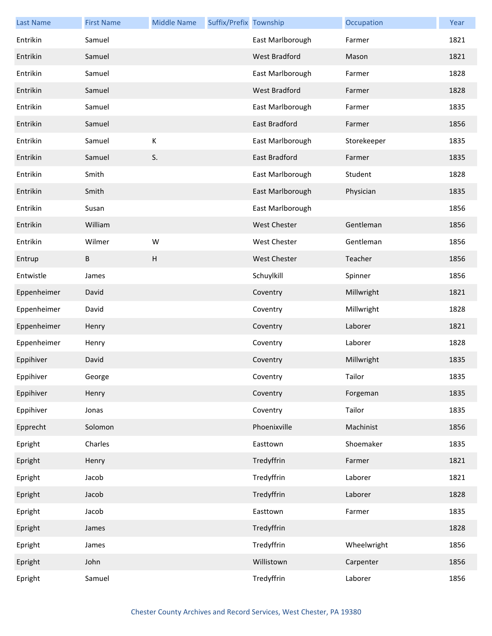| <b>Last Name</b> | <b>First Name</b> | <b>Middle Name</b> | Suffix/Prefix Township |                      | Occupation  | Year |
|------------------|-------------------|--------------------|------------------------|----------------------|-------------|------|
| Entrikin         | Samuel            |                    |                        | East Marlborough     | Farmer      | 1821 |
| Entrikin         | Samuel            |                    |                        | West Bradford        | Mason       | 1821 |
| Entrikin         | Samuel            |                    |                        | East Marlborough     | Farmer      | 1828 |
| Entrikin         | Samuel            |                    |                        | <b>West Bradford</b> | Farmer      | 1828 |
| Entrikin         | Samuel            |                    |                        | East Marlborough     | Farmer      | 1835 |
| Entrikin         | Samuel            |                    |                        | <b>East Bradford</b> | Farmer      | 1856 |
| Entrikin         | Samuel            | К                  |                        | East Marlborough     | Storekeeper | 1835 |
| Entrikin         | Samuel            | S.                 |                        | East Bradford        | Farmer      | 1835 |
| Entrikin         | Smith             |                    |                        | East Marlborough     | Student     | 1828 |
| Entrikin         | Smith             |                    |                        | East Marlborough     | Physician   | 1835 |
| Entrikin         | Susan             |                    |                        | East Marlborough     |             | 1856 |
| Entrikin         | William           |                    |                        | <b>West Chester</b>  | Gentleman   | 1856 |
| Entrikin         | Wilmer            | W                  |                        | West Chester         | Gentleman   | 1856 |
| Entrup           | В                 | H                  |                        | <b>West Chester</b>  | Teacher     | 1856 |
| Entwistle        | James             |                    |                        | Schuylkill           | Spinner     | 1856 |
| Eppenheimer      | David             |                    |                        | Coventry             | Millwright  | 1821 |
| Eppenheimer      | David             |                    |                        | Coventry             | Millwright  | 1828 |
| Eppenheimer      | Henry             |                    |                        | Coventry             | Laborer     | 1821 |
| Eppenheimer      | Henry             |                    |                        | Coventry             | Laborer     | 1828 |
| Eppihiver        | David             |                    |                        | Coventry             | Millwright  | 1835 |
| Eppihiver        | George            |                    |                        | Coventry             | Tailor      | 1835 |
| Eppihiver        | Henry             |                    |                        | Coventry             | Forgeman    | 1835 |
| Eppihiver        | Jonas             |                    |                        | Coventry             | Tailor      | 1835 |
| Epprecht         | Solomon           |                    |                        | Phoenixville         | Machinist   | 1856 |
| Epright          | Charles           |                    |                        | Easttown             | Shoemaker   | 1835 |
| Epright          | Henry             |                    |                        | Tredyffrin           | Farmer      | 1821 |
| Epright          | Jacob             |                    |                        | Tredyffrin           | Laborer     | 1821 |
| Epright          | Jacob             |                    |                        | Tredyffrin           | Laborer     | 1828 |
| Epright          | Jacob             |                    |                        | Easttown             | Farmer      | 1835 |
| Epright          | James             |                    |                        | Tredyffrin           |             | 1828 |
| Epright          | James             |                    |                        | Tredyffrin           | Wheelwright | 1856 |
| Epright          | John              |                    |                        | Willistown           | Carpenter   | 1856 |
| Epright          | Samuel            |                    |                        | Tredyffrin           | Laborer     | 1856 |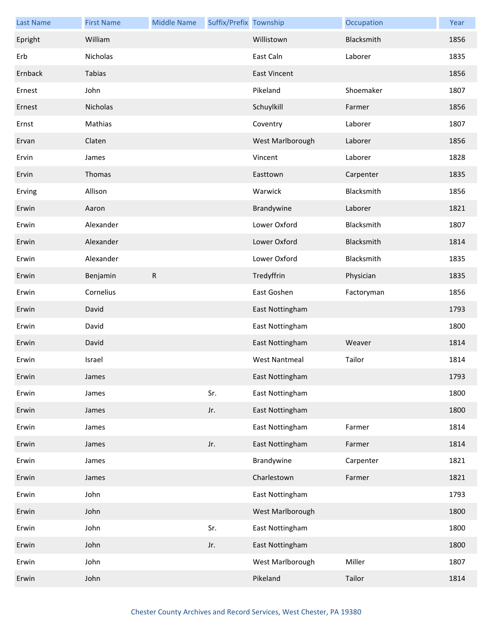| <b>Last Name</b> | <b>First Name</b> | <b>Middle Name</b> | Suffix/Prefix Township |                      | Occupation | Year |
|------------------|-------------------|--------------------|------------------------|----------------------|------------|------|
| Epright          | William           |                    |                        | Willistown           | Blacksmith | 1856 |
| Erb              | Nicholas          |                    |                        | East Caln            | Laborer    | 1835 |
| Ernback          | Tabias            |                    |                        | <b>East Vincent</b>  |            | 1856 |
| Ernest           | John              |                    |                        | Pikeland             | Shoemaker  | 1807 |
| Ernest           | Nicholas          |                    |                        | Schuylkill           | Farmer     | 1856 |
| Ernst            | Mathias           |                    |                        | Coventry             | Laborer    | 1807 |
| Ervan            | Claten            |                    |                        | West Marlborough     | Laborer    | 1856 |
| Ervin            | James             |                    |                        | Vincent              | Laborer    | 1828 |
| Ervin            | Thomas            |                    |                        | Easttown             | Carpenter  | 1835 |
| Erving           | Allison           |                    |                        | Warwick              | Blacksmith | 1856 |
| Erwin            | Aaron             |                    |                        | Brandywine           | Laborer    | 1821 |
| Erwin            | Alexander         |                    |                        | Lower Oxford         | Blacksmith | 1807 |
| Erwin            | Alexander         |                    |                        | Lower Oxford         | Blacksmith | 1814 |
| Erwin            | Alexander         |                    |                        | Lower Oxford         | Blacksmith | 1835 |
| Erwin            | Benjamin          | ${\sf R}$          |                        | Tredyffrin           | Physician  | 1835 |
| Erwin            | Cornelius         |                    |                        | East Goshen          | Factoryman | 1856 |
| Erwin            | David             |                    |                        | East Nottingham      |            | 1793 |
| Erwin            | David             |                    |                        | East Nottingham      |            | 1800 |
| Erwin            | David             |                    |                        | East Nottingham      | Weaver     | 1814 |
| Erwin            | Israel            |                    |                        | <b>West Nantmeal</b> | Tailor     | 1814 |
| Erwin            | James             |                    |                        | East Nottingham      |            | 1793 |
| Erwin            | James             |                    | Sr.                    | East Nottingham      |            | 1800 |
| Erwin            | James             |                    | Jr.                    | East Nottingham      |            | 1800 |
| Erwin            | James             |                    |                        | East Nottingham      | Farmer     | 1814 |
| Erwin            | James             |                    | Jr.                    | East Nottingham      | Farmer     | 1814 |
| Erwin            | James             |                    |                        | Brandywine           | Carpenter  | 1821 |
| Erwin            | James             |                    |                        | Charlestown          | Farmer     | 1821 |
| Erwin            | John              |                    |                        | East Nottingham      |            | 1793 |
| Erwin            | John              |                    |                        | West Marlborough     |            | 1800 |
| Erwin            | John              |                    | Sr.                    | East Nottingham      |            | 1800 |
| Erwin            | John              |                    | Jr.                    | East Nottingham      |            | 1800 |
| Erwin            | John              |                    |                        | West Marlborough     | Miller     | 1807 |
| Erwin            | John              |                    |                        | Pikeland             | Tailor     | 1814 |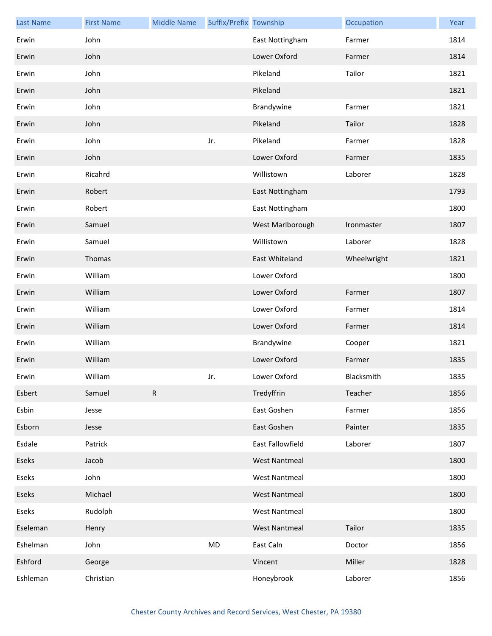| <b>Last Name</b> | <b>First Name</b> | <b>Middle Name</b> | Suffix/Prefix Township |                      | Occupation  | Year |
|------------------|-------------------|--------------------|------------------------|----------------------|-------------|------|
| Erwin            | John              |                    |                        | East Nottingham      | Farmer      | 1814 |
| Erwin            | John              |                    |                        | Lower Oxford         | Farmer      | 1814 |
| Erwin            | John              |                    |                        | Pikeland             | Tailor      | 1821 |
| Erwin            | John              |                    |                        | Pikeland             |             | 1821 |
| Erwin            | John              |                    |                        | Brandywine           | Farmer      | 1821 |
| Erwin            | John              |                    |                        | Pikeland             | Tailor      | 1828 |
| Erwin            | John              |                    | Jr.                    | Pikeland             | Farmer      | 1828 |
| Erwin            | John              |                    |                        | Lower Oxford         | Farmer      | 1835 |
| Erwin            | Ricahrd           |                    |                        | Willistown           | Laborer     | 1828 |
| Erwin            | Robert            |                    |                        | East Nottingham      |             | 1793 |
| Erwin            | Robert            |                    |                        | East Nottingham      |             | 1800 |
| Erwin            | Samuel            |                    |                        | West Marlborough     | Ironmaster  | 1807 |
| Erwin            | Samuel            |                    |                        | Willistown           | Laborer     | 1828 |
| Erwin            | Thomas            |                    |                        | East Whiteland       | Wheelwright | 1821 |
| Erwin            | William           |                    |                        | Lower Oxford         |             | 1800 |
| Erwin            | William           |                    |                        | Lower Oxford         | Farmer      | 1807 |
| Erwin            | William           |                    |                        | Lower Oxford         | Farmer      | 1814 |
| Erwin            | William           |                    |                        | Lower Oxford         | Farmer      | 1814 |
| Erwin            | William           |                    |                        | Brandywine           | Cooper      | 1821 |
| Erwin            | William           |                    |                        | Lower Oxford         | Farmer      | 1835 |
| Erwin            | William           |                    | Jr.                    | Lower Oxford         | Blacksmith  | 1835 |
| Esbert           | Samuel            | ${\sf R}$          |                        | Tredyffrin           | Teacher     | 1856 |
| Esbin            | Jesse             |                    |                        | East Goshen          | Farmer      | 1856 |
| Esborn           | Jesse             |                    |                        | East Goshen          | Painter     | 1835 |
| Esdale           | Patrick           |                    |                        | East Fallowfield     | Laborer     | 1807 |
| Eseks            | Jacob             |                    |                        | <b>West Nantmeal</b> |             | 1800 |
| Eseks            | John              |                    |                        | <b>West Nantmeal</b> |             | 1800 |
| Eseks            | Michael           |                    |                        | <b>West Nantmeal</b> |             | 1800 |
| Eseks            | Rudolph           |                    |                        | <b>West Nantmeal</b> |             | 1800 |
| Eseleman         | Henry             |                    |                        | <b>West Nantmeal</b> | Tailor      | 1835 |
| Eshelman         | John              |                    | MD                     | East Caln            | Doctor      | 1856 |
| Eshford          | George            |                    |                        | Vincent              | Miller      | 1828 |
| Eshleman         | Christian         |                    |                        | Honeybrook           | Laborer     | 1856 |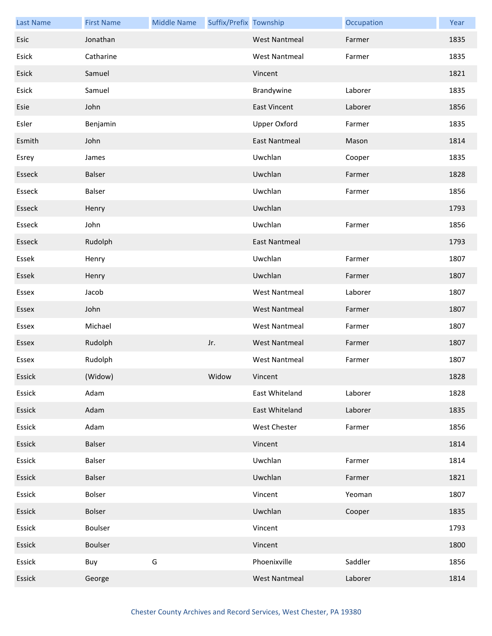| <b>Last Name</b> | <b>First Name</b> | <b>Middle Name</b> | Suffix/Prefix Township |                      | Occupation | Year |
|------------------|-------------------|--------------------|------------------------|----------------------|------------|------|
| Esic             | Jonathan          |                    |                        | <b>West Nantmeal</b> | Farmer     | 1835 |
| Esick            | Catharine         |                    |                        | <b>West Nantmeal</b> | Farmer     | 1835 |
| Esick            | Samuel            |                    |                        | Vincent              |            | 1821 |
| Esick            | Samuel            |                    |                        | Brandywine           | Laborer    | 1835 |
| Esie             | John              |                    |                        | <b>East Vincent</b>  | Laborer    | 1856 |
| Esler            | Benjamin          |                    |                        | <b>Upper Oxford</b>  | Farmer     | 1835 |
| Esmith           | John              |                    |                        | <b>East Nantmeal</b> | Mason      | 1814 |
| Esrey            | James             |                    |                        | Uwchlan              | Cooper     | 1835 |
| Esseck           | <b>Balser</b>     |                    |                        | Uwchlan              | Farmer     | 1828 |
| Esseck           | Balser            |                    |                        | Uwchlan              | Farmer     | 1856 |
| Esseck           | Henry             |                    |                        | Uwchlan              |            | 1793 |
| Esseck           | John              |                    |                        | Uwchlan              | Farmer     | 1856 |
| Esseck           | Rudolph           |                    |                        | <b>East Nantmeal</b> |            | 1793 |
| Essek            | Henry             |                    |                        | Uwchlan              | Farmer     | 1807 |
| Essek            | Henry             |                    |                        | Uwchlan              | Farmer     | 1807 |
| Essex            | Jacob             |                    |                        | <b>West Nantmeal</b> | Laborer    | 1807 |
| Essex            | John              |                    |                        | <b>West Nantmeal</b> | Farmer     | 1807 |
| Essex            | Michael           |                    |                        | <b>West Nantmeal</b> | Farmer     | 1807 |
| Essex            | Rudolph           |                    | Jr.                    | <b>West Nantmeal</b> | Farmer     | 1807 |
| Essex            | Rudolph           |                    |                        | <b>West Nantmeal</b> | Farmer     | 1807 |
| Essick           | (Widow)           |                    | Widow                  | Vincent              |            | 1828 |
| Essick           | Adam              |                    |                        | East Whiteland       | Laborer    | 1828 |
| Essick           | Adam              |                    |                        | East Whiteland       | Laborer    | 1835 |
| Essick           | Adam              |                    |                        | West Chester         | Farmer     | 1856 |
| Essick           | <b>Balser</b>     |                    |                        | Vincent              |            | 1814 |
| Essick           | Balser            |                    |                        | Uwchlan              | Farmer     | 1814 |
| Essick           | Balser            |                    |                        | Uwchlan              | Farmer     | 1821 |
| Essick           | Bolser            |                    |                        | Vincent              | Yeoman     | 1807 |
| Essick           | <b>Bolser</b>     |                    |                        | Uwchlan              | Cooper     | 1835 |
| Essick           | Boulser           |                    |                        | Vincent              |            | 1793 |
| Essick           | Boulser           |                    |                        | Vincent              |            | 1800 |
| Essick           | Buy               | G                  |                        | Phoenixville         | Saddler    | 1856 |
| Essick           | George            |                    |                        | <b>West Nantmeal</b> | Laborer    | 1814 |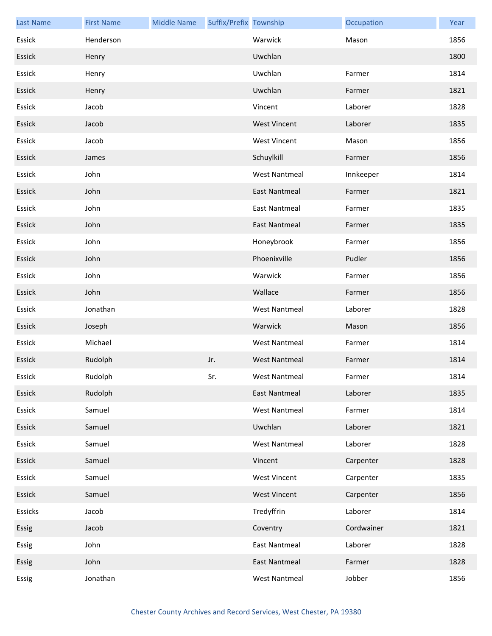| <b>Last Name</b> | <b>First Name</b> | <b>Middle Name</b> | Suffix/Prefix Township |                      | Occupation | Year |
|------------------|-------------------|--------------------|------------------------|----------------------|------------|------|
| Essick           | Henderson         |                    |                        | Warwick              | Mason      | 1856 |
| Essick           | Henry             |                    |                        | Uwchlan              |            | 1800 |
| Essick           | Henry             |                    |                        | Uwchlan              | Farmer     | 1814 |
| Essick           | Henry             |                    |                        | Uwchlan              | Farmer     | 1821 |
| Essick           | Jacob             |                    |                        | Vincent              | Laborer    | 1828 |
| Essick           | Jacob             |                    |                        | <b>West Vincent</b>  | Laborer    | 1835 |
| Essick           | Jacob             |                    |                        | <b>West Vincent</b>  | Mason      | 1856 |
| Essick           | James             |                    |                        | Schuylkill           | Farmer     | 1856 |
| Essick           | John              |                    |                        | <b>West Nantmeal</b> | Innkeeper  | 1814 |
| Essick           | John              |                    |                        | <b>East Nantmeal</b> | Farmer     | 1821 |
| Essick           | John              |                    |                        | <b>East Nantmeal</b> | Farmer     | 1835 |
| Essick           | John              |                    |                        | <b>East Nantmeal</b> | Farmer     | 1835 |
| Essick           | John              |                    |                        | Honeybrook           | Farmer     | 1856 |
| Essick           | John              |                    |                        | Phoenixville         | Pudler     | 1856 |
| Essick           | John              |                    |                        | Warwick              | Farmer     | 1856 |
| Essick           | John              |                    |                        | Wallace              | Farmer     | 1856 |
| Essick           | Jonathan          |                    |                        | <b>West Nantmeal</b> | Laborer    | 1828 |
| Essick           | Joseph            |                    |                        | Warwick              | Mason      | 1856 |
| Essick           | Michael           |                    |                        | <b>West Nantmeal</b> | Farmer     | 1814 |
| Essick           | Rudolph           |                    | Jr.                    | <b>West Nantmeal</b> | Farmer     | 1814 |
| Essick           | Rudolph           |                    | Sr.                    | West Nantmeal        | Farmer     | 1814 |
| Essick           | Rudolph           |                    |                        | <b>East Nantmeal</b> | Laborer    | 1835 |
| Essick           | Samuel            |                    |                        | <b>West Nantmeal</b> | Farmer     | 1814 |
| Essick           | Samuel            |                    |                        | Uwchlan              | Laborer    | 1821 |
| Essick           | Samuel            |                    |                        | <b>West Nantmeal</b> | Laborer    | 1828 |
| Essick           | Samuel            |                    |                        | Vincent              | Carpenter  | 1828 |
| Essick           | Samuel            |                    |                        | <b>West Vincent</b>  | Carpenter  | 1835 |
| Essick           | Samuel            |                    |                        | <b>West Vincent</b>  | Carpenter  | 1856 |
| Essicks          | Jacob             |                    |                        | Tredyffrin           | Laborer    | 1814 |
| Essig            | Jacob             |                    |                        | Coventry             | Cordwainer | 1821 |
| Essig            | John              |                    |                        | <b>East Nantmeal</b> | Laborer    | 1828 |
| Essig            | John              |                    |                        | <b>East Nantmeal</b> | Farmer     | 1828 |
| Essig            | Jonathan          |                    |                        | <b>West Nantmeal</b> | Jobber     | 1856 |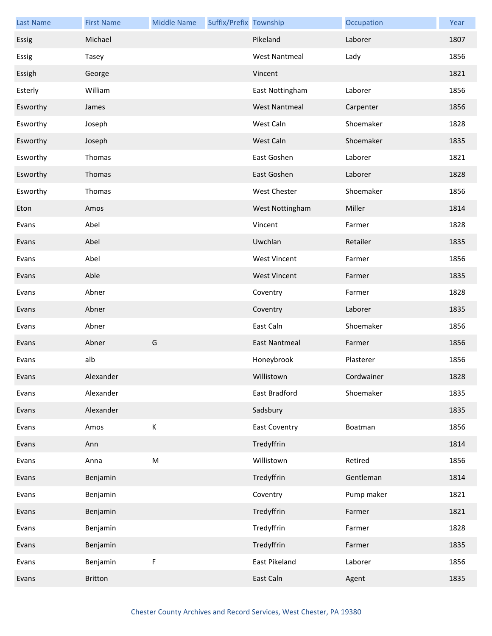| <b>Last Name</b> | <b>First Name</b> | <b>Middle Name</b>                                                                                         | Suffix/Prefix Township |                      | Occupation | Year |
|------------------|-------------------|------------------------------------------------------------------------------------------------------------|------------------------|----------------------|------------|------|
| Essig            | Michael           |                                                                                                            |                        | Pikeland             | Laborer    | 1807 |
| Essig            | Tasey             |                                                                                                            |                        | <b>West Nantmeal</b> | Lady       | 1856 |
| Essigh           | George            |                                                                                                            |                        | Vincent              |            | 1821 |
| Esterly          | William           |                                                                                                            |                        | East Nottingham      | Laborer    | 1856 |
| Esworthy         | James             |                                                                                                            |                        | <b>West Nantmeal</b> | Carpenter  | 1856 |
| Esworthy         | Joseph            |                                                                                                            |                        | West Caln            | Shoemaker  | 1828 |
| Esworthy         | Joseph            |                                                                                                            |                        | West Caln            | Shoemaker  | 1835 |
| Esworthy         | Thomas            |                                                                                                            |                        | East Goshen          | Laborer    | 1821 |
| Esworthy         | Thomas            |                                                                                                            |                        | East Goshen          | Laborer    | 1828 |
| Esworthy         | Thomas            |                                                                                                            |                        | <b>West Chester</b>  | Shoemaker  | 1856 |
| Eton             | Amos              |                                                                                                            |                        | West Nottingham      | Miller     | 1814 |
| Evans            | Abel              |                                                                                                            |                        | Vincent              | Farmer     | 1828 |
| Evans            | Abel              |                                                                                                            |                        | Uwchlan              | Retailer   | 1835 |
| Evans            | Abel              |                                                                                                            |                        | <b>West Vincent</b>  | Farmer     | 1856 |
| Evans            | Able              |                                                                                                            |                        | <b>West Vincent</b>  | Farmer     | 1835 |
| Evans            | Abner             |                                                                                                            |                        | Coventry             | Farmer     | 1828 |
| Evans            | Abner             |                                                                                                            |                        | Coventry             | Laborer    | 1835 |
| Evans            | Abner             |                                                                                                            |                        | East Caln            | Shoemaker  | 1856 |
| Evans            | Abner             | G                                                                                                          |                        | <b>East Nantmeal</b> | Farmer     | 1856 |
| Evans            | alb               |                                                                                                            |                        | Honeybrook           | Plasterer  | 1856 |
| Evans            | Alexander         |                                                                                                            |                        | Willistown           | Cordwainer | 1828 |
| Evans            | Alexander         |                                                                                                            |                        | East Bradford        | Shoemaker  | 1835 |
| Evans            | Alexander         |                                                                                                            |                        | Sadsbury             |            | 1835 |
| Evans            | Amos              | $\mathsf K$                                                                                                |                        | <b>East Coventry</b> | Boatman    | 1856 |
| Evans            | Ann               |                                                                                                            |                        | Tredyffrin           |            | 1814 |
| Evans            | Anna              | $\mathsf{M}% _{T}=\mathsf{M}_{T}\!\left( a,b\right) ,\ \mathsf{M}_{T}=\mathsf{M}_{T}\!\left( a,b\right) ,$ |                        | Willistown           | Retired    | 1856 |
| Evans            | Benjamin          |                                                                                                            |                        | Tredyffrin           | Gentleman  | 1814 |
| Evans            | Benjamin          |                                                                                                            |                        | Coventry             | Pump maker | 1821 |
| Evans            | Benjamin          |                                                                                                            |                        | Tredyffrin           | Farmer     | 1821 |
| Evans            | Benjamin          |                                                                                                            |                        | Tredyffrin           | Farmer     | 1828 |
| Evans            | Benjamin          |                                                                                                            |                        | Tredyffrin           | Farmer     | 1835 |
| Evans            | Benjamin          | $\mathsf F$                                                                                                |                        | East Pikeland        | Laborer    | 1856 |
| Evans            | Britton           |                                                                                                            |                        | East Caln            | Agent      | 1835 |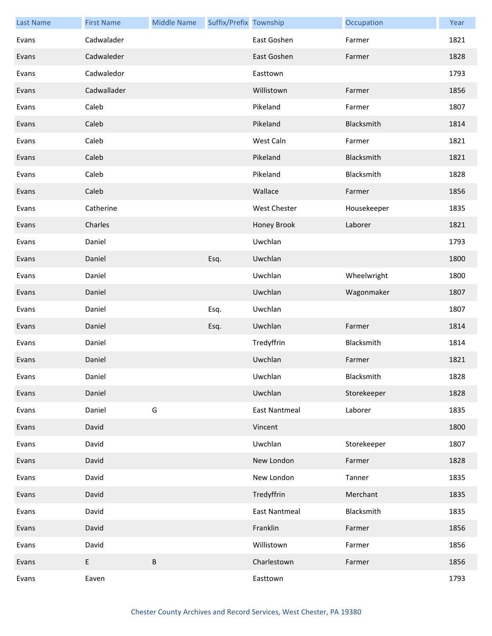| <b>Last Name</b> | <b>First Name</b> | <b>Middle Name</b> | Suffix/Prefix Township |                      | Occupation  | Year |
|------------------|-------------------|--------------------|------------------------|----------------------|-------------|------|
| Evans            | Cadwalader        |                    |                        | East Goshen          | Farmer      | 1821 |
| Evans            | Cadwaleder        |                    |                        | East Goshen          | Farmer      | 1828 |
| Evans            | Cadwaledor        |                    |                        | Easttown             |             | 1793 |
| Evans            | Cadwallader       |                    |                        | Willistown           | Farmer      | 1856 |
| Evans            | Caleb             |                    |                        | Pikeland             | Farmer      | 1807 |
| Evans            | Caleb             |                    |                        | Pikeland             | Blacksmith  | 1814 |
| Evans            | Caleb             |                    |                        | West Caln            | Farmer      | 1821 |
| Evans            | Caleb             |                    |                        | Pikeland             | Blacksmith  | 1821 |
| Evans            | Caleb             |                    |                        | Pikeland             | Blacksmith  | 1828 |
| Evans            | Caleb             |                    |                        | Wallace              | Farmer      | 1856 |
| Evans            | Catherine         |                    |                        | West Chester         | Housekeeper | 1835 |
| Evans            | Charles           |                    |                        | Honey Brook          | Laborer     | 1821 |
| Evans            | Daniel            |                    |                        | Uwchlan              |             | 1793 |
| Evans            | Daniel            |                    | Esq.                   | Uwchlan              |             | 1800 |
| Evans            | Daniel            |                    |                        | Uwchlan              | Wheelwright | 1800 |
| Evans            | Daniel            |                    |                        | Uwchlan              | Wagonmaker  | 1807 |
| Evans            | Daniel            |                    | Esq.                   | Uwchlan              |             | 1807 |
| Evans            | Daniel            |                    | Esq.                   | Uwchlan              | Farmer      | 1814 |
| Evans            | Daniel            |                    |                        | Tredyffrin           | Blacksmith  | 1814 |
| Evans            | Daniel            |                    |                        | Uwchlan              | Farmer      | 1821 |
| Evans            | Daniel            |                    |                        | Uwchlan              | Blacksmith  | 1828 |
| Evans            | Daniel            |                    |                        | Uwchlan              | Storekeeper | 1828 |
| Evans            | Daniel            | G                  |                        | <b>East Nantmeal</b> | Laborer     | 1835 |
| Evans            | David             |                    |                        | Vincent              |             | 1800 |
| Evans            | David             |                    |                        | Uwchlan              | Storekeeper | 1807 |
| Evans            | David             |                    |                        | New London           | Farmer      | 1828 |
| Evans            | David             |                    |                        | New London           | Tanner      | 1835 |
| Evans            | David             |                    |                        | Tredyffrin           | Merchant    | 1835 |
| Evans            | David             |                    |                        | <b>East Nantmeal</b> | Blacksmith  | 1835 |
| Evans            | David             |                    |                        | Franklin             | Farmer      | 1856 |
| Evans            | David             |                    |                        | Willistown           | Farmer      | 1856 |
| Evans            | E                 | $\sf B$            |                        | Charlestown          | Farmer      | 1856 |
| Evans            | Eaven             |                    |                        | Easttown             |             | 1793 |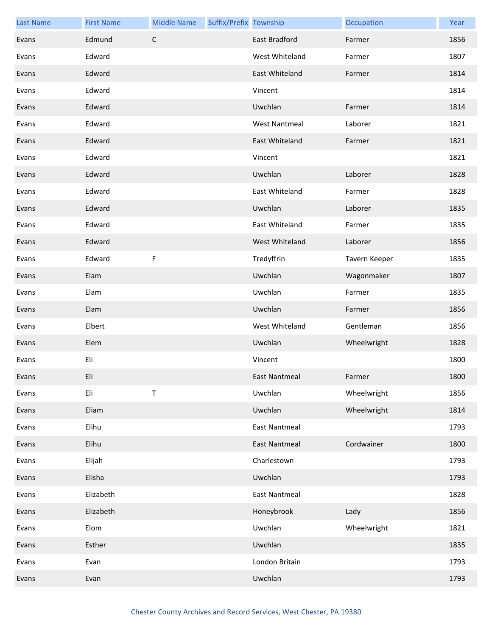| <b>Last Name</b> | <b>First Name</b> | <b>Middle Name</b> | Suffix/Prefix Township |                      | Occupation    | Year |
|------------------|-------------------|--------------------|------------------------|----------------------|---------------|------|
| Evans            | Edmund            | $\mathsf C$        |                        | East Bradford        | Farmer        | 1856 |
| Evans            | Edward            |                    |                        | West Whiteland       | Farmer        | 1807 |
| Evans            | Edward            |                    |                        | East Whiteland       | Farmer        | 1814 |
| Evans            | Edward            |                    |                        | Vincent              |               | 1814 |
| Evans            | Edward            |                    |                        | Uwchlan              | Farmer        | 1814 |
| Evans            | Edward            |                    |                        | <b>West Nantmeal</b> | Laborer       | 1821 |
| Evans            | Edward            |                    |                        | East Whiteland       | Farmer        | 1821 |
| Evans            | Edward            |                    |                        | Vincent              |               | 1821 |
| Evans            | Edward            |                    |                        | Uwchlan              | Laborer       | 1828 |
| Evans            | Edward            |                    |                        | East Whiteland       | Farmer        | 1828 |
| Evans            | Edward            |                    |                        | Uwchlan              | Laborer       | 1835 |
| Evans            | Edward            |                    |                        | East Whiteland       | Farmer        | 1835 |
| Evans            | Edward            |                    |                        | West Whiteland       | Laborer       | 1856 |
| Evans            | Edward            | F                  |                        | Tredyffrin           | Tavern Keeper | 1835 |
| Evans            | Elam              |                    |                        | Uwchlan              | Wagonmaker    | 1807 |
| Evans            | Elam              |                    |                        | Uwchlan              | Farmer        | 1835 |
| Evans            | Elam              |                    |                        | Uwchlan              | Farmer        | 1856 |
| Evans            | Elbert            |                    |                        | West Whiteland       | Gentleman     | 1856 |
| Evans            | Elem              |                    |                        | Uwchlan              | Wheelwright   | 1828 |
| Evans            | Eli               |                    |                        | Vincent              |               | 1800 |
| Evans            | Eli               |                    |                        | <b>East Nantmeal</b> | Farmer        | 1800 |
| Evans            | Eli               | $\sf T$            |                        | Uwchlan              | Wheelwright   | 1856 |
| Evans            | Eliam             |                    |                        | Uwchlan              | Wheelwright   | 1814 |
| Evans            | Elihu             |                    |                        | <b>East Nantmeal</b> |               | 1793 |
| Evans            | Elihu             |                    |                        | <b>East Nantmeal</b> | Cordwainer    | 1800 |
| Evans            | Elijah            |                    |                        | Charlestown          |               | 1793 |
| Evans            | Elisha            |                    |                        | Uwchlan              |               | 1793 |
| Evans            | Elizabeth         |                    |                        | <b>East Nantmeal</b> |               | 1828 |
| Evans            | Elizabeth         |                    |                        | Honeybrook           | Lady          | 1856 |
| Evans            | Elom              |                    |                        | Uwchlan              | Wheelwright   | 1821 |
| Evans            | Esther            |                    |                        | Uwchlan              |               | 1835 |
| Evans            | Evan              |                    |                        | London Britain       |               | 1793 |
| Evans            | Evan              |                    |                        | Uwchlan              |               | 1793 |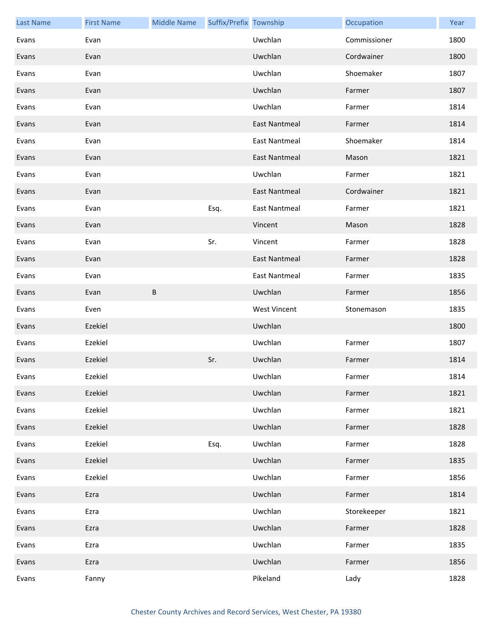| <b>Last Name</b> | <b>First Name</b> | <b>Middle Name</b> | Suffix/Prefix Township |                      | Occupation   | Year |
|------------------|-------------------|--------------------|------------------------|----------------------|--------------|------|
| Evans            | Evan              |                    |                        | Uwchlan              | Commissioner | 1800 |
| Evans            | Evan              |                    |                        | Uwchlan              | Cordwainer   | 1800 |
| Evans            | Evan              |                    |                        | Uwchlan              | Shoemaker    | 1807 |
| Evans            | Evan              |                    |                        | Uwchlan              | Farmer       | 1807 |
| Evans            | Evan              |                    |                        | Uwchlan              | Farmer       | 1814 |
| Evans            | Evan              |                    |                        | <b>East Nantmeal</b> | Farmer       | 1814 |
| Evans            | Evan              |                    |                        | <b>East Nantmeal</b> | Shoemaker    | 1814 |
| Evans            | Evan              |                    |                        | <b>East Nantmeal</b> | Mason        | 1821 |
| Evans            | Evan              |                    |                        | Uwchlan              | Farmer       | 1821 |
| Evans            | Evan              |                    |                        | <b>East Nantmeal</b> | Cordwainer   | 1821 |
| Evans            | Evan              |                    | Esq.                   | <b>East Nantmeal</b> | Farmer       | 1821 |
| Evans            | Evan              |                    |                        | Vincent              | Mason        | 1828 |
| Evans            | Evan              |                    | Sr.                    | Vincent              | Farmer       | 1828 |
| Evans            | Evan              |                    |                        | <b>East Nantmeal</b> | Farmer       | 1828 |
| Evans            | Evan              |                    |                        | <b>East Nantmeal</b> | Farmer       | 1835 |
| Evans            | Evan              | $\sf B$            |                        | Uwchlan              | Farmer       | 1856 |
| Evans            | Even              |                    |                        | <b>West Vincent</b>  | Stonemason   | 1835 |
| Evans            | Ezekiel           |                    |                        | Uwchlan              |              | 1800 |
| Evans            | Ezekiel           |                    |                        | Uwchlan              | Farmer       | 1807 |
| Evans            | Ezekiel           |                    | Sr.                    | Uwchlan              | Farmer       | 1814 |
| Evans            | Ezekiel           |                    |                        | Uwchlan              | Farmer       | 1814 |
| Evans            | Ezekiel           |                    |                        | Uwchlan              | Farmer       | 1821 |
| Evans            | Ezekiel           |                    |                        | Uwchlan              | Farmer       | 1821 |
| Evans            | Ezekiel           |                    |                        | Uwchlan              | Farmer       | 1828 |
| Evans            | Ezekiel           |                    | Esq.                   | Uwchlan              | Farmer       | 1828 |
| Evans            | Ezekiel           |                    |                        | Uwchlan              | Farmer       | 1835 |
| Evans            | Ezekiel           |                    |                        | Uwchlan              | Farmer       | 1856 |
| Evans            | Ezra              |                    |                        | Uwchlan              | Farmer       | 1814 |
| Evans            | Ezra              |                    |                        | Uwchlan              | Storekeeper  | 1821 |
| Evans            | Ezra              |                    |                        | Uwchlan              | Farmer       | 1828 |
| Evans            | Ezra              |                    |                        | Uwchlan              | Farmer       | 1835 |
| Evans            | Ezra              |                    |                        | Uwchlan              | Farmer       | 1856 |
| Evans            | Fanny             |                    |                        | Pikeland             | Lady         | 1828 |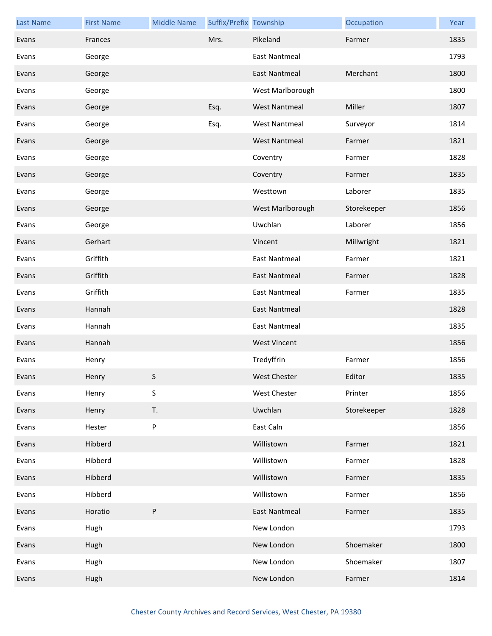| <b>Last Name</b> | <b>First Name</b> | <b>Middle Name</b> | Suffix/Prefix Township |                      | Occupation  | Year |
|------------------|-------------------|--------------------|------------------------|----------------------|-------------|------|
| Evans            | Frances           |                    | Mrs.                   | Pikeland             | Farmer      | 1835 |
| Evans            | George            |                    |                        | East Nantmeal        |             | 1793 |
| Evans            | George            |                    |                        | <b>East Nantmeal</b> | Merchant    | 1800 |
| Evans            | George            |                    |                        | West Marlborough     |             | 1800 |
| Evans            | George            |                    | Esq.                   | <b>West Nantmeal</b> | Miller      | 1807 |
| Evans            | George            |                    | Esq.                   | <b>West Nantmeal</b> | Surveyor    | 1814 |
| Evans            | George            |                    |                        | <b>West Nantmeal</b> | Farmer      | 1821 |
| Evans            | George            |                    |                        | Coventry             | Farmer      | 1828 |
| Evans            | George            |                    |                        | Coventry             | Farmer      | 1835 |
| Evans            | George            |                    |                        | Westtown             | Laborer     | 1835 |
| Evans            | George            |                    |                        | West Marlborough     | Storekeeper | 1856 |
| Evans            | George            |                    |                        | Uwchlan              | Laborer     | 1856 |
| Evans            | Gerhart           |                    |                        | Vincent              | Millwright  | 1821 |
| Evans            | Griffith          |                    |                        | <b>East Nantmeal</b> | Farmer      | 1821 |
| Evans            | Griffith          |                    |                        | <b>East Nantmeal</b> | Farmer      | 1828 |
| Evans            | Griffith          |                    |                        | <b>East Nantmeal</b> | Farmer      | 1835 |
| Evans            | Hannah            |                    |                        | East Nantmeal        |             | 1828 |
| Evans            | Hannah            |                    |                        | <b>East Nantmeal</b> |             | 1835 |
| Evans            | Hannah            |                    |                        | <b>West Vincent</b>  |             | 1856 |
| Evans            | Henry             |                    |                        | Tredyffrin           | Farmer      | 1856 |
| Evans            | Henry             | S.                 |                        | West Chester         | Editor      | 1835 |
| Evans            | Henry             | S                  |                        | <b>West Chester</b>  | Printer     | 1856 |
| Evans            | Henry             | T.                 |                        | Uwchlan              | Storekeeper | 1828 |
| Evans            | Hester            | ${\sf P}$          |                        | East Caln            |             | 1856 |
| Evans            | Hibberd           |                    |                        | Willistown           | Farmer      | 1821 |
| Evans            | Hibberd           |                    |                        | Willistown           | Farmer      | 1828 |
| Evans            | Hibberd           |                    |                        | Willistown           | Farmer      | 1835 |
| Evans            | Hibberd           |                    |                        | Willistown           | Farmer      | 1856 |
| Evans            | Horatio           | $\sf P$            |                        | <b>East Nantmeal</b> | Farmer      | 1835 |
| Evans            | Hugh              |                    |                        | New London           |             | 1793 |
| Evans            | Hugh              |                    |                        | New London           | Shoemaker   | 1800 |
| Evans            | Hugh              |                    |                        | New London           | Shoemaker   | 1807 |
| Evans            | Hugh              |                    |                        | New London           | Farmer      | 1814 |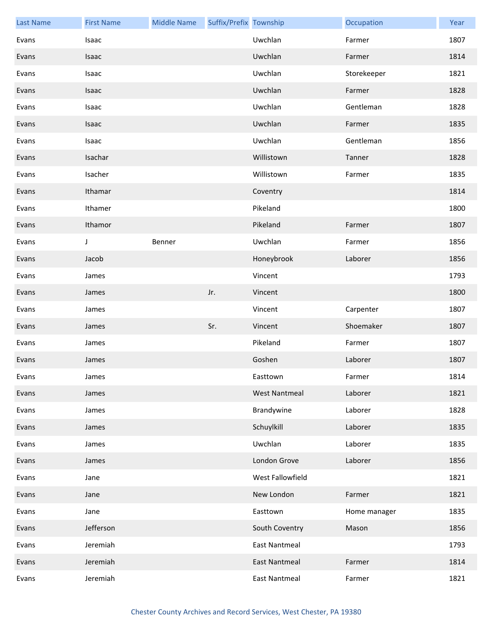| <b>Last Name</b> | <b>First Name</b> | <b>Middle Name</b> | Suffix/Prefix Township |                      | Occupation   | Year |
|------------------|-------------------|--------------------|------------------------|----------------------|--------------|------|
| Evans            | Isaac             |                    |                        | Uwchlan              | Farmer       | 1807 |
| Evans            | Isaac             |                    |                        | Uwchlan              | Farmer       | 1814 |
| Evans            | Isaac             |                    |                        | Uwchlan              | Storekeeper  | 1821 |
| Evans            | Isaac             |                    |                        | Uwchlan              | Farmer       | 1828 |
| Evans            | Isaac             |                    |                        | Uwchlan              | Gentleman    | 1828 |
| Evans            | Isaac             |                    |                        | Uwchlan              | Farmer       | 1835 |
| Evans            | Isaac             |                    |                        | Uwchlan              | Gentleman    | 1856 |
| Evans            | Isachar           |                    |                        | Willistown           | Tanner       | 1828 |
| Evans            | Isacher           |                    |                        | Willistown           | Farmer       | 1835 |
| Evans            | Ithamar           |                    |                        | Coventry             |              | 1814 |
| Evans            | Ithamer           |                    |                        | Pikeland             |              | 1800 |
| Evans            | Ithamor           |                    |                        | Pikeland             | Farmer       | 1807 |
| Evans            | J                 | Benner             |                        | Uwchlan              | Farmer       | 1856 |
| Evans            | Jacob             |                    |                        | Honeybrook           | Laborer      | 1856 |
| Evans            | James             |                    |                        | Vincent              |              | 1793 |
| Evans            | James             |                    | Jr.                    | Vincent              |              | 1800 |
| Evans            | James             |                    |                        | Vincent              | Carpenter    | 1807 |
| Evans            | James             |                    | Sr.                    | Vincent              | Shoemaker    | 1807 |
| Evans            | James             |                    |                        | Pikeland             | Farmer       | 1807 |
| Evans            | James             |                    |                        | Goshen               | Laborer      | 1807 |
| Evans            | James             |                    |                        | Easttown             | Farmer       | 1814 |
| Evans            | James             |                    |                        | <b>West Nantmeal</b> | Laborer      | 1821 |
| Evans            | James             |                    |                        | Brandywine           | Laborer      | 1828 |
| Evans            | James             |                    |                        | Schuylkill           | Laborer      | 1835 |
| Evans            | James             |                    |                        | Uwchlan              | Laborer      | 1835 |
| Evans            | James             |                    |                        | London Grove         | Laborer      | 1856 |
| Evans            | Jane              |                    |                        | West Fallowfield     |              | 1821 |
| Evans            | Jane              |                    |                        | New London           | Farmer       | 1821 |
| Evans            | Jane              |                    |                        | Easttown             | Home manager | 1835 |
| Evans            | Jefferson         |                    |                        | South Coventry       | Mason        | 1856 |
| Evans            | Jeremiah          |                    |                        | East Nantmeal        |              | 1793 |
| Evans            | Jeremiah          |                    |                        | East Nantmeal        | Farmer       | 1814 |
| Evans            | Jeremiah          |                    |                        | <b>East Nantmeal</b> | Farmer       | 1821 |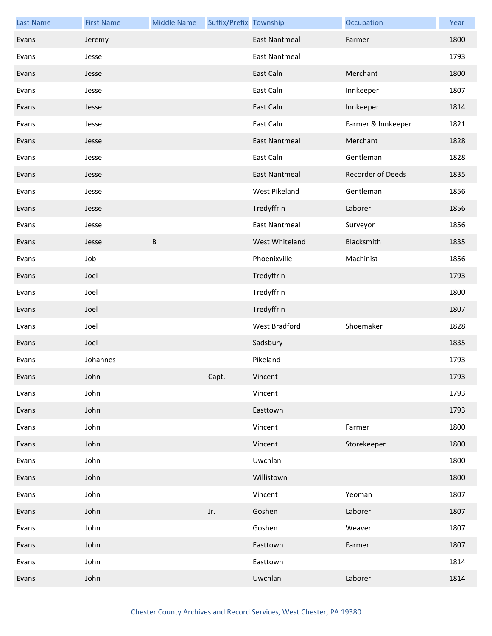| <b>Last Name</b> | <b>First Name</b> | <b>Middle Name</b> | Suffix/Prefix Township |                      | Occupation         | Year |
|------------------|-------------------|--------------------|------------------------|----------------------|--------------------|------|
| Evans            | Jeremy            |                    |                        | <b>East Nantmeal</b> | Farmer             | 1800 |
| Evans            | Jesse             |                    |                        | <b>East Nantmeal</b> |                    | 1793 |
| Evans            | Jesse             |                    |                        | East Caln            | Merchant           | 1800 |
| Evans            | Jesse             |                    |                        | East Caln            | Innkeeper          | 1807 |
| Evans            | Jesse             |                    |                        | East Caln            | Innkeeper          | 1814 |
| Evans            | Jesse             |                    |                        | East Caln            | Farmer & Innkeeper | 1821 |
| Evans            | Jesse             |                    |                        | <b>East Nantmeal</b> | Merchant           | 1828 |
| Evans            | Jesse             |                    |                        | East Caln            | Gentleman          | 1828 |
| Evans            | Jesse             |                    |                        | <b>East Nantmeal</b> | Recorder of Deeds  | 1835 |
| Evans            | Jesse             |                    |                        | West Pikeland        | Gentleman          | 1856 |
| Evans            | Jesse             |                    |                        | Tredyffrin           | Laborer            | 1856 |
| Evans            | Jesse             |                    |                        | <b>East Nantmeal</b> | Surveyor           | 1856 |
| Evans            | Jesse             | $\sf B$            |                        | West Whiteland       | Blacksmith         | 1835 |
| Evans            | Job               |                    |                        | Phoenixville         | Machinist          | 1856 |
| Evans            | Joel              |                    |                        | Tredyffrin           |                    | 1793 |
| Evans            | Joel              |                    |                        | Tredyffrin           |                    | 1800 |
| Evans            | Joel              |                    |                        | Tredyffrin           |                    | 1807 |
| Evans            | Joel              |                    |                        | West Bradford        | Shoemaker          | 1828 |
| Evans            | Joel              |                    |                        | Sadsbury             |                    | 1835 |
| Evans            | Johannes          |                    |                        | Pikeland             |                    | 1793 |
| Evans            | John              |                    | Capt.                  | Vincent              |                    | 1793 |
| Evans            | John              |                    |                        | Vincent              |                    | 1793 |
| Evans            | John              |                    |                        | Easttown             |                    | 1793 |
| Evans            | John              |                    |                        | Vincent              | Farmer             | 1800 |
| Evans            | John              |                    |                        | Vincent              | Storekeeper        | 1800 |
| Evans            | John              |                    |                        | Uwchlan              |                    | 1800 |
| Evans            | John              |                    |                        | Willistown           |                    | 1800 |
| Evans            | John              |                    |                        | Vincent              | Yeoman             | 1807 |
| Evans            | John              |                    | Jr.                    | Goshen               | Laborer            | 1807 |
| Evans            | John              |                    |                        | Goshen               | Weaver             | 1807 |
| Evans            | John              |                    |                        | Easttown             | Farmer             | 1807 |
| Evans            | John              |                    |                        | Easttown             |                    | 1814 |
| Evans            | John              |                    |                        | Uwchlan              | Laborer            | 1814 |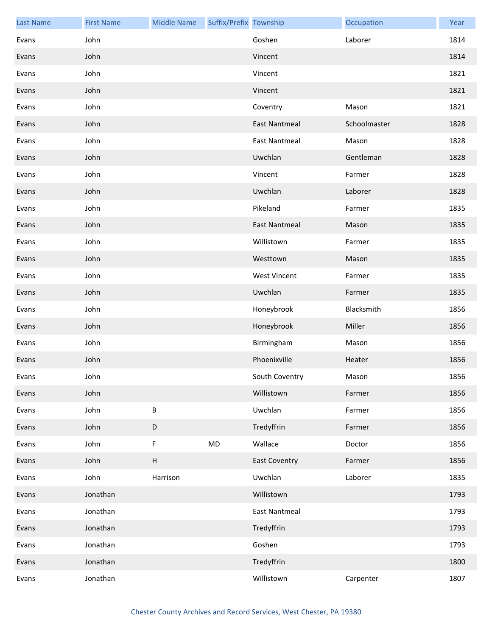| <b>Last Name</b> | <b>First Name</b> | <b>Middle Name</b> | Suffix/Prefix Township |                      | Occupation   | Year |
|------------------|-------------------|--------------------|------------------------|----------------------|--------------|------|
| Evans            | John              |                    |                        | Goshen               | Laborer      | 1814 |
| Evans            | John              |                    |                        | Vincent              |              | 1814 |
| Evans            | John              |                    |                        | Vincent              |              | 1821 |
| Evans            | John              |                    |                        | Vincent              |              | 1821 |
| Evans            | John              |                    |                        | Coventry             | Mason        | 1821 |
| Evans            | John              |                    |                        | <b>East Nantmeal</b> | Schoolmaster | 1828 |
| Evans            | John              |                    |                        | <b>East Nantmeal</b> | Mason        | 1828 |
| Evans            | John              |                    |                        | Uwchlan              | Gentleman    | 1828 |
| Evans            | John              |                    |                        | Vincent              | Farmer       | 1828 |
| Evans            | John              |                    |                        | Uwchlan              | Laborer      | 1828 |
| Evans            | John              |                    |                        | Pikeland             | Farmer       | 1835 |
| Evans            | John              |                    |                        | <b>East Nantmeal</b> | Mason        | 1835 |
| Evans            | John              |                    |                        | Willistown           | Farmer       | 1835 |
| Evans            | John              |                    |                        | Westtown             | Mason        | 1835 |
| Evans            | John              |                    |                        | <b>West Vincent</b>  | Farmer       | 1835 |
| Evans            | John              |                    |                        | Uwchlan              | Farmer       | 1835 |
| Evans            | John              |                    |                        | Honeybrook           | Blacksmith   | 1856 |
| Evans            | John              |                    |                        | Honeybrook           | Miller       | 1856 |
| Evans            | John              |                    |                        | Birmingham           | Mason        | 1856 |
| Evans            | John              |                    |                        | Phoenixville         | Heater       | 1856 |
| Evans            | John              |                    |                        | South Coventry       | Mason        | 1856 |
| Evans            | John              |                    |                        | Willistown           | Farmer       | 1856 |
| Evans            | John              | $\sf B$            |                        | Uwchlan              | Farmer       | 1856 |
| Evans            | John              | $\mathsf D$        |                        | Tredyffrin           | Farmer       | 1856 |
| Evans            | John              | F                  | MD                     | Wallace              | Doctor       | 1856 |
| Evans            | John              | $\sf H$            |                        | <b>East Coventry</b> | Farmer       | 1856 |
| Evans            | John              | Harrison           |                        | Uwchlan              | Laborer      | 1835 |
| Evans            | Jonathan          |                    |                        | Willistown           |              | 1793 |
| Evans            | Jonathan          |                    |                        | <b>East Nantmeal</b> |              | 1793 |
| Evans            | Jonathan          |                    |                        | Tredyffrin           |              | 1793 |
| Evans            | Jonathan          |                    |                        | Goshen               |              | 1793 |
| Evans            | Jonathan          |                    |                        | Tredyffrin           |              | 1800 |
| Evans            | Jonathan          |                    |                        | Willistown           | Carpenter    | 1807 |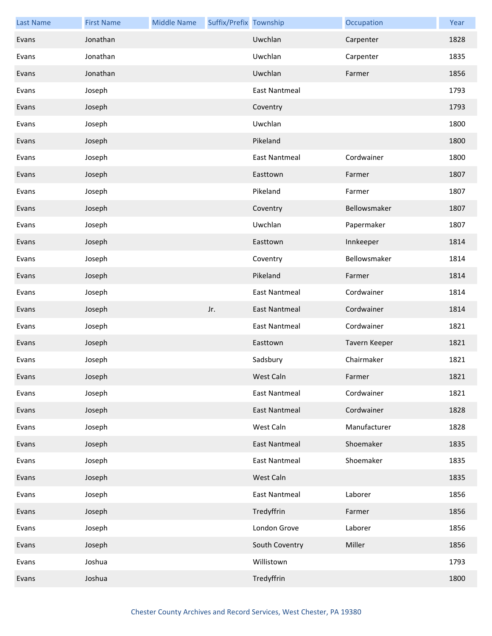| <b>Last Name</b> | <b>First Name</b> | <b>Middle Name</b> | Suffix/Prefix Township |                      | Occupation    | Year |
|------------------|-------------------|--------------------|------------------------|----------------------|---------------|------|
| Evans            | Jonathan          |                    |                        | Uwchlan              | Carpenter     | 1828 |
| Evans            | Jonathan          |                    |                        | Uwchlan              | Carpenter     | 1835 |
| Evans            | Jonathan          |                    |                        | Uwchlan              | Farmer        | 1856 |
| Evans            | Joseph            |                    |                        | <b>East Nantmeal</b> |               | 1793 |
| Evans            | Joseph            |                    |                        | Coventry             |               | 1793 |
| Evans            | Joseph            |                    |                        | Uwchlan              |               | 1800 |
| Evans            | Joseph            |                    |                        | Pikeland             |               | 1800 |
| Evans            | Joseph            |                    |                        | <b>East Nantmeal</b> | Cordwainer    | 1800 |
| Evans            | Joseph            |                    |                        | Easttown             | Farmer        | 1807 |
| Evans            | Joseph            |                    |                        | Pikeland             | Farmer        | 1807 |
| Evans            | Joseph            |                    |                        | Coventry             | Bellowsmaker  | 1807 |
| Evans            | Joseph            |                    |                        | Uwchlan              | Papermaker    | 1807 |
| Evans            | Joseph            |                    |                        | Easttown             | Innkeeper     | 1814 |
| Evans            | Joseph            |                    |                        | Coventry             | Bellowsmaker  | 1814 |
| Evans            | Joseph            |                    |                        | Pikeland             | Farmer        | 1814 |
| Evans            | Joseph            |                    |                        | <b>East Nantmeal</b> | Cordwainer    | 1814 |
| Evans            | Joseph            |                    | Jr.                    | <b>East Nantmeal</b> | Cordwainer    | 1814 |
| Evans            | Joseph            |                    |                        | <b>East Nantmeal</b> | Cordwainer    | 1821 |
| Evans            | Joseph            |                    |                        | Easttown             | Tavern Keeper | 1821 |
| Evans            | Joseph            |                    |                        | Sadsbury             | Chairmaker    | 1821 |
| Evans            | Joseph            |                    |                        | West Caln            | Farmer        | 1821 |
| Evans            | Joseph            |                    |                        | <b>East Nantmeal</b> | Cordwainer    | 1821 |
| Evans            | Joseph            |                    |                        | <b>East Nantmeal</b> | Cordwainer    | 1828 |
| Evans            | Joseph            |                    |                        | West Caln            | Manufacturer  | 1828 |
| Evans            | Joseph            |                    |                        | <b>East Nantmeal</b> | Shoemaker     | 1835 |
| Evans            | Joseph            |                    |                        | <b>East Nantmeal</b> | Shoemaker     | 1835 |
| Evans            | Joseph            |                    |                        | West Caln            |               | 1835 |
| Evans            | Joseph            |                    |                        | <b>East Nantmeal</b> | Laborer       | 1856 |
| Evans            | Joseph            |                    |                        | Tredyffrin           | Farmer        | 1856 |
| Evans            | Joseph            |                    |                        | London Grove         | Laborer       | 1856 |
| Evans            | Joseph            |                    |                        | South Coventry       | Miller        | 1856 |
| Evans            | Joshua            |                    |                        | Willistown           |               | 1793 |
| Evans            | Joshua            |                    |                        | Tredyffrin           |               | 1800 |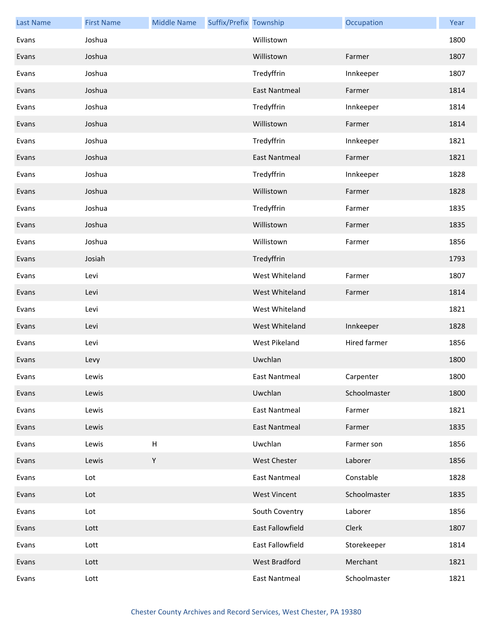| <b>Last Name</b> | <b>First Name</b> | <b>Middle Name</b> | Suffix/Prefix Township |                      | Occupation   | Year |
|------------------|-------------------|--------------------|------------------------|----------------------|--------------|------|
| Evans            | Joshua            |                    |                        | Willistown           |              | 1800 |
| Evans            | Joshua            |                    |                        | Willistown           | Farmer       | 1807 |
| Evans            | Joshua            |                    |                        | Tredyffrin           | Innkeeper    | 1807 |
| Evans            | Joshua            |                    |                        | <b>East Nantmeal</b> | Farmer       | 1814 |
| Evans            | Joshua            |                    |                        | Tredyffrin           | Innkeeper    | 1814 |
| Evans            | Joshua            |                    |                        | Willistown           | Farmer       | 1814 |
| Evans            | Joshua            |                    |                        | Tredyffrin           | Innkeeper    | 1821 |
| Evans            | Joshua            |                    |                        | <b>East Nantmeal</b> | Farmer       | 1821 |
| Evans            | Joshua            |                    |                        | Tredyffrin           | Innkeeper    | 1828 |
| Evans            | Joshua            |                    |                        | Willistown           | Farmer       | 1828 |
| Evans            | Joshua            |                    |                        | Tredyffrin           | Farmer       | 1835 |
| Evans            | Joshua            |                    |                        | Willistown           | Farmer       | 1835 |
| Evans            | Joshua            |                    |                        | Willistown           | Farmer       | 1856 |
| Evans            | Josiah            |                    |                        | Tredyffrin           |              | 1793 |
| Evans            | Levi              |                    |                        | West Whiteland       | Farmer       | 1807 |
| Evans            | Levi              |                    |                        | West Whiteland       | Farmer       | 1814 |
| Evans            | Levi              |                    |                        | West Whiteland       |              | 1821 |
| Evans            | Levi              |                    |                        | West Whiteland       | Innkeeper    | 1828 |
| Evans            | Levi              |                    |                        | <b>West Pikeland</b> | Hired farmer | 1856 |
| Evans            | Levy              |                    |                        | Uwchlan              |              | 1800 |
| Evans            | Lewis             |                    |                        | East Nantmeal        | Carpenter    | 1800 |
| Evans            | Lewis             |                    |                        | Uwchlan              | Schoolmaster | 1800 |
| Evans            | Lewis             |                    |                        | <b>East Nantmeal</b> | Farmer       | 1821 |
| Evans            | Lewis             |                    |                        | <b>East Nantmeal</b> | Farmer       | 1835 |
| Evans            | Lewis             | H                  |                        | Uwchlan              | Farmer son   | 1856 |
| Evans            | Lewis             | Υ                  |                        | <b>West Chester</b>  | Laborer      | 1856 |
| Evans            | Lot               |                    |                        | <b>East Nantmeal</b> | Constable    | 1828 |
| Evans            | Lot               |                    |                        | <b>West Vincent</b>  | Schoolmaster | 1835 |
| Evans            | Lot               |                    |                        | South Coventry       | Laborer      | 1856 |
| Evans            | Lott              |                    |                        | East Fallowfield     | Clerk        | 1807 |
| Evans            | Lott              |                    |                        | East Fallowfield     | Storekeeper  | 1814 |
| Evans            | Lott              |                    |                        | West Bradford        | Merchant     | 1821 |
| Evans            | Lott              |                    |                        | East Nantmeal        | Schoolmaster | 1821 |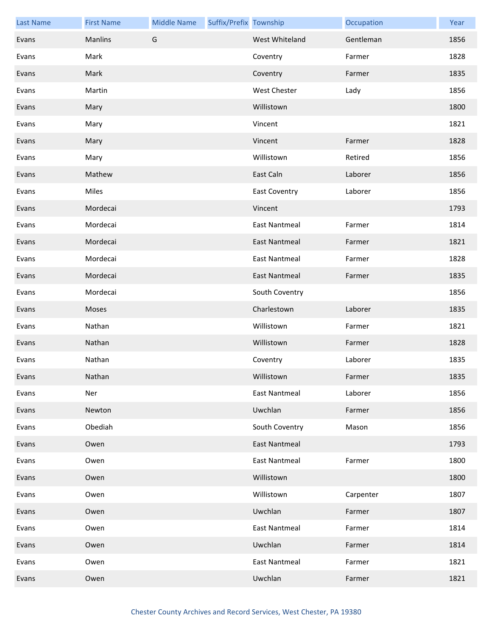| <b>Last Name</b> | <b>First Name</b> | <b>Middle Name</b> | Suffix/Prefix Township |                      | Occupation | Year |
|------------------|-------------------|--------------------|------------------------|----------------------|------------|------|
| Evans            | Manlins           | G                  |                        | West Whiteland       | Gentleman  | 1856 |
| Evans            | Mark              |                    |                        | Coventry             | Farmer     | 1828 |
| Evans            | Mark              |                    |                        | Coventry             | Farmer     | 1835 |
| Evans            | Martin            |                    |                        | <b>West Chester</b>  | Lady       | 1856 |
| Evans            | Mary              |                    |                        | Willistown           |            | 1800 |
| Evans            | Mary              |                    |                        | Vincent              |            | 1821 |
| Evans            | Mary              |                    |                        | Vincent              | Farmer     | 1828 |
| Evans            | Mary              |                    |                        | Willistown           | Retired    | 1856 |
| Evans            | Mathew            |                    |                        | East Caln            | Laborer    | 1856 |
| Evans            | Miles             |                    |                        | East Coventry        | Laborer    | 1856 |
| Evans            | Mordecai          |                    |                        | Vincent              |            | 1793 |
| Evans            | Mordecai          |                    |                        | <b>East Nantmeal</b> | Farmer     | 1814 |
| Evans            | Mordecai          |                    |                        | East Nantmeal        | Farmer     | 1821 |
| Evans            | Mordecai          |                    |                        | <b>East Nantmeal</b> | Farmer     | 1828 |
| Evans            | Mordecai          |                    |                        | <b>East Nantmeal</b> | Farmer     | 1835 |
| Evans            | Mordecai          |                    |                        | South Coventry       |            | 1856 |
| Evans            | Moses             |                    |                        | Charlestown          | Laborer    | 1835 |
| Evans            | Nathan            |                    |                        | Willistown           | Farmer     | 1821 |
| Evans            | Nathan            |                    |                        | Willistown           | Farmer     | 1828 |
| Evans            | Nathan            |                    |                        | Coventry             | Laborer    | 1835 |
| Evans            | Nathan            |                    |                        | Willistown           | Farmer     | 1835 |
| Evans            | Ner               |                    |                        | <b>East Nantmeal</b> | Laborer    | 1856 |
| Evans            | Newton            |                    |                        | Uwchlan              | Farmer     | 1856 |
| Evans            | Obediah           |                    |                        | South Coventry       | Mason      | 1856 |
| Evans            | Owen              |                    |                        | <b>East Nantmeal</b> |            | 1793 |
| Evans            | Owen              |                    |                        | East Nantmeal        | Farmer     | 1800 |
| Evans            | Owen              |                    |                        | Willistown           |            | 1800 |
| Evans            | Owen              |                    |                        | Willistown           | Carpenter  | 1807 |
| Evans            | Owen              |                    |                        | Uwchlan              | Farmer     | 1807 |
| Evans            | Owen              |                    |                        | <b>East Nantmeal</b> | Farmer     | 1814 |
| Evans            | Owen              |                    |                        | Uwchlan              | Farmer     | 1814 |
| Evans            | Owen              |                    |                        | <b>East Nantmeal</b> | Farmer     | 1821 |
| Evans            | Owen              |                    |                        | Uwchlan              | Farmer     | 1821 |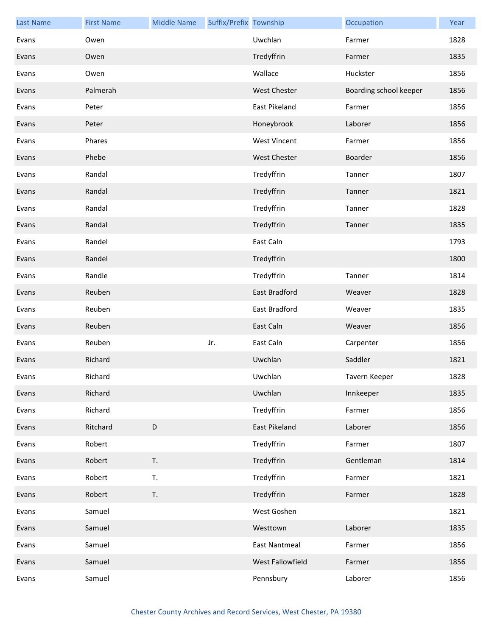| <b>Last Name</b> | <b>First Name</b> | <b>Middle Name</b> | Suffix/Prefix Township |                      | Occupation             | Year |
|------------------|-------------------|--------------------|------------------------|----------------------|------------------------|------|
| Evans            | Owen              |                    |                        | Uwchlan              | Farmer                 | 1828 |
| Evans            | Owen              |                    |                        | Tredyffrin           | Farmer                 | 1835 |
| Evans            | Owen              |                    |                        | Wallace              | Huckster               | 1856 |
| Evans            | Palmerah          |                    |                        | <b>West Chester</b>  | Boarding school keeper | 1856 |
| Evans            | Peter             |                    |                        | East Pikeland        | Farmer                 | 1856 |
| Evans            | Peter             |                    |                        | Honeybrook           | Laborer                | 1856 |
| Evans            | Phares            |                    |                        | <b>West Vincent</b>  | Farmer                 | 1856 |
| Evans            | Phebe             |                    |                        | <b>West Chester</b>  | Boarder                | 1856 |
| Evans            | Randal            |                    |                        | Tredyffrin           | Tanner                 | 1807 |
| Evans            | Randal            |                    |                        | Tredyffrin           | Tanner                 | 1821 |
| Evans            | Randal            |                    |                        | Tredyffrin           | Tanner                 | 1828 |
| Evans            | Randal            |                    |                        | Tredyffrin           | Tanner                 | 1835 |
| Evans            | Randel            |                    |                        | East Caln            |                        | 1793 |
| Evans            | Randel            |                    |                        | Tredyffrin           |                        | 1800 |
| Evans            | Randle            |                    |                        | Tredyffrin           | Tanner                 | 1814 |
| Evans            | Reuben            |                    |                        | <b>East Bradford</b> | Weaver                 | 1828 |
| Evans            | Reuben            |                    |                        | East Bradford        | Weaver                 | 1835 |
| Evans            | Reuben            |                    |                        | East Caln            | Weaver                 | 1856 |
| Evans            | Reuben            |                    | Jr.                    | East Caln            | Carpenter              | 1856 |
| Evans            | Richard           |                    |                        | Uwchlan              | Saddler                | 1821 |
| Evans            | Richard           |                    |                        | Uwchlan              | Tavern Keeper          | 1828 |
| Evans            | Richard           |                    |                        | Uwchlan              | Innkeeper              | 1835 |
| Evans            | Richard           |                    |                        | Tredyffrin           | Farmer                 | 1856 |
| Evans            | Ritchard          | $\mathsf D$        |                        | <b>East Pikeland</b> | Laborer                | 1856 |
| Evans            | Robert            |                    |                        | Tredyffrin           | Farmer                 | 1807 |
| Evans            | Robert            | T.                 |                        | Tredyffrin           | Gentleman              | 1814 |
| Evans            | Robert            | T.                 |                        | Tredyffrin           | Farmer                 | 1821 |
| Evans            | Robert            | T.                 |                        | Tredyffrin           | Farmer                 | 1828 |
| Evans            | Samuel            |                    |                        | West Goshen          |                        | 1821 |
| Evans            | Samuel            |                    |                        | Westtown             | Laborer                | 1835 |
| Evans            | Samuel            |                    |                        | East Nantmeal        | Farmer                 | 1856 |
| Evans            | Samuel            |                    |                        | West Fallowfield     | Farmer                 | 1856 |
| Evans            | Samuel            |                    |                        | Pennsbury            | Laborer                | 1856 |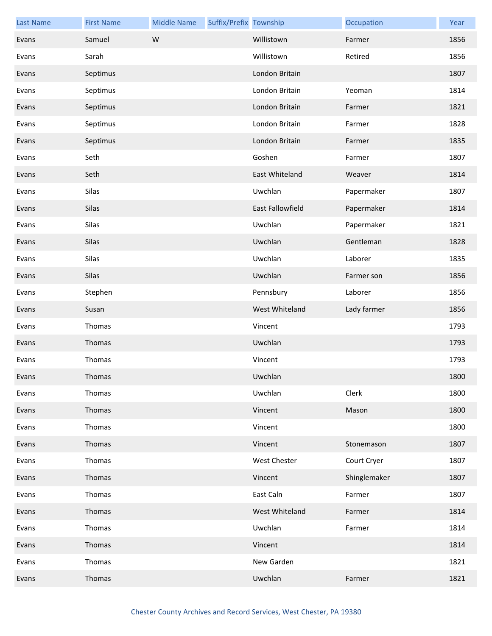| <b>Last Name</b> | <b>First Name</b> | <b>Middle Name</b> | Suffix/Prefix Township |                         | Occupation   | Year |
|------------------|-------------------|--------------------|------------------------|-------------------------|--------------|------|
| Evans            | Samuel            | W                  |                        | Willistown              | Farmer       | 1856 |
| Evans            | Sarah             |                    |                        | Willistown              | Retired      | 1856 |
| Evans            | Septimus          |                    |                        | London Britain          |              | 1807 |
| Evans            | Septimus          |                    |                        | London Britain          | Yeoman       | 1814 |
| Evans            | Septimus          |                    |                        | London Britain          | Farmer       | 1821 |
| Evans            | Septimus          |                    |                        | London Britain          | Farmer       | 1828 |
| Evans            | Septimus          |                    |                        | London Britain          | Farmer       | 1835 |
| Evans            | Seth              |                    |                        | Goshen                  | Farmer       | 1807 |
| Evans            | Seth              |                    |                        | East Whiteland          | Weaver       | 1814 |
| Evans            | Silas             |                    |                        | Uwchlan                 | Papermaker   | 1807 |
| Evans            | Silas             |                    |                        | <b>East Fallowfield</b> | Papermaker   | 1814 |
| Evans            | Silas             |                    |                        | Uwchlan                 | Papermaker   | 1821 |
| Evans            | Silas             |                    |                        | Uwchlan                 | Gentleman    | 1828 |
| Evans            | Silas             |                    |                        | Uwchlan                 | Laborer      | 1835 |
| Evans            | Silas             |                    |                        | Uwchlan                 | Farmer son   | 1856 |
| Evans            | Stephen           |                    |                        | Pennsbury               | Laborer      | 1856 |
| Evans            | Susan             |                    |                        | West Whiteland          | Lady farmer  | 1856 |
| Evans            | Thomas            |                    |                        | Vincent                 |              | 1793 |
| Evans            | Thomas            |                    |                        | Uwchlan                 |              | 1793 |
| Evans            | Thomas            |                    |                        | Vincent                 |              | 1793 |
| Evans            | Thomas            |                    |                        | Uwchlan                 |              | 1800 |
| Evans            | Thomas            |                    |                        | Uwchlan                 | Clerk        | 1800 |
| Evans            | Thomas            |                    |                        | Vincent                 | Mason        | 1800 |
| Evans            | Thomas            |                    |                        | Vincent                 |              | 1800 |
| Evans            | Thomas            |                    |                        | Vincent                 | Stonemason   | 1807 |
| Evans            | Thomas            |                    |                        | West Chester            | Court Cryer  | 1807 |
| Evans            | Thomas            |                    |                        | Vincent                 | Shinglemaker | 1807 |
| Evans            | Thomas            |                    |                        | East Caln               | Farmer       | 1807 |
| Evans            | Thomas            |                    |                        | West Whiteland          | Farmer       | 1814 |
| Evans            | Thomas            |                    |                        | Uwchlan                 | Farmer       | 1814 |
| Evans            | Thomas            |                    |                        | Vincent                 |              | 1814 |
| Evans            | Thomas            |                    |                        | New Garden              |              | 1821 |
| Evans            | Thomas            |                    |                        | Uwchlan                 | Farmer       | 1821 |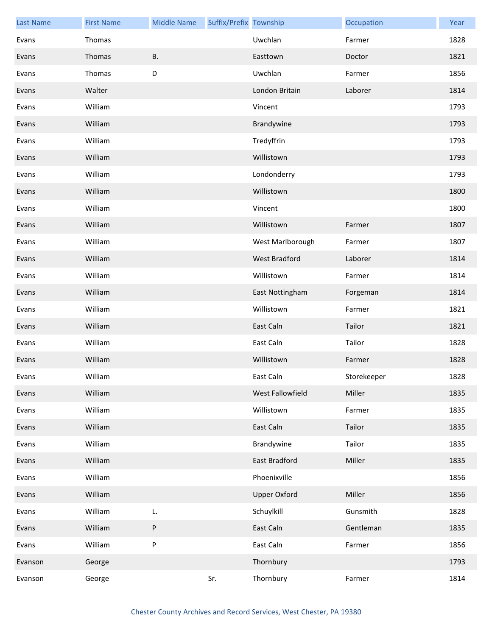| <b>Last Name</b> | <b>First Name</b> | <b>Middle Name</b> | Suffix/Prefix Township |                      | Occupation  | Year |
|------------------|-------------------|--------------------|------------------------|----------------------|-------------|------|
| Evans            | Thomas            |                    |                        | Uwchlan              | Farmer      | 1828 |
| Evans            | Thomas            | <b>B.</b>          |                        | Easttown             | Doctor      | 1821 |
| Evans            | Thomas            | D                  |                        | Uwchlan              | Farmer      | 1856 |
| Evans            | Walter            |                    |                        | London Britain       | Laborer     | 1814 |
| Evans            | William           |                    |                        | Vincent              |             | 1793 |
| Evans            | William           |                    |                        | Brandywine           |             | 1793 |
| Evans            | William           |                    |                        | Tredyffrin           |             | 1793 |
| Evans            | William           |                    |                        | Willistown           |             | 1793 |
| Evans            | William           |                    |                        | Londonderry          |             | 1793 |
| Evans            | William           |                    |                        | Willistown           |             | 1800 |
| Evans            | William           |                    |                        | Vincent              |             | 1800 |
| Evans            | William           |                    |                        | Willistown           | Farmer      | 1807 |
| Evans            | William           |                    |                        | West Marlborough     | Farmer      | 1807 |
| Evans            | William           |                    |                        | West Bradford        | Laborer     | 1814 |
| Evans            | William           |                    |                        | Willistown           | Farmer      | 1814 |
| Evans            | William           |                    |                        | East Nottingham      | Forgeman    | 1814 |
| Evans            | William           |                    |                        | Willistown           | Farmer      | 1821 |
| Evans            | William           |                    |                        | East Caln            | Tailor      | 1821 |
| Evans            | William           |                    |                        | East Caln            | Tailor      | 1828 |
| Evans            | William           |                    |                        | Willistown           | Farmer      | 1828 |
| Evans            | William           |                    |                        | East Caln            | Storekeeper | 1828 |
| Evans            | William           |                    |                        | West Fallowfield     | Miller      | 1835 |
| Evans            | William           |                    |                        | Willistown           | Farmer      | 1835 |
| Evans            | William           |                    |                        | East Caln            | Tailor      | 1835 |
| Evans            | William           |                    |                        | Brandywine           | Tailor      | 1835 |
| Evans            | William           |                    |                        | <b>East Bradford</b> | Miller      | 1835 |
| Evans            | William           |                    |                        | Phoenixville         |             | 1856 |
| Evans            | William           |                    |                        | <b>Upper Oxford</b>  | Miller      | 1856 |
| Evans            | William           | L.                 |                        | Schuylkill           | Gunsmith    | 1828 |
| Evans            | William           | ${\sf P}$          |                        | East Caln            | Gentleman   | 1835 |
| Evans            | William           | P                  |                        | East Caln            | Farmer      | 1856 |
| Evanson          | George            |                    |                        | Thornbury            |             | 1793 |
| Evanson          | George            |                    | Sr.                    | Thornbury            | Farmer      | 1814 |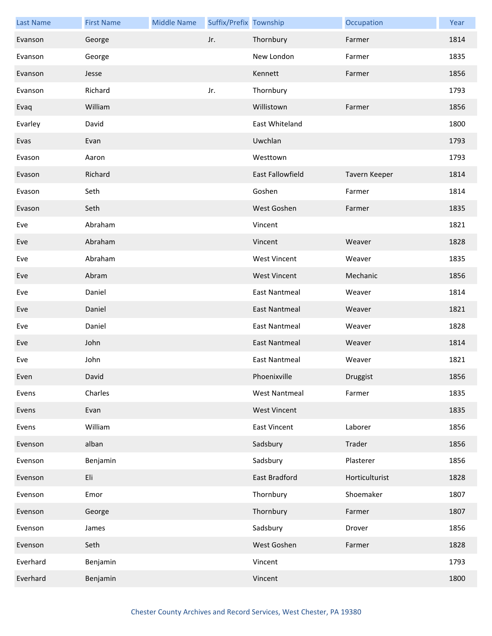| <b>Last Name</b> | <b>First Name</b> | <b>Middle Name</b> | Suffix/Prefix Township |                      | Occupation     | Year |
|------------------|-------------------|--------------------|------------------------|----------------------|----------------|------|
| Evanson          | George            |                    | Jr.                    | Thornbury            | Farmer         | 1814 |
| Evanson          | George            |                    |                        | New London           | Farmer         | 1835 |
| Evanson          | Jesse             |                    |                        | Kennett              | Farmer         | 1856 |
| Evanson          | Richard           |                    | Jr.                    | Thornbury            |                | 1793 |
| Evaq             | William           |                    |                        | Willistown           | Farmer         | 1856 |
| Evarley          | David             |                    |                        | East Whiteland       |                | 1800 |
| Evas             | Evan              |                    |                        | Uwchlan              |                | 1793 |
| Evason           | Aaron             |                    |                        | Westtown             |                | 1793 |
| Evason           | Richard           |                    |                        | East Fallowfield     | Tavern Keeper  | 1814 |
| Evason           | Seth              |                    |                        | Goshen               | Farmer         | 1814 |
| Evason           | Seth              |                    |                        | West Goshen          | Farmer         | 1835 |
| Eve              | Abraham           |                    |                        | Vincent              |                | 1821 |
| Eve              | Abraham           |                    |                        | Vincent              | Weaver         | 1828 |
| Eve              | Abraham           |                    |                        | <b>West Vincent</b>  | Weaver         | 1835 |
| Eve              | Abram             |                    |                        | <b>West Vincent</b>  | Mechanic       | 1856 |
| Eve              | Daniel            |                    |                        | <b>East Nantmeal</b> | Weaver         | 1814 |
| Eve              | Daniel            |                    |                        | East Nantmeal        | Weaver         | 1821 |
| Eve              | Daniel            |                    |                        | <b>East Nantmeal</b> | Weaver         | 1828 |
| Eve              | John              |                    |                        | <b>East Nantmeal</b> | Weaver         | 1814 |
| Eve              | John              |                    |                        | East Nantmeal        | Weaver         | 1821 |
| Even             | David             |                    |                        | Phoenixville         | Druggist       | 1856 |
| Evens            | Charles           |                    |                        | <b>West Nantmeal</b> | Farmer         | 1835 |
| Evens            | Evan              |                    |                        | <b>West Vincent</b>  |                | 1835 |
| Evens            | William           |                    |                        | <b>East Vincent</b>  | Laborer        | 1856 |
| Evenson          | alban             |                    |                        | Sadsbury             | Trader         | 1856 |
| Evenson          | Benjamin          |                    |                        | Sadsbury             | Plasterer      | 1856 |
| Evenson          | Eli               |                    |                        | East Bradford        | Horticulturist | 1828 |
| Evenson          | Emor              |                    |                        | Thornbury            | Shoemaker      | 1807 |
| Evenson          | George            |                    |                        | Thornbury            | Farmer         | 1807 |
| Evenson          | James             |                    |                        | Sadsbury             | Drover         | 1856 |
| Evenson          | Seth              |                    |                        | West Goshen          | Farmer         | 1828 |
| Everhard         | Benjamin          |                    |                        | Vincent              |                | 1793 |
| Everhard         | Benjamin          |                    |                        | Vincent              |                | 1800 |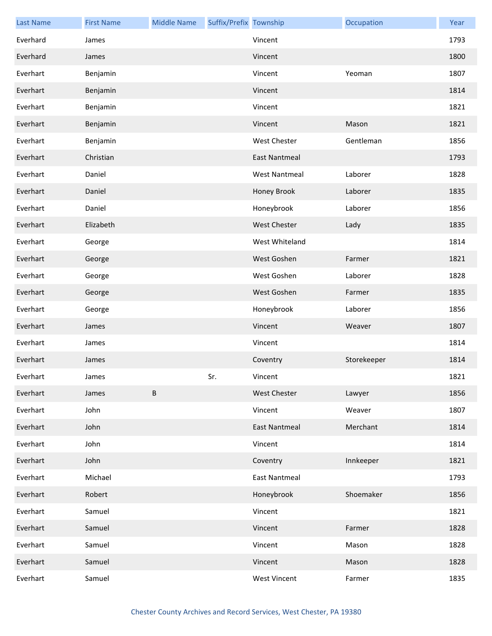| <b>Last Name</b> | <b>First Name</b> | <b>Middle Name</b> | Suffix/Prefix Township |                      | Occupation  | Year |
|------------------|-------------------|--------------------|------------------------|----------------------|-------------|------|
| Everhard         | James             |                    |                        | Vincent              |             | 1793 |
| Everhard         | James             |                    |                        | Vincent              |             | 1800 |
| Everhart         | Benjamin          |                    |                        | Vincent              | Yeoman      | 1807 |
| Everhart         | Benjamin          |                    |                        | Vincent              |             | 1814 |
| Everhart         | Benjamin          |                    |                        | Vincent              |             | 1821 |
| Everhart         | Benjamin          |                    |                        | Vincent              | Mason       | 1821 |
| Everhart         | Benjamin          |                    |                        | <b>West Chester</b>  | Gentleman   | 1856 |
| Everhart         | Christian         |                    |                        | <b>East Nantmeal</b> |             | 1793 |
| Everhart         | Daniel            |                    |                        | <b>West Nantmeal</b> | Laborer     | 1828 |
| Everhart         | Daniel            |                    |                        | Honey Brook          | Laborer     | 1835 |
| Everhart         | Daniel            |                    |                        | Honeybrook           | Laborer     | 1856 |
| Everhart         | Elizabeth         |                    |                        | <b>West Chester</b>  | Lady        | 1835 |
| Everhart         | George            |                    |                        | West Whiteland       |             | 1814 |
| Everhart         | George            |                    |                        | West Goshen          | Farmer      | 1821 |
| Everhart         | George            |                    |                        | West Goshen          | Laborer     | 1828 |
| Everhart         | George            |                    |                        | West Goshen          | Farmer      | 1835 |
| Everhart         | George            |                    |                        | Honeybrook           | Laborer     | 1856 |
| Everhart         | James             |                    |                        | Vincent              | Weaver      | 1807 |
| Everhart         | James             |                    |                        | Vincent              |             | 1814 |
| Everhart         | James             |                    |                        | Coventry             | Storekeeper | 1814 |
| Everhart         | James             |                    | Sr.                    | Vincent              |             | 1821 |
| Everhart         | James             | B                  |                        | <b>West Chester</b>  | Lawyer      | 1856 |
| Everhart         | John              |                    |                        | Vincent              | Weaver      | 1807 |
| Everhart         | John              |                    |                        | <b>East Nantmeal</b> | Merchant    | 1814 |
| Everhart         | John              |                    |                        | Vincent              |             | 1814 |
| Everhart         | John              |                    |                        | Coventry             | Innkeeper   | 1821 |
| Everhart         | Michael           |                    |                        | <b>East Nantmeal</b> |             | 1793 |
| Everhart         | Robert            |                    |                        | Honeybrook           | Shoemaker   | 1856 |
| Everhart         | Samuel            |                    |                        | Vincent              |             | 1821 |
| Everhart         | Samuel            |                    |                        | Vincent              | Farmer      | 1828 |
| Everhart         | Samuel            |                    |                        | Vincent              | Mason       | 1828 |
| Everhart         | Samuel            |                    |                        | Vincent              | Mason       | 1828 |
| Everhart         | Samuel            |                    |                        | <b>West Vincent</b>  | Farmer      | 1835 |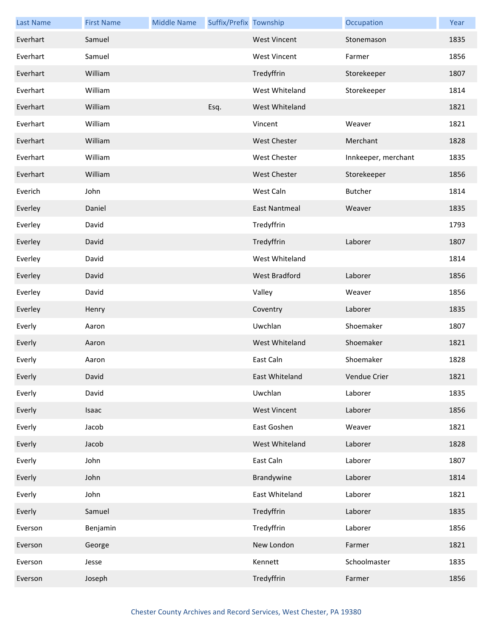| <b>Last Name</b> | <b>First Name</b> | <b>Middle Name</b> | Suffix/Prefix Township |                       | Occupation          | Year |
|------------------|-------------------|--------------------|------------------------|-----------------------|---------------------|------|
| Everhart         | Samuel            |                    |                        | <b>West Vincent</b>   | Stonemason          | 1835 |
| Everhart         | Samuel            |                    |                        | <b>West Vincent</b>   | Farmer              | 1856 |
| Everhart         | William           |                    |                        | Tredyffrin            | Storekeeper         | 1807 |
| Everhart         | William           |                    |                        | West Whiteland        | Storekeeper         | 1814 |
| Everhart         | William           |                    | Esq.                   | West Whiteland        |                     | 1821 |
| Everhart         | William           |                    |                        | Vincent               | Weaver              | 1821 |
| Everhart         | William           |                    |                        | <b>West Chester</b>   | Merchant            | 1828 |
| Everhart         | William           |                    |                        | <b>West Chester</b>   | Innkeeper, merchant | 1835 |
| Everhart         | William           |                    |                        | <b>West Chester</b>   | Storekeeper         | 1856 |
| Everich          | John              |                    |                        | West Caln             | <b>Butcher</b>      | 1814 |
| Everley          | Daniel            |                    |                        | <b>East Nantmeal</b>  | Weaver              | 1835 |
| Everley          | David             |                    |                        | Tredyffrin            |                     | 1793 |
| Everley          | David             |                    |                        | Tredyffrin            | Laborer             | 1807 |
| Everley          | David             |                    |                        | West Whiteland        |                     | 1814 |
| Everley          | David             |                    |                        | <b>West Bradford</b>  | Laborer             | 1856 |
| Everley          | David             |                    |                        | Valley                | Weaver              | 1856 |
| Everley          | Henry             |                    |                        | Coventry              | Laborer             | 1835 |
| Everly           | Aaron             |                    |                        | Uwchlan               | Shoemaker           | 1807 |
| Everly           | Aaron             |                    |                        | West Whiteland        | Shoemaker           | 1821 |
| Everly           | Aaron             |                    |                        | East Caln             | Shoemaker           | 1828 |
| Everly           | David             |                    |                        | <b>East Whiteland</b> | Vendue Crier        | 1821 |
| Everly           | David             |                    |                        | Uwchlan               | Laborer             | 1835 |
| Everly           | Isaac             |                    |                        | <b>West Vincent</b>   | Laborer             | 1856 |
| Everly           | Jacob             |                    |                        | East Goshen           | Weaver              | 1821 |
| Everly           | Jacob             |                    |                        | West Whiteland        | Laborer             | 1828 |
| Everly           | John              |                    |                        | East Caln             | Laborer             | 1807 |
| Everly           | John              |                    |                        | Brandywine            | Laborer             | 1814 |
| Everly           | John              |                    |                        | East Whiteland        | Laborer             | 1821 |
| Everly           | Samuel            |                    |                        | Tredyffrin            | Laborer             | 1835 |
| Everson          | Benjamin          |                    |                        | Tredyffrin            | Laborer             | 1856 |
| Everson          | George            |                    |                        | New London            | Farmer              | 1821 |
| Everson          | Jesse             |                    |                        | Kennett               | Schoolmaster        | 1835 |
| Everson          | Joseph            |                    |                        | Tredyffrin            | Farmer              | 1856 |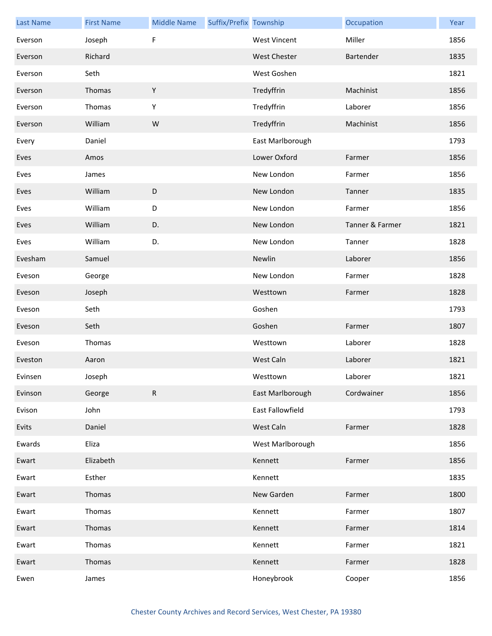| <b>Last Name</b> | <b>First Name</b> | <b>Middle Name</b> | Suffix/Prefix Township |                     | Occupation      | Year |
|------------------|-------------------|--------------------|------------------------|---------------------|-----------------|------|
| Everson          | Joseph            | F                  |                        | <b>West Vincent</b> | Miller          | 1856 |
| Everson          | Richard           |                    |                        | <b>West Chester</b> | Bartender       | 1835 |
| Everson          | Seth              |                    |                        | West Goshen         |                 | 1821 |
| Everson          | Thomas            | $\mathsf Y$        |                        | Tredyffrin          | Machinist       | 1856 |
| Everson          | Thomas            | Y                  |                        | Tredyffrin          | Laborer         | 1856 |
| Everson          | William           | W                  |                        | Tredyffrin          | Machinist       | 1856 |
| Every            | Daniel            |                    |                        | East Marlborough    |                 | 1793 |
| Eves             | Amos              |                    |                        | Lower Oxford        | Farmer          | 1856 |
| Eves             | James             |                    |                        | New London          | Farmer          | 1856 |
| Eves             | William           | D                  |                        | New London          | Tanner          | 1835 |
| Eves             | William           | $\mathsf D$        |                        | New London          | Farmer          | 1856 |
| Eves             | William           | D.                 |                        | New London          | Tanner & Farmer | 1821 |
| Eves             | William           | D.                 |                        | New London          | Tanner          | 1828 |
| Evesham          | Samuel            |                    |                        | Newlin              | Laborer         | 1856 |
| Eveson           | George            |                    |                        | New London          | Farmer          | 1828 |
| Eveson           | Joseph            |                    |                        | Westtown            | Farmer          | 1828 |
| Eveson           | Seth              |                    |                        | Goshen              |                 | 1793 |
| Eveson           | Seth              |                    |                        | Goshen              | Farmer          | 1807 |
| Eveson           | Thomas            |                    |                        | Westtown            | Laborer         | 1828 |
| Eveston          | Aaron             |                    |                        | West Caln           | Laborer         | 1821 |
| Evinsen          | Joseph            |                    |                        | Westtown            | Laborer         | 1821 |
| Evinson          | George            | ${\sf R}$          |                        | East Marlborough    | Cordwainer      | 1856 |
| Evison           | John              |                    |                        | East Fallowfield    |                 | 1793 |
| Evits            | Daniel            |                    |                        | West Caln           | Farmer          | 1828 |
| Ewards           | Eliza             |                    |                        | West Marlborough    |                 | 1856 |
| Ewart            | Elizabeth         |                    |                        | Kennett             | Farmer          | 1856 |
| Ewart            | Esther            |                    |                        | Kennett             |                 | 1835 |
| Ewart            | Thomas            |                    |                        | New Garden          | Farmer          | 1800 |
| Ewart            | Thomas            |                    |                        | Kennett             | Farmer          | 1807 |
| Ewart            | Thomas            |                    |                        | Kennett             | Farmer          | 1814 |
| Ewart            | Thomas            |                    |                        | Kennett             | Farmer          | 1821 |
| Ewart            | Thomas            |                    |                        | Kennett             | Farmer          | 1828 |
| Ewen             | James             |                    |                        | Honeybrook          | Cooper          | 1856 |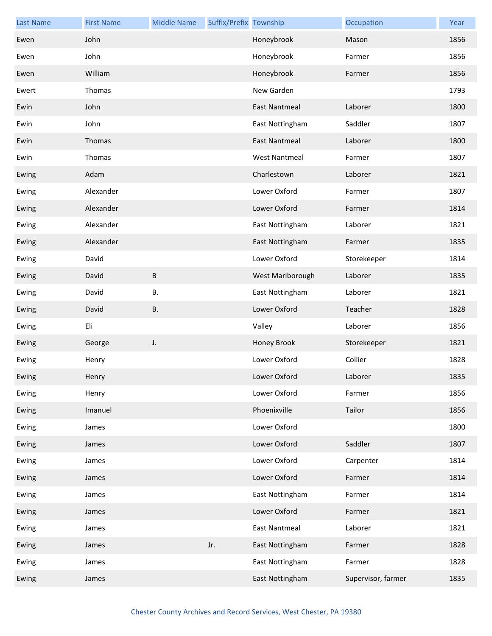| <b>Last Name</b> | <b>First Name</b> | <b>Middle Name</b> | Suffix/Prefix Township |                      | Occupation         | Year |
|------------------|-------------------|--------------------|------------------------|----------------------|--------------------|------|
| Ewen             | John              |                    |                        | Honeybrook           | Mason              | 1856 |
| Ewen             | John              |                    |                        | Honeybrook           | Farmer             | 1856 |
| Ewen             | William           |                    |                        | Honeybrook           | Farmer             | 1856 |
| Ewert            | Thomas            |                    |                        | New Garden           |                    | 1793 |
| Ewin             | John              |                    |                        | <b>East Nantmeal</b> | Laborer            | 1800 |
| Ewin             | John              |                    |                        | East Nottingham      | Saddler            | 1807 |
| Ewin             | Thomas            |                    |                        | <b>East Nantmeal</b> | Laborer            | 1800 |
| Ewin             | Thomas            |                    |                        | <b>West Nantmeal</b> | Farmer             | 1807 |
| Ewing            | Adam              |                    |                        | Charlestown          | Laborer            | 1821 |
| Ewing            | Alexander         |                    |                        | Lower Oxford         | Farmer             | 1807 |
| Ewing            | Alexander         |                    |                        | Lower Oxford         | Farmer             | 1814 |
| Ewing            | Alexander         |                    |                        | East Nottingham      | Laborer            | 1821 |
| Ewing            | Alexander         |                    |                        | East Nottingham      | Farmer             | 1835 |
| Ewing            | David             |                    |                        | Lower Oxford         | Storekeeper        | 1814 |
| Ewing            | David             | $\sf B$            |                        | West Marlborough     | Laborer            | 1835 |
| Ewing            | David             | В.                 |                        | East Nottingham      | Laborer            | 1821 |
| Ewing            | David             | <b>B.</b>          |                        | Lower Oxford         | Teacher            | 1828 |
| Ewing            | Eli               |                    |                        | Valley               | Laborer            | 1856 |
| Ewing            | George            | J.                 |                        | Honey Brook          | Storekeeper        | 1821 |
| Ewing            | Henry             |                    |                        | Lower Oxford         | Collier            | 1828 |
| Ewing            | Henry             |                    |                        | Lower Oxford         | Laborer            | 1835 |
| Ewing            | Henry             |                    |                        | Lower Oxford         | Farmer             | 1856 |
| Ewing            | Imanuel           |                    |                        | Phoenixville         | Tailor             | 1856 |
| Ewing            | James             |                    |                        | Lower Oxford         |                    | 1800 |
| Ewing            | James             |                    |                        | Lower Oxford         | Saddler            | 1807 |
| Ewing            | James             |                    |                        | Lower Oxford         | Carpenter          | 1814 |
| Ewing            | James             |                    |                        | Lower Oxford         | Farmer             | 1814 |
| Ewing            | James             |                    |                        | East Nottingham      | Farmer             | 1814 |
| Ewing            | James             |                    |                        | Lower Oxford         | Farmer             | 1821 |
| Ewing            | James             |                    |                        | <b>East Nantmeal</b> | Laborer            | 1821 |
| Ewing            | James             |                    | Jr.                    | East Nottingham      | Farmer             | 1828 |
| Ewing            | James             |                    |                        | East Nottingham      | Farmer             | 1828 |
| Ewing            | James             |                    |                        | East Nottingham      | Supervisor, farmer | 1835 |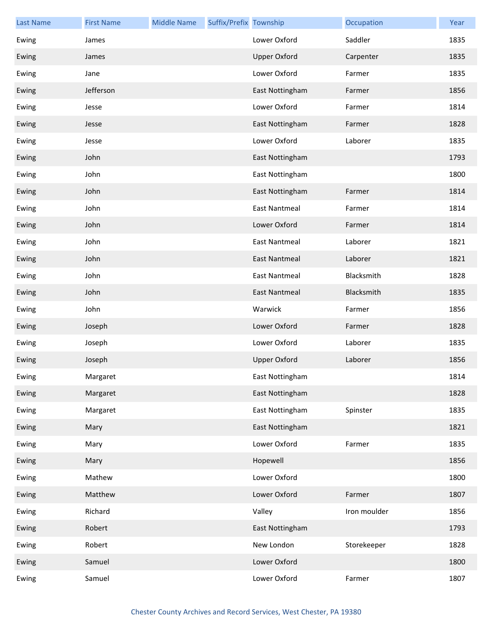| <b>Last Name</b> | <b>First Name</b> | <b>Middle Name</b> | Suffix/Prefix Township |                      | Occupation   | Year |
|------------------|-------------------|--------------------|------------------------|----------------------|--------------|------|
| Ewing            | James             |                    |                        | Lower Oxford         | Saddler      | 1835 |
| Ewing            | James             |                    |                        | <b>Upper Oxford</b>  | Carpenter    | 1835 |
| Ewing            | Jane              |                    |                        | Lower Oxford         | Farmer       | 1835 |
| Ewing            | Jefferson         |                    |                        | East Nottingham      | Farmer       | 1856 |
| Ewing            | Jesse             |                    |                        | Lower Oxford         | Farmer       | 1814 |
| Ewing            | Jesse             |                    |                        | East Nottingham      | Farmer       | 1828 |
| Ewing            | Jesse             |                    |                        | Lower Oxford         | Laborer      | 1835 |
| Ewing            | John              |                    |                        | East Nottingham      |              | 1793 |
| Ewing            | John              |                    |                        | East Nottingham      |              | 1800 |
| Ewing            | John              |                    |                        | East Nottingham      | Farmer       | 1814 |
| Ewing            | John              |                    |                        | <b>East Nantmeal</b> | Farmer       | 1814 |
| Ewing            | John              |                    |                        | Lower Oxford         | Farmer       | 1814 |
| Ewing            | John              |                    |                        | <b>East Nantmeal</b> | Laborer      | 1821 |
| Ewing            | John              |                    |                        | <b>East Nantmeal</b> | Laborer      | 1821 |
| Ewing            | John              |                    |                        | <b>East Nantmeal</b> | Blacksmith   | 1828 |
| Ewing            | John              |                    |                        | <b>East Nantmeal</b> | Blacksmith   | 1835 |
| Ewing            | John              |                    |                        | Warwick              | Farmer       | 1856 |
| Ewing            | Joseph            |                    |                        | Lower Oxford         | Farmer       | 1828 |
| Ewing            | Joseph            |                    |                        | Lower Oxford         | Laborer      | 1835 |
| Ewing            | Joseph            |                    |                        | <b>Upper Oxford</b>  | Laborer      | 1856 |
| Ewing            | Margaret          |                    |                        | East Nottingham      |              | 1814 |
| Ewing            | Margaret          |                    |                        | East Nottingham      |              | 1828 |
| Ewing            | Margaret          |                    |                        | East Nottingham      | Spinster     | 1835 |
| Ewing            | Mary              |                    |                        | East Nottingham      |              | 1821 |
| Ewing            | Mary              |                    |                        | Lower Oxford         | Farmer       | 1835 |
| Ewing            | Mary              |                    |                        | Hopewell             |              | 1856 |
| Ewing            | Mathew            |                    |                        | Lower Oxford         |              | 1800 |
| Ewing            | Matthew           |                    |                        | Lower Oxford         | Farmer       | 1807 |
| Ewing            | Richard           |                    |                        | Valley               | Iron moulder | 1856 |
| Ewing            | Robert            |                    |                        | East Nottingham      |              | 1793 |
| Ewing            | Robert            |                    |                        | New London           | Storekeeper  | 1828 |
| Ewing            | Samuel            |                    |                        | Lower Oxford         |              | 1800 |
| Ewing            | Samuel            |                    |                        | Lower Oxford         | Farmer       | 1807 |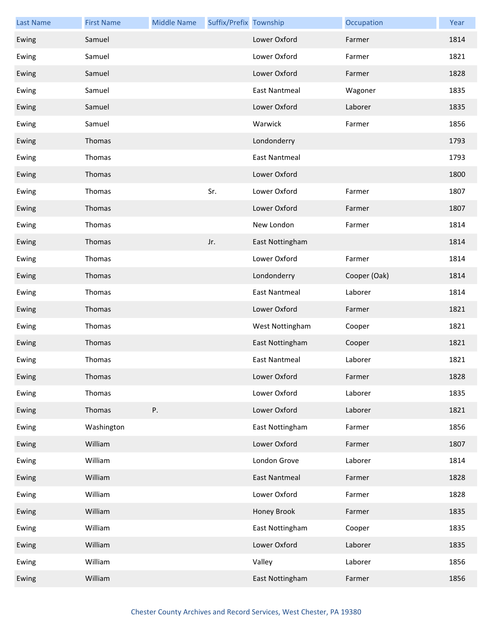| <b>Last Name</b> | <b>First Name</b> | <b>Middle Name</b> | Suffix/Prefix Township |                      | Occupation   | Year |
|------------------|-------------------|--------------------|------------------------|----------------------|--------------|------|
| Ewing            | Samuel            |                    |                        | Lower Oxford         | Farmer       | 1814 |
| Ewing            | Samuel            |                    |                        | Lower Oxford         | Farmer       | 1821 |
| Ewing            | Samuel            |                    |                        | Lower Oxford         | Farmer       | 1828 |
| Ewing            | Samuel            |                    |                        | <b>East Nantmeal</b> | Wagoner      | 1835 |
| Ewing            | Samuel            |                    |                        | Lower Oxford         | Laborer      | 1835 |
| Ewing            | Samuel            |                    |                        | Warwick              | Farmer       | 1856 |
| Ewing            | Thomas            |                    |                        | Londonderry          |              | 1793 |
| Ewing            | Thomas            |                    |                        | East Nantmeal        |              | 1793 |
| Ewing            | Thomas            |                    |                        | Lower Oxford         |              | 1800 |
| Ewing            | Thomas            |                    | Sr.                    | Lower Oxford         | Farmer       | 1807 |
| Ewing            | Thomas            |                    |                        | Lower Oxford         | Farmer       | 1807 |
| Ewing            | Thomas            |                    |                        | New London           | Farmer       | 1814 |
| Ewing            | Thomas            |                    | Jr.                    | East Nottingham      |              | 1814 |
| Ewing            | Thomas            |                    |                        | Lower Oxford         | Farmer       | 1814 |
| Ewing            | Thomas            |                    |                        | Londonderry          | Cooper (Oak) | 1814 |
| Ewing            | Thomas            |                    |                        | <b>East Nantmeal</b> | Laborer      | 1814 |
| Ewing            | Thomas            |                    |                        | Lower Oxford         | Farmer       | 1821 |
| Ewing            | Thomas            |                    |                        | West Nottingham      | Cooper       | 1821 |
| Ewing            | Thomas            |                    |                        | East Nottingham      | Cooper       | 1821 |
| Ewing            | Thomas            |                    |                        | <b>East Nantmeal</b> | Laborer      | 1821 |
| Ewing            | Thomas            |                    |                        | Lower Oxford         | Farmer       | 1828 |
| Ewing            | Thomas            |                    |                        | Lower Oxford         | Laborer      | 1835 |
| Ewing            | Thomas            | Ρ.                 |                        | Lower Oxford         | Laborer      | 1821 |
| Ewing            | Washington        |                    |                        | East Nottingham      | Farmer       | 1856 |
| Ewing            | William           |                    |                        | Lower Oxford         | Farmer       | 1807 |
| Ewing            | William           |                    |                        | London Grove         | Laborer      | 1814 |
| Ewing            | William           |                    |                        | East Nantmeal        | Farmer       | 1828 |
| Ewing            | William           |                    |                        | Lower Oxford         | Farmer       | 1828 |
| Ewing            | William           |                    |                        | Honey Brook          | Farmer       | 1835 |
| Ewing            | William           |                    |                        | East Nottingham      | Cooper       | 1835 |
| Ewing            | William           |                    |                        | Lower Oxford         | Laborer      | 1835 |
| Ewing            | William           |                    |                        | Valley               | Laborer      | 1856 |
| Ewing            | William           |                    |                        | East Nottingham      | Farmer       | 1856 |